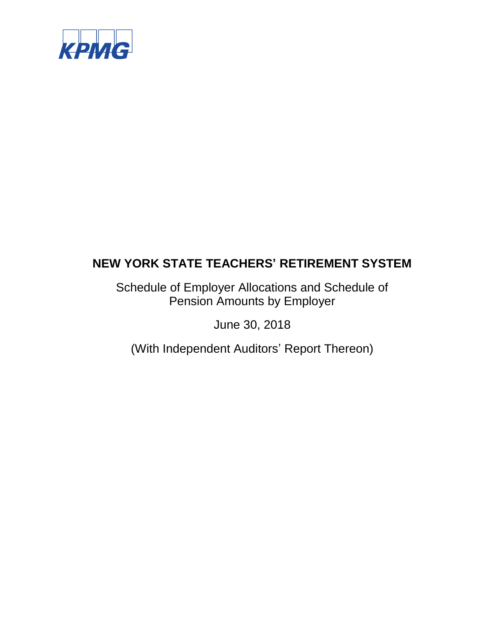

Schedule of Employer Allocations and Schedule of Pension Amounts by Employer

June 30, 2018

(With Independent Auditors' Report Thereon)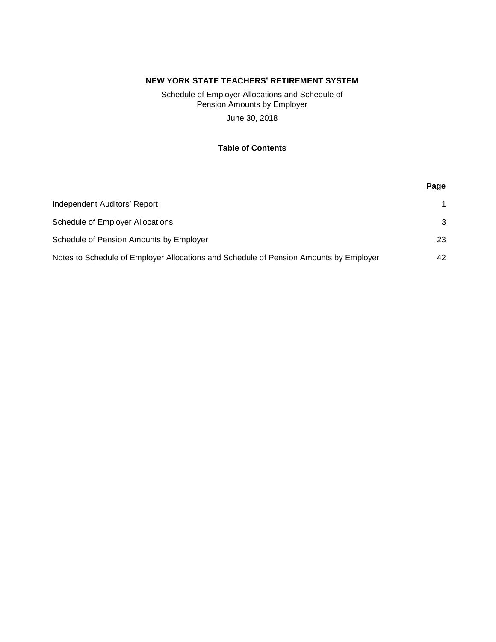Schedule of Employer Allocations and Schedule of Pension Amounts by Employer

June 30, 2018

# **Table of Contents**

|                                                                                       | Page |
|---------------------------------------------------------------------------------------|------|
| Independent Auditors' Report                                                          | 1    |
| Schedule of Employer Allocations                                                      | 3    |
| Schedule of Pension Amounts by Employer                                               | 23   |
| Notes to Schedule of Employer Allocations and Schedule of Pension Amounts by Employer | 42   |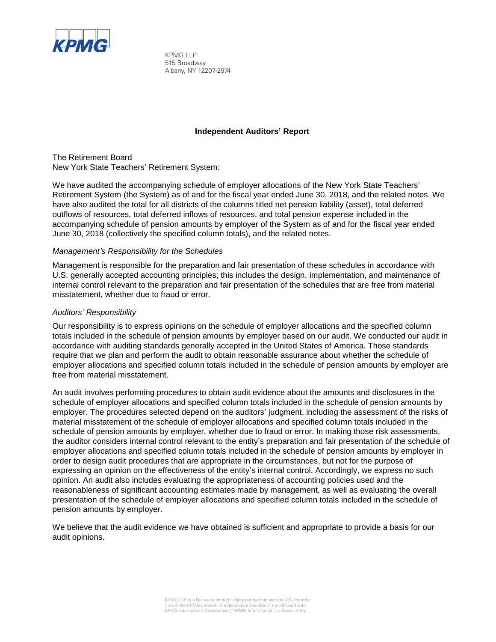

KPMG LLP 515 Broadway Albany, NY 12207-2974

### **Independent Auditors' Report**

The Retirement Board New York State Teachers' Retirement System:

We have audited the accompanying schedule of employer allocations of the New York State Teachers' Retirement System (the System) as of and for the fiscal year ended June 30, 2018, and the related notes. We have also audited the total for all districts of the columns titled net pension liability (asset), total deferred outflows of resources, total deferred inflows of resources, and total pension expense included in the accompanying schedule of pension amounts by employer of the System as of and for the fiscal year ended June 30, 2018 (collectively the specified column totals), and the related notes.

### *Management's Responsibility for the Schedules*

Management is responsible for the preparation and fair presentation of these schedules in accordance with U.S. generally accepted accounting principles; this includes the design, implementation, and maintenance of internal control relevant to the preparation and fair presentation of the schedules that are free from material misstatement, whether due to fraud or error.

### *Auditors' Responsibility*

Our responsibility is to express opinions on the schedule of employer allocations and the specified column totals included in the schedule of pension amounts by employer based on our audit. We conducted our audit in accordance with auditing standards generally accepted in the United States of America. Those standards require that we plan and perform the audit to obtain reasonable assurance about whether the schedule of employer allocations and specified column totals included in the schedule of pension amounts by employer are free from material misstatement.

An audit involves performing procedures to obtain audit evidence about the amounts and disclosures in the schedule of employer allocations and specified column totals included in the schedule of pension amounts by employer. The procedures selected depend on the auditors' judgment, including the assessment of the risks of material misstatement of the schedule of employer allocations and specified column totals included in the schedule of pension amounts by employer, whether due to fraud or error. In making those risk assessments, the auditor considers internal control relevant to the entity's preparation and fair presentation of the schedule of employer allocations and specified column totals included in the schedule of pension amounts by employer in order to design audit procedures that are appropriate in the circumstances, but not for the purpose of expressing an opinion on the effectiveness of the entity's internal control. Accordingly, we express no such opinion. An audit also includes evaluating the appropriateness of accounting policies used and the reasonableness of significant accounting estimates made by management, as well as evaluating the overall presentation of the schedule of employer allocations and specified column totals included in the schedule of pension amounts by employer.

We believe that the audit evidence we have obtained is sufficient and appropriate to provide a basis for our audit opinions.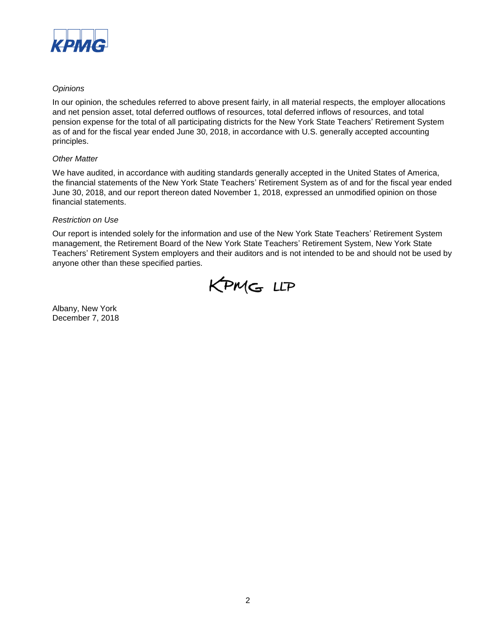

# *Opinions*

In our opinion, the schedules referred to above present fairly, in all material respects, the employer allocations and net pension asset, total deferred outflows of resources, total deferred inflows of resources, and total pension expense for the total of all participating districts for the New York State Teachers' Retirement System as of and for the fiscal year ended June 30, 2018, in accordance with U.S. generally accepted accounting principles.

### *Other Matter*

We have audited, in accordance with auditing standards generally accepted in the United States of America, the financial statements of the New York State Teachers' Retirement System as of and for the fiscal year ended June 30, 2018, and our report thereon dated November 1, 2018, expressed an unmodified opinion on those financial statements.

### *Restriction on Use*

Our report is intended solely for the information and use of the New York State Teachers' Retirement System management, the Retirement Board of the New York State Teachers' Retirement System, New York State Teachers' Retirement System employers and their auditors and is not intended to be and should not be used by anyone other than these specified parties.



Albany, New York December 7, 2018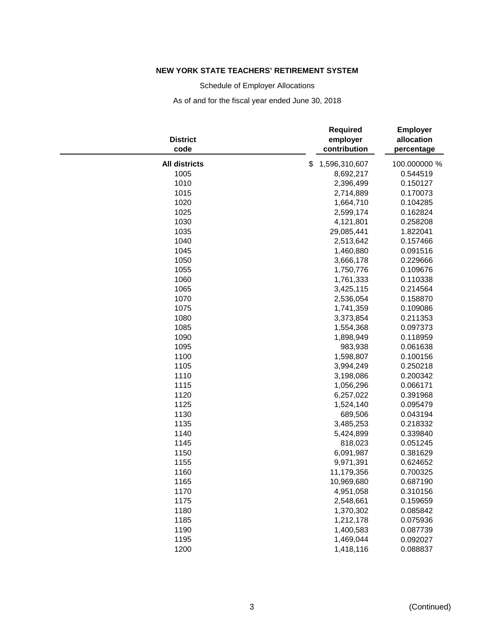Schedule of Employer Allocations

| <b>District</b><br>code | <b>Required</b><br>employer<br>contribution | <b>Employer</b><br>allocation<br>percentage |
|-------------------------|---------------------------------------------|---------------------------------------------|
| <b>All districts</b>    | \$<br>1,596,310,607                         | 100.000000 %                                |
| 1005                    | 8,692,217                                   | 0.544519                                    |
| 1010                    | 2,396,499                                   | 0.150127                                    |
| 1015                    | 2,714,889                                   | 0.170073                                    |
| 1020                    | 1,664,710                                   | 0.104285                                    |
| 1025                    | 2,599,174                                   | 0.162824                                    |
| 1030                    | 4,121,801                                   | 0.258208                                    |
| 1035                    | 29,085,441                                  | 1.822041                                    |
| 1040                    | 2,513,642                                   | 0.157466                                    |
| 1045                    | 1,460,880                                   | 0.091516                                    |
| 1050                    | 3,666,178                                   | 0.229666                                    |
| 1055                    | 1,750,776                                   | 0.109676                                    |
| 1060                    | 1,761,333                                   | 0.110338                                    |
| 1065                    | 3,425,115                                   | 0.214564                                    |
| 1070                    | 2,536,054                                   | 0.158870                                    |
| 1075                    | 1,741,359                                   | 0.109086                                    |
| 1080                    | 3,373,854                                   | 0.211353                                    |
| 1085                    | 1,554,368                                   | 0.097373                                    |
| 1090                    | 1,898,949                                   | 0.118959                                    |
| 1095                    | 983,938                                     | 0.061638                                    |
| 1100                    | 1,598,807                                   | 0.100156                                    |
| 1105                    | 3,994,249                                   | 0.250218                                    |
| 1110                    | 3,198,086                                   | 0.200342                                    |
| 1115                    | 1,056,296                                   | 0.066171                                    |
| 1120                    | 6,257,022                                   | 0.391968                                    |
| 1125                    | 1,524,140                                   | 0.095479                                    |
| 1130                    | 689,506                                     | 0.043194                                    |
| 1135                    | 3,485,253                                   | 0.218332                                    |
| 1140                    | 5,424,899                                   | 0.339840                                    |
| 1145                    | 818,023                                     | 0.051245                                    |
| 1150                    | 6,091,987                                   | 0.381629                                    |
| 1155                    | 9,971,391                                   | 0.624652                                    |
| 1160                    | 11,179,356                                  | 0.700325                                    |
| 1165                    | 10,969,680                                  | 0.687190                                    |
| 1170                    | 4,951,058                                   | 0.310156                                    |
| 1175                    | 2,548,661                                   | 0.159659                                    |
| 1180                    | 1,370,302                                   | 0.085842                                    |
| 1185                    | 1,212,178                                   | 0.075936                                    |
| 1190                    | 1,400,583                                   | 0.087739                                    |
| 1195                    | 1,469,044                                   | 0.092027                                    |
| 1200                    | 1,418,116                                   | 0.088837                                    |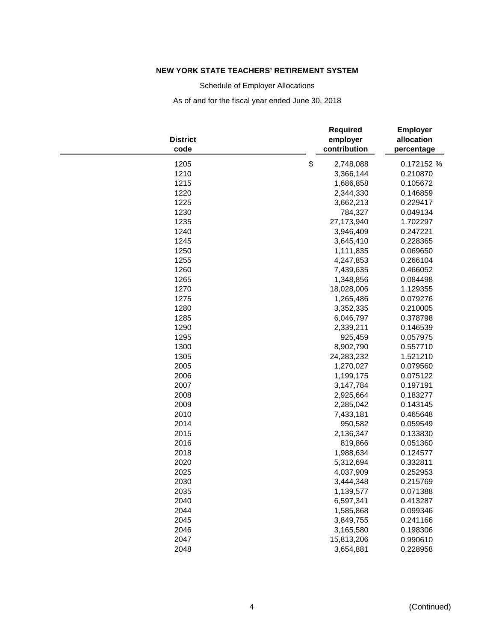Schedule of Employer Allocations

| <b>District</b><br>code | <b>Required</b><br>employer<br>contribution | <b>Employer</b><br>allocation<br>percentage |
|-------------------------|---------------------------------------------|---------------------------------------------|
| 1205                    | \$<br>2,748,088                             | 0.172152 %                                  |
| 1210                    | 3,366,144                                   | 0.210870                                    |
| 1215                    | 1,686,858                                   | 0.105672                                    |
| 1220                    | 2,344,330                                   | 0.146859                                    |
| 1225                    | 3,662,213                                   | 0.229417                                    |
| 1230                    | 784,327                                     | 0.049134                                    |
| 1235                    | 27,173,940                                  | 1.702297                                    |
| 1240                    | 3,946,409                                   | 0.247221                                    |
| 1245                    | 3,645,410                                   | 0.228365                                    |
| 1250                    | 1,111,835                                   | 0.069650                                    |
| 1255                    | 4,247,853                                   | 0.266104                                    |
| 1260                    | 7,439,635                                   | 0.466052                                    |
| 1265                    | 1,348,856                                   | 0.084498                                    |
| 1270                    | 18,028,006                                  | 1.129355                                    |
| 1275                    | 1,265,486                                   | 0.079276                                    |
| 1280                    | 3,352,335                                   | 0.210005                                    |
| 1285                    | 6,046,797                                   | 0.378798                                    |
| 1290                    | 2,339,211                                   | 0.146539                                    |
| 1295                    | 925,459                                     | 0.057975                                    |
| 1300                    | 8,902,790                                   | 0.557710                                    |
| 1305                    | 24,283,232                                  | 1.521210                                    |
| 2005                    | 1,270,027                                   | 0.079560                                    |
| 2006                    | 1,199,175                                   | 0.075122                                    |
| 2007                    | 3,147,784                                   | 0.197191                                    |
| 2008                    | 2,925,664                                   | 0.183277                                    |
| 2009                    | 2,285,042                                   | 0.143145                                    |
| 2010                    | 7,433,181                                   | 0.465648                                    |
| 2014                    | 950,582                                     | 0.059549                                    |
| 2015                    | 2,136,347                                   | 0.133830                                    |
| 2016                    | 819,866                                     | 0.051360                                    |
| 2018                    | 1,988,634                                   | 0.124577                                    |
| 2020                    | 5,312,694                                   | 0.332811                                    |
| 2025                    | 4,037,909                                   | 0.252953                                    |
| 2030                    | 3,444,348                                   | 0.215769                                    |
| 2035                    | 1,139,577                                   | 0.071388                                    |
| 2040                    | 6,597,341                                   | 0.413287                                    |
| 2044                    | 1,585,868                                   | 0.099346                                    |
| 2045                    | 3,849,755                                   | 0.241166                                    |
| 2046                    | 3,165,580                                   | 0.198306                                    |
| 2047                    | 15,813,206                                  | 0.990610                                    |
| 2048                    | 3,654,881                                   | 0.228958                                    |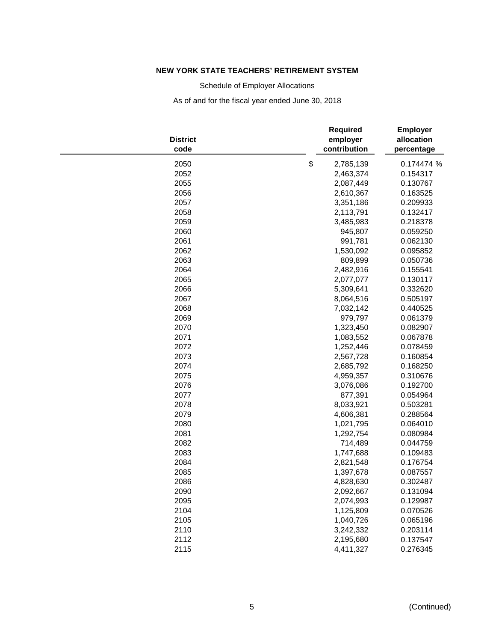Schedule of Employer Allocations

| <b>District</b><br>code | <b>Required</b><br>employer<br>contribution | <b>Employer</b><br>allocation<br>percentage |
|-------------------------|---------------------------------------------|---------------------------------------------|
| 2050                    | \$<br>2,785,139                             | 0.174474 %                                  |
| 2052                    | 2,463,374                                   | 0.154317                                    |
| 2055                    | 2,087,449                                   | 0.130767                                    |
| 2056                    | 2,610,367                                   | 0.163525                                    |
| 2057                    | 3,351,186                                   | 0.209933                                    |
| 2058                    | 2,113,791                                   | 0.132417                                    |
| 2059                    | 3,485,983                                   | 0.218378                                    |
| 2060                    | 945,807                                     | 0.059250                                    |
| 2061                    | 991,781                                     | 0.062130                                    |
| 2062                    | 1,530,092                                   | 0.095852                                    |
| 2063                    | 809,899                                     | 0.050736                                    |
| 2064                    | 2,482,916                                   | 0.155541                                    |
| 2065                    | 2,077,077                                   | 0.130117                                    |
| 2066                    | 5,309,641                                   | 0.332620                                    |
| 2067                    | 8,064,516                                   | 0.505197                                    |
| 2068                    | 7,032,142                                   | 0.440525                                    |
| 2069                    | 979,797                                     | 0.061379                                    |
| 2070                    | 1,323,450                                   | 0.082907                                    |
| 2071                    | 1,083,552                                   | 0.067878                                    |
| 2072                    | 1,252,446                                   | 0.078459                                    |
| 2073                    | 2,567,728                                   | 0.160854                                    |
| 2074                    | 2,685,792                                   | 0.168250                                    |
| 2075                    | 4,959,357                                   | 0.310676                                    |
| 2076                    | 3,076,086                                   | 0.192700                                    |
| 2077                    | 877,391                                     | 0.054964                                    |
| 2078                    | 8,033,921                                   | 0.503281                                    |
| 2079                    | 4,606,381                                   | 0.288564                                    |
| 2080                    | 1,021,795                                   | 0.064010                                    |
| 2081                    | 1,292,754                                   | 0.080984                                    |
| 2082                    | 714,489                                     | 0.044759                                    |
| 2083                    | 1,747,688                                   | 0.109483                                    |
| 2084                    | 2,821,548                                   | 0.176754                                    |
| 2085                    | 1,397,678                                   | 0.087557                                    |
| 2086                    | 4,828,630                                   | 0.302487                                    |
| 2090                    | 2,092,667                                   | 0.131094                                    |
| 2095                    | 2,074,993                                   | 0.129987                                    |
| 2104                    | 1,125,809                                   | 0.070526                                    |
| 2105                    | 1,040,726                                   | 0.065196                                    |
| 2110                    | 3,242,332                                   | 0.203114                                    |
| 2112                    | 2,195,680                                   | 0.137547                                    |
| 2115                    | 4,411,327                                   | 0.276345                                    |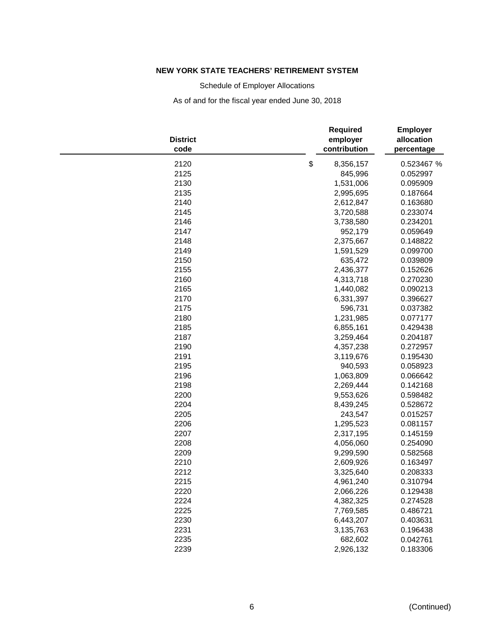Schedule of Employer Allocations

| <b>District</b><br>code | <b>Required</b><br>employer<br>contribution | <b>Employer</b><br>allocation<br>percentage |
|-------------------------|---------------------------------------------|---------------------------------------------|
| 2120                    | \$<br>8,356,157                             | 0.523467 %                                  |
| 2125                    | 845,996                                     | 0.052997                                    |
| 2130                    | 1,531,006                                   | 0.095909                                    |
| 2135                    | 2,995,695                                   | 0.187664                                    |
| 2140                    | 2,612,847                                   | 0.163680                                    |
| 2145                    | 3,720,588                                   | 0.233074                                    |
| 2146                    | 3,738,580                                   | 0.234201                                    |
| 2147                    | 952,179                                     | 0.059649                                    |
| 2148                    | 2,375,667                                   | 0.148822                                    |
| 2149                    | 1,591,529                                   | 0.099700                                    |
| 2150                    | 635,472                                     | 0.039809                                    |
| 2155                    | 2,436,377                                   | 0.152626                                    |
| 2160                    | 4,313,718                                   | 0.270230                                    |
| 2165                    | 1,440,082                                   | 0.090213                                    |
| 2170                    | 6,331,397                                   | 0.396627                                    |
| 2175                    | 596,731                                     | 0.037382                                    |
| 2180                    | 1,231,985                                   | 0.077177                                    |
| 2185                    | 6,855,161                                   | 0.429438                                    |
| 2187                    | 3,259,464                                   | 0.204187                                    |
| 2190                    | 4,357,238                                   | 0.272957                                    |
| 2191                    | 3,119,676                                   | 0.195430                                    |
| 2195                    | 940,593                                     | 0.058923                                    |
| 2196                    | 1,063,809                                   | 0.066642                                    |
| 2198                    | 2,269,444                                   | 0.142168                                    |
| 2200                    | 9,553,626                                   | 0.598482                                    |
| 2204                    | 8,439,245                                   | 0.528672                                    |
| 2205                    | 243,547                                     | 0.015257                                    |
| 2206                    | 1,295,523                                   | 0.081157                                    |
| 2207                    | 2,317,195                                   | 0.145159                                    |
| 2208                    | 4,056,060                                   | 0.254090                                    |
| 2209                    | 9,299,590                                   | 0.582568                                    |
| 2210                    | 2,609,926                                   | 0.163497                                    |
| 2212                    | 3,325,640                                   | 0.208333                                    |
| 2215                    | 4,961,240                                   | 0.310794                                    |
| 2220                    | 2,066,226                                   | 0.129438                                    |
| 2224                    | 4,382,325                                   | 0.274528                                    |
| 2225                    | 7,769,585                                   | 0.486721                                    |
| 2230                    | 6,443,207                                   | 0.403631                                    |
| 2231                    | 3,135,763                                   | 0.196438                                    |
| 2235                    | 682,602                                     | 0.042761                                    |
| 2239                    | 2,926,132                                   | 0.183306                                    |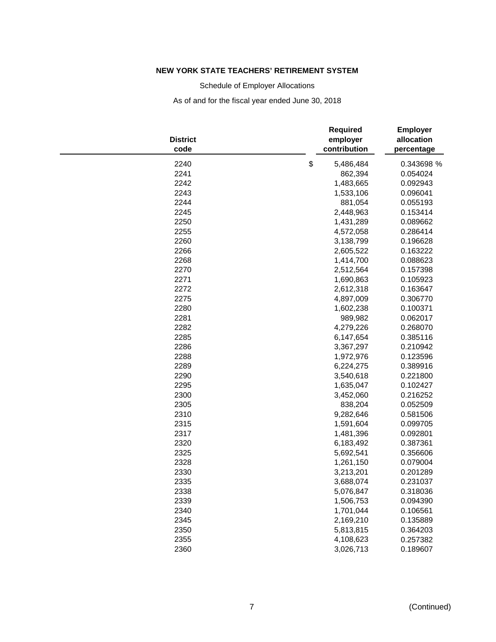Schedule of Employer Allocations

| <b>District</b><br>code | <b>Required</b><br>employer<br>contribution | <b>Employer</b><br>allocation<br>percentage |
|-------------------------|---------------------------------------------|---------------------------------------------|
| 2240                    | \$<br>5,486,484                             | 0.343698 %                                  |
| 2241                    | 862,394                                     | 0.054024                                    |
| 2242                    | 1,483,665                                   | 0.092943                                    |
| 2243                    | 1,533,106                                   | 0.096041                                    |
| 2244                    | 881,054                                     | 0.055193                                    |
| 2245                    | 2,448,963                                   | 0.153414                                    |
| 2250                    | 1,431,289                                   | 0.089662                                    |
| 2255                    | 4,572,058                                   | 0.286414                                    |
| 2260                    | 3,138,799                                   | 0.196628                                    |
| 2266                    | 2,605,522                                   | 0.163222                                    |
| 2268                    | 1,414,700                                   | 0.088623                                    |
| 2270                    | 2,512,564                                   | 0.157398                                    |
| 2271                    | 1,690,863                                   | 0.105923                                    |
| 2272                    | 2,612,318                                   | 0.163647                                    |
| 2275                    | 4,897,009                                   | 0.306770                                    |
| 2280                    | 1,602,238                                   | 0.100371                                    |
| 2281                    | 989,982                                     | 0.062017                                    |
| 2282                    | 4,279,226                                   | 0.268070                                    |
| 2285                    | 6,147,654                                   | 0.385116                                    |
| 2286                    | 3,367,297                                   | 0.210942                                    |
| 2288                    | 1,972,976                                   | 0.123596                                    |
| 2289                    | 6,224,275                                   | 0.389916                                    |
| 2290                    | 3,540,618                                   | 0.221800                                    |
| 2295                    | 1,635,047                                   | 0.102427                                    |
| 2300                    | 3,452,060                                   | 0.216252                                    |
| 2305                    | 838,204                                     | 0.052509                                    |
| 2310                    | 9,282,646                                   | 0.581506                                    |
| 2315                    | 1,591,604                                   | 0.099705                                    |
| 2317                    | 1,481,396                                   | 0.092801                                    |
| 2320                    | 6,183,492                                   | 0.387361                                    |
| 2325                    | 5,692,541                                   | 0.356606                                    |
| 2328                    | 1,261,150                                   | 0.079004                                    |
| 2330                    | 3,213,201                                   | 0.201289                                    |
| 2335                    | 3,688,074                                   | 0.231037                                    |
| 2338                    | 5,076,847                                   | 0.318036                                    |
| 2339                    | 1,506,753                                   | 0.094390                                    |
| 2340                    | 1,701,044                                   | 0.106561                                    |
| 2345                    | 2,169,210                                   | 0.135889                                    |
| 2350                    | 5,813,815                                   | 0.364203                                    |
| 2355                    | 4,108,623                                   | 0.257382                                    |
| 2360                    | 3,026,713                                   | 0.189607                                    |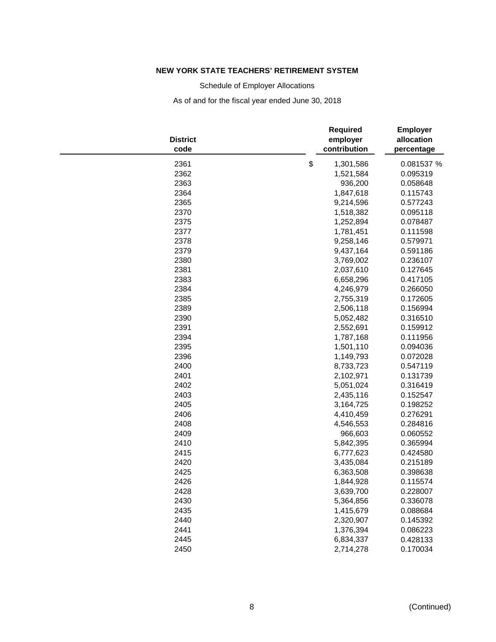Schedule of Employer Allocations

| <b>District</b><br>code | <b>Required</b><br>employer<br>contribution | <b>Employer</b><br>allocation<br>percentage |
|-------------------------|---------------------------------------------|---------------------------------------------|
| 2361                    | \$<br>1,301,586                             | 0.081537 %                                  |
| 2362                    | 1,521,584                                   | 0.095319                                    |
| 2363                    | 936,200                                     | 0.058648                                    |
| 2364                    | 1,847,618                                   | 0.115743                                    |
| 2365                    | 9,214,596                                   | 0.577243                                    |
| 2370                    | 1,518,382                                   | 0.095118                                    |
| 2375                    | 1,252,894                                   | 0.078487                                    |
| 2377                    | 1,781,451                                   | 0.111598                                    |
| 2378                    | 9,258,146                                   | 0.579971                                    |
| 2379                    | 9,437,164                                   | 0.591186                                    |
| 2380                    | 3,769,002                                   | 0.236107                                    |
| 2381                    | 2,037,610                                   | 0.127645                                    |
| 2383                    | 6,658,296                                   | 0.417105                                    |
| 2384                    | 4,246,979                                   | 0.266050                                    |
| 2385                    | 2,755,319                                   | 0.172605                                    |
| 2389                    | 2,506,118                                   | 0.156994                                    |
| 2390                    | 5,052,482                                   | 0.316510                                    |
| 2391                    | 2,552,691                                   | 0.159912                                    |
| 2394                    | 1,787,168                                   | 0.111956                                    |
| 2395                    | 1,501,110                                   | 0.094036                                    |
| 2396                    | 1,149,793                                   | 0.072028                                    |
| 2400                    | 8,733,723                                   | 0.547119                                    |
| 2401                    | 2,102,971                                   | 0.131739                                    |
| 2402                    | 5,051,024                                   | 0.316419                                    |
| 2403                    | 2,435,116                                   | 0.152547                                    |
| 2405                    | 3,164,725                                   | 0.198252                                    |
| 2406                    | 4,410,459                                   | 0.276291                                    |
| 2408                    | 4,546,553                                   | 0.284816                                    |
| 2409                    | 966,603                                     | 0.060552                                    |
| 2410                    | 5,842,395                                   | 0.365994                                    |
| 2415                    | 6,777,623                                   | 0.424580                                    |
| 2420                    | 3,435,084                                   | 0.215189                                    |
| 2425                    | 6,363,508                                   | 0.398638                                    |
| 2426                    | 1,844,928                                   | 0.115574                                    |
| 2428                    | 3,639,700                                   | 0.228007                                    |
| 2430                    | 5,364,856                                   | 0.336078                                    |
| 2435                    | 1,415,679                                   | 0.088684                                    |
| 2440                    | 2,320,907                                   | 0.145392                                    |
| 2441                    | 1,376,394                                   | 0.086223                                    |
| 2445                    | 6,834,337                                   | 0.428133                                    |
| 2450                    | 2,714,278                                   | 0.170034                                    |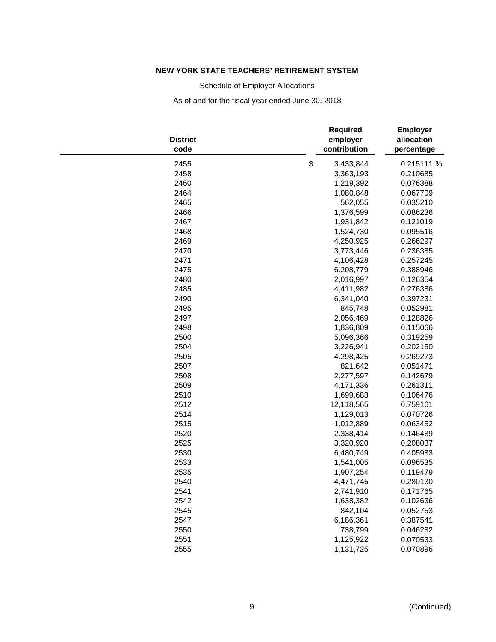Schedule of Employer Allocations

| <b>District</b><br>code | <b>Required</b><br>employer<br>contribution | <b>Employer</b><br>allocation<br>percentage |
|-------------------------|---------------------------------------------|---------------------------------------------|
| 2455                    | \$<br>3,433,844                             | 0.215111 %                                  |
| 2458                    | 3,363,193                                   | 0.210685                                    |
| 2460                    | 1,219,392                                   | 0.076388                                    |
| 2464                    | 1,080,848                                   | 0.067709                                    |
| 2465                    | 562,055                                     | 0.035210                                    |
| 2466                    | 1,376,599                                   | 0.086236                                    |
| 2467                    | 1,931,842                                   | 0.121019                                    |
| 2468                    | 1,524,730                                   | 0.095516                                    |
| 2469                    | 4,250,925                                   | 0.266297                                    |
| 2470                    | 3,773,446                                   | 0.236385                                    |
| 2471                    | 4,106,428                                   | 0.257245                                    |
| 2475                    | 6,208,779                                   | 0.388946                                    |
| 2480                    | 2,016,997                                   | 0.126354                                    |
| 2485                    | 4,411,982                                   | 0.276386                                    |
| 2490                    | 6,341,040                                   | 0.397231                                    |
| 2495                    | 845,748                                     | 0.052981                                    |
| 2497                    | 2,056,469                                   | 0.128826                                    |
| 2498                    | 1,836,809                                   | 0.115066                                    |
| 2500                    | 5,096,366                                   | 0.319259                                    |
| 2504                    | 3,226,941                                   | 0.202150                                    |
| 2505                    | 4,298,425                                   | 0.269273                                    |
| 2507                    | 821,642                                     | 0.051471                                    |
| 2508                    | 2,277,597                                   | 0.142679                                    |
| 2509                    | 4,171,336                                   | 0.261311                                    |
| 2510                    | 1,699,683                                   | 0.106476                                    |
| 2512                    | 12,118,565                                  | 0.759161                                    |
| 2514                    | 1,129,013                                   | 0.070726                                    |
| 2515                    | 1,012,889                                   | 0.063452                                    |
| 2520                    | 2,338,414                                   | 0.146489                                    |
| 2525                    | 3,320,920                                   | 0.208037                                    |
| 2530                    | 6,480,749                                   | 0.405983                                    |
| 2533                    | 1,541,005                                   | 0.096535                                    |
| 2535                    | 1,907,254                                   | 0.119479                                    |
| 2540                    | 4,471,745                                   | 0.280130                                    |
| 2541                    | 2,741,910                                   | 0.171765                                    |
| 2542                    | 1,638,382                                   | 0.102636                                    |
| 2545                    | 842,104                                     | 0.052753                                    |
| 2547                    | 6,186,361                                   | 0.387541                                    |
| 2550                    | 738,799                                     | 0.046282                                    |
| 2551                    | 1,125,922                                   | 0.070533                                    |
| 2555                    | 1,131,725                                   | 0.070896                                    |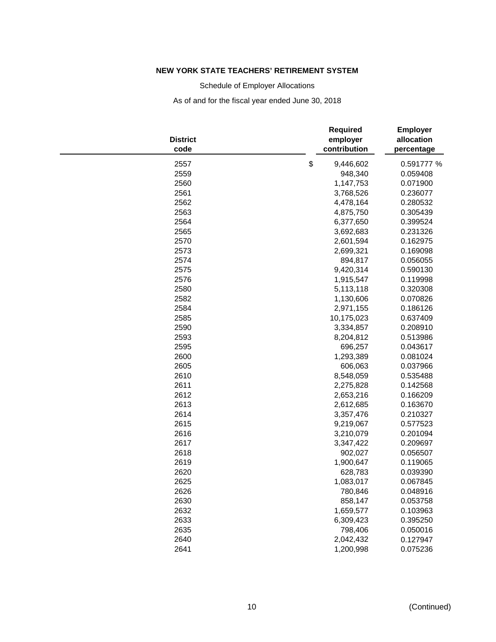Schedule of Employer Allocations

| <b>District</b><br>code | <b>Required</b><br>employer<br>contribution | <b>Employer</b><br>allocation<br>percentage |
|-------------------------|---------------------------------------------|---------------------------------------------|
| 2557                    | \$<br>9,446,602                             | 0.591777 %                                  |
| 2559                    | 948,340                                     | 0.059408                                    |
| 2560                    | 1,147,753                                   | 0.071900                                    |
| 2561                    | 3,768,526                                   | 0.236077                                    |
| 2562                    | 4,478,164                                   | 0.280532                                    |
| 2563                    | 4,875,750                                   | 0.305439                                    |
| 2564                    | 6,377,650                                   | 0.399524                                    |
| 2565                    | 3,692,683                                   | 0.231326                                    |
| 2570                    | 2,601,594                                   | 0.162975                                    |
| 2573                    | 2,699,321                                   | 0.169098                                    |
| 2574                    | 894,817                                     | 0.056055                                    |
| 2575                    | 9,420,314                                   | 0.590130                                    |
| 2576                    | 1,915,547                                   | 0.119998                                    |
| 2580                    | 5,113,118                                   | 0.320308                                    |
| 2582                    | 1,130,606                                   | 0.070826                                    |
| 2584                    | 2,971,155                                   | 0.186126                                    |
| 2585                    | 10,175,023                                  | 0.637409                                    |
| 2590                    | 3,334,857                                   | 0.208910                                    |
| 2593                    | 8,204,812                                   | 0.513986                                    |
| 2595                    | 696,257                                     | 0.043617                                    |
| 2600                    | 1,293,389                                   | 0.081024                                    |
| 2605                    | 606,063                                     | 0.037966                                    |
| 2610                    | 8,548,059                                   | 0.535488                                    |
| 2611                    | 2,275,828                                   | 0.142568                                    |
| 2612                    | 2,653,216                                   | 0.166209                                    |
| 2613                    | 2,612,685                                   | 0.163670                                    |
| 2614                    | 3,357,476                                   | 0.210327                                    |
| 2615                    | 9,219,067                                   | 0.577523                                    |
| 2616                    | 3,210,079                                   | 0.201094                                    |
| 2617                    | 3,347,422                                   | 0.209697                                    |
| 2618                    | 902,027                                     | 0.056507                                    |
| 2619                    | 1,900,647                                   | 0.119065                                    |
| 2620                    | 628,783                                     | 0.039390                                    |
| 2625                    | 1,083,017                                   | 0.067845                                    |
| 2626                    | 780,846                                     | 0.048916                                    |
| 2630                    | 858,147                                     | 0.053758                                    |
| 2632                    | 1,659,577                                   | 0.103963                                    |
| 2633                    | 6,309,423                                   | 0.395250                                    |
| 2635                    | 798,406                                     | 0.050016                                    |
| 2640                    | 2,042,432                                   | 0.127947                                    |
| 2641                    | 1,200,998                                   | 0.075236                                    |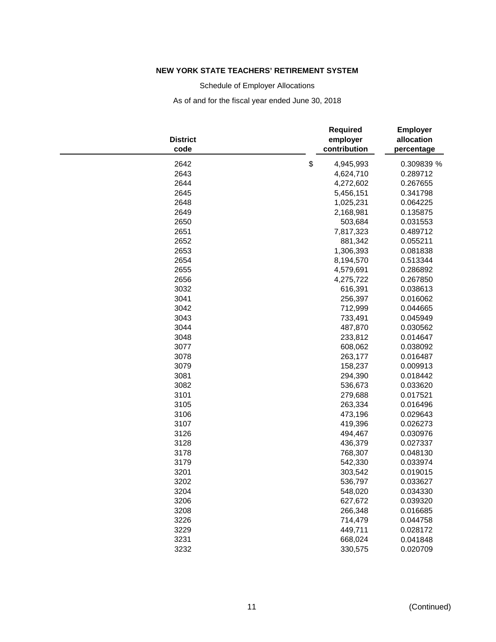Schedule of Employer Allocations

| <b>District</b><br>code | <b>Required</b><br>employer<br>contribution | <b>Employer</b><br>allocation<br>percentage |
|-------------------------|---------------------------------------------|---------------------------------------------|
| 2642                    | \$<br>4,945,993                             | 0.309839 %                                  |
| 2643                    | 4,624,710                                   | 0.289712                                    |
| 2644                    | 4,272,602                                   | 0.267655                                    |
| 2645                    | 5,456,151                                   | 0.341798                                    |
| 2648                    | 1,025,231                                   | 0.064225                                    |
| 2649                    | 2,168,981                                   | 0.135875                                    |
| 2650                    | 503,684                                     | 0.031553                                    |
| 2651                    | 7,817,323                                   | 0.489712                                    |
| 2652                    | 881,342                                     | 0.055211                                    |
| 2653                    | 1,306,393                                   | 0.081838                                    |
| 2654                    | 8,194,570                                   | 0.513344                                    |
| 2655                    | 4,579,691                                   | 0.286892                                    |
| 2656                    | 4,275,722                                   | 0.267850                                    |
| 3032                    | 616,391                                     | 0.038613                                    |
| 3041                    | 256,397                                     | 0.016062                                    |
| 3042                    | 712,999                                     | 0.044665                                    |
| 3043                    | 733,491                                     | 0.045949                                    |
| 3044                    | 487,870                                     | 0.030562                                    |
| 3048                    | 233,812                                     | 0.014647                                    |
| 3077                    | 608,062                                     | 0.038092                                    |
| 3078                    | 263,177                                     | 0.016487                                    |
| 3079                    | 158,237                                     | 0.009913                                    |
| 3081                    | 294,390                                     | 0.018442                                    |
| 3082                    | 536,673                                     | 0.033620                                    |
| 3101                    | 279,688                                     | 0.017521                                    |
| 3105                    | 263,334                                     | 0.016496                                    |
| 3106                    | 473,196                                     | 0.029643                                    |
| 3107                    | 419,396                                     | 0.026273                                    |
| 3126                    | 494,467                                     | 0.030976                                    |
| 3128                    | 436,379                                     | 0.027337                                    |
| 3178                    | 768,307                                     | 0.048130                                    |
| 3179                    | 542,330                                     | 0.033974                                    |
| 3201                    | 303,542                                     | 0.019015                                    |
| 3202                    | 536,797                                     | 0.033627                                    |
| 3204                    | 548,020                                     | 0.034330                                    |
| 3206                    | 627,672                                     | 0.039320                                    |
| 3208                    | 266,348                                     | 0.016685                                    |
| 3226                    | 714,479                                     | 0.044758                                    |
| 3229                    | 449,711                                     | 0.028172                                    |
| 3231                    | 668,024                                     | 0.041848                                    |
| 3232                    | 330,575                                     | 0.020709                                    |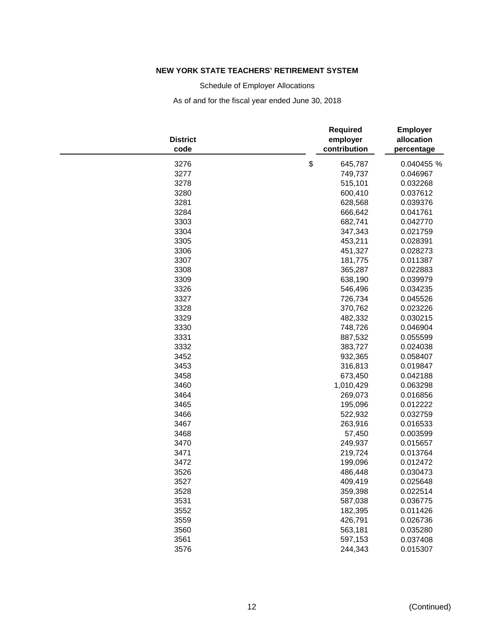Schedule of Employer Allocations

| <b>District</b><br>code | <b>Required</b><br>employer<br>contribution | <b>Employer</b><br>allocation<br>percentage |
|-------------------------|---------------------------------------------|---------------------------------------------|
| 3276                    | \$<br>645,787                               | 0.040455 %                                  |
| 3277                    | 749,737                                     | 0.046967                                    |
| 3278                    | 515,101                                     | 0.032268                                    |
| 3280                    | 600,410                                     | 0.037612                                    |
| 3281                    | 628,568                                     | 0.039376                                    |
| 3284                    | 666,642                                     | 0.041761                                    |
| 3303                    | 682,741                                     | 0.042770                                    |
| 3304                    | 347,343                                     | 0.021759                                    |
| 3305                    | 453,211                                     | 0.028391                                    |
| 3306                    | 451,327                                     | 0.028273                                    |
| 3307                    | 181,775                                     | 0.011387                                    |
| 3308                    | 365,287                                     | 0.022883                                    |
| 3309                    | 638,190                                     | 0.039979                                    |
| 3326                    | 546,496                                     | 0.034235                                    |
| 3327                    | 726,734                                     | 0.045526                                    |
| 3328                    | 370,762                                     | 0.023226                                    |
| 3329                    | 482,332                                     | 0.030215                                    |
| 3330                    | 748,726                                     | 0.046904                                    |
| 3331                    | 887,532                                     | 0.055599                                    |
| 3332                    | 383,727                                     | 0.024038                                    |
| 3452                    | 932,365                                     | 0.058407                                    |
| 3453                    | 316,813                                     | 0.019847                                    |
| 3458                    | 673,450                                     | 0.042188                                    |
| 3460                    | 1,010,429                                   | 0.063298                                    |
| 3464                    | 269,073                                     | 0.016856                                    |
| 3465                    | 195,096                                     | 0.012222                                    |
| 3466                    | 522,932                                     | 0.032759                                    |
| 3467                    | 263,916                                     | 0.016533                                    |
| 3468                    | 57,450                                      | 0.003599                                    |
| 3470                    | 249,937                                     | 0.015657                                    |
| 3471                    | 219,724                                     | 0.013764                                    |
| 3472                    | 199,096                                     | 0.012472                                    |
| 3526                    | 486,448                                     | 0.030473                                    |
| 3527                    | 409,419                                     | 0.025648                                    |
| 3528                    | 359,398                                     | 0.022514                                    |
| 3531                    | 587,038                                     | 0.036775                                    |
| 3552                    | 182,395                                     | 0.011426                                    |
| 3559                    | 426,791                                     | 0.026736                                    |
| 3560                    | 563,181                                     | 0.035280                                    |
| 3561                    | 597,153                                     | 0.037408                                    |
| 3576                    | 244,343                                     | 0.015307                                    |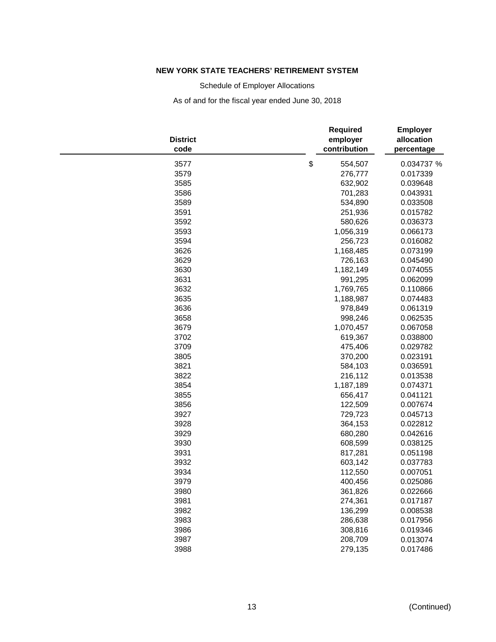Schedule of Employer Allocations

| <b>District</b><br>code | <b>Required</b><br>employer<br>contribution | <b>Employer</b><br>allocation<br>percentage |
|-------------------------|---------------------------------------------|---------------------------------------------|
| 3577                    | \$<br>554,507                               | 0.034737 %                                  |
| 3579                    | 276,777                                     | 0.017339                                    |
| 3585                    | 632,902                                     | 0.039648                                    |
| 3586                    | 701,283                                     | 0.043931                                    |
| 3589                    | 534,890                                     | 0.033508                                    |
| 3591                    | 251,936                                     | 0.015782                                    |
| 3592                    | 580,626                                     | 0.036373                                    |
| 3593                    | 1,056,319                                   | 0.066173                                    |
| 3594                    | 256,723                                     | 0.016082                                    |
| 3626                    | 1,168,485                                   | 0.073199                                    |
| 3629                    | 726,163                                     | 0.045490                                    |
| 3630                    | 1,182,149                                   | 0.074055                                    |
| 3631                    | 991,295                                     | 0.062099                                    |
| 3632                    | 1,769,765                                   | 0.110866                                    |
| 3635                    | 1,188,987                                   | 0.074483                                    |
| 3636                    | 978,849                                     | 0.061319                                    |
| 3658                    | 998,246                                     | 0.062535                                    |
| 3679                    | 1,070,457                                   | 0.067058                                    |
| 3702                    | 619,367                                     | 0.038800                                    |
| 3709                    | 475,406                                     | 0.029782                                    |
| 3805                    | 370,200                                     | 0.023191                                    |
| 3821                    | 584,103                                     | 0.036591                                    |
| 3822                    | 216,112                                     | 0.013538                                    |
| 3854                    | 1,187,189                                   | 0.074371                                    |
| 3855                    | 656,417                                     | 0.041121                                    |
| 3856                    | 122,509                                     | 0.007674                                    |
| 3927                    | 729,723                                     | 0.045713                                    |
| 3928                    | 364,153                                     | 0.022812                                    |
| 3929                    | 680,280                                     | 0.042616                                    |
| 3930                    | 608,599                                     | 0.038125                                    |
| 3931                    | 817,281                                     | 0.051198                                    |
| 3932                    | 603,142                                     | 0.037783                                    |
| 3934                    | 112,550                                     | 0.007051                                    |
| 3979                    | 400,456                                     | 0.025086                                    |
| 3980                    | 361,826                                     | 0.022666                                    |
| 3981                    | 274,361                                     | 0.017187                                    |
| 3982                    | 136,299                                     | 0.008538                                    |
| 3983                    | 286,638                                     | 0.017956                                    |
| 3986                    | 308,816                                     | 0.019346                                    |
| 3987                    | 208,709                                     | 0.013074                                    |
| 3988                    | 279,135                                     | 0.017486                                    |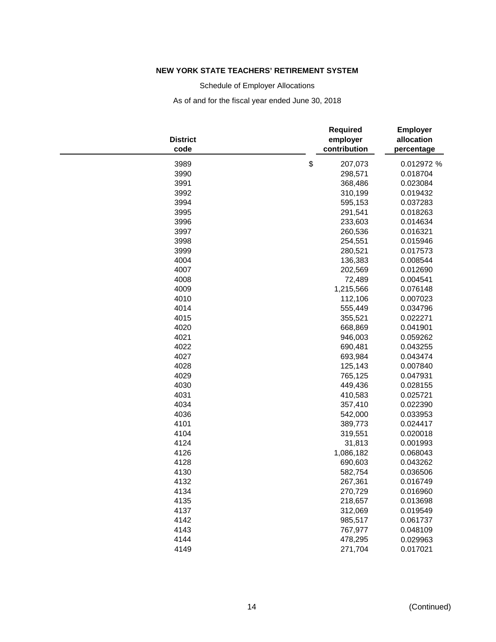Schedule of Employer Allocations

| <b>District</b><br>code | <b>Required</b><br>employer<br>contribution | <b>Employer</b><br>allocation<br>percentage |
|-------------------------|---------------------------------------------|---------------------------------------------|
| 3989                    | \$<br>207,073                               | 0.012972 %                                  |
| 3990                    | 298,571                                     | 0.018704                                    |
| 3991                    | 368,486                                     | 0.023084                                    |
| 3992                    | 310,199                                     | 0.019432                                    |
| 3994                    | 595,153                                     | 0.037283                                    |
| 3995                    | 291,541                                     | 0.018263                                    |
| 3996                    | 233,603                                     | 0.014634                                    |
| 3997                    | 260,536                                     | 0.016321                                    |
| 3998                    | 254,551                                     | 0.015946                                    |
| 3999                    | 280,521                                     | 0.017573                                    |
| 4004                    | 136,383                                     | 0.008544                                    |
| 4007                    | 202,569                                     | 0.012690                                    |
| 4008                    | 72,489                                      | 0.004541                                    |
| 4009                    | 1,215,566                                   | 0.076148                                    |
| 4010                    | 112,106                                     | 0.007023                                    |
| 4014                    | 555,449                                     | 0.034796                                    |
| 4015                    | 355,521                                     | 0.022271                                    |
| 4020                    | 668,869                                     | 0.041901                                    |
| 4021                    | 946,003                                     | 0.059262                                    |
| 4022                    | 690,481                                     | 0.043255                                    |
| 4027                    | 693,984                                     | 0.043474                                    |
| 4028                    | 125,143                                     | 0.007840                                    |
| 4029                    | 765,125                                     | 0.047931                                    |
| 4030                    | 449,436                                     | 0.028155                                    |
| 4031                    | 410,583                                     | 0.025721                                    |
| 4034                    | 357,410                                     | 0.022390                                    |
| 4036                    | 542,000                                     | 0.033953                                    |
| 4101                    | 389,773                                     | 0.024417                                    |
| 4104                    | 319,551                                     | 0.020018                                    |
| 4124                    | 31,813                                      | 0.001993                                    |
| 4126                    | 1,086,182                                   | 0.068043                                    |
| 4128                    | 690,603                                     | 0.043262                                    |
| 4130                    | 582,754                                     | 0.036506                                    |
| 4132                    | 267,361                                     | 0.016749                                    |
| 4134                    | 270,729                                     | 0.016960                                    |
| 4135                    | 218,657                                     | 0.013698                                    |
| 4137                    | 312,069                                     | 0.019549                                    |
| 4142                    | 985,517                                     | 0.061737                                    |
| 4143                    | 767,977                                     | 0.048109                                    |
| 4144                    | 478,295                                     | 0.029963                                    |
| 4149                    | 271,704                                     | 0.017021                                    |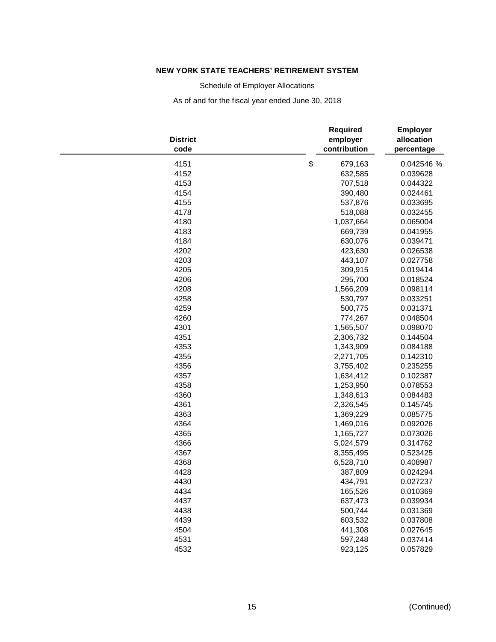Schedule of Employer Allocations

| <b>District</b><br>code | <b>Required</b><br>employer<br>contribution | <b>Employer</b><br>allocation<br>percentage |
|-------------------------|---------------------------------------------|---------------------------------------------|
| 4151                    | \$<br>679,163                               | 0.042546 %                                  |
| 4152                    | 632,585                                     | 0.039628                                    |
| 4153                    | 707,518                                     | 0.044322                                    |
| 4154                    | 390,480                                     | 0.024461                                    |
| 4155                    | 537,876                                     | 0.033695                                    |
| 4178                    | 518,088                                     | 0.032455                                    |
| 4180                    | 1,037,664                                   | 0.065004                                    |
| 4183                    | 669,739                                     | 0.041955                                    |
| 4184                    | 630,076                                     | 0.039471                                    |
| 4202                    | 423,630                                     | 0.026538                                    |
| 4203                    | 443,107                                     | 0.027758                                    |
| 4205                    | 309,915                                     | 0.019414                                    |
| 4206                    | 295,700                                     | 0.018524                                    |
| 4208                    | 1,566,209                                   | 0.098114                                    |
| 4258                    | 530,797                                     | 0.033251                                    |
| 4259                    | 500,775                                     | 0.031371                                    |
| 4260                    | 774,267                                     | 0.048504                                    |
| 4301                    | 1,565,507                                   | 0.098070                                    |
| 4351                    | 2,306,732                                   | 0.144504                                    |
| 4353                    | 1,343,909                                   | 0.084188                                    |
| 4355                    | 2,271,705                                   | 0.142310                                    |
| 4356                    | 3,755,402                                   | 0.235255                                    |
| 4357                    | 1,634,412                                   | 0.102387                                    |
| 4358                    | 1,253,950                                   | 0.078553                                    |
| 4360                    | 1,348,613                                   | 0.084483                                    |
| 4361                    | 2,326,545                                   | 0.145745                                    |
| 4363                    | 1,369,229                                   | 0.085775                                    |
| 4364                    | 1,469,016                                   | 0.092026                                    |
| 4365                    | 1,165,727                                   | 0.073026                                    |
| 4366                    | 5,024,579                                   | 0.314762                                    |
| 4367                    | 8,355,495                                   | 0.523425                                    |
| 4368                    | 6,528,710                                   | 0.408987                                    |
| 4428                    | 387,809                                     | 0.024294                                    |
| 4430                    | 434,791                                     | 0.027237                                    |
| 4434                    | 165,526                                     | 0.010369                                    |
| 4437                    | 637,473                                     | 0.039934                                    |
| 4438                    | 500,744                                     | 0.031369                                    |
| 4439                    | 603,532                                     | 0.037808                                    |
| 4504                    | 441,308                                     | 0.027645                                    |
| 4531                    | 597,248                                     | 0.037414                                    |
| 4532                    | 923,125                                     | 0.057829                                    |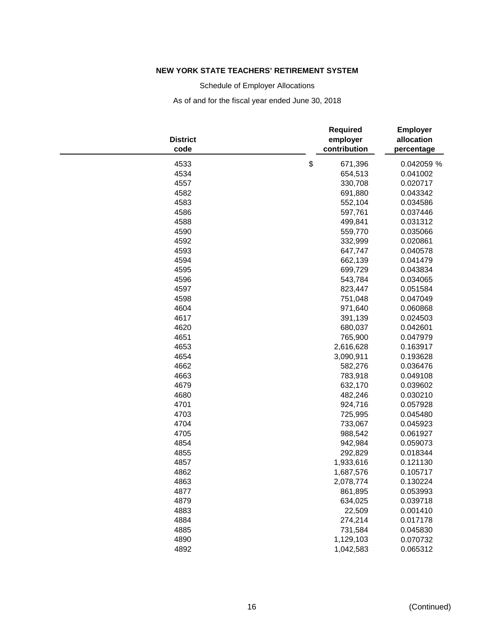Schedule of Employer Allocations

| <b>District</b><br>code | <b>Required</b><br>employer<br>contribution | <b>Employer</b><br>allocation<br>percentage |
|-------------------------|---------------------------------------------|---------------------------------------------|
| 4533                    | \$<br>671,396                               | 0.042059 %                                  |
| 4534                    | 654,513                                     | 0.041002                                    |
| 4557                    | 330,708                                     | 0.020717                                    |
| 4582                    | 691,880                                     | 0.043342                                    |
| 4583                    | 552,104                                     | 0.034586                                    |
| 4586                    | 597,761                                     | 0.037446                                    |
| 4588                    | 499,841                                     | 0.031312                                    |
| 4590                    | 559,770                                     | 0.035066                                    |
| 4592                    | 332,999                                     | 0.020861                                    |
| 4593                    | 647,747                                     | 0.040578                                    |
| 4594                    | 662,139                                     | 0.041479                                    |
| 4595                    | 699,729                                     | 0.043834                                    |
| 4596                    | 543,784                                     | 0.034065                                    |
| 4597                    | 823,447                                     | 0.051584                                    |
| 4598                    | 751,048                                     | 0.047049                                    |
| 4604                    | 971,640                                     | 0.060868                                    |
| 4617                    | 391,139                                     | 0.024503                                    |
| 4620                    | 680,037                                     | 0.042601                                    |
| 4651                    | 765,900                                     | 0.047979                                    |
| 4653                    | 2,616,628                                   | 0.163917                                    |
| 4654                    | 3,090,911                                   | 0.193628                                    |
| 4662                    | 582,276                                     | 0.036476                                    |
| 4663                    | 783,918                                     | 0.049108                                    |
| 4679                    | 632,170                                     | 0.039602                                    |
| 4680                    | 482,246                                     | 0.030210                                    |
| 4701                    | 924,716                                     | 0.057928                                    |
| 4703                    | 725,995                                     | 0.045480                                    |
| 4704                    | 733,067                                     | 0.045923                                    |
| 4705                    | 988,542                                     | 0.061927                                    |
| 4854                    | 942,984                                     | 0.059073                                    |
| 4855                    | 292,829                                     | 0.018344                                    |
| 4857                    | 1,933,616                                   | 0.121130                                    |
| 4862                    | 1,687,576                                   | 0.105717                                    |
| 4863                    | 2,078,774                                   | 0.130224                                    |
| 4877                    | 861,895                                     | 0.053993                                    |
| 4879                    | 634,025                                     | 0.039718                                    |
| 4883                    | 22,509                                      | 0.001410                                    |
| 4884                    | 274,214                                     | 0.017178                                    |
| 4885                    | 731,584                                     | 0.045830                                    |
| 4890                    | 1,129,103                                   | 0.070732                                    |
| 4892                    | 1,042,583                                   | 0.065312                                    |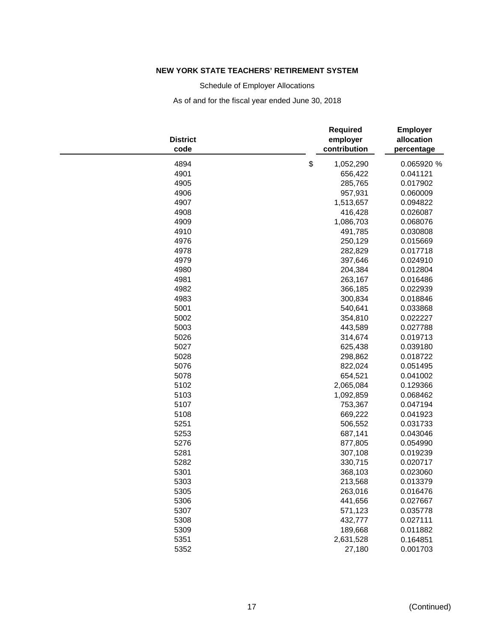Schedule of Employer Allocations

| <b>District</b><br>code | <b>Required</b><br>employer<br>contribution | <b>Employer</b><br>allocation<br>percentage |
|-------------------------|---------------------------------------------|---------------------------------------------|
| 4894                    | \$<br>1,052,290                             | 0.065920 %                                  |
| 4901                    | 656,422                                     | 0.041121                                    |
| 4905                    | 285,765                                     | 0.017902                                    |
| 4906                    | 957,931                                     | 0.060009                                    |
| 4907                    | 1,513,657                                   | 0.094822                                    |
| 4908                    | 416,428                                     | 0.026087                                    |
| 4909                    | 1,086,703                                   | 0.068076                                    |
| 4910                    | 491,785                                     | 0.030808                                    |
| 4976                    | 250,129                                     | 0.015669                                    |
| 4978                    | 282,829                                     | 0.017718                                    |
| 4979                    | 397,646                                     | 0.024910                                    |
| 4980                    | 204,384                                     | 0.012804                                    |
| 4981                    | 263,167                                     | 0.016486                                    |
| 4982                    | 366,185                                     | 0.022939                                    |
| 4983                    | 300,834                                     | 0.018846                                    |
| 5001                    | 540,641                                     | 0.033868                                    |
| 5002                    | 354,810                                     | 0.022227                                    |
| 5003                    | 443,589                                     | 0.027788                                    |
| 5026                    | 314,674                                     | 0.019713                                    |
| 5027                    | 625,438                                     | 0.039180                                    |
| 5028                    | 298,862                                     | 0.018722                                    |
| 5076                    | 822,024                                     | 0.051495                                    |
| 5078                    | 654,521                                     | 0.041002                                    |
| 5102                    | 2,065,084                                   | 0.129366                                    |
| 5103                    | 1,092,859                                   | 0.068462                                    |
| 5107                    | 753,367                                     | 0.047194                                    |
| 5108                    | 669,222                                     | 0.041923                                    |
| 5251                    | 506,552                                     | 0.031733                                    |
| 5253                    | 687,141                                     | 0.043046                                    |
| 5276                    | 877,805                                     | 0.054990                                    |
| 5281                    | 307,108                                     | 0.019239                                    |
| 5282                    | 330,715                                     | 0.020717                                    |
| 5301                    | 368,103                                     | 0.023060                                    |
| 5303                    | 213,568                                     | 0.013379                                    |
| 5305                    | 263,016                                     | 0.016476                                    |
| 5306                    | 441,656                                     | 0.027667                                    |
| 5307                    | 571,123                                     | 0.035778                                    |
| 5308                    | 432,777                                     | 0.027111                                    |
| 5309                    | 189,668                                     | 0.011882                                    |
| 5351                    | 2,631,528                                   | 0.164851                                    |
| 5352                    | 27,180                                      | 0.001703                                    |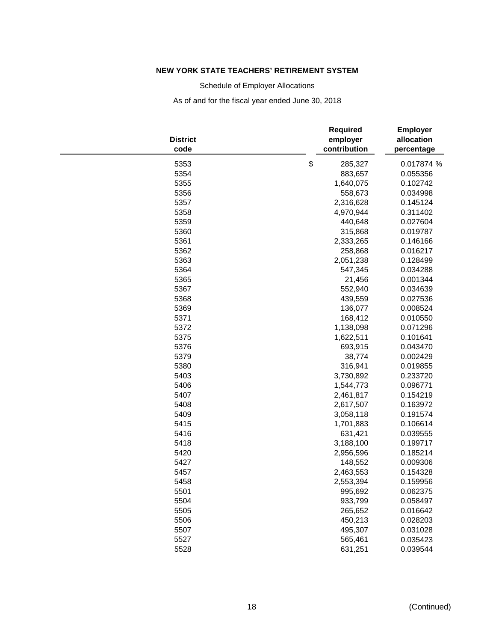Schedule of Employer Allocations

| <b>District</b><br>code | <b>Required</b><br>employer<br>contribution | <b>Employer</b><br>allocation<br>percentage |
|-------------------------|---------------------------------------------|---------------------------------------------|
| 5353                    | \$<br>285,327                               | 0.017874 %                                  |
| 5354                    | 883,657                                     | 0.055356                                    |
| 5355                    | 1,640,075                                   | 0.102742                                    |
| 5356                    | 558,673                                     | 0.034998                                    |
| 5357                    | 2,316,628                                   | 0.145124                                    |
| 5358                    | 4,970,944                                   | 0.311402                                    |
| 5359                    | 440,648                                     | 0.027604                                    |
| 5360                    | 315,868                                     | 0.019787                                    |
| 5361                    | 2,333,265                                   | 0.146166                                    |
| 5362                    | 258,868                                     | 0.016217                                    |
| 5363                    | 2,051,238                                   | 0.128499                                    |
| 5364                    | 547,345                                     | 0.034288                                    |
| 5365                    | 21,456                                      | 0.001344                                    |
| 5367                    | 552,940                                     | 0.034639                                    |
| 5368                    | 439,559                                     | 0.027536                                    |
| 5369                    | 136,077                                     | 0.008524                                    |
| 5371                    | 168,412                                     | 0.010550                                    |
| 5372                    | 1,138,098                                   | 0.071296                                    |
| 5375                    | 1,622,511                                   | 0.101641                                    |
| 5376                    | 693,915                                     | 0.043470                                    |
| 5379                    | 38,774                                      | 0.002429                                    |
| 5380                    | 316,941                                     | 0.019855                                    |
| 5403                    | 3,730,892                                   | 0.233720                                    |
| 5406                    | 1,544,773                                   | 0.096771                                    |
| 5407                    | 2,461,817                                   | 0.154219                                    |
| 5408                    | 2,617,507                                   | 0.163972                                    |
| 5409                    | 3,058,118                                   | 0.191574                                    |
| 5415                    | 1,701,883                                   | 0.106614                                    |
| 5416                    | 631,421                                     | 0.039555                                    |
| 5418                    | 3,188,100                                   | 0.199717                                    |
| 5420                    | 2,956,596                                   | 0.185214                                    |
| 5427                    | 148,552                                     | 0.009306                                    |
| 5457                    | 2,463,553                                   | 0.154328                                    |
| 5458                    | 2,553,394                                   | 0.159956                                    |
| 5501                    | 995,692                                     | 0.062375                                    |
| 5504                    | 933,799                                     | 0.058497                                    |
| 5505                    | 265,652                                     | 0.016642                                    |
| 5506                    | 450,213                                     | 0.028203                                    |
| 5507                    | 495,307                                     | 0.031028                                    |
| 5527                    | 565,461                                     | 0.035423                                    |
| 5528                    | 631,251                                     | 0.039544                                    |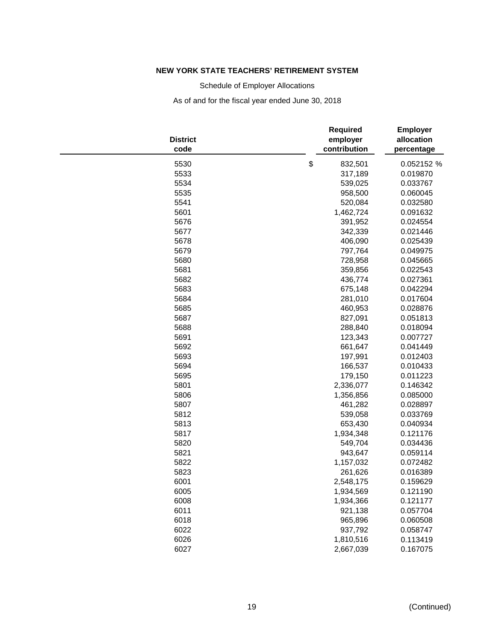Schedule of Employer Allocations

| <b>District</b><br>code | <b>Required</b><br>employer<br>contribution | <b>Employer</b><br>allocation<br>percentage |
|-------------------------|---------------------------------------------|---------------------------------------------|
| 5530                    | \$<br>832,501                               | 0.052152 %                                  |
| 5533                    | 317,189                                     | 0.019870                                    |
| 5534                    | 539,025                                     | 0.033767                                    |
| 5535                    | 958,500                                     | 0.060045                                    |
| 5541                    | 520,084                                     | 0.032580                                    |
| 5601                    | 1,462,724                                   | 0.091632                                    |
| 5676                    | 391,952                                     | 0.024554                                    |
| 5677                    | 342,339                                     | 0.021446                                    |
| 5678                    | 406,090                                     | 0.025439                                    |
| 5679                    | 797,764                                     | 0.049975                                    |
| 5680                    | 728,958                                     | 0.045665                                    |
| 5681                    | 359,856                                     | 0.022543                                    |
| 5682                    | 436,774                                     | 0.027361                                    |
| 5683                    | 675,148                                     | 0.042294                                    |
| 5684                    | 281,010                                     | 0.017604                                    |
| 5685                    | 460,953                                     | 0.028876                                    |
| 5687                    | 827,091                                     | 0.051813                                    |
| 5688                    | 288,840                                     | 0.018094                                    |
| 5691                    | 123,343                                     | 0.007727                                    |
| 5692                    | 661,647                                     | 0.041449                                    |
| 5693                    | 197,991                                     | 0.012403                                    |
| 5694                    | 166,537                                     | 0.010433                                    |
| 5695                    | 179,150                                     | 0.011223                                    |
| 5801                    | 2,336,077                                   | 0.146342                                    |
| 5806                    | 1,356,856                                   | 0.085000                                    |
| 5807                    | 461,282                                     | 0.028897                                    |
| 5812                    | 539,058                                     | 0.033769                                    |
| 5813                    | 653,430                                     | 0.040934                                    |
| 5817                    | 1,934,348                                   | 0.121176                                    |
| 5820                    | 549,704                                     | 0.034436                                    |
| 5821                    | 943,647                                     | 0.059114                                    |
| 5822                    | 1,157,032                                   | 0.072482                                    |
| 5823                    | 261,626                                     | 0.016389                                    |
| 6001                    | 2,548,175                                   | 0.159629                                    |
| 6005                    | 1,934,569                                   | 0.121190                                    |
| 6008                    | 1,934,366                                   | 0.121177                                    |
| 6011                    | 921,138                                     | 0.057704                                    |
| 6018                    | 965,896                                     | 0.060508                                    |
| 6022                    | 937,792                                     | 0.058747                                    |
| 6026                    | 1,810,516                                   | 0.113419                                    |
| 6027                    | 2,667,039                                   | 0.167075                                    |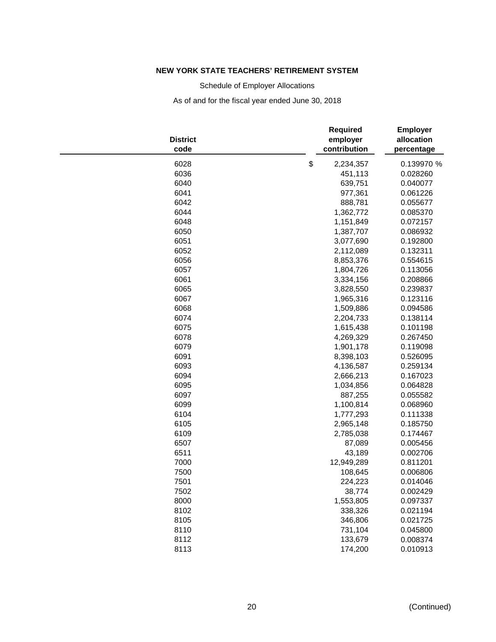Schedule of Employer Allocations

| <b>District</b><br>code | <b>Required</b><br>employer<br>contribution | <b>Employer</b><br>allocation<br>percentage |
|-------------------------|---------------------------------------------|---------------------------------------------|
| 6028                    | \$<br>2,234,357                             | 0.139970 %                                  |
| 6036                    | 451,113                                     | 0.028260                                    |
| 6040                    | 639,751                                     | 0.040077                                    |
| 6041                    | 977,361                                     | 0.061226                                    |
| 6042                    | 888,781                                     | 0.055677                                    |
| 6044                    | 1,362,772                                   | 0.085370                                    |
| 6048                    | 1,151,849                                   | 0.072157                                    |
| 6050                    | 1,387,707                                   | 0.086932                                    |
| 6051                    | 3,077,690                                   | 0.192800                                    |
| 6052                    | 2,112,089                                   | 0.132311                                    |
| 6056                    | 8,853,376                                   | 0.554615                                    |
| 6057                    | 1,804,726                                   | 0.113056                                    |
| 6061                    | 3,334,156                                   | 0.208866                                    |
| 6065                    | 3,828,550                                   | 0.239837                                    |
| 6067                    | 1,965,316                                   | 0.123116                                    |
| 6068                    | 1,509,886                                   | 0.094586                                    |
| 6074                    | 2,204,733                                   | 0.138114                                    |
| 6075                    | 1,615,438                                   | 0.101198                                    |
| 6078                    | 4,269,329                                   | 0.267450                                    |
| 6079                    | 1,901,178                                   | 0.119098                                    |
| 6091                    | 8,398,103                                   | 0.526095                                    |
| 6093                    | 4,136,587                                   | 0.259134                                    |
| 6094                    | 2,666,213                                   | 0.167023                                    |
| 6095                    | 1,034,856                                   | 0.064828                                    |
| 6097                    | 887,255                                     | 0.055582                                    |
| 6099                    | 1,100,814                                   | 0.068960                                    |
| 6104                    | 1,777,293                                   | 0.111338                                    |
| 6105                    | 2,965,148                                   | 0.185750                                    |
| 6109                    | 2,785,038                                   | 0.174467                                    |
| 6507                    | 87,089                                      | 0.005456                                    |
| 6511                    | 43,189                                      | 0.002706                                    |
| 7000                    | 12,949,289                                  | 0.811201                                    |
| 7500                    | 108,645                                     | 0.006806                                    |
| 7501                    | 224,223                                     | 0.014046                                    |
| 7502                    | 38,774                                      | 0.002429                                    |
| 8000                    | 1,553,805                                   | 0.097337                                    |
| 8102                    | 338,326                                     | 0.021194                                    |
| 8105                    | 346,806                                     | 0.021725                                    |
| 8110                    | 731,104                                     | 0.045800                                    |
| 8112                    | 133,679                                     | 0.008374                                    |
| 8113                    | 174,200                                     | 0.010913                                    |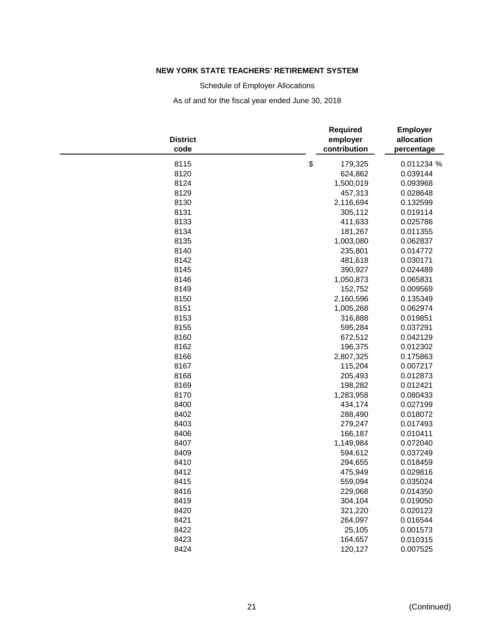Schedule of Employer Allocations

| <b>District</b><br>code | <b>Required</b><br>employer<br>contribution | <b>Employer</b><br>allocation<br>percentage |
|-------------------------|---------------------------------------------|---------------------------------------------|
| 8115                    | \$<br>179,325                               | 0.011234 %                                  |
| 8120                    | 624,862                                     | 0.039144                                    |
| 8124                    | 1,500,019                                   | 0.093968                                    |
| 8129                    | 457,313                                     | 0.028648                                    |
| 8130                    | 2,116,694                                   | 0.132599                                    |
| 8131                    | 305,112                                     | 0.019114                                    |
| 8133                    | 411,633                                     | 0.025786                                    |
| 8134                    | 181,267                                     | 0.011355                                    |
| 8135                    | 1,003,080                                   | 0.062837                                    |
| 8140                    | 235,801                                     | 0.014772                                    |
| 8142                    | 481,618                                     | 0.030171                                    |
| 8145                    | 390,927                                     | 0.024489                                    |
| 8146                    | 1,050,873                                   | 0.065831                                    |
| 8149                    | 152,752                                     | 0.009569                                    |
| 8150                    | 2,160,596                                   | 0.135349                                    |
| 8151                    | 1,005,268                                   | 0.062974                                    |
| 8153                    | 316,888                                     | 0.019851                                    |
| 8155                    | 595,284                                     | 0.037291                                    |
| 8160                    | 672,512                                     | 0.042129                                    |
| 8162                    | 196,375                                     | 0.012302                                    |
| 8166                    | 2,807,325                                   | 0.175863                                    |
| 8167                    | 115,204                                     | 0.007217                                    |
| 8168                    | 205,493                                     | 0.012873                                    |
| 8169                    | 198,282                                     | 0.012421                                    |
| 8170                    | 1,283,958                                   | 0.080433                                    |
| 8400                    | 434,174                                     | 0.027199                                    |
| 8402                    | 288,490                                     | 0.018072                                    |
| 8403                    | 279,247                                     | 0.017493                                    |
| 8406                    | 166,187                                     | 0.010411                                    |
| 8407                    | 1,149,984                                   | 0.072040                                    |
| 8409                    | 594,612                                     | 0.037249                                    |
| 8410                    | 294,655                                     | 0.018459                                    |
| 8412                    | 475,949                                     | 0.029816                                    |
| 8415                    | 559,094                                     | 0.035024                                    |
| 8416                    | 229,068                                     | 0.014350                                    |
| 8419                    | 304,104                                     | 0.019050                                    |
| 8420                    | 321,220                                     | 0.020123                                    |
| 8421                    | 264,097                                     | 0.016544                                    |
| 8422                    | 25,105                                      | 0.001573                                    |
| 8423                    | 164,657                                     | 0.010315                                    |
| 8424                    | 120,127                                     | 0.007525                                    |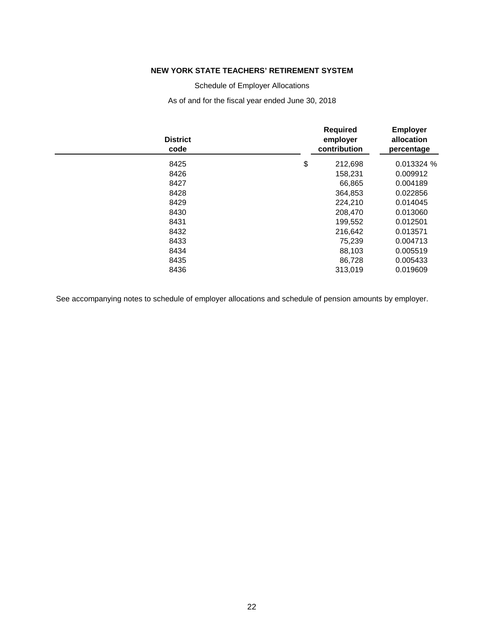Schedule of Employer Allocations

As of and for the fiscal year ended June 30, 2018

| <b>District</b><br>code | <b>Required</b><br>employer<br>contribution | <b>Employer</b><br>allocation<br>percentage |  |
|-------------------------|---------------------------------------------|---------------------------------------------|--|
| 8425                    | \$<br>212,698                               | 0.013324 %                                  |  |
| 8426                    | 158,231                                     | 0.009912                                    |  |
| 8427                    | 66,865                                      | 0.004189                                    |  |
| 8428                    | 364,853                                     | 0.022856                                    |  |
| 8429                    | 224,210                                     | 0.014045                                    |  |
| 8430                    | 208,470                                     | 0.013060                                    |  |
| 8431                    | 199,552                                     | 0.012501                                    |  |
| 8432                    | 216,642                                     | 0.013571                                    |  |
| 8433                    | 75,239                                      | 0.004713                                    |  |
| 8434                    | 88.103                                      | 0.005519                                    |  |
| 8435                    | 86,728                                      | 0.005433                                    |  |
| 8436                    | 313,019                                     | 0.019609                                    |  |

See accompanying notes to schedule of employer allocations and schedule of pension amounts by employer.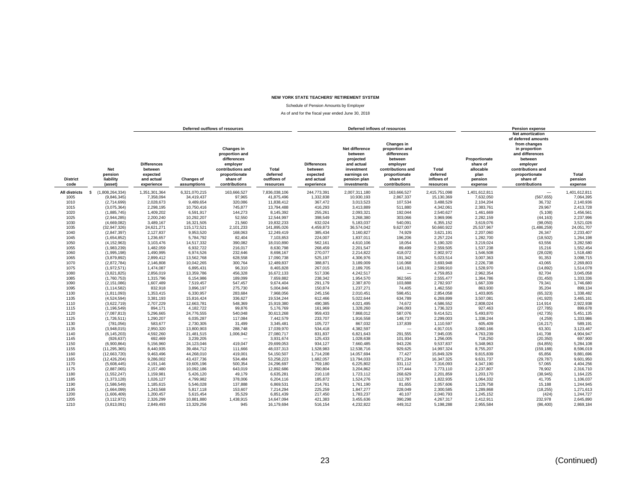#### Schedule of Pension Amounts by Employer

|                         |                                               |                                                                       |                                  | Deferred outflows of resources                                                                                             |                                                      |                                                                       |                                                                                                                  | Deferred inflows of resources                                                                                                         | <b>Pension expense</b>                       |                                                                      |                                                                                                                                                                                       |                             |
|-------------------------|-----------------------------------------------|-----------------------------------------------------------------------|----------------------------------|----------------------------------------------------------------------------------------------------------------------------|------------------------------------------------------|-----------------------------------------------------------------------|------------------------------------------------------------------------------------------------------------------|---------------------------------------------------------------------------------------------------------------------------------------|----------------------------------------------|----------------------------------------------------------------------|---------------------------------------------------------------------------------------------------------------------------------------------------------------------------------------|-----------------------------|
| <b>District</b><br>code | <b>Net</b><br>pension<br>liability<br>(asset) | <b>Differences</b><br>between<br>expected<br>and actual<br>experience | <b>Changes of</b><br>assumptions | Changes in<br>proportion and<br>differences<br>employer<br>contributions and<br>proportionate<br>share of<br>contributions | <b>Total</b><br>deferred<br>outflows of<br>resources | <b>Differences</b><br>between<br>expected<br>and actual<br>experience | Net difference<br>between<br>projected<br>and actual<br>investment<br>earnings on<br>pension plan<br>investments | Changes in<br>proportion and<br>differences<br>between<br>employer<br>contributions and<br>proportionate<br>share of<br>contributions | Total<br>deferred<br>inflows of<br>resources | Proportionate<br>share of<br>allocable<br>plan<br>pension<br>expense | Net amortization<br>of deferred amounts<br>from changes<br>in proportion<br>and differences<br>between<br>employer<br>contributions and<br>proportionate<br>share of<br>contributions | Total<br>pension<br>expense |
| All districts           | \$(1,808,264,334)                             | 1,351,301,364                                                         | 6,321,070,215                    | 163,666,527                                                                                                                | 7,836,038,106                                        | 244,773,391                                                           | 2,007,311,180                                                                                                    | 163,666,527                                                                                                                           | 2,415,751,098                                | 1,401,612,811                                                        | $\overline{\phantom{0}}$                                                                                                                                                              | 1,401,612,811               |
| 1005                    | (9,846,345)                                   | 7,358,094                                                             | 34,419,437                       | 97,965                                                                                                                     | 41,875,496                                           | 1,332,838                                                             | 10,930,193                                                                                                       | 2,867,337                                                                                                                             | 15,130,369                                   | 7,632,050                                                            | (567, 655)                                                                                                                                                                            | 7,064,395                   |
| 1010                    | (2,714,699)                                   | 2,028,673                                                             | 9,489,654                        | 320,086                                                                                                                    | 11,838,412                                           | 367,472                                                               | 3,013,523                                                                                                        | 107,534                                                                                                                               | 3,488,529                                    | 2,104,204                                                            | 36,732                                                                                                                                                                                | 2,140,936                   |
| 1015                    | (3,075,364)                                   | 2,298,195                                                             | 10,750,416                       | 745,877                                                                                                                    | 13,794,488                                           | 416,293                                                               | 3,413,889                                                                                                        | 511,880                                                                                                                               | 4,342,061                                    | 2,383,761                                                            | 29,967                                                                                                                                                                                | 2,413,728                   |
| 1020                    | (1,885,745)                                   | 1,409,202                                                             | 6,591,917                        | 144,273                                                                                                                    | 8,145,392                                            | 255,261                                                               | 2,093,321                                                                                                        | 192,044                                                                                                                               | 2,540,627                                    | 1,461,669                                                            | (5, 108)                                                                                                                                                                              | 1,456,561                   |
| 1025                    | (2,944,285)                                   | 2,200,240                                                             | 10,292,207                       | 52,550                                                                                                                     | 12,544,997                                           | 398,549                                                               | 3,268,380                                                                                                        | 303,066                                                                                                                               | 3,969,996                                    | 2,282,159                                                            | (44, 163)                                                                                                                                                                             | 2,237,996                   |
| 1030                    | (4,669,082)                                   | 3,489,167                                                             | 16,321,505                       | 21,560                                                                                                                     | 19,832,233                                           | 632,024                                                               | 5,183,037                                                                                                        | 540,091                                                                                                                               | 6,355,152                                    | 3,619,076                                                            | (98,050)                                                                                                                                                                              | 3,521,026                   |
| 1035                    | (32, 947, 326)                                | 24,621,271                                                            | 115, 172, 521                    | 2,101,233                                                                                                                  | 141,895,026                                          | 4,459,873                                                             | 36,574,042                                                                                                       | 9,627,007                                                                                                                             | 50,660,922                                   | 25,537,967                                                           | (1,486,259)                                                                                                                                                                           | 24,051,707                  |
| 1040                    | (2,847,397)                                   | 2,127,837                                                             | 9,953,520                        | 168,063                                                                                                                    | 12,249,419                                           | 385,434                                                               | 3,160,827                                                                                                        | 74,929                                                                                                                                | 3,621,191                                    | 2,207,060                                                            | 26,347                                                                                                                                                                                | 2,233,407                   |
| 1045                    | (1,654,852)                                   | 1,236,657                                                             | 5,784,792                        | 82,404                                                                                                                     | 7,103,853                                            | 224,007                                                               | 1,837,011                                                                                                        | 196,206                                                                                                                               | 2,257,224                                    | 1,282,700                                                            | (18, 502)                                                                                                                                                                             | 1,264,198                   |
| 1050                    | (4, 152, 963)                                 | 3,103,476                                                             | 14,517,332                       | 390,082                                                                                                                    | 18,010,890                                           | 562,161                                                               | 4,610,106                                                                                                        | 18,054                                                                                                                                | 5,190,320                                    | 3,219,024                                                            | 63,556                                                                                                                                                                                | 3,282,580                   |
| 1055                    | (1,983,239)                                   | 1,482,059                                                             | 6,932,722                        | 216,017                                                                                                                    | 8,630,798                                            | 268,459                                                               | 2,201,547                                                                                                        | 89,499                                                                                                                                | 2,559,505                                    | 1,537,238                                                            | 15,216                                                                                                                                                                                | 1,552,454                   |
| 1060                    | (1,995,198)                                   | 1,490,995                                                             | 6,974,526                        | 232,646                                                                                                                    | 8,698,167                                            | 270,077                                                               | 2,214,822                                                                                                        | 418,072                                                                                                                               | 2,902,972                                    | 1,546,508                                                            | (28, 028)                                                                                                                                                                             | 1,518,480                   |
| 1065                    | (3,879,892)                                   | 2,899,412                                                             | 13,562,768                       | 628,558                                                                                                                    | 17,090,738                                           | 525,197                                                               | 4,306,976                                                                                                        | 191,342                                                                                                                               | 5,023,514                                    | 3,007,363                                                            | 91,353                                                                                                                                                                                | 3,098,715                   |
| 1070                    | (2,872,784)                                   | 2,146,808                                                             | 10,042,265                       | 300,764                                                                                                                    | 12,489,837                                           | 388,871                                                               | 3,189,009                                                                                                        | 116,068                                                                                                                               | 3,693,948                                    | 2,226,738                                                            | 43,065                                                                                                                                                                                | 2,269,803                   |
| 1075                    | (1,972,571)                                   | 1.474.087                                                             | 6,895,431                        | 96,310                                                                                                                     | 8,465,828                                            | 267,015                                                               | 2,189,705                                                                                                        | 143,191                                                                                                                               | 2,599,910                                    | 1,528,970                                                            | (14, 892)                                                                                                                                                                             | 1,514,078                   |
| 1080                    | (3,821,825)                                   | 2,856,019                                                             | 13,359,786                       | 456,328                                                                                                                    | 16,672,133                                           | 517,336                                                               | 4,242,517                                                                                                        |                                                                                                                                       | 4,759,853                                    | 2,962,354                                                            | 82,704                                                                                                                                                                                | 3,045,058                   |
| 1085                    | (1,760,753)                                   | 1,315,796                                                             | 6,154,986                        | 189,099                                                                                                                    | 7,659,882                                            | 238,342                                                               | 1,954,570                                                                                                        | 362,565                                                                                                                               | 2,555,477                                    | 1,364,786                                                            | (31, 450)                                                                                                                                                                             | 1,333,336                   |
| 1090                    | (2, 151, 086)                                 | 1,607,489                                                             | 7,519,457                        | 547,457                                                                                                                    | 9,674,404                                            | 291,179                                                               | 2,387,870                                                                                                        | 103,888                                                                                                                               | 2,782,937                                    | 1,667,339                                                            | 79,341                                                                                                                                                                                | 1,746,680                   |
| 1095                    | (1, 114, 582)                                 | 832,918                                                               | 3,896,197                        | 275,730                                                                                                                    | 5,004,846                                            | 150,874                                                               | 1,237,271                                                                                                        | 74,405                                                                                                                                | 1,462,550                                    | 863,930                                                              | 35,204                                                                                                                                                                                | 899,134                     |
| 1100                    | (1,811,093)                                   | 1,353,415                                                             |                                  | 283,684                                                                                                                    |                                                      | 245,156                                                               | 2,010,451                                                                                                        | 598,451                                                                                                                               | 2,854,058                                    |                                                                      |                                                                                                                                                                                       |                             |
| 1105                    | (4,524,594)                                   | 3,381,193                                                             | 6,330,957<br>15,816,424          | 336,627                                                                                                                    | 7,968,056<br>19,534,244                              | 612,466                                                               | 5,022,644                                                                                                        | 634,789                                                                                                                               | 6,269,899                                    | 1,403,805<br>3,507,081                                               | (65, 323)<br>(41, 920)                                                                                                                                                                | 1,338,482<br>3,465,161      |
| 1110                    |                                               |                                                                       | 12,663,781                       | 548,369                                                                                                                    | 15,919,380                                           | 490,385                                                               |                                                                                                                  |                                                                                                                                       | 4,586,552                                    | 2,808,024                                                            |                                                                                                                                                                                       | 2,922,938                   |
| 1115                    | (3,622,719)                                   | 2,707,229                                                             | 4,182,722                        | 99,876                                                                                                                     | 5,176,769                                            | 161,969                                                               | 4,021,495                                                                                                        | 74,672                                                                                                                                | 1,736,323                                    | 927,463                                                              | 114,914<br>(27, 785)                                                                                                                                                                  | 899,678                     |
| 1120                    | (1, 196, 549)<br>(7,087,813)                  | 894,171<br>5,296,665                                                  | 24,776,555                       | 540,048                                                                                                                    | 30,613,268                                           | 959,433                                                               | 1,328,260<br>7,868,012                                                                                           | 246,093<br>587,076                                                                                                                    | 9,414,521                                    | 5,493,870                                                            | (42, 735)                                                                                                                                                                             | 5,451,135                   |
| 1125                    | (1,726,511)                                   | 1,290,207                                                             | 6,035,287                        | 117,084                                                                                                                    | 7,442,579                                            | 233,707                                                               | 1,916,558                                                                                                        | 148,737                                                                                                                               | 2,299,003                                    | 1,338,244                                                            | (4, 259)                                                                                                                                                                              | 1,333,986                   |
| 1130                    | (781, 056)                                    | 583,677                                                               |                                  | 31,499                                                                                                                     | 3,345,481                                            | 105,727                                                               | 867,032                                                                                                          | 137,839                                                                                                                               | 1,110,597                                    | 605,409                                                              |                                                                                                                                                                                       | 589,191                     |
|                         |                                               |                                                                       | 2,730,305                        |                                                                                                                            |                                                      |                                                                       |                                                                                                                  | $\overline{\phantom{0}}$                                                                                                              |                                              |                                                                      | (16, 217)                                                                                                                                                                             |                             |
| 1135                    | (3,948,015)                                   | 2,950,320                                                             | 13,800,903                       | 288,748<br>1,006,942                                                                                                       | 17,039,970                                           | 534,418<br>831,837                                                    | 4,382,597                                                                                                        |                                                                                                                                       | 4,917,015                                    | 3,060,166                                                            | 63,301                                                                                                                                                                                | 3,123,467<br>4,904,947      |
| 1140                    | (6, 145, 203)                                 | 4,592,260                                                             | 21,481,515                       |                                                                                                                            | 27,080,717                                           |                                                                       | 6,821,643                                                                                                        | 291,555                                                                                                                               | 7,945,035                                    | 4,763,239                                                            | 141,708                                                                                                                                                                               |                             |
| 1145<br>1150            | (926, 637)<br>(6,900,864)                     | 692,469<br>5,156,960                                                  | 3,239,205<br>24,123,046          | 419,047                                                                                                                    | 3,931,674<br>29,699,053                              | 125,433<br>934,127                                                    | 1,028,638<br>7,660,485                                                                                           | 101,934<br>943,226                                                                                                                    | 1,256,005<br>9,537,837                       | 718,250<br>5,348,963                                                 | (20, 350)<br>(64, 855)                                                                                                                                                                | 697,900<br>5,284,108        |
| 1155                    |                                               |                                                                       | 39,484,712                       | 111.666                                                                                                                    |                                                      |                                                                       | 12,538,716                                                                                                       |                                                                                                                                       |                                              | 8,755,207                                                            | (159, 188)                                                                                                                                                                            |                             |
| 1160                    | (11, 295, 365)<br>(12,663,720)                | 8,440,935<br>9,463,496                                                | 44,268,010                       | 419,001                                                                                                                    | 48,037,313<br>54, 150, 507                           | 1,528,983<br>1,714,208                                                | 14,057,694                                                                                                       | 929,625<br>77,427                                                                                                                     | 14,997,324<br>15,849,329                     | 9,815,839                                                            | 65,856                                                                                                                                                                                | 8,596,019<br>9,881,696      |
| 1165                    | (12, 426, 204)                                | 9,286,002                                                             | 43,437,736                       | 534,484                                                                                                                    | 53,258,223                                           | 1,682,057                                                             | 13,794,033                                                                                                       | 871,234                                                                                                                               | 16,347,325                                   | 9,631,737                                                            | (29, 787)                                                                                                                                                                             | 9,601,950                   |
|                         |                                               |                                                                       |                                  |                                                                                                                            |                                                      |                                                                       |                                                                                                                  |                                                                                                                                       |                                              |                                                                      |                                                                                                                                                                                       |                             |
| 1170<br>1175            | (5,608,445)<br>(2,887,065)                    | 4,191,146<br>2,157,480                                                | 19,605,196<br>10,092,186         | 500,354<br>643,019                                                                                                         | 24,296,697<br>12,892,686                             | 759,180<br>390,804                                                    | 6,225,802<br>3,204,862                                                                                           | 331,112<br>177,444                                                                                                                    | 7,316,093<br>3,773,110                       | 4,347,190<br>2,237,807                                               | 57,065<br>78,902                                                                                                                                                                      | 4,404,256<br>2,316,710      |
| 1180                    |                                               |                                                                       |                                  | 49,179                                                                                                                     |                                                      | 210,118                                                               |                                                                                                                  |                                                                                                                                       |                                              |                                                                      |                                                                                                                                                                                       | 1,164,225                   |
|                         | (1,552,247)                                   | 1,159,981                                                             | 5,426,120                        |                                                                                                                            | 6,635,281                                            |                                                                       | 1,723,112                                                                                                        | 268,629                                                                                                                               | 2,201,859                                    | 1,203,170                                                            | (38, 945)                                                                                                                                                                             |                             |
| 1185                    | (1, 373, 128)                                 | 1,026,127                                                             | 4,799,982<br>5,546,028           | 378,006<br>137,888                                                                                                         | 6,204,116<br>6,869,531                               | 185,872<br>214,761                                                    | 1,524,276                                                                                                        | 112,787                                                                                                                               | 1,822,935<br>2,057,606                       | 1,064,332<br>1,229,758                                               | 41,705<br>15,188                                                                                                                                                                      | 1,106,037<br>1,244,945      |
| 1190                    | (1,586,549)                                   | 1,185,615                                                             |                                  |                                                                                                                            |                                                      |                                                                       | 1,761,190                                                                                                        | 81,655                                                                                                                                |                                              |                                                                      |                                                                                                                                                                                       |                             |
| 1195                    | (1,664,099)                                   | 1,243,568                                                             | 5,817,118                        | 153,607                                                                                                                    | 7,214,294                                            | 225,259                                                               | 1,847,277                                                                                                        | 228,049                                                                                                                               | 2,300,585                                    | 1,289,868                                                            | (18, 255)                                                                                                                                                                             | 1,271,613                   |
| 1200                    | (1,606,409)                                   | 1,200,457                                                             | 5,615,454                        | 35,529                                                                                                                     | 6,851,439                                            | 217,450                                                               | 1,783,237                                                                                                        | 40,107                                                                                                                                | 2,040,793                                    | 1,245,152                                                            | (424)                                                                                                                                                                                 | 1,244,727                   |
| 1205                    | (3, 112, 972)                                 | 2,326,299                                                             | 10,881,880                       | 1,438,915                                                                                                                  | 14,647,094                                           | 421,383                                                               | 3,455,636                                                                                                        | 390,298                                                                                                                               | 4,267,317                                    | 2,412,911                                                            | 232,978                                                                                                                                                                               | 2,645,890                   |
| 1210                    | (3,813,091)                                   | 2,849,493                                                             | 13,329,256                       | 945                                                                                                                        | 16,179,694                                           | 516,154                                                               | 4,232,822                                                                                                        | 449,312                                                                                                                               | 5,198,288                                    | 2,955,584                                                            | (86, 400)                                                                                                                                                                             | 2,869,184                   |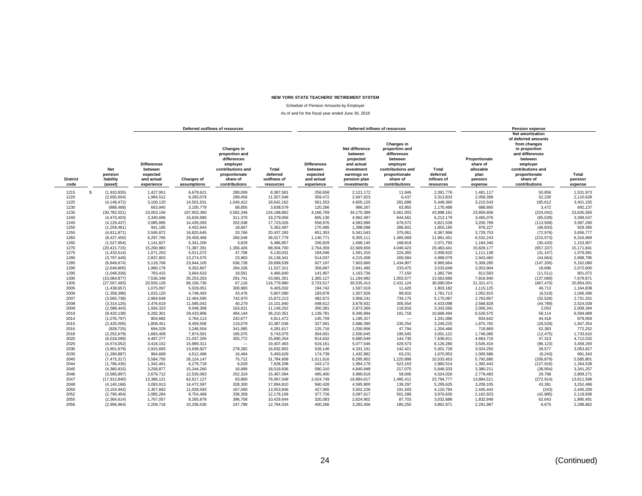#### Schedule of Pension Amounts by Employer

|                         |                                        | Deferred outflows of resources                                        |                                  |                                                                                                                            |                                               |                                                                       |                                                                                                                  | Deferred inflows of resources                                                                                                         | <b>Pension expense</b>                       |                                                                      |                                                                                                                                                                                       |                             |
|-------------------------|----------------------------------------|-----------------------------------------------------------------------|----------------------------------|----------------------------------------------------------------------------------------------------------------------------|-----------------------------------------------|-----------------------------------------------------------------------|------------------------------------------------------------------------------------------------------------------|---------------------------------------------------------------------------------------------------------------------------------------|----------------------------------------------|----------------------------------------------------------------------|---------------------------------------------------------------------------------------------------------------------------------------------------------------------------------------|-----------------------------|
| <b>District</b><br>code | Net<br>pension<br>liability<br>(asset) | <b>Differences</b><br>between<br>expected<br>and actual<br>experience | <b>Changes of</b><br>assumptions | Changes in<br>proportion and<br>differences<br>employer<br>contributions and<br>proportionate<br>share of<br>contributions | Total<br>deferred<br>outflows of<br>resources | <b>Differences</b><br>between<br>expected<br>and actual<br>experience | Net difference<br>between<br>projected<br>and actual<br>investment<br>earnings on<br>pension plan<br>investments | Changes in<br>proportion and<br>differences<br>between<br>employer<br>contributions and<br>proportionate<br>share of<br>contributions | Total<br>deferred<br>inflows of<br>resources | Proportionate<br>share of<br>allocable<br>plan<br>pension<br>expense | Net amortization<br>of deferred amounts<br>from changes<br>in proportion<br>and differences<br>between<br>employer<br>contributions and<br>proportionate<br>share of<br>contributions | Total<br>pension<br>expense |
| 1215                    | \$<br>(1,910,835)                      | 1,427,951                                                             | 6,679,621                        | 280,009                                                                                                                    | 8,387,581                                     | 258,658                                                               | 2,121,172                                                                                                        | 11,946                                                                                                                                | 2,391,776                                    | 1,481,117                                                            | 50,856                                                                                                                                                                                | 1,531,973                   |
| 1220                    | (2,655,604)                            | 1,984,512                                                             | 9,283,079                        | 289,456                                                                                                                    | 11,557,046                                    | 359,472                                                               | 2,947,923                                                                                                        | 6,437                                                                                                                                 | 3,313,833                                    | 2,058,399                                                            | 52,230                                                                                                                                                                                | 2,110,628                   |
| 1225                    | (4, 148, 472)                          | 3,100,120                                                             | 14,501,631                       | 1,040,412                                                                                                                  | 18,642,162                                    | 561,553                                                               | 4,605,120                                                                                                        | 281,688                                                                                                                               | 5,448,360                                    | 3,215,543                                                            | 185,612                                                                                                                                                                               | 3,401,155                   |
| 1230                    | (888, 468)                             | 663,945                                                               | 3,105,779                        | 68,855                                                                                                                     | 3,838,579                                     | 120,266                                                               | 986,267                                                                                                          | 63,955                                                                                                                                | 1,170,488                                    | 688,665                                                              | 3,472                                                                                                                                                                                 | 692,137                     |
| 1235                    | (30, 782, 021)                         | 23,003,156                                                            | 107,603,360                      | 3,582,346                                                                                                                  | 134,188,862                                   | 4,166,769                                                             | 34,170,389                                                                                                       | 5,561,003                                                                                                                             | 43,898,161                                   | 23,859,606                                                           | (224, 042)                                                                                                                                                                            | 23,635,565                  |
| 1240                    | (4,470,403)                            | 3,340,696                                                             | 15,626,990                       | 311,370                                                                                                                    | 19,279,056                                    | 605,130                                                               | 4,962,487                                                                                                        | 644,561                                                                                                                               | 6,212,179                                    | 3,465,076                                                            | (65, 539)                                                                                                                                                                             | 3,399,537                   |
| 1245                    | (4, 129, 437)                          | 3,085,895                                                             | 14,435,093                       | 202,038                                                                                                                    | 17,723,026                                    | 558,976                                                               | 4,583,990                                                                                                        | 678,572                                                                                                                               | 5,821,539                                    | 3,200,789                                                            | (113, 509)                                                                                                                                                                            | 3,087,280                   |
| 1250                    | (1, 259, 461)                          | 941,185                                                               | 4,402,644                        | 18,667                                                                                                                     | 5,362,497                                     | 170,485                                                               | 1,398,098                                                                                                        | 286,601                                                                                                                               | 1,855,185                                    | 976,227                                                              | (46, 833)                                                                                                                                                                             | 929,395                     |
| 1255                    | (4,811,871)                            | 3,595,872                                                             | 16,820,645                       | 20,766                                                                                                                     | 20,437,283                                    | 651,353                                                               | 5,341,543                                                                                                        | 375,061                                                                                                                               | 6,367,956                                    | 3,729,753                                                            | (72, 976)                                                                                                                                                                             | 3,656,777                   |
| 1260                    | (8,427,450)                            | 6,297,765                                                             | 29,459,466                       | 260,548                                                                                                                    | 36,017,779                                    | 1,140,771                                                             | 9,355,111                                                                                                        | 1,465,569                                                                                                                             | 11,961,451                                   | 6,532,243                                                            | (215, 573)                                                                                                                                                                            | 6,316,669                   |
| 1265                    | (1,527,954)                            | 1,141,827                                                             | 5,341,200                        | 3,829                                                                                                                      | 6,486,857                                     | 206,829                                                               | 1,696,145                                                                                                        | 168,819                                                                                                                               | 2,071,793                                    | 1,184,340                                                            | (30, 433)                                                                                                                                                                             | 1,153,907                   |
| 1270                    | (20, 421, 715)                         | 15,260,983                                                            | 71,387,291                       | 1,356,426                                                                                                                  | 88,004,700                                    | 2,764,359                                                             | 22,669,659                                                                                                       | 4,049,423                                                                                                                             | 29,483,441                                   | 15,829,177                                                           | (657, 337)                                                                                                                                                                            | 15,171,841                  |
| 1275                    | (1,433,514)                            | 1,071,253                                                             | 5,011,072                        | 47,706                                                                                                                     | 6,130,031                                     | 194,046                                                               | 1,591,310                                                                                                        | 224,265                                                                                                                               | 2,009,620                                    | 1,111,138                                                            | (31, 147)                                                                                                                                                                             | 1,079,991                   |
| 1280                    | (3,797,449)                            | 2,837,803                                                             | 13,274,575                       | 23,963                                                                                                                     | 16,136,341                                    | 514,037                                                               | 4,215,458                                                                                                        | 269,584                                                                                                                               | 4,999,079                                    | 2,943,460                                                            | (44, 664)                                                                                                                                                                             | 2,898,795                   |
| 1285                    | (6,849,674)                            | 5,118,706                                                             | 23,944,105                       | 636,728                                                                                                                    | 29,699,539                                    | 927,197                                                               | 7,603,660                                                                                                        | 1,434,807                                                                                                                             | 9,965,664                                    | 5,309,285                                                            | (147, 205)                                                                                                                                                                            | 5,162,080                   |
| 1290                    | (2,649,805)                            | 1,980,178                                                             | 9,262,807                        | 284,326                                                                                                                    | 11,527,311                                    | 358,687                                                               | 2,941,485                                                                                                        | 233,475                                                                                                                               | 3,533,648                                    | 2,053,904                                                            | 18,696                                                                                                                                                                                | 2,072,600                   |
| 1295                    | (1,048,339)                            | 783,415                                                               | 3,664,633                        | 18,591                                                                                                                     | 4,466,640                                     | 141,907                                                               | 1,163,736                                                                                                        | 77,150                                                                                                                                | 1,382,794                                    | 812,583                                                              | (11, 511)                                                                                                                                                                             | 801,072                     |
| 1300                    | (10,084,877)                           | 7,536,348                                                             | 35,253,263                       | 291,741                                                                                                                    | 43,081,351                                    | 1,365,127                                                             | 11,194,982                                                                                                       | 1,003,577                                                                                                                             | 13,563,686                                   | 7,816,940                                                            | (137,069)                                                                                                                                                                             | 7,679,871                   |
| 1305                    | (27, 507, 493)                         | 20,556,128                                                            | 96,156,736                       | 67,116                                                                                                                     | 116,779,980                                   | 3,723,517                                                             | 30,535,413                                                                                                       | 2,431,124                                                                                                                             | 36,690,054                                   | 21,321,471                                                           | (467, 470)                                                                                                                                                                            | 20,854,001                  |
| 2005                    | (1,438,657)                            | 1,075,097                                                             | 5,029,051                        | 300,883                                                                                                                    | 6,405,032                                     | 194,742                                                               | 1,597,019                                                                                                        | 11,420                                                                                                                                | 1,803,182                                    | 1,115,125                                                            | 49,713                                                                                                                                                                                | 1,164,838                   |
| 2006                    | (1,358,398)                            | 1,015,120                                                             | 4,748,493                        | 43,476                                                                                                                     | 5,807,090                                     | 183,878                                                               | 1,507,926                                                                                                        | 89,910                                                                                                                                | 1,781,713                                    | 1,052,915                                                            | (6, 519)                                                                                                                                                                              | 1,046,396                   |
| 2007                    | (3,565,738)                            | 2,664,648                                                             | 12,464,595                       | 742,970                                                                                                                    | 15,872,213                                    | 482,672                                                               | 3,958,241                                                                                                        | 734,175                                                                                                                               | 5,175,087                                    | 2,763,857                                                            | (32, 526)                                                                                                                                                                             | 2,731,331                   |
| 2008                    | (3,314,125)                            | 2,476,619                                                             | 11,585,042                       | 40,279                                                                                                                     | 14,101,940                                    | 448,612                                                               | 3,678,931                                                                                                        | 305,554                                                                                                                               | 4,433,098                                    | 2,568,828                                                            | (44, 789)                                                                                                                                                                             | 2,524,039                   |
| 2009                    | (2,588,443)                            | 1,934,323                                                             | 9,048,308                        | 163,621                                                                                                                    | 11,146,252                                    | 350,381                                                               | 2,873,369                                                                                                        | 118,816                                                                                                                               | 3,342,566                                    | 2,006,341                                                            | 2,053                                                                                                                                                                                 | 2,008,394                   |
| 2010                    | (8,420,138)                            | 6,292,301                                                             | 29,433,906                       | 484,144                                                                                                                    | 36,210,351                                    | 1,139,781                                                             | 9,346,994                                                                                                        | 181,718                                                                                                                               | 10,668,494                                   | 6,526,575                                                            | 58,114                                                                                                                                                                                | 6,584,689                   |
| 2014                    | (1,076,797)                            | 804,682                                                               | 3,764,113                        | 242,677                                                                                                                    | 4,811,472                                     | 145,759                                                               | 1,195,327                                                                                                        | $\qquad \qquad -$                                                                                                                     | 1,341,086                                    | 834,642                                                              | 44,418                                                                                                                                                                                | 879,059                     |
| 2015                    | (2,420,005)                            | 1,808,451                                                             | 8,459,506                        | 119,079                                                                                                                    | 10,387,036                                    | 327,581                                                               | 2,686,390                                                                                                        | 235,254                                                                                                                               | 3,249,225                                    | 1,875,782                                                            | (28, 529)                                                                                                                                                                             | 1,847,254                   |
| 2016                    | (928, 725)                             | 694,029                                                               | 3,246,504                        | 341,085                                                                                                                    | 4,281,617                                     | 125,716                                                               | 1,030,956                                                                                                        | 47,794                                                                                                                                | 1,204,466                                    | 719,869                                                              | 52,383                                                                                                                                                                                | 772,252                     |
| 2018                    | (2,252,679)                            | 1,683,409                                                             | 7,874,591                        | 185,075                                                                                                                    | 9,743,075                                     | 304,931                                                               | 2,500,645                                                                                                        | 195,545                                                                                                                               | 3,001,122                                    | 1,746,085                                                            | (12, 475)                                                                                                                                                                             | 1,733,610                   |
| 2020                    | (6,018,099)                            | 4,497,277                                                             | 21,037,205                       | 355,772                                                                                                                    | 25,890,254                                    | 814,632                                                               | 6,680,549                                                                                                        | 144,730                                                                                                                               | 7,639,911                                    | 4,664,719                                                            | 47,313                                                                                                                                                                                | 4,712,032                   |
| 2025                    | (4,574,052)                            | 3,418,152                                                             | 15,989,311                       | $\overline{\phantom{0}}$                                                                                                   | 19,407,463                                    | 619,161                                                               | 5,077,546                                                                                                        | 429,573                                                                                                                               | 6,126,280                                    | 3,545,416                                                            | (86, 123)                                                                                                                                                                             | 3,459,293                   |
| 2030                    | (3,901,679)                            | 2,915,693                                                             | 13,638,927                       | 278,282                                                                                                                    | 16,832,902                                    | 528,146                                                               | 4,331,161                                                                                                        | 142,421                                                                                                                               | 5,001,728                                    | 3,024,250                                                            | 39,577                                                                                                                                                                                | 3,063,827                   |
| 2035                    | (1, 290, 887)                          | 964,669                                                               | 4,512,496                        | 16,464                                                                                                                     | 5,493,629                                     | 174,739                                                               | 1,432,982                                                                                                        | 63,231                                                                                                                                | 1,670,953                                    | 1,000,586                                                            | (9, 243)                                                                                                                                                                              | 991,343                     |
| 2040                    | (7, 473, 317)                          | 5,584,750                                                             | 26, 124, 147                     | 75,712                                                                                                                     | 31,784,608                                    | 1,011,616                                                             | 8,295,952                                                                                                        | 1,225,886                                                                                                                             | 10,533,453                                   | 5,792,680                                                            | (206, 879)                                                                                                                                                                            | 5,585,801                   |
| 2044                    | (1,796,435)                            | 1,342,461                                                             | 6,279,718                        | 6,029                                                                                                                      | 7,628,208                                     | 243,172                                                               | 1,994,179                                                                                                        | 623,163                                                                                                                               | 2,860,514                                    | 1,392,443                                                            | (127, 916)                                                                                                                                                                            | 1,264,528                   |
| 2045                    | (4,360,915)                            | 3,258,877                                                             | 15,244,260                       | 16,699                                                                                                                     | 18,519,836                                    | 590,310                                                               | 4,840,948                                                                                                        | 217,075                                                                                                                               | 5,648,333                                    | 3,380,211                                                            | (38, 954)                                                                                                                                                                             | 3,341,257                   |
| 2046                    | (3,585,897)                            | 2,679,712                                                             | 12,535,063                       | 252,319                                                                                                                    | 15,467,094                                    | 485,400                                                               | 3,980,619                                                                                                        | 58,006                                                                                                                                | 4,524,026                                    | 2,779,483                                                            | 29,788                                                                                                                                                                                | 2,809,271                   |
| 2047                    | (17, 912, 840)                         | 13,386,121                                                            | 62,617,127                       | 63,800                                                                                                                     | 76,067,048                                    | 2,424,749                                                             | 19,884,617                                                                                                       | 1,485,411                                                                                                                             | 23,794,777                                   | 13,884,511                                                           | (272, 914)                                                                                                                                                                            | 13,611,596                  |
| 2048                    | (4, 140, 166)                          | 3,093,913                                                             | 14,472,597                       | 328,300                                                                                                                    | 17,894,810                                    | 560,428                                                               | 4,595,900                                                                                                        | 139,297                                                                                                                               | 5,295,625                                    | 3,209,105                                                            | 43,381                                                                                                                                                                                | 3,252,486                   |
| 2050                    | (3, 154, 942)                          | 2,357,663                                                             | 11,028,593                       | 167,590                                                                                                                    | 13,553,846                                    | 427,065                                                               | 3,502,226                                                                                                        | 191,503                                                                                                                               | 4,120,794                                    | 2,445,443                                                            | (243)                                                                                                                                                                                 | 2,445,200                   |
| 2052                    | (2,790,454)                            | 2,085,284                                                             | 9,754,468                        | 336,358                                                                                                                    | 12,176,109                                    | 377,726                                                               | 3,097,617                                                                                                        | 501,288                                                                                                                               | 3,976,630                                    | 2,162,923                                                            | (42, 985)                                                                                                                                                                             | 2,119,938                   |
| 2055                    | (2,364,614)                            | 1,767,057                                                             | 8,265,878                        | 396,708                                                                                                                    | 10,429,644                                    | 320,083                                                               | 2,624,902                                                                                                        | 87,703                                                                                                                                | 3,032,688                                    | 1,832,848                                                            | 62,643                                                                                                                                                                                | 1,895,491                   |
| 2056                    | (2,956,964)                            | 2,209,716                                                             | 10,336,530                       | 247,788                                                                                                                    | 12,794,034                                    | 400,266                                                               | 3,282,456                                                                                                        | 180,250                                                                                                                               | 3,862,971                                    | 2,291,987                                                            | 6.675                                                                                                                                                                                 | 2,298,662                   |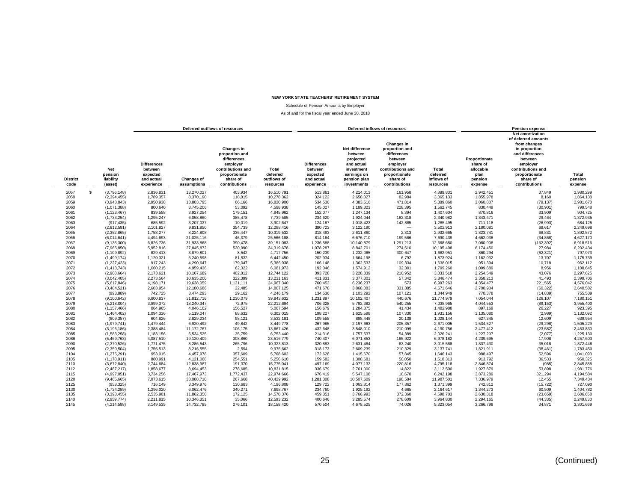#### Schedule of Pension Amounts by Employer

|                         |                                               |               | Deferred outflows of resources                                        |                                  |                                                                                                                                   |                                               | Deferred inflows of resources                                         |                                                                                                                  |                                                                                                                                              |                                              | <b>Pension expense</b>                                               |                                                                                                                                                                                       |                             |
|-------------------------|-----------------------------------------------|---------------|-----------------------------------------------------------------------|----------------------------------|-----------------------------------------------------------------------------------------------------------------------------------|-----------------------------------------------|-----------------------------------------------------------------------|------------------------------------------------------------------------------------------------------------------|----------------------------------------------------------------------------------------------------------------------------------------------|----------------------------------------------|----------------------------------------------------------------------|---------------------------------------------------------------------------------------------------------------------------------------------------------------------------------------|-----------------------------|
| <b>District</b><br>code | <b>Net</b><br>pension<br>liability<br>(asset) |               | <b>Differences</b><br>between<br>expected<br>and actual<br>experience | <b>Changes of</b><br>assumptions | <b>Changes in</b><br>proportion and<br>differences<br>employer<br>contributions and<br>proportionate<br>share of<br>contributions | Total<br>deferred<br>outflows of<br>resources | <b>Differences</b><br>between<br>expected<br>and actual<br>experience | Net difference<br>between<br>projected<br>and actual<br>investment<br>earnings on<br>pension plan<br>investments | <b>Changes</b> in<br>proportion and<br>differences<br>between<br>employer<br>contributions and<br>proportionate<br>share of<br>contributions | Total<br>deferred<br>inflows of<br>resources | Proportionate<br>share of<br>allocable<br>plan<br>pension<br>expense | Net amortization<br>of deferred amounts<br>from changes<br>in proportion<br>and differences<br>between<br>employer<br>contributions and<br>proportionate<br>share of<br>contributions | Total<br>pension<br>expense |
| 2057                    | \$                                            | (3,796,148)   | 2,836,831                                                             | 13,270,027                       | 403,934                                                                                                                           | 16,510,791                                    | 513,861                                                               | 4,214,013                                                                                                        | 161,958                                                                                                                                      | 4,889,831                                    | 2,942,451                                                            | 37,849                                                                                                                                                                                | 2,980,299                   |
| 2058                    |                                               | (2, 394, 455) | 1,789,357                                                             | 8,370,190                        | 118,815                                                                                                                           | 10,278,362                                    | 324,122                                                               | 2,658,027                                                                                                        | 82,984                                                                                                                                       | 3.065.133                                    | 1,855,978                                                            | 8.160                                                                                                                                                                                 | 1,864,138                   |
| 2059                    |                                               | (3,948,843)   | 2,950,938                                                             | 13,803,795                       | 66,166                                                                                                                            | 16,820,900                                    | 534,530                                                               | 4,383,516                                                                                                        | 471,814                                                                                                                                      | 5,389,860                                    | 3,060,807                                                            | (79, 137)                                                                                                                                                                             | 2,981,670                   |
| 2060                    |                                               | (1,071,388)   | 800,640                                                               | 3,745,206                        | 53,092                                                                                                                            | 4,598,938                                     | 145,027                                                               | 1,189,323                                                                                                        | 228,395                                                                                                                                      | 1,562,745                                    | 830,449                                                              | (30, 901)                                                                                                                                                                             | 799,548                     |
| 2061                    | (1, 123, 467)                                 |               | 839,558                                                               | 3,927,254                        | 179.151                                                                                                                           | 4,945,962                                     | 152,077                                                               | 1,247,134                                                                                                        | 8,394                                                                                                                                        | 1,407,604                                    | 870,816                                                              | 33,909                                                                                                                                                                                | 904,725                     |
| 2062                    | (1,733,254)                                   |               | 1,295,247                                                             | 6,058,860                        | 385.478                                                                                                                           | 7,739,585                                     | 234,620                                                               | 1,924,044                                                                                                        | 182,318                                                                                                                                      | 2.340.982                                    | 1,343,471                                                            | 29.464                                                                                                                                                                                | 1,372,935                   |
| 2063                    |                                               | (917, 435)    | 685,592                                                               | 3,207,037                        | 10,019                                                                                                                            | 3,902,647                                     | 124,187                                                               | 1,018,423                                                                                                        | 142,885                                                                                                                                      | 1,285,495                                    | 711,118                                                              | (26, 993)                                                                                                                                                                             | 684,125                     |
| 2064                    |                                               | (2,812,591)   | 2,101,827                                                             | 9,831,850                        | 354,739                                                                                                                           | 12,288,416                                    | 380,723                                                               | 3,122,190                                                                                                        |                                                                                                                                              | 3,502,913                                    | 2,180,081                                                            | 69,617                                                                                                                                                                                | 2,249,698                   |
| 2065                    | (2,352,865)                                   |               | 1,758,277                                                             | 8,224,808                        | 336,447                                                                                                                           | 10,319,532                                    | 318,493                                                               | 2,611,860                                                                                                        | 2,313                                                                                                                                        | 2,932,665                                    | 1,823,741                                                            | 68,831                                                                                                                                                                                | 1,892,572                   |
| 2066                    | (6,014,641)                                   |               | 4,494,693                                                             | 21,025,116                       | 46,379                                                                                                                            | 25,566,188                                    | 814,164                                                               | 6,676,710                                                                                                        | 199,566                                                                                                                                      | 7,690,439                                    | 4,662,038                                                            | (34, 868)                                                                                                                                                                             | 4,627,170                   |
| 2067                    |                                               | (9, 135, 300) | 6,826,736                                                             | 31,933,868                       | 390,478                                                                                                                           | 39, 151, 083                                  | 1,236,588                                                             | 10,140,879                                                                                                       | 1,291,213                                                                                                                                    | 12,668,680                                   | 7,080,908                                                            | (162, 392)                                                                                                                                                                            | 6,918,516                   |
| 2068                    |                                               | (7,965,850)   | 5,952,816                                                             | 27,845,872                       | 520,990                                                                                                                           | 34,319,678                                    | 1,078,287                                                             | 8,842,701                                                                                                        | 274,510                                                                                                                                      | 10,195,498                                   | 6,174,450                                                            | 27,984                                                                                                                                                                                | 6,202,434                   |
| 2069                    | (1, 109, 892)                                 |               | 829,413                                                               | 3,879,801                        | 8,542                                                                                                                             | 4,717,756                                     | 150,239                                                               | 1,232,065                                                                                                        | 300,647                                                                                                                                      | 1,682,951                                    | 860,294                                                              | (62, 321)                                                                                                                                                                             | 797,973                     |
| 2070                    | (1, 499, 174)                                 |               | 1,120,321                                                             | 5,240,598                        | 81,532                                                                                                                            | 6,442,450                                     | 202,934                                                               | 1,664,198                                                                                                        | 6,792                                                                                                                                        | 1,873,924                                    | 1,162,032                                                            | 13,707                                                                                                                                                                                | 1,175,739                   |
| 2071                    |                                               | (1,227,423)   | 917,243                                                               | 4,290,647                        | 179,047                                                                                                                           | 5,386,938                                     | 166,148                                                               | 1,362,533                                                                                                        | 109,334                                                                                                                                      | 1,638,015                                    | 951,394                                                              | 10,718                                                                                                                                                                                | 962,112                     |
| 2072                    | (1.418.743)                                   |               | 1.060.215                                                             | 4.959.436                        | 62.322                                                                                                                            | 6,081,973                                     | 192.046                                                               | 1.574.912                                                                                                        | 32,301                                                                                                                                       | 1.799.260                                    | 1.099.689                                                            | 8.956                                                                                                                                                                                 | 1,108,645                   |
| 2073                    | (2,908,664)                                   |               | 2,173,621                                                             | 10,167,689                       | 402,812                                                                                                                           | 12,744,122                                    | 393,728                                                               | 3,228,839                                                                                                        | 210,952                                                                                                                                      | 3,833,518                                    | 2,254,549                                                            | 43,076                                                                                                                                                                                | 2,297,625                   |
| 2074                    |                                               | (3,042,405)   | 2,273,564                                                             | 10,635,200                       | 322,399                                                                                                                           | 13,231,163                                    | 411,831                                                               | 3,377,301                                                                                                        | 57,342                                                                                                                                       | 3,846,474                                    | 2,358,213                                                            | 41,493                                                                                                                                                                                | 2,399,706                   |
| 2075                    |                                               | (5,617,846)   | 4,198,171                                                             | 19,638,059                       | 1,131,111                                                                                                                         | 24,967,340                                    | 760,453                                                               | 6,236,237                                                                                                        | 573                                                                                                                                          | 6,997,263                                    | 4,354,477                                                            | 221,565                                                                                                                                                                               | 4,576,042                   |
| 2076                    | (3,484,521)                                   |               | 2,603,954                                                             | 12,180,686                       | 22,485                                                                                                                            | 14,807,125                                    | 471,678                                                               | 3,868,083                                                                                                        | 331,885                                                                                                                                      | 4.671.646                                    | 2,700,904                                                            | (60, 322)                                                                                                                                                                             | 2,640,582                   |
| 2077                    |                                               | (993, 889)    | 742,725                                                               | 3,474,293                        | 29,162                                                                                                                            | 4,246,179                                     | 134,536                                                               | 1,103,292                                                                                                        | 107,121                                                                                                                                      | 1,344,949                                    | 770,378                                                              | (14, 839)                                                                                                                                                                             | 755,539                     |
| 2078                    |                                               | (9, 100, 642) | 6,800,837                                                             | 31,812,716                       | 1,230,079                                                                                                                         | 39,843,632                                    | 1,231,897                                                             | 10,102,407                                                                                                       | 440,676                                                                                                                                      | 11,774,979                                   | 7,054,044                                                            | 126,107                                                                                                                                                                               | 7,180,151                   |
| 2079                    | (5,218,004)                                   |               | 3,899,372                                                             | 18,240,347                       | 72,975                                                                                                                            | 22,212,694                                    | 706,328                                                               | 5,792,382                                                                                                        | 540,255                                                                                                                                      | 7,038,965                                    | 4,044,553                                                            | (89, 153)                                                                                                                                                                             | 3,955,400                   |
| 2080                    |                                               | (1, 157, 466) | 864,965                                                               | 4,046,102                        | 156,527                                                                                                                           | 5,067,594                                     | 156,679                                                               | 1,284,875                                                                                                        | 41,434                                                                                                                                       | 1,482,988                                    | 897,169                                                              | 26,227                                                                                                                                                                                | 923,395                     |
| 2081                    |                                               | (1,464,402)   | 1,094,336                                                             | 5,119,047                        | 88,632                                                                                                                            | 6,302,015                                     | 198,227                                                               | 1,625,598                                                                                                        | 107,330                                                                                                                                      | 1,931,156                                    | 1,135,080                                                            | (2,989)                                                                                                                                                                               | 1,132,092                   |
| 2082                    |                                               | (809, 357)    | 604,826                                                               | 2,829,234                        | 98,121                                                                                                                            | 3,532,181                                     | 109,558                                                               | 898,448                                                                                                          | 20,138                                                                                                                                       | 1,028,144                                    | 627,345                                                              | 12,609                                                                                                                                                                                | 639,954                     |
| 2083                    |                                               | (1,979,741)   | 1,479,444                                                             | 6,920,492                        | 49,842                                                                                                                            | 8,449,778                                     | 267,985                                                               | 2,197,663                                                                                                        | 205,357                                                                                                                                      | 2,671,005                                    | 1,534,527                                                            | (29, 298)                                                                                                                                                                             | 1,505,229                   |
| 2084                    | (3, 196, 186)                                 |               | 2,388,484                                                             | 11, 172, 767                     | 106,175                                                                                                                           | 13,667,426                                    | 432,648                                                               | 3,548,010                                                                                                        | 210,099                                                                                                                                      | 4,190,756                                    | 2,477,412                                                            | (23, 582)                                                                                                                                                                             | 2,453,830                   |
| 2085                    | (1,583,258)                                   |               | 1,183,156                                                             | 5,534,525                        | 35,759                                                                                                                            | 6,753,440                                     | 214,316                                                               | 1,757,537                                                                                                        | 54,389                                                                                                                                       | 2,026,241                                    | 1,227,207                                                            | (2,077)                                                                                                                                                                               | 1,225,130                   |
| 2086                    |                                               | (5,469,763)   | 4,087,510                                                             | 19,120,409                       | 308,860                                                                                                                           | 23,516,779                                    | 740,407                                                               | 6.071.853                                                                                                        | 165,922                                                                                                                                      | 6.978.182                                    | 4,239,695                                                            | 17.908                                                                                                                                                                                | 4,257,603                   |
| 2090                    |                                               | (2,370,526)   | 1,771,475                                                             | 8,286,543                        | 265,796                                                                                                                           | 10,323,813                                    | 320,883                                                               | 2,631,464                                                                                                        | 63,240                                                                                                                                       | 3,015,588                                    | 1,837,430                                                            | 35,018                                                                                                                                                                                | 1,872,448                   |
| 2095                    | (2,350,504)                                   |               | 1,756,513                                                             | 8,216,555                        | 2,594                                                                                                                             | 9,975,662                                     | 318,173                                                               | 2,609,239                                                                                                        | 210,329                                                                                                                                      | 3,137,741                                    | 1,821,911                                                            | (38, 461)                                                                                                                                                                             | 1,783,450                   |
| 2104                    | (1,275,291)                                   |               | 953,015                                                               | 4,457,978                        | 357,609                                                                                                                           | 5,768,602                                     | 172,628                                                               | 1,415,670                                                                                                        | 57,845                                                                                                                                       | 1,646,143                                    | 988,497                                                              | 52,596                                                                                                                                                                                | 1,041,093                   |
| 2105                    |                                               | (1, 178, 911) | 880.991                                                               | 4,121,068                        | 254,551                                                                                                                           | 5,256,610                                     | 159,582                                                               | 1,308,681                                                                                                        | 50,050                                                                                                                                       | 1,518,313                                    | 913,792                                                              | 36,533                                                                                                                                                                                | 950,325                     |
| 2110                    | (3,672,840)                                   |               | 2,744,684                                                             | 12,838,987                       | 191,370                                                                                                                           | 15,775,041                                    | 497,169                                                               | 4,077,133                                                                                                        | 220,816                                                                                                                                      | 4,795,118                                    | 2,846,874                                                            | (985)                                                                                                                                                                                 | 2,845,888                   |
| 2112                    |                                               | (2,487,217)   | 1,858,677                                                             | 8,694,453                        | 278,685                                                                                                                           | 10,831,815                                    | 336,679                                                               | 2,761,000                                                                                                        | 14,822                                                                                                                                       | 3,112,500                                    | 1,927,879                                                            | 53,898                                                                                                                                                                                | 1,981,776                   |
| 2115                    |                                               | (4,997,051)   | 3,734,256                                                             | 17,467,973                       | 1,772,437                                                                                                                         | 22,974,666                                    | 676,419                                                               | 5,547,108                                                                                                        | 18,670                                                                                                                                       | 6,242,198                                    | 3,873,289                                                            | 321,294                                                                                                                                                                               | 4,194,584                   |
| 2120                    | (9,465,665)                                   |               | 7,073,615                                                             | 33,088,710                       | 267,668                                                                                                                           | 40,429,992                                    | 1,281,308                                                             | 10,507,609                                                                                                       | 198,584                                                                                                                                      | 11,987,501                                   | 7,336,979                                                            | 12,455                                                                                                                                                                                | 7,349,434                   |
| 2125                    |                                               | (958, 325)    | 716,149                                                               | 3,349,976                        | 130,683                                                                                                                           | 4,196,808                                     | 129,722                                                               | 1,063,814                                                                                                        | 177,862                                                                                                                                      | 1,371,399                                    | 742,812                                                              | (15, 722)                                                                                                                                                                             | 727,090                     |
| 2130                    | (1,734,289)                                   |               | 1,296,020                                                             | 6,062,476                        | 340,271                                                                                                                           | 7,698,767                                     | 234,760                                                               | 1,925,192                                                                                                        | 4,665                                                                                                                                        | 2,164,617                                    | 1,344,273                                                            | 60,509                                                                                                                                                                                | 1,404,782                   |
| 2135                    |                                               | (3,393,455)   | 2,535,901                                                             | 11,862,350                       | 172,125                                                                                                                           | 14,570,376                                    | 459,351                                                               | 3,766,993                                                                                                        | 372,360                                                                                                                                      | 4,598,703                                    | 2,630,318                                                            | (23, 659)                                                                                                                                                                             | 2,606,658                   |
| 2140                    |                                               | (2,959,774)   | 2,211,815                                                             | 10,346,351                       | 35,066                                                                                                                            | 12,593,232                                    | 400,646                                                               | 3,285,574                                                                                                        | 278,609                                                                                                                                      | 3,964,830                                    | 2,294,165                                                            | (44, 335)                                                                                                                                                                             | 2,249,830                   |
| 2145                    |                                               | (4, 214, 598) | 3.149.535                                                             | 14,732,785                       | 276.101                                                                                                                           | 18,158,420                                    | 570,504                                                               | 4,678,525                                                                                                        | 74,026                                                                                                                                       | 5,323,054                                    | 3,266,798                                                            | 34,871                                                                                                                                                                                | 3,301,669                   |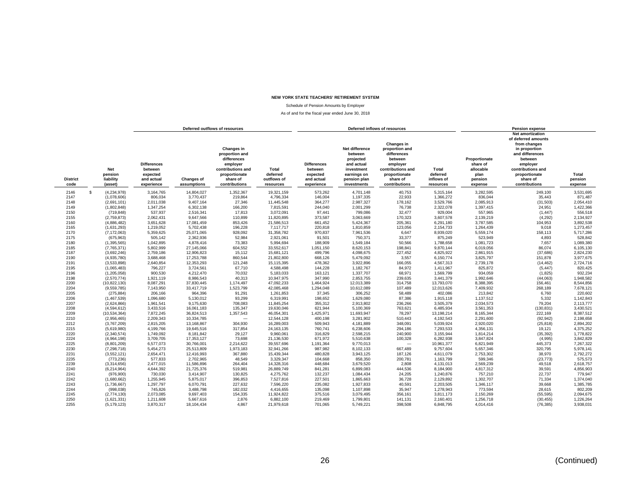#### Schedule of Pension Amounts by Employer

|                         |                                               |               |                                                                       |                                  | Deferred outflows of resources                                                                                                    |                                               |                                                                       |                                                                                                                  | Deferred inflows of resources                                                                                                                |                                              |                                                                      | <b>Pension expense</b>                                                                                                                                                                |                             |
|-------------------------|-----------------------------------------------|---------------|-----------------------------------------------------------------------|----------------------------------|-----------------------------------------------------------------------------------------------------------------------------------|-----------------------------------------------|-----------------------------------------------------------------------|------------------------------------------------------------------------------------------------------------------|----------------------------------------------------------------------------------------------------------------------------------------------|----------------------------------------------|----------------------------------------------------------------------|---------------------------------------------------------------------------------------------------------------------------------------------------------------------------------------|-----------------------------|
| <b>District</b><br>code | <b>Net</b><br>pension<br>liability<br>(asset) |               | <b>Differences</b><br>between<br>expected<br>and actual<br>experience | <b>Changes of</b><br>assumptions | <b>Changes in</b><br>proportion and<br>differences<br>employer<br>contributions and<br>proportionate<br>share of<br>contributions | Total<br>deferred<br>outflows of<br>resources | <b>Differences</b><br>between<br>expected<br>and actual<br>experience | Net difference<br>between<br>projected<br>and actual<br>investment<br>earnings on<br>pension plan<br>investments | <b>Changes</b> in<br>proportion and<br>differences<br>between<br>employer<br>contributions and<br>proportionate<br>share of<br>contributions | Total<br>deferred<br>inflows of<br>resources | Proportionate<br>share of<br>allocable<br>plan<br>pension<br>expense | Net amortization<br>of deferred amounts<br>from changes<br>in proportion<br>and differences<br>between<br>employer<br>contributions and<br>proportionate<br>share of<br>contributions | Total<br>pension<br>expense |
| 2146                    | \$                                            | (4,234,978)   | 3,164,765                                                             | 14,804,027                       | 1,352,367                                                                                                                         | 19,321,159                                    | 573,262                                                               | 4,701,148                                                                                                        | 40,753                                                                                                                                       | 5,315,164                                    | 3,282,595                                                            | 249,100                                                                                                                                                                               | 3,531,695                   |
| 2147                    |                                               | (1,078,606)   | 806,034                                                               | 3,770,437                        | 219,864                                                                                                                           | 4,796,334                                     | 146,004                                                               | 1,197,335                                                                                                        | 22,933                                                                                                                                       | 1,366,272                                    | 836,044                                                              | 35,443                                                                                                                                                                                | 871,487                     |
| 2148                    |                                               | (2,691,101)   | 2,011,038                                                             | 9,407,164                        | 27,346                                                                                                                            | 11,445,548                                    | 364,277                                                               | 2,987,327                                                                                                        | 178,162                                                                                                                                      | 3,529,766                                    | 2,085,913                                                            | (31, 503)                                                                                                                                                                             | 2,054,410                   |
| 2149                    |                                               | (1,802,848)   | 1,347,254                                                             | 6,302,138                        | 166,200                                                                                                                           | 7,815,591                                     | 244,040                                                               | 2,001,299                                                                                                        | 76,738                                                                                                                                       | 2,322,078                                    | 1,397,415                                                            | 24,951                                                                                                                                                                                | 1,422,366                   |
| 2150                    |                                               | (719, 848)    | 537,937                                                               | 2,516,341                        | 17,813                                                                                                                            | 3,072,091                                     | 97,441                                                                | 799,086                                                                                                          | 32,477                                                                                                                                       | 929,004                                      | 557,965                                                              | (1, 447)                                                                                                                                                                              | 556,518                     |
| 2155                    |                                               | (2,759,873)   | 2,062,431                                                             | 9,647,566                        | 110,899                                                                                                                           | 11,820,895                                    | 373,587                                                               | 3,063,669                                                                                                        | 170,323                                                                                                                                      | 3,607,578                                    | 2,139,219                                                            | (4, 292)                                                                                                                                                                              | 2,134,927                   |
| 2160                    |                                               | (4,886,482)   | 3,651,628                                                             | 17,081,459                       | 853,426                                                                                                                           | 21,586,513                                    | 661,452                                                               | 5,424,367                                                                                                        | 205,361                                                                                                                                      | 6,291,180                                    | 3,787,585                                                            | 104,953                                                                                                                                                                               | 3,892,538                   |
| 2165                    |                                               | (1,631,293)   | 1,219,052                                                             | 5,702,438                        | 196,228                                                                                                                           | 7,117,717                                     | 220,818                                                               | 1,810,859                                                                                                        | 123,056                                                                                                                                      | 2,154,733                                    | 1,264,439                                                            | 9,018                                                                                                                                                                                 | 1,273,457                   |
| 2170                    |                                               | (7, 172, 063) | 5,359,625                                                             | 25,071,065                       | 928,092                                                                                                                           | 31,358,782                                    | 970,837                                                               | 7,961,536                                                                                                        | 6,647                                                                                                                                        | 8,939,020                                    | 5,559,174                                                            | 158,113                                                                                                                                                                               | 5,717,286                   |
| 2175                    |                                               | (675, 963)    | 505,142                                                               | 2,362,936                        | 52,984                                                                                                                            | 2,921,061                                     | 91,501                                                                | 750,371                                                                                                          | 33,377                                                                                                                                       | 875,249                                      | 523,949                                                              | 4,893                                                                                                                                                                                 | 528,842                     |
| 2180                    |                                               | (1, 395, 565) | 1,042,895                                                             | 4,878,416                        | 73,383                                                                                                                            | 5,994,694                                     | 188,909                                                               | 1,549,184                                                                                                        | 50,566                                                                                                                                       | 1,788,658                                    | 1,081,723                                                            | 7,657                                                                                                                                                                                 | 1,089,380                   |
| 2185                    |                                               | (7,765,371)   | 5,802,999                                                             | 27,145,066                       | 604,552                                                                                                                           | 33,552,617                                    | 1,051,150                                                             | 8,620,153                                                                                                        | 198,841                                                                                                                                      | 9,870,144                                    | 6,019,056                                                            | 86,074                                                                                                                                                                                | 6,105,130                   |
| 2187                    |                                               | (3,692,246)   | 2,759,186                                                             | 12,906,823                       | 15,112                                                                                                                            | 15,681,121                                    | 499,796                                                               | 4,098,675                                                                                                        | 227,452                                                                                                                                      | 4,825,922                                    | 2,861,915                                                            | (37,686)                                                                                                                                                                              | 2,824,230                   |
| 2190                    |                                               | (4,935,780)   | 3,688,468                                                             | 17,253,788                       | 860,544                                                                                                                           | 21,802,800                                    | 668,126                                                               | 5,479,092                                                                                                        | 3,557                                                                                                                                        | 6,150,774                                    | 3,825,797                                                            | 151,878                                                                                                                                                                               | 3,977,675                   |
| 2191                    |                                               | (3,533,898)   | 2,640,854                                                             | 12,353,293                       | 121,248                                                                                                                           | 15,115,395                                    | 478,362                                                               | 3,922,896                                                                                                        | 166,055                                                                                                                                      | 4,567,313                                    | 2,739,178                                                            | (14, 462)                                                                                                                                                                             | 2,724,716                   |
| 2195                    |                                               | (1,065,483)   | 796.227                                                               | 3,724,561                        | 67,710                                                                                                                            | 4,588,498                                     | 144,228                                                               | 1,182,767                                                                                                        | 84,972                                                                                                                                       | 1,411,967                                    | 825,872                                                              | (5, 447)                                                                                                                                                                              | 820,425                     |
| 2196                    |                                               | (1,205,058)   | 900,530                                                               | 4,212,470                        | 70,032                                                                                                                            | 5,183,033                                     | 163,121                                                               | 1,337,707                                                                                                        | 68,971                                                                                                                                       | 1,569,799                                    | 934,059                                                              | (1,825)                                                                                                                                                                               | 932,234                     |
| 2198                    |                                               | (2,570,774)   | 1,921,119                                                             | 8,986,543                        | 40,313                                                                                                                            | 10,947,975                                    | 347,990                                                               | 2,853,755                                                                                                        | 239,635                                                                                                                                      | 3,441,379                                    | 1,992,646                                                            | (44,063)                                                                                                                                                                              | 1,948,582                   |
| 2200                    | (10, 822, 130)                                |               | 8,087,291                                                             | 37,830,445                       | 1,174,497                                                                                                                         | 47,092,233                                    | 1,464,924                                                             | 12,013,389                                                                                                       | 314,758                                                                                                                                      | 13,793,070                                   | 8,388,395                                                            | 156,461                                                                                                                                                                               | 8,544,856                   |
| 2204                    |                                               | (9,559,785)   | 7,143,950                                                             | 33,417,719                       | 1,523,799                                                                                                                         | 42,085,468                                    | 1,294,048                                                             | 10,612,089                                                                                                       | 107,489                                                                                                                                      | 12,013,626                                   | 7,409,932                                                            | 268,189                                                                                                                                                                               | 7,678,121                   |
| 2205                    |                                               | (275, 884)    | 206,166                                                               | 964,396                          | 91,291                                                                                                                            | 1,261,853                                     | 37,345                                                                | 306,252                                                                                                          | 58,489                                                                                                                                       | 402,086                                      | 213,842                                                              | 6,760                                                                                                                                                                                 | 220,602                     |
| 2206                    |                                               | (1,467,539)   | 1,096,680                                                             | 5,130,012                        | 93,299                                                                                                                            | 6,319,991                                     | 198,652                                                               | 1,629,080                                                                                                        | 87,386                                                                                                                                       | 1,915,118                                    | 1,137,512                                                            | 5,332                                                                                                                                                                                 | 1,142,843                   |
| 2207                    |                                               | (2,624,866)   | 1,961,541                                                             | 9,175,630                        | 708,083                                                                                                                           | 11,845,254                                    | 355,312                                                               | 2,913,802                                                                                                        | 236,266                                                                                                                                      | 3,505,379                                    | 2,034,573                                                            | 79,204                                                                                                                                                                                | 2,113,777                   |
| 2208                    |                                               | (4,594,612)   | 3,433,516                                                             | 16,061,183                       | 135,347                                                                                                                           | 19,630,046                                    | 621,944                                                               | 5,100,369                                                                                                        | 763,621                                                                                                                                      | 6,485,934                                    | 3,561,353                                                            | (130, 831)                                                                                                                                                                            | 3,430,521                   |
| 2209                    | (10, 534, 364)                                |               | 7,872,245                                                             | 36,824,513                       | 1,357,543                                                                                                                         | 46,054,301                                    | 1,425,971                                                             | 11,693,947                                                                                                       | 78,297                                                                                                                                       | 13,198,214                                   | 8,165,344                                                            | 222,169                                                                                                                                                                               | 8,387,512                   |
| 2210                    |                                               | (2,956,465)   | 2,209,343                                                             | 10,334,785                       | $\overline{\phantom{0}}$                                                                                                          | 12,544,128                                    | 400,198                                                               | 3,281,902                                                                                                        | 510,443                                                                                                                                      | 4,192,543                                    | 2,291,600                                                            | (92, 942)                                                                                                                                                                             | 2,198,658                   |
| 2212                    |                                               | (3,767,209)   | 2,815,205                                                             | 13,168,867                       | 304.930                                                                                                                           | 16,289,003                                    | 509,943                                                               | 4,181,889                                                                                                        | 348,091                                                                                                                                      | 5,039,924                                    | 2,920,020                                                            | (25, 818)                                                                                                                                                                             | 2,894,202                   |
| 2215                    |                                               | (5,619,980)   | 4,199,766                                                             | 19,645,516                       | 317,854                                                                                                                           | 24, 163, 135                                  | 760,741                                                               | 6,238,606                                                                                                        | 294,186                                                                                                                                      | 7,293,533                                    | 4,356,131                                                            | 19,121                                                                                                                                                                                | 4,375,252                   |
| 2220                    |                                               | (2,340,574)   | 1,749,092                                                             | 8,181,842                        | 29,127                                                                                                                            | 9,960,061                                     | 316,829                                                               | 2,598,215                                                                                                        | 240,900                                                                                                                                      | 3,155,944                                    | 1,814,214                                                            | (35, 392)                                                                                                                                                                             | 1,778,822                   |
| 2224                    |                                               | (4,964,198)   | 3,709,705                                                             | 17,353,127                       | 73,698                                                                                                                            | 21,136,530                                    | 671,972                                                               | 5,510,638                                                                                                        | 100,328                                                                                                                                      | 6,282,938                                    | 3,847,824                                                            | (4,995)                                                                                                                                                                               | 3,842,829                   |
| 2225                    |                                               | (8,801,209)   | 6,577,073                                                             | 30,766,001                       | 2,214,622                                                                                                                         | 39,557,696                                    | 1,191,364                                                             | 9,770,013                                                                                                        | $\overline{\phantom{0}}$                                                                                                                     | 10,961,377                                   | 6,821,949                                                            | 445,373                                                                                                                                                                               | 7,267,322                   |
| 2230                    |                                               | (7, 298, 718) | 5,454,273                                                             | 25,513,809                       | 1,973,183                                                                                                                         | 32,941,266                                    | 987,982                                                               | 8,102,133                                                                                                        | 667,489                                                                                                                                      | 9,757,604                                    | 5,657,346                                                            | 320,795                                                                                                                                                                               | 5,978,141                   |
| 2231                    |                                               | (3,552,121)   | 2,654,471                                                             | 12,416,993                       | 367,880                                                                                                                           | 15,439,344                                    | 480,828                                                               | 3,943,125                                                                                                        | 187,126                                                                                                                                      | 4,611,079                                    | 2,753,302                                                            | 38,970                                                                                                                                                                                | 2,792,272                   |
| 2235                    |                                               | (773, 236)    | 577,833                                                               | 2,702,965                        | 48,549                                                                                                                            | 3,329,347                                     | 104,668                                                               | 858,350                                                                                                          | 200,781                                                                                                                                      | 1,163,799                                    | 599,346                                                              | (23, 773)                                                                                                                                                                             | 575,573                     |
| 2239                    |                                               | (3,314,656)   | 2,477,015                                                             | 11,586,896                       | 264,404                                                                                                                           | 14,328,316                                    | 448,684                                                               | 3,679,520                                                                                                        | 2,808                                                                                                                                        | 4,131,013                                    | 2,569,239                                                            | 49,518                                                                                                                                                                                | 2,618,757                   |
| 2240                    |                                               | (6, 214, 964) | 4,644,392                                                             | 21,725,376                       | 519,981                                                                                                                           | 26,889,749                                    | 841,281                                                               | 6,899,083                                                                                                        | 444,536                                                                                                                                      | 8,184,900                                    | 4,817,312                                                            | 39,591                                                                                                                                                                                | 4,856,903                   |
| 2241                    |                                               | (976, 900)    | 730,030                                                               | 3,414,907                        | 130,825                                                                                                                           | 4,275,762                                     | 132,237                                                               | 1,084,434                                                                                                        | 24,205                                                                                                                                       | 1,240,876                                    | 757,210                                                              | 22,737                                                                                                                                                                                | 779,947                     |
| 2242                    |                                               | (1,680,662)   | 1,255,945                                                             | 5,875,017                        | 396,853                                                                                                                           | 7,527,816                                     | 227,501                                                               | 1,865,663                                                                                                        | 36,728                                                                                                                                       | 2,129,892                                    | 1,302,707                                                            | 71,334                                                                                                                                                                                | 1,374,040                   |
| 2243                    |                                               | (1,736,667)   | 1,297,797                                                             | 6,070,791                        | 227,632                                                                                                                           | 7,596,220                                     | 235,082                                                               | 1,927,833                                                                                                        | 40,591                                                                                                                                       | 2,203,505                                    | 1,346,117                                                            | 39,668                                                                                                                                                                                | 1,385,785                   |
| 2244                    |                                               | (998, 038)    | 745,826                                                               | 3,488,798                        | 182,032                                                                                                                           | 4,416,655                                     | 135,098                                                               | 1,107,898                                                                                                        | 35,947                                                                                                                                       | 1,278,943                                    | 773,594                                                              | 28,615                                                                                                                                                                                | 802,209                     |
| 2245                    |                                               | (2,774,130)   | 2,073,085                                                             | 9,697,403                        | 154,335                                                                                                                           | 11,924,822                                    | 375,516                                                               | 3,079,495                                                                                                        | 356,161                                                                                                                                      | 3,811,173                                    | 2,150,269                                                            | (55, 595)                                                                                                                                                                             | 2,094,675                   |
| 2250                    |                                               | (1,621,331)   | 1,211,608                                                             | 5,667,616                        | 2,876                                                                                                                             | 6,882,100                                     | 219,469                                                               | 1,799,801                                                                                                        | 141,131                                                                                                                                      | 2,160,401                                    | 1,256,718                                                            | (30, 455)                                                                                                                                                                             | 1,226,264                   |
| 2255                    |                                               | (5, 179, 123) | 3,870,317                                                             | 18,104,434                       | 4.867                                                                                                                             | 21,979,618                                    | 701.065                                                               | 5,749,221                                                                                                        | 398,508                                                                                                                                      | 6,848,795                                    | 4,014,416                                                            | (76, 385)                                                                                                                                                                             | 3,938,031                   |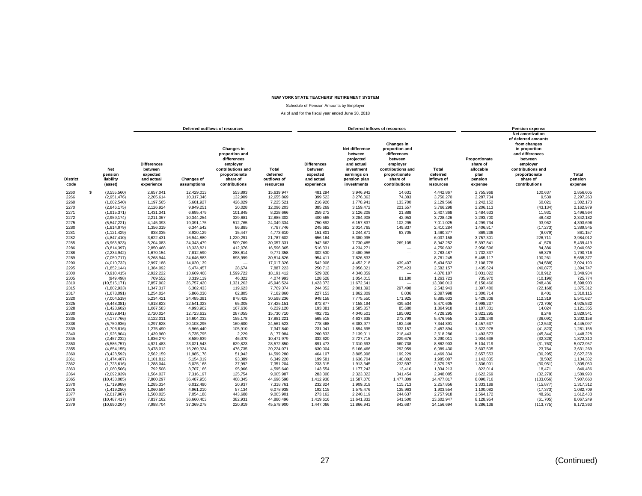#### Schedule of Pension Amounts by Employer

|                         |                                        |                                                                       |                                  | Deferred outflows of resources                                                                                             |                                               |                                                                       |                                                                                                                  | Deferred inflows of resources                                                                                                                |                                              |                                                                      | <b>Pension expense</b>                                                                                                                                                                |                             |
|-------------------------|----------------------------------------|-----------------------------------------------------------------------|----------------------------------|----------------------------------------------------------------------------------------------------------------------------|-----------------------------------------------|-----------------------------------------------------------------------|------------------------------------------------------------------------------------------------------------------|----------------------------------------------------------------------------------------------------------------------------------------------|----------------------------------------------|----------------------------------------------------------------------|---------------------------------------------------------------------------------------------------------------------------------------------------------------------------------------|-----------------------------|
| <b>District</b><br>code | Net<br>pension<br>liability<br>(asset) | <b>Differences</b><br>between<br>expected<br>and actual<br>experience | <b>Changes of</b><br>assumptions | Changes in<br>proportion and<br>differences<br>employer<br>contributions and<br>proportionate<br>share of<br>contributions | Total<br>deferred<br>outflows of<br>resources | <b>Differences</b><br>between<br>expected<br>and actual<br>experience | Net difference<br>between<br>projected<br>and actual<br>investment<br>earnings on<br>pension plan<br>investments | <b>Changes</b> in<br>proportion and<br>differences<br>between<br>employer<br>contributions and<br>proportionate<br>share of<br>contributions | Total<br>deferred<br>inflows of<br>resources | Proportionate<br>share of<br>allocable<br>plan<br>pension<br>expense | Net amortization<br>of deferred amounts<br>from changes<br>in proportion<br>and differences<br>between<br>employer<br>contributions and<br>proportionate<br>share of<br>contributions | Total<br>pension<br>expense |
| 2260                    | \$<br>(3,555,560)                      | 2,657,041                                                             | 12,429,013                       | 553,893                                                                                                                    | 15,639,947                                    | 481,294                                                               | 3,946,942                                                                                                        | 14,631                                                                                                                                       | 4,442,867                                    | 2,755,968                                                            | 100,637                                                                                                                                                                               | 2,856,605                   |
| 2266                    | (2,951,476)                            | 2,205,614                                                             | 10,317,346                       | 132,909                                                                                                                    | 12,655,869                                    | 399,523                                                               | 3,276,363                                                                                                        | 74,383                                                                                                                                       | 3,750,270                                    | 2,287,734                                                            | 9,530                                                                                                                                                                                 | 2,297,263                   |
| 2268                    | (1,602,540)                            | 1,197,565                                                             | 5,601,927                        | 426,029                                                                                                                    | 7,225,521                                     | 216,926                                                               | 1,778,941                                                                                                        | 133,700                                                                                                                                      | 2,129,566                                    | 1,242,152                                                            | 60,021                                                                                                                                                                                | 1,302,173                   |
| 2270                    | (2,846,175)                            | 2,126,924                                                             | 9,949,251                        | 20,028                                                                                                                     | 12,096,203                                    | 385,269                                                               | 3,159,472                                                                                                        | 221,557                                                                                                                                      | 3,766,298                                    | 2,206,113                                                            | (43, 134)                                                                                                                                                                             | 2,162,979                   |
| 2271                    | (1,915,371)                            | 1,431,341                                                             | 6,695,479                        | 101,845                                                                                                                    | 8,228,666                                     | 259,272                                                               | 2,126,208                                                                                                        | 21,888                                                                                                                                       | 2,407,368                                    | 1,484,633                                                            | 11,931                                                                                                                                                                                | 1,496,564                   |
| 2272                    | (2,959,174)                            | 2,211,367                                                             | 10,344,254                       | 329,681                                                                                                                    | 12,885,302                                    | 400,565                                                               | 3,284,908                                                                                                        | 42,953                                                                                                                                       | 3,728,426                                    | 2,293,700                                                            | 48,482                                                                                                                                                                                | 2,342,182                   |
| 2275                    | (5,547,221)                            | 4,145,393                                                             | 19,391,175                       | 512,765                                                                                                                    | 24,049,334                                    | 750,892                                                               | 6,157,837                                                                                                        | 102,295                                                                                                                                      | 7,011,025                                    | 4,299,734                                                            | 93,962                                                                                                                                                                                | 4,393,696                   |
| 2280                    | (1,814,979)                            | 1,356,319                                                             | 6,344,542                        | 86,885                                                                                                                     | 7,787,746                                     | 245,682                                                               | 2,014,765                                                                                                        | 149,837                                                                                                                                      | 2,410,284                                    | 1,406,817                                                            | (17, 273)                                                                                                                                                                             | 1,389,545                   |
| 2281                    | (1, 121, 429)                          | 838,035                                                               | 3,920,129                        | 15,447                                                                                                                     | 4,773,610                                     | 151,801                                                               | 1,244,871                                                                                                        | 63,705                                                                                                                                       | 1,460,377                                    | 869,236                                                              | (8,079)                                                                                                                                                                               | 861,157                     |
| 2282                    | (4,847,410)                            | 3,622,431                                                             | 16,944,880                       | 1,220,291                                                                                                                  | 21,787,602                                    | 656,164                                                               | 5,380,995                                                                                                        |                                                                                                                                              | 6,037,158                                    | 3,757,301                                                            | 226,711                                                                                                                                                                               | 3,984,012                   |
| 2285                    | (6,963,923)                            | 5,204,083                                                             | 24,343,479                       | 509,769                                                                                                                    | 30,057,331                                    | 942,662                                                               | 7,730,485                                                                                                        | 269,105                                                                                                                                      | 8,942,252                                    | 5,397,841                                                            | 41,578                                                                                                                                                                                | 5,439,419                   |
| 2286                    | (3,814,397)                            | 2,850,468                                                             | 13,333,821                       | 412,076                                                                                                                    | 16,596,365                                    | 516,331                                                               | 4,234,271                                                                                                        | $\overline{\phantom{0}}$                                                                                                                     | 4,750,602                                    | 2,956,596                                                            | 84,386                                                                                                                                                                                | 3,040,982                   |
| 2288                    | (2, 234, 942)                          | 1,670,154                                                             | 7,812,590                        | 288,614                                                                                                                    | 9,771,358                                     | 302,530                                                               | 2,480,956                                                                                                        | $\qquad \qquad -$                                                                                                                            | 2,783,487                                    | 1,732,337                                                            | 58,379                                                                                                                                                                                | 1,790,716                   |
| 2289                    | (7,050,717)                            | 5,268,944                                                             | 24,646,883                       | 898,999                                                                                                                    | 30,814,826                                    | 954,411                                                               | 7,826,833                                                                                                        | $\overline{\phantom{0}}$                                                                                                                     | 8,781,245                                    | 5,465,117                                                            | 190,261                                                                                                                                                                               | 5,655,377                   |
| 2290                    | (4,010,732)                            | 2,997,188                                                             | 14,020,139                       | $\overline{\phantom{0}}$                                                                                                   | 17,017,326                                    | 542,908                                                               | 4,452,218                                                                                                        | 439,407                                                                                                                                      | 5,434,532                                    | 3,108,778                                                            | (84, 588)                                                                                                                                                                             | 3,024,190                   |
| 2295                    | (1.852.144)                            | 1.384.092                                                             | 6.474.457                        | 28.674                                                                                                                     | 7,887,223                                     | 250,713                                                               | 2,056,021                                                                                                        | 275,423                                                                                                                                      | 2,582,157                                    | 1,435,624                                                            | (40, 877)                                                                                                                                                                             | 1,394,747                   |
| 2300                    | (3,910,415)                            | 2,922,222                                                             | 13,669,468                       | 1,599,722                                                                                                                  | 18,191,412                                    | 529,328                                                               | 4,340,859                                                                                                        | $\overline{\phantom{0}}$                                                                                                                     | 4,870,187                                    | 3,031,022                                                            | 318,912                                                                                                                                                                               | 3,349,934                   |
| 2305                    | (949, 498)                             | 709,552                                                               | 3,319,119                        | 46,322                                                                                                                     | 4,074,993                                     | 128,528                                                               | 1,054,015                                                                                                        | 81,180                                                                                                                                       | 1,263,723                                    | 735,970                                                              | (10, 196)                                                                                                                                                                             | 725,774                     |
| 2310                    | (10,515,171)                           | 7,857,902                                                             | 36,757,420                       | 1,331,202                                                                                                                  | 45,946,524                                    | 1,423,373                                                             | 11,672,641                                                                                                       |                                                                                                                                              | 13,096,013                                   | 8,150,466                                                            | 248,436                                                                                                                                                                               | 8,398,903                   |
| 2315                    | (1,802,933)                            | 1,347,317                                                             | 6,302,433                        | 119,623                                                                                                                    | 7,769,374                                     | 244,052                                                               | 2,001,393                                                                                                        | 297,498                                                                                                                                      | 2,542,943                                    | 1,397,480                                                            | (22, 168)                                                                                                                                                                             | 1,375,312                   |
| 2317                    | (1,678,091)                            | 1,254,024                                                             | 5,866,030                        | 62,805                                                                                                                     | 7,182,860                                     | 227,153                                                               | 1,862,809                                                                                                        | 8,036                                                                                                                                        | 2,097,998                                    | 1,300,714                                                            | 9,401                                                                                                                                                                                 | 1,310,115                   |
| 2320                    | (7,004,519)                            | 5,234,421                                                             | 24,485,391                       | 878,425                                                                                                                    | 30,598,236                                    | 948,158                                                               | 7,775,550                                                                                                        | 171,925                                                                                                                                      | 8,895,633                                    | 5,429,308                                                            | 112,319                                                                                                                                                                               | 5,541,627                   |
| 2325                    | (6, 448, 381)                          | 4,818,823                                                             | 22,541,323                       | 65,005                                                                                                                     | 27,425,151                                    | 872,877                                                               | 7,158,194                                                                                                        | 439,534                                                                                                                                      | 8,470,605                                    | 4,998,237                                                            | (72, 705)                                                                                                                                                                             | 4,925,532                   |
| 2328                    | (1,428,602)                            | 1,067,583                                                             | 4,993,902                        | 167,636                                                                                                                    | 6,229,120                                     | 193,381                                                               | 1,585,857                                                                                                        | 85,680                                                                                                                                       | 1,864,918                                    | 1,107,331                                                            | 14,024                                                                                                                                                                                | 1,121,355                   |
| 2330                    | (3,639,841)                            | 2,720,024                                                             | 12,723,632                       | 287,055                                                                                                                    | 15,730,710                                    | 492,702                                                               | 4,040,501                                                                                                        | 195,092                                                                                                                                      | 4,728,295                                    | 2,821,295                                                            | 8,246                                                                                                                                                                                 | 2,829,541                   |
| 2335                    | (4, 177, 766)                          | 3,122,011                                                             | 14,604,032                       | 155,178                                                                                                                    | 17,881,221                                    | 565,518                                                               | 4,637,638                                                                                                        | 273,799                                                                                                                                      | 5,476,955                                    | 3,238,249                                                            | (36,091)                                                                                                                                                                              | 3,202,158                   |
| 2338                    | (5,750,936)                            | 4,297,628                                                             | 20,103,295                       | 160,600                                                                                                                    | 24,561,523                                    | 778,468                                                               | 6,383,977                                                                                                        | 182,446                                                                                                                                      | 7,344,891                                    | 4,457,637                                                            | (12, 540)                                                                                                                                                                             | 4,445,097                   |
| 2339                    | (1,706,816)                            | 1,275,490                                                             | 5,966,440                        | 105,910                                                                                                                    | 7,347,840                                     | 231,041                                                               | 1,894,695                                                                                                        | 332,157                                                                                                                                      | 2,457,894                                    | 1,322,978                                                            | (41, 823)                                                                                                                                                                             | 1,281,155                   |
| 2340                    | (1,926,904)                            | 1,439,960                                                             | 6,735,795                        | 2,229                                                                                                                      | 8,177,984                                     | 260,833                                                               | 2,139,011                                                                                                        | 218,443                                                                                                                                      | 2,618,286                                    | 1,493,573                                                            | (45, 344)                                                                                                                                                                             | 1,448,228                   |
| 2345                    | (2,457,232)                            | 1,836,270                                                             | 8,589,639                        | 46,070                                                                                                                     | 10,471,979                                    | 332,620                                                               | 2,727,715                                                                                                        | 229,676                                                                                                                                      | 3,290,011                                    | 1,904,638                                                            | (32, 328)                                                                                                                                                                             | 1,872,310                   |
| 2350                    | (6,585,757)                            | 4,921,483                                                             | 23,021,543                       | 629,823                                                                                                                    | 28,572,850                                    | 891,473                                                               | 7,310,693                                                                                                        | 660,738                                                                                                                                      | 8,862,903                                    | 5,104,719                                                            | (31, 763)                                                                                                                                                                             | 5,072,957                   |
| 2355                    | (4,654,155)                            | 3,478,012                                                             | 16,269,324                       | 476,735                                                                                                                    | 20,224,071                                    | 630,004                                                               | 5,166,466                                                                                                        | 292,959                                                                                                                                      | 6,089,430                                    | 3,607,505                                                            | 23,764                                                                                                                                                                                | 3,631,269                   |
| 2360                    | (3,428,592)                            | 2,562,159                                                             | 11,985,178                       | 51,942                                                                                                                     | 14,599,280                                    | 464,107                                                               | 3,805,998                                                                                                        | 199,229                                                                                                                                      | 4,469,334                                    | 2,657,553                                                            | (30, 295)                                                                                                                                                                             | 2,627,258                   |
| 2361                    | (1,474,407)                            | 1,101,812                                                             | 5,154,019                        | 93,389                                                                                                                     | 6,349,220                                     | 199,581                                                               | 1,636,704                                                                                                        | 148,802                                                                                                                                      | 1,985,087                                    | 1,142,835                                                            | (8, 502)                                                                                                                                                                              | 1,134,332                   |
| 2362                    | (1,723,616)                            | 1,288,044                                                             | 6,025,168                        | 37,992                                                                                                                     | 7,351,204                                     | 233,315                                                               | 1,913,345                                                                                                        | 232,597                                                                                                                                      | 2,379,257                                    | 1,336,001                                                            | (30, 951)                                                                                                                                                                             | 1,305,050                   |
| 2363                    | (1,060,506)                            | 792,508                                                               | 3,707,166                        | 95,966                                                                                                                     | 4,595,640                                     | 143,554                                                               | 1,177,243                                                                                                        | 13,416                                                                                                                                       | 1,334,213                                    | 822,014                                                              | 18,471                                                                                                                                                                                | 840,486                     |
| 2364                    | (2,092,939)                            | 1,564,037                                                             | 7,316,197                        | 125,754                                                                                                                    | 9,005,987                                     | 283,308                                                               | 2,323,322                                                                                                        | 341,454                                                                                                                                      | 2,948,085                                    | 1,622,269                                                            | (32, 279)                                                                                                                                                                             | 1,589,990                   |
| 2365                    | (10, 438, 085)                         | 7,800,297                                                             | 36,487,956                       | 408,345                                                                                                                    | 44,696,598                                    | 1,412,938                                                             | 11,587,070                                                                                                       | 1,477,809                                                                                                                                    | 14,477,817                                   | 8,090,716                                                            | (183, 056)                                                                                                                                                                            | 7,907,660                   |
| 2370                    | (1,719,989)                            | 1,285,334                                                             | 6,012,490                        | 20,937                                                                                                                     | 7,318,761                                     | 232,824                                                               | 1,909,319                                                                                                        | 115,713                                                                                                                                      | 2,257,856                                    | 1,333,189                                                            | (15, 877)                                                                                                                                                                             | 1,317,312                   |
| 2375                    | (1,419,250)                            | 1,060,594                                                             | 4,961,210                        | 57,134                                                                                                                     | 6,078,938                                     | 192,115                                                               | 1,575,476                                                                                                        | 135,963                                                                                                                                      | 1,903,554                                    | 1,100,082                                                            | (17, 373)                                                                                                                                                                             | 1,082,709                   |
| 2377                    | (2,017,987)                            | 1,508,025                                                             | 7,054,188                        | 443,688                                                                                                                    | 9,005,901                                     | 273,162                                                               | 2,240,119                                                                                                        | 244,637                                                                                                                                      | 2,757,918                                    | 1,564,172                                                            | 48,261                                                                                                                                                                                | 1,612,433                   |
| 2378<br>2379            | (10, 487, 417)                         | 7,837,162                                                             | 36,660,403                       | 382,931<br>220,919                                                                                                         | 44,880,496                                    | 1,419,616                                                             | 11,641,832                                                                                                       | 541,500                                                                                                                                      | 13,602,947                                   | 8,128,954                                                            | (61, 705)                                                                                                                                                                             | 8,067,249                   |
|                         | (10,690,204)                           | 7,988,704                                                             | 37,369,278                       |                                                                                                                            | 45,578,900                                    | 1,447,066                                                             | 11,866,941                                                                                                       | 842,687                                                                                                                                      | 14,156,694                                   | 8,286,138                                                            | (113, 775)                                                                                                                                                                            | 8,172,363                   |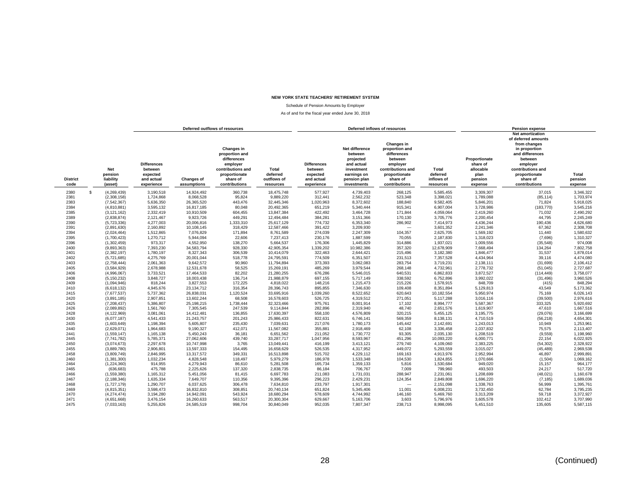#### Schedule of Pension Amounts by Employer

|                         |                                               |                                                                       |                                  | Deferred outflows of resources                                                                                                    |                                               |                                                                       |                                                                                                                  | Deferred inflows of resources                                                                                                                |                                              |                                                                      | <b>Pension expense</b>                                                                                                                                                                |                             |
|-------------------------|-----------------------------------------------|-----------------------------------------------------------------------|----------------------------------|-----------------------------------------------------------------------------------------------------------------------------------|-----------------------------------------------|-----------------------------------------------------------------------|------------------------------------------------------------------------------------------------------------------|----------------------------------------------------------------------------------------------------------------------------------------------|----------------------------------------------|----------------------------------------------------------------------|---------------------------------------------------------------------------------------------------------------------------------------------------------------------------------------|-----------------------------|
| <b>District</b><br>code | <b>Net</b><br>pension<br>liability<br>(asset) | <b>Differences</b><br>between<br>expected<br>and actual<br>experience | <b>Changes of</b><br>assumptions | <b>Changes in</b><br>proportion and<br>differences<br>employer<br>contributions and<br>proportionate<br>share of<br>contributions | Total<br>deferred<br>outflows of<br>resources | <b>Differences</b><br>between<br>expected<br>and actual<br>experience | Net difference<br>between<br>projected<br>and actual<br>investment<br>earnings on<br>pension plan<br>investments | <b>Changes</b> in<br>proportion and<br>differences<br>between<br>employer<br>contributions and<br>proportionate<br>share of<br>contributions | Total<br>deferred<br>inflows of<br>resources | Proportionate<br>share of<br>allocable<br>plan<br>pension<br>expense | Net amortization<br>of deferred amounts<br>from changes<br>in proportion<br>and differences<br>between<br>employer<br>contributions and<br>proportionate<br>share of<br>contributions | Total<br>pension<br>expense |
| 2380                    | \$<br>(4,269,439)                             | 3,190,518                                                             | 14,924,492                       | 360,738                                                                                                                           | 18,475,748                                    | 577,927                                                               | 4,739,403                                                                                                        | 268,125                                                                                                                                      | 5,585,455                                    | 3,309,307                                                            | 37,015                                                                                                                                                                                | 3,346,322                   |
| 2381                    | (2,308,158)                                   | 1,724,868                                                             | 8,068,528                        | 95,824                                                                                                                            | 9,889,220                                     | 312,441                                                               | 2,562,232                                                                                                        | 523,348                                                                                                                                      | 3,398,021                                    | 1,789,088                                                            | (85, 114)                                                                                                                                                                             | 1,703,974                   |
| 2383                    | (7,542,367)                                   | 5,636,350                                                             | 26,365,520                       | 443,476                                                                                                                           | 32,445,346                                    | 1,020,963                                                             | 8,372,602                                                                                                        | 188,840                                                                                                                                      | 9,582,405                                    | 5,846,201                                                            | 71,824                                                                                                                                                                                | 5,918,025                   |
| 2384                    | (4,810,881)                                   | 3,595,132                                                             | 16,817,185                       | 80,048                                                                                                                            | 20,492,365                                    | 651,219                                                               | 5,340,444                                                                                                        | 915,341                                                                                                                                      | 6,907,004                                    | 3,728,986                                                            | (183, 770)                                                                                                                                                                            | 3,545,216                   |
| 2385                    | (3, 121, 162)                                 | 2,332,419                                                             | 10,910,509                       | 604,455                                                                                                                           | 13,847,384                                    | 422,492                                                               | 3,464,728                                                                                                        | 171,844                                                                                                                                      | 4,059,064                                    | 2,419,260                                                            | 71,032                                                                                                                                                                                | 2,490,292                   |
| 2389                    | (2,838,874)                                   | 2,121,467                                                             | 9,923,726                        | 449,291                                                                                                                           | 12,494,484                                    | 384,281                                                               | 3,151,366                                                                                                        | 170,130                                                                                                                                      | 3,705,776                                    | 2,200,454                                                            | 44,795                                                                                                                                                                                | 2,245,249                   |
| 2390                    | (5,723,336)                                   | 4,277,003                                                             | 20,006,816                       | 1,333,310                                                                                                                         | 25,617,129                                    | 774,732                                                               | 6,353,340                                                                                                        | 286,902                                                                                                                                      | 7,414,973                                    | 4,436,244                                                            | 190,436                                                                                                                                                                               | 4,626,680                   |
| 2391                    | (2,891,630)                                   | 2,160,892                                                             | 10,108,145                       | 318,429                                                                                                                           | 12,587,466                                    | 391,422                                                               | 3,209,930                                                                                                        | $\overline{\phantom{0}}$                                                                                                                     | 3,601,352                                    | 2,241,346                                                            | 67,362                                                                                                                                                                                | 2,308,708                   |
| 2394                    | (2,024,464)                                   | 1,512,865                                                             | 7,076,829                        | 171,894                                                                                                                           | 8,761,589                                     | 274,039                                                               | 2,247,309                                                                                                        | 104,357                                                                                                                                      | 2,625,705                                    | 1,569,192                                                            | 11,440                                                                                                                                                                                | 1,580,632                   |
| 2395                    | (1,700,423)                                   | 1,270,712                                                             | 5,944,094                        | 22,606                                                                                                                            | 7,237,413                                     | 230,176                                                               | 1,887,599                                                                                                        | 70,055                                                                                                                                       | 2,187,830                                    | 1,318,023                                                            | (7,696)                                                                                                                                                                               | 1,310,327                   |
| 2396                    | (1,302,459)                                   | 973,317                                                               | 4,552,950                        | 138,270                                                                                                                           | 5,664,537                                     | 176,306                                                               | 1,445,829                                                                                                        | 314,886                                                                                                                                      | 1,937,021                                    | 1,009,556                                                            | (35, 548)                                                                                                                                                                             | 974,008                     |
| 2400                    | (9,893,363)                                   | 7,393,230                                                             | 34,583,794                       | 928,330                                                                                                                           | 42,905,354                                    | 1,339,202                                                             | 10,982,386                                                                                                       | 357,320                                                                                                                                      | 12,678,909                                   | 7,668,494                                                            | 134,264                                                                                                                                                                               | 7,802,758                   |
| 2401                    | (2, 382, 197)                                 | 1,780,197                                                             | 8,327,343                        | 306,539                                                                                                                           | 10,414,079                                    | 322,463                                                               | 2,644,421                                                                                                        | 215,496                                                                                                                                      | 3,182,380                                    | 1,846,477                                                            | 31,537                                                                                                                                                                                | 1,878,014                   |
| 2402                    | (5,721,685)                                   | 4,275,769                                                             | 20,001,044                       | 518,778                                                                                                                           | 24,795,591                                    | 774,509                                                               | 6,351,507                                                                                                        | 231,513                                                                                                                                      | 7,357,528                                    | 4,434,964                                                            | 39,116                                                                                                                                                                                | 4,474,080                   |
| 2403                    | (2,758,444)                                   | 2,061,363                                                             | 9,642,572                        | 90,960                                                                                                                            | 11,794,894                                    | 373,393                                                               | 3,062,083                                                                                                        | 283,754                                                                                                                                      | 3,719,231                                    | 2,138,111                                                            | (31, 699)                                                                                                                                                                             | 2,106,412                   |
| 2405                    | (3.584.929)                                   | 2.678.988                                                             | 12.531.678                       | 58,525                                                                                                                            | 15,269,191                                    | 485.269                                                               | 3.979.544                                                                                                        | 268,148                                                                                                                                      | 4,732,961                                    | 2,778,732                                                            | (51, 045)                                                                                                                                                                             | 2,727,687                   |
| 2406                    | (4,996,067)                                   | 3,733,521                                                             | 17,464,533                       | 82,202                                                                                                                            | 21,280,255                                    | 676,286                                                               | 5,546,015                                                                                                        | 640,531                                                                                                                                      | 6,862,833                                    | 3,872,527                                                            | (114, 449)                                                                                                                                                                            | 3,758,077                   |
| 2408                    | (5, 150, 232)                                 | 3,848,727                                                             | 18,003,438                       | 136,714                                                                                                                           | 21,988,879                                    | 697,155                                                               | 5,717,149                                                                                                        | 338,592                                                                                                                                      | 6,752,896                                    | 3,992,022                                                            | (31, 496)                                                                                                                                                                             | 3,960,526                   |
| 2409                    | (1,094,946)                                   | 818,244                                                               | 3,827,553                        | 172,225                                                                                                                           | 4,818,022                                     | 148,216                                                               | 1,215,473                                                                                                        | 215,226                                                                                                                                      | 1,578,915                                    | 848,709                                                              | (415)                                                                                                                                                                                 | 848,294                     |
| 2410                    | (6,618,132)                                   | 4,945,676                                                             | 23, 134, 712                     | 316,354                                                                                                                           | 28,396,743                                    | 895,855                                                               | 7,346,630                                                                                                        | 109,408                                                                                                                                      | 8,351,894                                    | 5,129,813                                                            | 43,549                                                                                                                                                                                | 5,173,362                   |
| 2415                    | (7,677,537)                                   | 5,737,362                                                             | 26,838,031                       | 1,120,524                                                                                                                         | 33,695,916                                    | 1,039,260                                                             | 8,522,652                                                                                                        | 620,643                                                                                                                                      | 10,182,554                                   | 5,950,974                                                            | 75,169                                                                                                                                                                                | 6,026,143                   |
| 2420                    | (3,891,185)                                   | 2,907,851                                                             | 13,602,244                       | 68,508                                                                                                                            | 16,578,603                                    | 526,725                                                               | 4,319,512                                                                                                        | 271,051                                                                                                                                      | 5,117,288                                    | 3,016,116                                                            | (39, 500)                                                                                                                                                                             | 2,976,616                   |
| 2425                    | (7,208,437)                                   | 5,386,807                                                             | 25,198,215                       | 1,738,444                                                                                                                         | 32,323,466                                    | 975,761                                                               | 8,001,914                                                                                                        | 17,102                                                                                                                                       | 8,994,777                                    | 5,587,367                                                            | 333,325                                                                                                                                                                               | 5,920,692                   |
| 2426                    | (2,089,892)                                   | 1,561,760                                                             | 7,305,545                        | 247,539                                                                                                                           | 9,114,844                                     | 282,896                                                               | 2,319,940                                                                                                        | 48,740                                                                                                                                       | 2,651,576                                    | 1,619,907                                                            | 47,610                                                                                                                                                                                | 1,667,516                   |
| 2428                    | (4, 122, 969)                                 | 3,081,061                                                             | 14,412,481                       | 136,855                                                                                                                           | 17,630,397                                    | 558,100                                                               | 4,576,809                                                                                                        | 320,215                                                                                                                                      | 5,455,125                                    | 3,195,775                                                            | (29,076)                                                                                                                                                                              | 3,166,699                   |
| 2430                    | (6,077,187)                                   | 4,541,433                                                             | 21,243,757                       | 201,243                                                                                                                           | 25,986,433                                    | 822,631                                                               | 6,746,141                                                                                                        | 569,359                                                                                                                                      | 8,138,131                                    | 4,710,519                                                            | (56, 218)                                                                                                                                                                             | 4,654,301                   |
| 2435                    | (1,603,649)                                   | 1,198,394                                                             | 5,605,807                        | 235,430                                                                                                                           | 7,039,631                                     | 217,076                                                               | 1,780,173                                                                                                        | 145,442                                                                                                                                      | 2,142,691                                    | 1,243,013                                                            | 10,949                                                                                                                                                                                | 1,253,961                   |
| 2440                    | (2,629,071)                                   | 1,964,683                                                             | 9,190,327                        | 412,071                                                                                                                           | 11,567,082                                    | 355,881                                                               | 2,918,469                                                                                                        | 62,108                                                                                                                                       | 3,336,458                                    | 2,037,832                                                            | 75,575                                                                                                                                                                                | 2,113,407                   |
| 2441                    | (1,559,147)                                   | 1,165,138                                                             | 5,450,243                        | 36,181                                                                                                                            | 6,651,562                                     | 211,052                                                               | 1,730,772                                                                                                        | 93,305                                                                                                                                       | 2,035,130                                    | 1,208,519                                                            | (9, 559)                                                                                                                                                                              | 1,198,960                   |
| 2445                    | (7,741,782)                                   | 5,785,371                                                             | 27,062,606                       | 439,740                                                                                                                           | 33,287,717                                    | 1,047,956                                                             | 8,593,967                                                                                                        | 451,296                                                                                                                                      | 10,093,220                                   | 6,000,771                                                            | 22,154                                                                                                                                                                                | 6,022,925                   |
| 2450                    | (3,074,673)                                   | 2,297,678                                                             | 10,747,998                       | 3,765                                                                                                                             | 13,049,441                                    | 416,199                                                               | 3,413,121                                                                                                        | 279,740                                                                                                                                      | 4,109,060                                    | 2,383,225                                                            | (54, 302)                                                                                                                                                                             | 2,328,922                   |
| 2455                    | (3,889,780)                                   | 2,906,801                                                             | 13,597,333                       | 154,495                                                                                                                           | 16,658,629                                    | 526,535                                                               | 4,317,952                                                                                                        | 449,072                                                                                                                                      | 5,293,559                                    | 3,015,027                                                            | (45, 489)                                                                                                                                                                             | 2,969,538                   |
| 2458                    | (3,809,749)                                   | 2,846,995                                                             | 13,317,572                       | 349,331                                                                                                                           | 16,513,898                                    | 515,702                                                               | 4,229,112                                                                                                        | 169,163                                                                                                                                      | 4,913,976                                    | 2,952,994                                                            | 46,897                                                                                                                                                                                | 2,999,891                   |
| 2460                    | (1,381,300)                                   | 1,032,234                                                             | 4,828,548                        | 118,497                                                                                                                           | 5,979,279                                     | 186,978                                                               | 1,533,348                                                                                                        | 104,530                                                                                                                                      | 1,824,855                                    | 1,070,666                                                            | (1,504)                                                                                                                                                                               | 1,069,162                   |
| 2464                    | (1,224,360)                                   | 914,955                                                               | 4,279,943                        | 86,610                                                                                                                            | 5,281,508                                     | 165,734                                                               | 1,359,133                                                                                                        | 5,816                                                                                                                                        | 1,530,684                                    | 949,020                                                              | 15,157                                                                                                                                                                                | 964,177                     |
| 2465                    | (636, 683)                                    | 475,788                                                               | 2,225,626                        | 137,320                                                                                                                           | 2,838,735                                     | 86,184                                                                | 706,767                                                                                                          | 7,009                                                                                                                                        | 799,960                                      | 493,503                                                              | 24,217                                                                                                                                                                                | 517,720                     |
| 2466                    | (1,559,380)                                   | 1,165,312                                                             | 5,451,056                        | 81,415                                                                                                                            | 6,697,783                                     | 211,083                                                               | 1,731,031                                                                                                        | 288,947                                                                                                                                      | 2,231,061                                    | 1,208,699                                                            | (48, 021)                                                                                                                                                                             | 1,160,678                   |
| 2467                    | (2, 188, 346)                                 | 1,635,334                                                             | 7,649,707                        | 110,356                                                                                                                           | 9,395,396                                     | 296,223                                                               | 2,429,231                                                                                                        | 124,354                                                                                                                                      | 2,849,808                                    | 1,696,220                                                            | (7, 185)                                                                                                                                                                              | 1,689,036                   |
| 2468                    | (1,727,179)                                   | 1,290,707                                                             | 6,037,625                        | 306,478                                                                                                                           | 7,634,810                                     | 233,797                                                               | 1,917,301                                                                                                        | $\overline{\phantom{0}}$                                                                                                                     | 2,151,098                                    | 1,338,763                                                            | 56,999                                                                                                                                                                                | 1,395,761                   |
| 2469                    | (4,815,351)                                   | 3,598,473                                                             | 16,832,810                       | 308,851                                                                                                                           | 20,740,134                                    | 651,824                                                               | 5,345,406                                                                                                        | 11,001                                                                                                                                       | 6,008,231                                    | 3,732,450                                                            | 62,784                                                                                                                                                                                | 3,795,235                   |
| 2470                    | (4,274,474)                                   | 3,194,280                                                             | 14,942,091                       | 543,924                                                                                                                           | 18,680,294                                    | 578,609                                                               | 4,744,992                                                                                                        | 146,160                                                                                                                                      | 5,469,760                                    | 3,313,209                                                            | 59,718                                                                                                                                                                                | 3,372,927                   |
| 2471                    | (4,651,668)                                   | 3,476,154                                                             | 16,260,633                       | 563,517                                                                                                                           | 20,300,304                                    | 629,667                                                               | 5,163,706                                                                                                        | 3,603                                                                                                                                        | 5,796,976                                    | 3,605,578                                                            | 102,412                                                                                                                                                                               | 3,707,990                   |
| 2475                    | (7,033,163)                                   | 5,255,826                                                             | 24,585,519                       | 998,704                                                                                                                           | 30,840,049                                    | 952.035                                                               | 7,807,347                                                                                                        | 238,713                                                                                                                                      | 8,998,095                                    | 5,451,510                                                            | 135,605                                                                                                                                                                               | 5,587,115                   |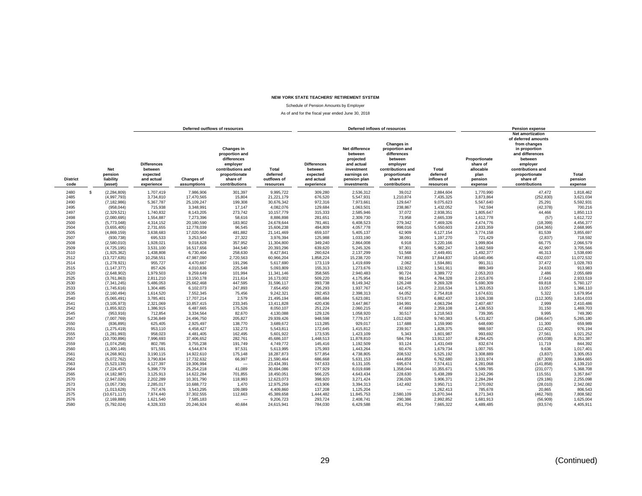#### Schedule of Pension Amounts by Employer

|                         |                                               |                                                                       |                                  | Deferred outflows of resources                                                                                                    |                                               |                                                                       |                                                                                                                  | Deferred inflows of resources                                                                                                                |                                              |                                                                      | <b>Pension expense</b>                                                                                                                                                                |                             |
|-------------------------|-----------------------------------------------|-----------------------------------------------------------------------|----------------------------------|-----------------------------------------------------------------------------------------------------------------------------------|-----------------------------------------------|-----------------------------------------------------------------------|------------------------------------------------------------------------------------------------------------------|----------------------------------------------------------------------------------------------------------------------------------------------|----------------------------------------------|----------------------------------------------------------------------|---------------------------------------------------------------------------------------------------------------------------------------------------------------------------------------|-----------------------------|
| <b>District</b><br>code | <b>Net</b><br>pension<br>liability<br>(asset) | <b>Differences</b><br>between<br>expected<br>and actual<br>experience | <b>Changes of</b><br>assumptions | <b>Changes in</b><br>proportion and<br>differences<br>employer<br>contributions and<br>proportionate<br>share of<br>contributions | Total<br>deferred<br>outflows of<br>resources | <b>Differences</b><br>between<br>expected<br>and actual<br>experience | Net difference<br>between<br>projected<br>and actual<br>investment<br>earnings on<br>pension plan<br>investments | <b>Changes</b> in<br>proportion and<br>differences<br>between<br>employer<br>contributions and<br>proportionate<br>share of<br>contributions | Total<br>deferred<br>inflows of<br>resources | Proportionate<br>share of<br>allocable<br>plan<br>pension<br>expense | Net amortization<br>of deferred amounts<br>from changes<br>in proportion<br>and differences<br>between<br>employer<br>contributions and<br>proportionate<br>share of<br>contributions | Total<br>pension<br>expense |
| 2480                    | \$<br>(2, 284, 809)                           | 1,707,419                                                             | 7,986,906                        | 301,397                                                                                                                           | 9,995,722                                     | 309,280                                                               | 2,536,312                                                                                                        | 39,012                                                                                                                                       | 2,884,604                                    | 1,770,990                                                            | 47,472                                                                                                                                                                                | 1,818,462                   |
| 2485                    | (4,997,793)                                   | 3,734,810                                                             | 17,470,565                       | 15,804                                                                                                                            | 21,221,179                                    | 676,520                                                               | 5,547,931                                                                                                        | 1,210,874                                                                                                                                    | 7,435,325                                    | 3,873,864                                                            | (252, 830)                                                                                                                                                                            | 3,621,034                   |
| 2490                    | (7, 182, 986)                                 | 5,367,787                                                             | 25,109,247                       | 199,308                                                                                                                           | 30,676,342                                    | 972,316                                                               | 7,973,661                                                                                                        | 129,647                                                                                                                                      | 9,075,623                                    | 5,567,640                                                            | 25,291                                                                                                                                                                                | 5,592,931                   |
| 2495                    | (958, 044)                                    | 715,938                                                               | 3,348,991                        | 17,147                                                                                                                            | 4,082,076                                     | 129,684                                                               | 1,063,501                                                                                                        | 238,867                                                                                                                                      | 1,432,052                                    | 742,594                                                              | (42, 378)                                                                                                                                                                             | 700,216                     |
| 2497                    | (2,329,521)                                   | 1,740,832                                                             | 8,143,205                        | 273,742                                                                                                                           | 10,157,779                                    | 315,333                                                               | 2,585,946                                                                                                        | 37,072                                                                                                                                       | 2,938,351                                    | 1,805,647                                                            | 44,466                                                                                                                                                                                | 1,850,113                   |
| 2498                    | (2,080,695)                                   | 1,554,887                                                             | 7,273,396                        | 58,616                                                                                                                            | 8,886,898                                     | 281,651                                                               | 2,309,730                                                                                                        | 73,958                                                                                                                                       | 2,665,339                                    | 1,612,778                                                            | (57)                                                                                                                                                                                  | 1,612,722                   |
| 2500                    | (5,773,048)                                   | 4,314,152                                                             | 20,180,590                       | 183,902                                                                                                                           | 24,678,644                                    | 781,461                                                               | 6,408,523                                                                                                        | 279,342                                                                                                                                      | 7,469,326                                    | 4,474,776                                                            | (18, 399)                                                                                                                                                                             | 4,456,377                   |
| 2504                    | (3,655,405)                                   | 2,731,655                                                             | 12,778,039                       | 96,545                                                                                                                            | 15,606,238                                    | 494,809                                                               | 4,057,778                                                                                                        | 998,016                                                                                                                                      | 5,550,603                                    | 2,833,359                                                            | (164, 365)                                                                                                                                                                            | 2,668,995                   |
| 2505                    | (4,869,159)                                   | 3,638,683                                                             | 17,020,904                       | 481,882                                                                                                                           | 21,141,469                                    | 659,107                                                               | 5,405,137                                                                                                        | 62,909                                                                                                                                       | 6,127,154                                    | 3,774,158                                                            | 81,539                                                                                                                                                                                | 3,855,697                   |
| 2507                    | (930, 738)                                    | 695,533                                                               | 3,253,540                        | 27,322                                                                                                                            | 3,976,394                                     | 125,988                                                               | 1,033,190                                                                                                        | 38,091                                                                                                                                       | 1,197,270                                    | 721,429                                                              | (2, 837)                                                                                                                                                                              | 718,592                     |
| 2508                    | (2,580,010)                                   | 1,928,021                                                             | 9,018,828                        | 357,952                                                                                                                           | 11,304,800                                    | 349,240                                                               | 2,864,008                                                                                                        | 6,918                                                                                                                                        | 3,220,166                                    | 1,999,804                                                            | 66,775                                                                                                                                                                                | 2,066,579                   |
| 2509                    | (4,725,195)                                   | 3,531,100                                                             | 16,517,656                       | 344,540                                                                                                                           | 20,393,296                                    | 639,620                                                               | 5,245,326                                                                                                        | 97,301                                                                                                                                       | 5,982,247                                    | 3,662,569                                                            | 42,997                                                                                                                                                                                | 3,705,566                   |
| 2510                    | (1,925,362)                                   | 1,438,808                                                             | 6,730,404                        | 258,630                                                                                                                           | 8,427,841                                     | 260,624                                                               | 2,137,299                                                                                                        | 51,568                                                                                                                                       | 2,449,491                                    | 1,492,377                                                            | 46,313                                                                                                                                                                                | 1,538,690                   |
| 2512                    | (13, 727, 635)                                | 10,258,551                                                            | 47,987,090                       | 2,720,563                                                                                                                         | 60,966,204                                    | 1,858,224                                                             | 15,238,720                                                                                                       | 747,893                                                                                                                                      | 17,844,837                                   | 10,640,496                                                           | 432,037                                                                                                                                                                               | 11,072,532                  |
| 2514                    | (1,278,921)                                   | 955,727                                                               | 4,470,667                        | 191,296                                                                                                                           | 5,617,690                                     | 173,119                                                               | 1,419,699                                                                                                        | 2,062                                                                                                                                        | 1,594,881                                    | 991,311                                                              | 37,472                                                                                                                                                                                | 1,028,783                   |
| 2515                    | (1, 147, 377)                                 | 857,426                                                               | 4.010.836                        | 225,548                                                                                                                           | 5,093,809                                     | 155,313                                                               | 1.273.676                                                                                                        | 132,922                                                                                                                                      | 1,561,911                                    | 889.349                                                              | 24.633                                                                                                                                                                                | 913,983                     |
| 2520                    | (2,648,902)                                   | 1,979,503                                                             | 9,259,649                        | 101,994                                                                                                                           | 11,341,146                                    | 358,565                                                               | 2,940,483                                                                                                        | 90,724                                                                                                                                       | 3,389,772                                    | 2,053,203                                                            | 2,486                                                                                                                                                                                 | 2,055,689                   |
| 2525                    | (3,761,863)                                   | 2,811,210                                                             | 13, 150, 178                     | 211,614                                                                                                                           | 16,173,002                                    | 509,220                                                               | 4,175,954                                                                                                        | 99,154                                                                                                                                       | 4,784,328                                    | 2,915,876                                                            | 17,643                                                                                                                                                                                | 2,933,519                   |
| 2530                    | (7, 341, 245)                                 | 5,486,053                                                             | 25,662,468                       | 447,595                                                                                                                           | 31,596,117                                    | 993,738                                                               | 8,149,342                                                                                                        | 126,248                                                                                                                                      | 9,269,328                                    | 5,690,309                                                            | 69,818                                                                                                                                                                                | 5,760,127                   |
| 2533                    | (1,745,616)                                   | 1,304,485                                                             | 6,102,073                        | 247,893                                                                                                                           | 7,654,450                                     | 236,293                                                               | 1,937,767                                                                                                        | 142,475                                                                                                                                      | 2,316,534                                    | 1,353,053                                                            | 13,057                                                                                                                                                                                | 1,366,110                   |
| 2535                    | (2, 160, 494)                                 | 1,614,520                                                             | 7,552,345                        | 75,456                                                                                                                            | 9,242,321                                     | 292,453                                                               | 2,398,313                                                                                                        | 64,052                                                                                                                                       | 2,754,818                                    | 1,674,631                                                            | 5,322                                                                                                                                                                                 | 1,679,954                   |
| 2540                    | (5,065,491)                                   | 3,785,401                                                             | 17,707,214                       | 2,579                                                                                                                             | 21,495,194                                    | 685,684                                                               | 5,623,081                                                                                                        | 573,673                                                                                                                                      | 6,882,437                                    | 3,926,338                                                            | (112, 305)                                                                                                                                                                            | 3,814,033                   |
| 2541                    | (3, 105, 973)                                 | 2,321,069                                                             | 10,857,415                       | 233,345                                                                                                                           | 13,411,828                                    | 420,436                                                               | 3,447,867                                                                                                        | 194,991                                                                                                                                      | 4,063,294                                    | 2,407,487                                                            | 2,999                                                                                                                                                                                 | 2,410,486                   |
| 2542                    | (1,855,922)                                   | 1,386,915                                                             | 6,487,665                        | 175,526                                                                                                                           | 8,050,107                                     | 251,224                                                               | 2,060,215                                                                                                        | 47,669                                                                                                                                       | 2,359,108                                    | 1,438,553                                                            | 31,150                                                                                                                                                                                | 1,469,703                   |
| 2545                    | (953, 916)                                    | 712,854                                                               | 3,334,564                        | 82,670                                                                                                                            | 4,130,088                                     | 129,126                                                               | 1,058,920                                                                                                        | 30,517                                                                                                                                       | 1,218,563                                    | 739,395                                                              | 9,995                                                                                                                                                                                 | 749,390                     |
| 2547                    | (7,007,769)                                   | 5,236,849                                                             | 24,496,750                       | 205,827                                                                                                                           | 29,939,426                                    | 948,598                                                               | 7,779,157                                                                                                        | 1,012,628                                                                                                                                    | 9,740,383                                    | 5,431,827                                                            | (166, 647)                                                                                                                                                                            | 5,265,180                   |
| 2550                    | (836, 895)                                    | 625,405                                                               | 2,925,497                        | 138,770                                                                                                                           | 3,689,672                                     | 113,285                                                               | 929,017                                                                                                          | 117,688                                                                                                                                      | 1,159,990                                    | 648,690                                                              | 11,300                                                                                                                                                                                | 659,989                     |
| 2551                    | (1, 275, 419)                                 | 953,110                                                               | 4,458,427                        | 132,273                                                                                                                           | 5,543,811                                     | 172,645                                                               | 1,415,812                                                                                                        | 239,917                                                                                                                                      | 1,828,375                                    | 988,597                                                              | (12, 402)                                                                                                                                                                             | 976,194                     |
| 2555                    | (1,281,993)                                   | 958,023                                                               | 4,481,405                        | 162,495                                                                                                                           | 5,601,922                                     | 173,535                                                               | 1,423,109                                                                                                        | 5,343                                                                                                                                        | 1,601,987                                    | 993,692                                                              | 27,561                                                                                                                                                                                | 1,021,252                   |
| 2557                    | (10,700,896)                                  | 7,996,693                                                             | 37,406,652                       | 282,761                                                                                                                           | 45,686,107                                    | 1,448,513                                                             | 11,878,810                                                                                                       | 584,784                                                                                                                                      | 13,912,107                                   | 8,294,425                                                            | (43, 038)                                                                                                                                                                             | 8,251,387                   |
| 2559                    | (1,074,258)                                   | 802,785                                                               | 3,755,238                        | 191,749                                                                                                                           | 4,749,772                                     | 145,416                                                               | 1,192,509                                                                                                        | 93,124                                                                                                                                       | 1,431,049                                    | 832,674                                                              | 11,719                                                                                                                                                                                | 844,392                     |
| 2560                    | (1,300,149)                                   | 971,591                                                               | 4,544,874                        | 97,531                                                                                                                            | 5,613,995                                     | 175,993                                                               | 1,443,264                                                                                                        | 60,476                                                                                                                                       | 1,679,734                                    | 1,007,765                                                            | 9,636                                                                                                                                                                                 | 1,017,401                   |
| 2561                    | (4,268,901)                                   | 3,190,115                                                             | 14,922,610                       | 175,148                                                                                                                           | 18,287,873                                    | 577,854                                                               | 4,738,805                                                                                                        | 208,532                                                                                                                                      | 5,525,192                                    | 3,308,889                                                            | (3,837)                                                                                                                                                                               | 3,305,053                   |
| 2562                    | (5,072,762)                                   | 3,790,834                                                             | 17,732,632                       | 66,997                                                                                                                            | 21,590,464                                    | 686,668                                                               | 5,631,153                                                                                                        | 444,859                                                                                                                                      | 6,762,680                                    | 3,931,974                                                            | (67, 309)                                                                                                                                                                             | 3,864,665                   |
| 2563                    | (5,523,139)                                   | 4,127,397                                                             | 19,306,994                       |                                                                                                                                   | 23,434,391                                    | 747,633                                                               | 6,131,105                                                                                                        | 695,674                                                                                                                                      | 7,574,411                                    | 4,281,068                                                            | (141, 858)                                                                                                                                                                            | 4,139,210                   |
| 2564                    | (7, 224, 457)                                 | 5,398,779                                                             | 25,254,218                       | 41,089                                                                                                                            | 30,694,086                                    | 977,929                                                               | 8,019,698                                                                                                        | 1,358,044                                                                                                                                    | 10,355,671                                   | 5,599,785                                                            | (231, 077)                                                                                                                                                                            | 5,368,708                   |
| 2565                    | (4, 182, 987)                                 | 3,125,913                                                             | 14,622,284                       | 701,855                                                                                                                           | 18,450,051                                    | 566,225                                                               | 4,643,434                                                                                                        | 228,630                                                                                                                                      | 5,438,289                                    | 3,242,296                                                            | 115,551                                                                                                                                                                               | 3,357,847                   |
| 2570                    | (2,947,026)                                   | 2,202,289                                                             | 10,301,790                       | 118,993                                                                                                                           | 12,623,073                                    | 398,920                                                               | 3,271,424                                                                                                        | 236,026                                                                                                                                      | 3,906,371                                    | 2,284,284                                                            | (29, 186)                                                                                                                                                                             | 2,255,098                   |
| 2573                    | (3,057,730)                                   | 2,285,017                                                             | 10,688,772                       | 1,470                                                                                                                             | 12,975,259                                    | 413,906                                                               | 3,394,313                                                                                                        | 142,492                                                                                                                                      | 3,950,711                                    | 2,370,092                                                            | (28,010)                                                                                                                                                                              | 2,342,082                   |
| 2574                    | (1,013,628)                                   | 757,476                                                               | 3,543,295                        | 109,089                                                                                                                           | 4,409,860                                     | 137,208                                                               | 1,125,204                                                                                                        | $\overline{\phantom{0}}$                                                                                                                     | 1,262,413                                    | 785,678                                                              | 20,865                                                                                                                                                                                | 806,543                     |
| 2575                    | (10,671,117)                                  | 7,974,440                                                             | 37,302,555                       | 112,663                                                                                                                           | 45,389,658                                    | 1,444,482                                                             | 11,845,753                                                                                                       | 2,580,109                                                                                                                                    | 15,870,344                                   | 8,271,343                                                            | (462, 760)                                                                                                                                                                            | 7,808,582                   |
| 2576                    | (2, 169, 888)                                 | 1,621,540                                                             | 7,585,183                        |                                                                                                                                   | 9,206,723                                     | 293,724                                                               | 2,408,741                                                                                                        | 290,386                                                                                                                                      | 2,992,852                                    | 1,681,913                                                            | (56, 909)                                                                                                                                                                             | 1,625,004                   |
| 2580                    | (5,792,024)                                   | 4,328,333                                                             | 20,246,924                       | 40.684                                                                                                                            | 24,615,941                                    | 784.030                                                               | 6,429,588                                                                                                        | 451.704                                                                                                                                      | 7,665,322                                    | 4,489,485                                                            | (83, 574)                                                                                                                                                                             | 4,405,911                   |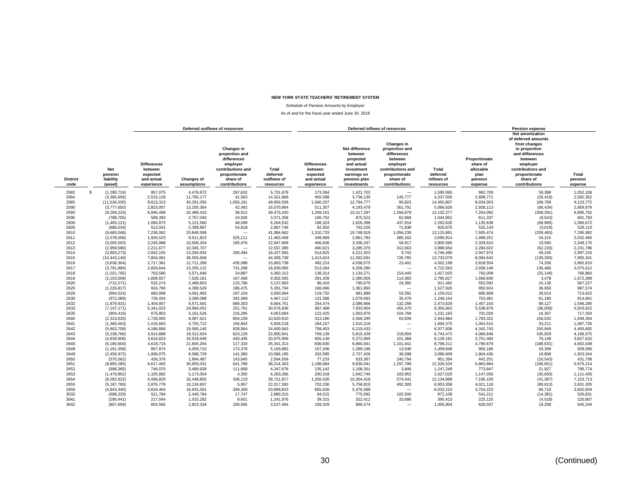#### Schedule of Pension Amounts by Employer

|                         |                                        |                                                                       |                                  | Deferred outflows of resources                                                                                             |                                               |                                                                       |                                                                                                                  | Deferred inflows of resources                                                                                                         |                                              |                                                                      | <b>Pension expense</b>                                                                                                                                                                |                             |
|-------------------------|----------------------------------------|-----------------------------------------------------------------------|----------------------------------|----------------------------------------------------------------------------------------------------------------------------|-----------------------------------------------|-----------------------------------------------------------------------|------------------------------------------------------------------------------------------------------------------|---------------------------------------------------------------------------------------------------------------------------------------|----------------------------------------------|----------------------------------------------------------------------|---------------------------------------------------------------------------------------------------------------------------------------------------------------------------------------|-----------------------------|
| <b>District</b><br>code | Net<br>pension<br>liability<br>(asset) | <b>Differences</b><br>between<br>expected<br>and actual<br>experience | <b>Changes of</b><br>assumptions | Changes in<br>proportion and<br>differences<br>employer<br>contributions and<br>proportionate<br>share of<br>contributions | Total<br>deferred<br>outflows of<br>resources | <b>Differences</b><br>between<br>expected<br>and actual<br>experience | Net difference<br>between<br>projected<br>and actual<br>investment<br>earnings on<br>pension plan<br>investments | Changes in<br>proportion and<br>differences<br>between<br>employer<br>contributions and<br>proportionate<br>share of<br>contributions | Total<br>deferred<br>inflows of<br>resources | Proportionate<br>share of<br>allocable<br>plan<br>pension<br>expense | Net amortization<br>of deferred amounts<br>from changes<br>in proportion<br>and differences<br>between<br>employer<br>contributions and<br>proportionate<br>share of<br>contributions | Total<br>pension<br>expense |
| 2582                    | \$<br>(1,280,724)                      | 957,075                                                               | 4,476,972                        | 297,632                                                                                                                    | 5,731,679                                     | 173,364                                                               | 1,421,702                                                                                                        | $\overline{\phantom{0}}$                                                                                                              | 1,595,065                                    | 992,709                                                              | 59,398                                                                                                                                                                                | 1,052,106                   |
| 2584                    | (3,365,656)                            | 2,515,128                                                             | 11,765,177                       | 41,563                                                                                                                     | 14,321,868                                    | 455,588                                                               | 3,736,135                                                                                                        | 145,777                                                                                                                               | 4,337,500                                    | 2,608,771                                                            | (26, 419)                                                                                                                                                                             | 2,582,352                   |
| 2585                    | (11,526,035)                           | 8,613,313                                                             | 40,291,055                       | 1,055,191                                                                                                                  | 49,959,558                                    | 1,560,207                                                             | 12,794,777                                                                                                       | 95,823                                                                                                                                | 14,450,807                                   | 8,934,003                                                            | 189,769                                                                                                                                                                               | 9,123,772                   |
| 2590                    | (3,777,650)                            | 2,823,007                                                             | 13,205,364                       | 42,492                                                                                                                     | 16,070,864                                    | 511,357                                                               | 4,193,479                                                                                                        | 361,791                                                                                                                               | 5,066,626                                    | 2,928,113                                                            | (68, 434)                                                                                                                                                                             | 2,859,679                   |
| 2593                    | (9, 294, 224)                          | 6,945,499                                                             | 32,489,410                       | 38,512                                                                                                                     | 39,473,420                                    | 1,258,101                                                             | 10,317,297                                                                                                       | 1,556,879                                                                                                                             | 13, 132, 277                                 | 7,204,092                                                            | (308, 391)                                                                                                                                                                            | 6,895,702                   |
| 2595                    | (788, 705)                             | 589,393                                                               | 2,757,040                        | 24,926                                                                                                                     | 3,371,358                                     | 106,762                                                               | 875,522                                                                                                          | 62,668                                                                                                                                | 1,044,952                                    | 611,337                                                              | (9, 543)                                                                                                                                                                              | 601,793                     |
| 2600                    | (1,465,121)                            | 1,094,873                                                             | 5,121,560                        | 48,099                                                                                                                     | 6,264,532                                     | 198,324                                                               | 1,626,396                                                                                                        | 437,914                                                                                                                               | 2,262,635                                    | 1,135,638                                                            | (68, 965)                                                                                                                                                                             | 1,066,672                   |
| 2605                    | (686, 534)                             | 513,041                                                               | 2,399,887                        | 54,818                                                                                                                     | 2,967,746                                     | 92,932                                                                | 762,105                                                                                                          | 71,838                                                                                                                                | 926,875                                      | 532,143                                                              | (3,019)                                                                                                                                                                               | 529,123                     |
| 2610                    | (9,683,046)                            | 7,236,062                                                             | 33,848,599                       | $\overline{\phantom{0}}$                                                                                                   | 41,084,662                                    | 1,310,733                                                             | 10,748,919                                                                                                       | 1,056,239                                                                                                                             | 13,115,891                                   | 7,505,474                                                            | (209, 483)                                                                                                                                                                            | 7,295,992                   |
| 2611                    | (2,578,006)                            | 1,926,523                                                             | 9,011,823                        | 525,111                                                                                                                    | 11,463,458                                    | 348,969                                                               | 2,861,783                                                                                                        | 485,162                                                                                                                               | 3,695,914                                    | 1,998,251                                                            | 34,215                                                                                                                                                                                | 2,032,466                   |
| 2612                    | (3,005,503)                            | 2,245,988                                                             | 10,506,204                       | 195,476                                                                                                                    | 12,947,669                                    | 406,836                                                               | 3,336,337                                                                                                        | 56,917                                                                                                                                | 3,800,090                                    | 2,329,610                                                            | 19,560                                                                                                                                                                                | 2,349,170                   |
| 2613                    | (2,959,590)                            | 2,211,677                                                             | 10,345,707                       | $\overline{\phantom{0}}$                                                                                                   | 12,557,385                                    | 400,621                                                               | 3,285,370                                                                                                        | 312,663                                                                                                                               | 3,998,654                                    | 2,294,022                                                            | (62, 226)                                                                                                                                                                             | 2,231,796                   |
| 2614                    | (3,803,273)                            | 2,842,155                                                             | 13,294,934                       | 290,494                                                                                                                    | 16,427,583                                    | 514,825                                                               | 4,221,923                                                                                                        | 9,742                                                                                                                                 | 4,746,490                                    | 2,947,974                                                            | 49,245                                                                                                                                                                                | 2,997,219                   |
| 2615                    | (10, 443, 149)                         | 7,804,081                                                             | 36,505,658                       |                                                                                                                            | 44,309,739                                    | 1,413,624                                                             | 11,592,691                                                                                                       | 726,765                                                                                                                               | 13,733,079                                   | 8,094,642                                                            | (139, 300)                                                                                                                                                                            | 7,955,341                   |
| 2616                    | (3,636,304)                            | 2,717,381                                                             | 12,711,268                       | 435,088                                                                                                                    | 15,863,738                                    | 492,224                                                               | 4,036,575                                                                                                        | 23,401                                                                                                                                | 4,552,199                                    | 2,818,554                                                            | 74,256                                                                                                                                                                                | 2,892,810                   |
| 2617                    | (3.791.884)                            | 2.833.644                                                             | 13.255.122                       | 741.299                                                                                                                    | 16.830.065                                    | 513,284                                                               | 4.209.280                                                                                                        |                                                                                                                                       | 4,722,563                                    | 2,939,146                                                            | 136,466                                                                                                                                                                               | 3,075,612                   |
| 2618                    | (1,021,795)                            | 763,580                                                               | 3,571,846                        | 24,887                                                                                                                     | 4,360,312                                     | 138,314                                                               | 1,134,271                                                                                                        | 154,440                                                                                                                               | 1,427,025                                    | 792,009                                                              | (25, 149)                                                                                                                                                                             | 766,860                     |
| 2619                    | (2, 153, 009)                          | 1,608,927                                                             | 7,526,181                        | 167,458                                                                                                                    | 9,302,565                                     | 291,439                                                               | 2,390,005                                                                                                        | 114,383                                                                                                                               | 2,795,827                                    | 1,668,830                                                            | 3,478                                                                                                                                                                                 | 1,672,308                   |
| 2620                    | (712, 271)                             | 532,274                                                               | 2,489,853                        | 115,766                                                                                                                    | 3,137,893                                     | 96,416                                                                | 790,675                                                                                                          | 24,392                                                                                                                                | 911,482                                      | 552,092                                                              | 15,136                                                                                                                                                                                | 567,227                     |
| 2625                    | (1,226,817)                            | 916,790                                                               | 4,288,529                        | 186,475                                                                                                                    | 5,391,794                                     | 166,066                                                               | 1,361,860                                                                                                        | $\overline{\phantom{0}}$                                                                                                              | 1,527,926                                    | 950,924                                                              | 36,650                                                                                                                                                                                | 987,574                     |
| 2626                    | (884, 524)                             | 660,998                                                               | 3,091,992                        | 197,104                                                                                                                    | 3,950,094                                     | 119,732                                                               | 981,889                                                                                                          | 53,391                                                                                                                                | 1,155,012                                    | 685,608                                                              | 28,014                                                                                                                                                                                | 713,622                     |
| 2630                    | (972, 089)                             | 726,434                                                               | 3,398,088                        | 342,589                                                                                                                    | 4,467,112                                     | 131,586                                                               | 1,079,093                                                                                                        | 35,476                                                                                                                                | 1,246,154                                    | 753,481                                                              | 61,180                                                                                                                                                                                | 814,661                     |
| 2632                    | (1,879,931)                            | 1,404,857                                                             | 6,571,591                        | 688,303                                                                                                                    | 8,664,751                                     | 254,474                                                               | 2,086,866                                                                                                        | 132,289                                                                                                                               | 2,473,629                                    | 1,457,163                                                            | 89,127                                                                                                                                                                                | 1,546,290                   |
| 2633                    | (7, 147, 171)                          | 5,341,023                                                             | 24,984,052                       | 251,761                                                                                                                    | 30,576,836                                    | 967,468                                                               | 7,933,904                                                                                                        | 455,470                                                                                                                               | 9,356,842                                    | 5,539,879                                                            | (36, 058)                                                                                                                                                                             | 5,503,822                   |
| 2635                    | (904, 416)                             | 675,863                                                               | 3,161,526                        | 216,295                                                                                                                    | 4,053,684                                     | 122,425                                                               | 1,003,970                                                                                                        | 104,768                                                                                                                               | 1,231,163                                    | 701,026                                                              | 16,307                                                                                                                                                                                | 717,333                     |
| 2640                    | (2,313,620)                            | 1,728,950                                                             | 8,087,621                        | 804,239                                                                                                                    | 10,620,810                                    | 313,180                                                               | 2,568,295                                                                                                        | 63,509                                                                                                                                | 2,944,984                                    | 1,793,322                                                            | 156,032                                                                                                                                                                               | 1,949,354                   |
| 2641                    | (1,360,463)                            | 1,016,663                                                             | 4,755,712                        | 156,843                                                                                                                    | 5,929,218                                     | 184,157                                                               | 1,510,218                                                                                                        | $\overline{\phantom{0}}$                                                                                                              | 1,694,375                                    | 1,054,515                                                            | 33,211                                                                                                                                                                                | 1,087,726                   |
| 2642                    | (5,602,708)                            | 4,186,858                                                             | 19,585,140                       | 828,564                                                                                                                    | 24,600,563                                    | 758,403                                                               | 6,219,433                                                                                                        | $\overline{\phantom{0}}$                                                                                                              | 6,977,836                                    | 4,342,743                                                            | 150,949                                                                                                                                                                               | 4,493,692                   |
| 2643                    | (5,238,766)                            | 3,914,888                                                             | 18,312,924                       | 623,129                                                                                                                    | 22,850,941                                    | 709,139                                                               | 5,815,429                                                                                                        | 218,904                                                                                                                               | 6,743,472                                    | 4,060,646                                                            | 105,929                                                                                                                                                                               | 4,166,575                   |
| 2644                    | (4,839,906)                            | 3,616,823                                                             | 16,918,648                       | 440,435                                                                                                                    | 20,975,906                                    | 655,148                                                               | 5,372,665                                                                                                        | 101,368                                                                                                                               | 6,129,181                                    | 3,751,484                                                            | 76,148                                                                                                                                                                                | 3,827,632                   |
| 2645                    | (6, 180, 604)                          | 4,618,715                                                             | 21,605,264                       | 117,333                                                                                                                    | 26,341,313                                    | 836,630                                                               | 6,860,941                                                                                                        | 1,101,641                                                                                                                             | 8,799,211                                    | 4,790,679                                                            | (188, 631)                                                                                                                                                                            | 4,602,048                   |
| 2648                    | (1, 161, 358)                          | 867,874                                                               | 4,059,710                        | 173,379                                                                                                                    | 5,100,962                                     | 157,206                                                               | 1,289,196                                                                                                        | 13,546                                                                                                                                | 1,459,948                                    | 900,186                                                              | 29,399                                                                                                                                                                                | 929,586                     |
| 2649                    | (2,456,972)                            | 1,836,075                                                             | 8,588,729                        | 141,380                                                                                                                    | 10,566,185                                    | 332,585                                                               | 2,727,426                                                                                                        | 36,598                                                                                                                                | 3,096,609                                    | 1,904,436                                                            | 18,808                                                                                                                                                                                | 1,923,244                   |
| 2650                    | (570, 562)                             | 426,376                                                               | 1,994,487                        | 143,645                                                                                                                    | 2,564,509                                     | 77,233                                                                | 633,367                                                                                                          | 240,794                                                                                                                               | 951,394                                      | 442,251                                                              | (10, 543)                                                                                                                                                                             | 431,708                     |
| 2651                    | (8,855,285)                            | 6,617,483                                                             | 30,955,031                       | 641,789                                                                                                                    | 38,214,303                                    | 1,198,684                                                             | 9,830,041                                                                                                        | 1,297,799                                                                                                                             | 12,326,524                                   | 6,863,864                                                            | (188, 651)                                                                                                                                                                            | 6,675,214                   |
| 2652                    | (998, 365)                             | 746,070                                                               | 3,489,939                        | 111,669                                                                                                                    | 4,347,678                                     | 135,142                                                               | 1,108,261                                                                                                        | 3,846                                                                                                                                 | 1,247,249                                    | 773,847                                                              | 21,927                                                                                                                                                                                | 795,774                     |
| 2653                    | (1,479,852)                            | 1,105,882                                                             | 5,173,054                        | 4,350                                                                                                                      | 6,283,286                                     | 200,318                                                               | 1,642,749                                                                                                        | 183,953                                                                                                                               | 2,027,020                                    | 1,147,056                                                            | (35, 650)                                                                                                                                                                             | 1,111,405                   |
| 2654                    | (9,282,622)                            | 6,936,829                                                             | 32,448,855                       | 336,133                                                                                                                    | 39,721,817                                    | 1,256,530                                                             | 10,304,418                                                                                                       | 574,041                                                                                                                               | 12,134,989                                   | 7,195,100                                                            | (41, 387)                                                                                                                                                                             | 7,153,713                   |
| 2655                    | (5, 187, 769)                          | 3,876,778                                                             | 18, 134, 657                     | 5,957                                                                                                                      | 22,017,392                                    | 702,236                                                               | 5,758,819                                                                                                        | 492,303                                                                                                                               | 6,953,358                                    | 4,021,118                                                            | (89, 813)                                                                                                                                                                             | 3,931,305                   |
| 2656                    | (4,843,440)                            | 3,619,464                                                             | 16,931,001                       | 349,358                                                                                                                    | 20,899,823                                    | 655,626                                                               | 5,376,588                                                                                                        | $\overline{\phantom{0}}$                                                                                                              | 6,032,214                                    | 3,754,223                                                            | 66,710                                                                                                                                                                                | 3,820,934                   |
| 3032                    | (698, 233)                             | 521,784                                                               | 2,440,784                        | 17,747                                                                                                                     | 2,980,315                                     | 94,515                                                                | 775,092                                                                                                          | 102,500                                                                                                                               | 972,108                                      | 541,211                                                              | (14, 381)                                                                                                                                                                             | 526,831                     |
| 3041                    | (290, 441)                             | 217,044                                                               | 1,015,282                        | 9,651                                                                                                                      | 1,241,976                                     | 39,315                                                                | 322,412                                                                                                          | 33,686                                                                                                                                | 395,413                                      | 225,125                                                              | (4, 518)                                                                                                                                                                              | 220,607                     |
| 3042                    | (807, 669)                             | 603.565                                                               | 2,823,334                        | 100.595                                                                                                                    | 3,527,494                                     | 109.329                                                               | 896,574                                                                                                          |                                                                                                                                       | 1,005,904                                    | 626,037                                                              | 19.208                                                                                                                                                                                | 645,244                     |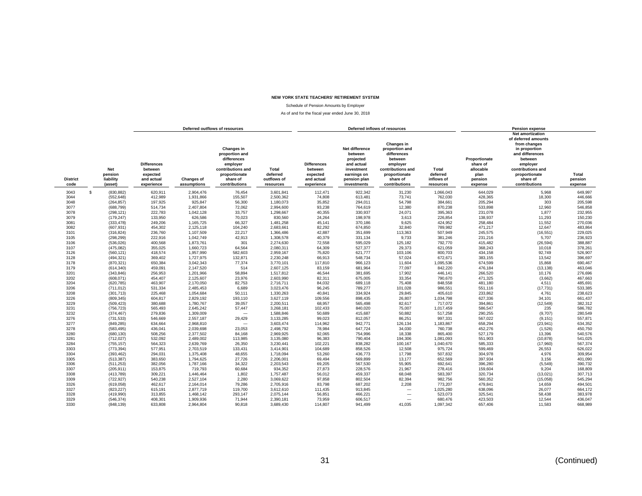#### Schedule of Pension Amounts by Employer

|                         |                                        |                                                                       |                                  | Deferred outflows of resources                                                                                             |                                               |                                                                       |                                                                                                                  | Deferred inflows of resources                                                                                                                |                                              |                                                                      | <b>Pension expense</b>                                                                                                                                                                |                             |
|-------------------------|----------------------------------------|-----------------------------------------------------------------------|----------------------------------|----------------------------------------------------------------------------------------------------------------------------|-----------------------------------------------|-----------------------------------------------------------------------|------------------------------------------------------------------------------------------------------------------|----------------------------------------------------------------------------------------------------------------------------------------------|----------------------------------------------|----------------------------------------------------------------------|---------------------------------------------------------------------------------------------------------------------------------------------------------------------------------------|-----------------------------|
| <b>District</b><br>code | Net<br>pension<br>liability<br>(asset) | <b>Differences</b><br>between<br>expected<br>and actual<br>experience | <b>Changes of</b><br>assumptions | Changes in<br>proportion and<br>differences<br>employer<br>contributions and<br>proportionate<br>share of<br>contributions | Total<br>deferred<br>outflows of<br>resources | <b>Differences</b><br>between<br>expected<br>and actual<br>experience | Net difference<br>between<br>projected<br>and actual<br>investment<br>earnings on<br>pension plan<br>investments | <b>Changes</b> in<br>proportion and<br>differences<br>between<br>employer<br>contributions and<br>proportionate<br>share of<br>contributions | Total<br>deferred<br>inflows of<br>resources | Proportionate<br>share of<br>allocable<br>plan<br>pension<br>expense | Net amortization<br>of deferred amounts<br>from changes<br>in proportion<br>and differences<br>between<br>employer<br>contributions and<br>proportionate<br>share of<br>contributions | Total<br>pension<br>expense |
| 3043                    | $$\mathbb{S}$$<br>(830, 882)           | 620,911                                                               | 2,904,476                        | 76,454                                                                                                                     | 3,601,841                                     | 112,471                                                               | 922,342                                                                                                          | 31,230                                                                                                                                       | 1,066,043                                    | 644,029                                                              | 5,968                                                                                                                                                                                 | 649,997                     |
| 3044                    | (552, 648)                             | 412,989                                                               | 1,931,866                        | 155,507                                                                                                                    | 2,500,362                                     | 74,808                                                                | 613,481                                                                                                          | 73,741                                                                                                                                       | 762,030                                      | 428,365                                                              | 18,300                                                                                                                                                                                | 446,666                     |
| 3048                    | (264, 857)                             | 197,925                                                               | 925,847                          | 56,300                                                                                                                     | 1,180,073                                     | 35,852                                                                | 294,011                                                                                                          | 54,798                                                                                                                                       | 384,661                                      | 205,294                                                              | 303                                                                                                                                                                                   | 205,598                     |
| 3077                    | (688, 799)                             | 514,734                                                               | 2,407,804                        | 72,062                                                                                                                     | 2,994,600                                     | 93,238                                                                | 764,619                                                                                                          | 12,380                                                                                                                                       | 870,238                                      | 533,898                                                              | 12,960                                                                                                                                                                                | 546,858                     |
| 3078                    | (298, 121)                             | 222,783                                                               | 1,042,128                        | 33,757                                                                                                                     | 1,298,667                                     | 40,355                                                                | 330,937                                                                                                          | 24,071                                                                                                                                       | 395,363                                      | 231,078                                                              | 1,877                                                                                                                                                                                 | 232,955                     |
| 3079                    | (179, 247)                             | 133,950                                                               | 626,586                          | 70,023                                                                                                                     | 830,560                                       | 24,264                                                                | 198.978                                                                                                          | 3,613                                                                                                                                        | 226,854                                      | 138,937                                                              | 11,293                                                                                                                                                                                | 150,230                     |
| 3081                    | (333, 478)                             | 249,206                                                               | 1,165,725                        | 66,327                                                                                                                     | 1,481,258                                     | 45,141                                                                | 370,186                                                                                                          | 9,625                                                                                                                                        | 424,952                                      | 258,484                                                              | 11,552                                                                                                                                                                                | 270,036                     |
| 3082                    | (607, 931)                             | 454,302                                                               | 2,125,118                        | 104,240                                                                                                                    | 2,683,661                                     | 82,292                                                                | 674,850                                                                                                          | 32,840                                                                                                                                       | 789,982                                      | 471,217                                                              | 12,647                                                                                                                                                                                | 483,864                     |
| 3101                    | (316, 824)                             | 236,760                                                               | 1,107,509                        | 22,217                                                                                                                     | 1,366,486                                     | 42,887                                                                | 351,699                                                                                                          | 113,363                                                                                                                                      | 507,949                                      | 245,575                                                              | (16, 551)                                                                                                                                                                             | 229,025                     |
| 3105                    | (298, 299)                             | 222,916                                                               | 1,042,749                        | 42,913                                                                                                                     | 1,308,578                                     | 40,379                                                                | 331,134                                                                                                          | 9,733                                                                                                                                        | 381,246                                      | 231,216                                                              | 5,707                                                                                                                                                                                 | 236,923                     |
| 3106                    | (536, 026)                             | 400,568                                                               | 1,873,761                        | 301                                                                                                                        | 2,274,630                                     | 72,558                                                                | 595,029                                                                                                          | 125,182                                                                                                                                      | 792,770                                      | 415,482                                                              | (26, 594)                                                                                                                                                                             | 388,887                     |
| 3107                    | (475, 082)                             | 355,025                                                               | 1,660,723                        | 64,564                                                                                                                     | 2,080,311                                     | 64,309                                                                | 527,377                                                                                                          | 29,373                                                                                                                                       | 621,059                                      | 368,243                                                              | 10,018                                                                                                                                                                                | 378,261                     |
| 3126                    | (560.121)                              | 418.574                                                               | 1.957.990                        | 582.603                                                                                                                    | 2,959,167                                     | 75,820                                                                | 621.777                                                                                                          | 103,106                                                                                                                                      | 800.703                                      | 434,158                                                              | 92,749                                                                                                                                                                                | 526,907                     |
| 3128                    | (494, 321)                             | 369,402                                                               | 1,727,975                        | 132,871                                                                                                                    | 2,230,248                                     | 66,913                                                                | 548,734                                                                                                          | 57,024                                                                                                                                       | 672,671                                      | 383,155                                                              | 13,542                                                                                                                                                                                | 396,697                     |
| 3178                    | (870, 321)                             | 650,384                                                               | 3,042,343                        | 77,374                                                                                                                     | 3,770,101                                     | 117,810                                                               | 966,123                                                                                                          | 11,604                                                                                                                                       | 1,095,536                                    | 674,599                                                              | 15,868                                                                                                                                                                                | 690,467                     |
| 3179                    | (614, 340)                             | 459,091                                                               | 2,147,520                        | 514                                                                                                                        | 2,607,125                                     | 83,159                                                                | 681,964                                                                                                          | 77,097                                                                                                                                       | 842,220                                      | 476,184                                                              | (13, 138)                                                                                                                                                                             | 463,046                     |
| 3201                    | (343, 846)                             | 256,953                                                               | 1,201,966                        | 58,894                                                                                                                     | 1,517,812                                     | 46,544                                                                | 381,695                                                                                                          | 17,902                                                                                                                                       | 446,141                                      | 266,520                                                              | 10,176                                                                                                                                                                                | 276,696                     |
| 3202                    | (608, 071)                             | 454,407                                                               | 2,125,607                        | 23,976                                                                                                                     | 2,603,990                                     | 82,311                                                                | 675,005                                                                                                          | 33,354                                                                                                                                       | 790,670                                      | 471,325                                                              | (3,662)                                                                                                                                                                               | 467,663                     |
| 3204                    | (620, 785)                             | 463,907                                                               | 2,170,050                        | 82,753                                                                                                                     | 2,716,711                                     | 84,032                                                                | 689.118                                                                                                          | 75,408                                                                                                                                       | 848,558                                      | 481,180                                                              | 4.511                                                                                                                                                                                 | 485,691                     |
| 3206                    | (711, 012)                             | 531,334                                                               | 2,485,453                        | 6,689                                                                                                                      | 3,023,476                                     | 96,245                                                                | 789,277                                                                                                          | 101,028                                                                                                                                      | 986,551                                      | 551,116                                                              | (17, 731)                                                                                                                                                                             | 533,385                     |
| 3208                    | (301, 713)                             | 225,468                                                               | 1,054,684                        | 50,111                                                                                                                     | 1,330,263                                     | 40,841                                                                | 334,924                                                                                                          | 29,845                                                                                                                                       | 405,610                                      | 233,862                                                              | 4,761                                                                                                                                                                                 | 238,623                     |
| 3226                    | (809, 345)                             | 604,817                                                               | 2,829,192                        | 193,110                                                                                                                    | 3,627,119                                     | 109,556                                                               | 898,435                                                                                                          | 26,807                                                                                                                                       | 1,034,798                                    | 627,336                                                              | 34,101                                                                                                                                                                                | 661,437                     |
| 3229                    | (509, 423)                             | 380,688                                                               | 1,780,767                        | 39,057                                                                                                                     | 2,200,511                                     | 68,957                                                                | 565,498                                                                                                          | 82,617                                                                                                                                       | 717,072                                      | 394,861                                                              | (12, 549)                                                                                                                                                                             | 382,312                     |
| 3231                    | (756, 723)                             | 565,493                                                               | 2,645,242                        | 57,447                                                                                                                     | 3,268,181                                     | 102,433                                                               | 840,020                                                                                                          | 75,007                                                                                                                                       | 1,017,459                                    | 586,547                                                              | 235                                                                                                                                                                                   | 586,782                     |
| 3232                    | (374, 467)                             | 279,836                                                               | 1,309,009                        | $\overline{\phantom{0}}$                                                                                                   | 1,588,846                                     | 50,689                                                                | 415,687                                                                                                          | 50,882                                                                                                                                       | 517,258                                      | 290,255                                                              | (9,707)                                                                                                                                                                               | 280,549                     |
| 3276                    | (731, 533)                             | 546,669                                                               | 2,557,187                        | 29,429                                                                                                                     | 3,133,285                                     | 99,023                                                                | 812,057                                                                                                          | 86,251                                                                                                                                       | 997,331                                      | 567,022                                                              | (9, 151)                                                                                                                                                                              | 557,871                     |
| 3277                    | (849, 285)                             | 634,664                                                               | 2,968,810                        | $\overline{\phantom{0}}$                                                                                                   | 3,603,474                                     | 114,962                                                               | 942,771                                                                                                          | 126,134                                                                                                                                      | 1,183,867                                    | 658,294                                                              | (23, 941)                                                                                                                                                                             | 634,352                     |
| 3278                    | (583, 495)                             | 436,041                                                               | 2,039,698                        | 23,053                                                                                                                     | 2,498,792                                     | 78,984                                                                | 647,724                                                                                                          | 34,030                                                                                                                                       | 760,738                                      | 452,276                                                              | (1,526)                                                                                                                                                                               | 450,750                     |
| 3280                    | (680, 130)                             | 508,256                                                               | 2,377,502                        | 84,168                                                                                                                     | 2,969,925                                     | 92,065                                                                | 754,996                                                                                                          | 18,338                                                                                                                                       | 865,400                                      | 527,179                                                              | 13,396                                                                                                                                                                                | 540,576                     |
| 3281                    | (712, 027)                             | 532,092                                                               | 2,489,002                        | 113,985                                                                                                                    | 3,135,080                                     | 96,383                                                                | 790,404                                                                                                          | 194,306                                                                                                                                      | 1,081,093                                    | 551,903                                                              | (10, 878)                                                                                                                                                                             | 541,025                     |
| 3284                    | (755, 157)                             | 564,323                                                               | 2,639,769                        | 26,350                                                                                                                     | 3,230,441                                     | 102,221                                                               | 838,282                                                                                                          | 100,167                                                                                                                                      | 1,040,670                                    | 585,333                                                              | (17,960)                                                                                                                                                                              | 567,374                     |
| 3303                    | (773, 394)                             | 577,951                                                               | 2,703,519                        | 133.431                                                                                                                    | 3,414,901                                     | 104,689                                                               | 858.526                                                                                                          | 12,508                                                                                                                                       | 975,724                                      | 599,469                                                              | 26,553                                                                                                                                                                                | 626,022                     |
| 3304                    | (393, 462)                             | 294,031                                                               | 1,375,408                        | 48,655                                                                                                                     | 1,718,094                                     | 53,260                                                                | 436,773                                                                                                          | 17,798                                                                                                                                       | 507,832                                      | 304,978                                                              | 4,976                                                                                                                                                                                 | 309,954                     |
| 3305                    | (513, 387)                             | 383,650                                                               | 1,794,625                        | 27,726                                                                                                                     | 2,206,001                                     | 69,494                                                                | 569,899                                                                                                          | 13,177                                                                                                                                       | 652,569                                      | 397,934                                                              | 3,156                                                                                                                                                                                 | 401,090                     |
| 3306                    | (511, 253)                             | 382,056                                                               | 1,787,166                        | 34,322                                                                                                                     | 2,203,543                                     | 69,205                                                                | 567,530                                                                                                          | 55,905                                                                                                                                       | 692,641                                      | 396,280                                                              | (5, 549)                                                                                                                                                                              | 390,732                     |
| 3307                    | (205, 911)                             | 153,875                                                               | 719,793                          | 60,684                                                                                                                     | 934,352                                       | 27,873                                                                | 228,576                                                                                                          | 21,967                                                                                                                                       | 278,416                                      | 159,604                                                              | 9,204                                                                                                                                                                                 | 168,809                     |
| 3308                    | (413, 789)                             | 309,221                                                               | 1,446,464                        | 1,802                                                                                                                      | 1,757,487                                     | 56,012                                                                | 459,337                                                                                                          | 68,048                                                                                                                                       | 583,397                                      | 320,734                                                              | (13, 021)                                                                                                                                                                             | 307,713                     |
| 3309                    | (722, 927)                             | 540,238                                                               | 2,527,104                        | 2,280                                                                                                                      | 3,069,622                                     | 97,858                                                                | 802,504                                                                                                          | 82,394                                                                                                                                       | 982,756                                      | 560,352                                                              | (15,058)                                                                                                                                                                              | 545,294                     |
| 3326                    | (619, 058)                             | 462,617                                                               | 2,164,014                        | 79,286                                                                                                                     | 2,705,916                                     | 83,798                                                                | 687,202                                                                                                          | 2,208                                                                                                                                        | 773,207                                      | 479,841                                                              | 14,659                                                                                                                                                                                | 494,501                     |
| 3327                    | (823, 227)                             | 615,191                                                               | 2,877,719                        | 119,700                                                                                                                    | 3,612,610                                     | 111,435                                                               | 913,845                                                                                                          | $\overline{\phantom{0}}$                                                                                                                     | 1,025,280                                    | 638,096                                                              | 26,077                                                                                                                                                                                | 664,172                     |
| 3328                    | (419,990)                              | 313,855                                                               | 1,468,142                        | 293,147                                                                                                                    | 2,075,144                                     | 56,851                                                                | 466,221                                                                                                          | $\overline{\phantom{0}}$                                                                                                                     | 523,073                                      | 325,541                                                              | 58,438                                                                                                                                                                                | 383,978                     |
| 3329                    | (546, 374)                             | 408,301                                                               | 1,909,936                        | 71,944                                                                                                                     | 2,390,181                                     | 73,959                                                                | 606,517                                                                                                          | $\overline{\phantom{0}}$                                                                                                                     | 680,476                                      | 423,503                                                              | 12,544                                                                                                                                                                                | 436,047                     |
| 3330                    | (848, 139)                             | 633,808                                                               | 2,964,804                        | 90.818                                                                                                                     | 3,689,430                                     | 114,807                                                               | 941.499                                                                                                          | 41.035                                                                                                                                       | 1,097,342                                    | 657,406                                                              | 11,583                                                                                                                                                                                | 668,989                     |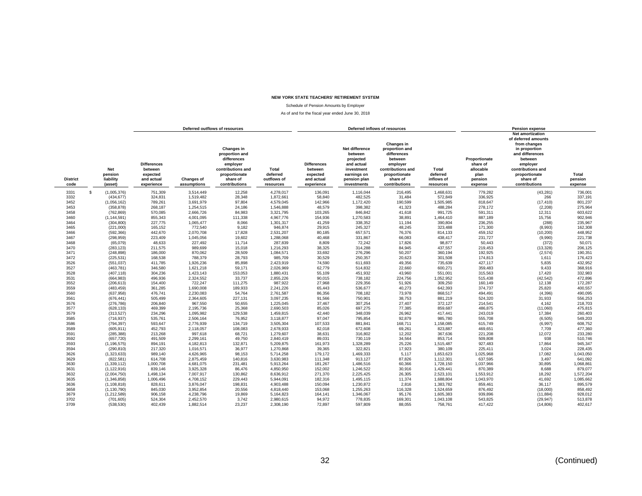#### Schedule of Pension Amounts by Employer

|                         |                                        |                                                                       |                                  | Deferred outflows of resources                                                                                             |                                                      |                                                                       |                                                                                                                  | Deferred inflows of resources                                                                                                                |                                              |                                                                      | <b>Pension expense</b>                                                                                                                                                                |                             |
|-------------------------|----------------------------------------|-----------------------------------------------------------------------|----------------------------------|----------------------------------------------------------------------------------------------------------------------------|------------------------------------------------------|-----------------------------------------------------------------------|------------------------------------------------------------------------------------------------------------------|----------------------------------------------------------------------------------------------------------------------------------------------|----------------------------------------------|----------------------------------------------------------------------|---------------------------------------------------------------------------------------------------------------------------------------------------------------------------------------|-----------------------------|
| <b>District</b><br>code | Net<br>pension<br>liability<br>(asset) | <b>Differences</b><br>between<br>expected<br>and actual<br>experience | <b>Changes of</b><br>assumptions | Changes in<br>proportion and<br>differences<br>employer<br>contributions and<br>proportionate<br>share of<br>contributions | <b>Total</b><br>deferred<br>outflows of<br>resources | <b>Differences</b><br>between<br>expected<br>and actual<br>experience | Net difference<br>between<br>projected<br>and actual<br>investment<br>earnings on<br>pension plan<br>investments | <b>Changes</b> in<br>proportion and<br>differences<br>between<br>employer<br>contributions and<br>proportionate<br>share of<br>contributions | Total<br>deferred<br>inflows of<br>resources | Proportionate<br>share of<br>allocable<br>plan<br>pension<br>expense | Net amortization<br>of deferred amounts<br>from changes<br>in proportion<br>and differences<br>between<br>employer<br>contributions and<br>proportionate<br>share of<br>contributions | Total<br>pension<br>expense |
| 3331                    | \$<br>(1,005,376)                      | 751,309                                                               | 3,514,449                        | 12,258                                                                                                                     | 4,278,017                                            | 136,091                                                               | 1,116,044                                                                                                        | 216,495                                                                                                                                      | 1,468,631                                    | 779,282                                                              | (43, 281)                                                                                                                                                                             | 736,001                     |
| 3332                    | (434, 677)                             | 324,831                                                               | 1,519,482                        | 28,348                                                                                                                     | 1,872,661                                            | 58,840                                                                | 482,525                                                                                                          | 31,484                                                                                                                                       | 572,849                                      | 336,925                                                              | 266                                                                                                                                                                                   | 337,191                     |
| 3452                    | (1,056,162)                            | 789,261                                                               | 3,691,979                        | 97,804                                                                                                                     | 4,579,045                                            | 142,966                                                               | 1,172,420                                                                                                        | 190,599                                                                                                                                      | 1,505,985                                    | 818,647                                                              | (17, 410)                                                                                                                                                                             | 801,237                     |
| 3453                    | (358, 878)                             | 268,187                                                               | 1,254,515                        | 24,186                                                                                                                     | 1,546,888                                            | 48,579                                                                | 398,382                                                                                                          | 41,323                                                                                                                                       | 488,284                                      | 278,172                                                              | (2, 208)                                                                                                                                                                              | 275,964                     |
| 3458                    | (762, 869)                             | 570,085                                                               | 2,666,726                        | 84,983                                                                                                                     | 3,321,795                                            | 103,265                                                               | 846,842                                                                                                          | 41,618                                                                                                                                       | 991,725                                      | 591,311                                                              | 12,311                                                                                                                                                                                | 603,622                     |
| 3460                    | (1, 144, 591)                          | 855,343                                                               | 4,001,095                        | 111,338                                                                                                                    | 4,967,776                                            | 154,936                                                               | 1,270,583                                                                                                        | 38,891                                                                                                                                       | 1,464,410                                    | 887,189                                                              | 15,756                                                                                                                                                                                | 902,946                     |
| 3464                    | (304, 800)                             | 227,775                                                               | 1,065,477                        | 8,066                                                                                                                      | 1,301,317                                            | 41,259                                                                | 338,352                                                                                                          | 11,194                                                                                                                                       | 390,804                                      | 236,255                                                              | (288)                                                                                                                                                                                 | 235,967                     |
| 3465                    | (221,000)                              | 165,152                                                               | 772,540                          | 9,182                                                                                                                      | 946,874                                              | 29,915                                                                | 245,327                                                                                                          | 48,245                                                                                                                                       | 323,488                                      | 171,300                                                              | (8,993)                                                                                                                                                                               | 162,308                     |
| 3466                    | (592, 366)                             | 442,670                                                               | 2,070,708                        | 17,828                                                                                                                     | 2,531,207                                            | 80,185                                                                | 657,571                                                                                                          | 76,376                                                                                                                                       | 814,133                                      | 459,152                                                              | (10, 200)                                                                                                                                                                             | 448,952                     |
| 3467                    | (298, 959)                             | 223,409                                                               | 1,045,056                        | 19,602                                                                                                                     | 1,288,068                                            | 40,468                                                                | 331,867                                                                                                          | 66,083                                                                                                                                       | 438,417                                      | 231,727                                                              | (9,990)                                                                                                                                                                               | 221,738                     |
| 3468                    | (65,079)                               | 48,633                                                                | 227,492                          | 11,714                                                                                                                     | 287,839                                              | 8,809                                                                 | 72,242                                                                                                           | 17,826                                                                                                                                       | 98,877                                       | 50,443                                                               | (372)                                                                                                                                                                                 | 50,071                      |
| 3470                    | (283, 123)                             | 211,575                                                               | 989,699                          | 15,018                                                                                                                     | 1,216,293                                            | 38,325                                                                | 314,288                                                                                                          | 84,945                                                                                                                                       | 437,557                                      | 219,453                                                              | (13, 328)                                                                                                                                                                             | 206,125                     |
| 3471                    | (248, 898)                             | 186,000                                                               | 870,062                          | 28,509                                                                                                                     | 1,084,571                                            | 33,692                                                                | 276,296                                                                                                          | 50,207                                                                                                                                       | 360,194                                      | 192,925                                                              | (2, 574)                                                                                                                                                                              | 190,351                     |
| 3472                    | (225, 531)                             | 168,538                                                               | 788,379                          | 28,793                                                                                                                     | 985,709                                              | 30,529                                                                | 250,357                                                                                                          | 20,623                                                                                                                                       | 301,508                                      | 174,813                                                              | 1,611                                                                                                                                                                                 | 176,423                     |
| 3526                    | (551, 037)                             | 411,785                                                               | 1,926,236                        | 85,898                                                                                                                     | 2,423,919                                            | 74,590                                                                | 611,693                                                                                                          | 49,356                                                                                                                                       | 735,639                                      | 427,117                                                              | 5,835                                                                                                                                                                                 | 432,952                     |
| 3527                    | (463.781)                              | 346,580                                                               | 1.621.218                        | 59.171                                                                                                                     | 2.026.969                                            | 62.779                                                                | 514.832                                                                                                          | 22,660                                                                                                                                       | 600.271                                      | 359,483                                                              | 9.433                                                                                                                                                                                 | 368,916                     |
| 3528                    | (407, 118)                             | 304,236                                                               | 1,423,143                        | 153,053                                                                                                                    | 1,880,431                                            | 55,109                                                                | 451,932                                                                                                          | 43,960                                                                                                                                       | 551,001                                      | 315,563                                                              | 17,420                                                                                                                                                                                | 332,983                     |
| 3531                    | (664, 983)                             | 496,936                                                               | 2,324,552                        | 33,737                                                                                                                     | 2,855,226                                            | 90,015                                                                | 738,182                                                                                                          | 224,756                                                                                                                                      | 1,052,952                                    | 515,438                                                              | (42, 542)                                                                                                                                                                             | 472,896                     |
| 3552                    | (206, 613)                             | 154,400                                                               | 722,247                          | 111,275                                                                                                                    | 987,922                                              | 27,968                                                                | 229,356                                                                                                          | 51,926                                                                                                                                       | 309,250                                      | 160,149                                                              | 12,138                                                                                                                                                                                | 172,287                     |
| 3559                    | (483, 459)                             | 361,285                                                               | 1,690,008                        | 189,933                                                                                                                    | 2,241,226                                            | 65,443                                                                | 536,677                                                                                                          | 40,273                                                                                                                                       | 642,393                                      | 374,737                                                              | 25,820                                                                                                                                                                                | 400,557                     |
| 3560                    | (637,958)                              | 476,741                                                               | 2,230,083                        | 54,764                                                                                                                     | 2,761,587                                            | 86,356                                                                | 708,182                                                                                                          | 73,978                                                                                                                                       | 868,517                                      | 494,491                                                              | (4, 396)                                                                                                                                                                              | 490,095                     |
| 3561                    | (676, 441)                             | 505,499                                                               | 2,364,605                        | 227,131                                                                                                                    | 3,097,235                                            | 91,566                                                                | 750,901                                                                                                          | 38,753                                                                                                                                       | 881,219                                      | 524,320                                                              | 31,933                                                                                                                                                                                | 556,253                     |
| 3576                    | (276, 786)                             | 206,840                                                               | 967,550                          | 50,655                                                                                                                     | 1,225,045                                            | 37,467                                                                | 307,254                                                                                                          | 27,407                                                                                                                                       | 372,127                                      | 214,541                                                              | 4,162                                                                                                                                                                                 | 218,703                     |
| 3577                    | (628, 133)                             | 469,399                                                               | 2,195,736                        | 25,368                                                                                                                     | 2,690,503                                            | 85,026                                                                | 697,275                                                                                                          | 77,385                                                                                                                                       | 859,687                                      | 486,875                                                              | (11,060)                                                                                                                                                                              | 475,815                     |
| 3579                    | (313, 527)                             | 234,296                                                               | 1,095,982                        | 129,538                                                                                                                    | 1,459,815                                            | 42,440                                                                | 348,039                                                                                                          | 26,962                                                                                                                                       | 417,441                                      | 243,019                                                              | 17,384                                                                                                                                                                                | 260,403                     |
| 3585                    | (716, 937)                             | 535,761                                                               | 2,506,164                        | 76,952                                                                                                                     | 3,118,877                                            | 97,047                                                                | 795,854                                                                                                          | 92,879                                                                                                                                       | 985,780                                      | 555,708                                                              | (6, 505)                                                                                                                                                                              | 549,203                     |
| 3586                    | (794, 397)                             | 593,647                                                               | 2,776,939                        | 134,719                                                                                                                    | 3,505,304                                            | 107,533                                                               | 881.841                                                                                                          | 168,711                                                                                                                                      | 1,158,085                                    | 615,749                                                              | (6,997)                                                                                                                                                                               | 608,752                     |
| 3589                    | (605, 911)                             | 452,793                                                               | 2,118,057                        | 108,083                                                                                                                    | 2,678,933                                            | 82,018                                                                | 672,608                                                                                                          | 69,261                                                                                                                                       | 823,887                                      | 469,651                                                              | 7,709                                                                                                                                                                                 | 477,360                     |
| 3591                    | (285, 388)                             | 213,268                                                               | 997,618                          | 68,721                                                                                                                     | 1,279,607                                            | 38,631                                                                | 316,802                                                                                                          | 12,202                                                                                                                                       | 367,636                                      | 221,208                                                              | 12,072                                                                                                                                                                                | 233,280                     |
| 3592                    | (657, 720)                             | 491,509                                                               | 2,299,161                        | 49,750                                                                                                                     | 2,840,419                                            | 89,031                                                                | 730,119                                                                                                          | 34,564                                                                                                                                       | 853,714                                      | 509,808                                                              | 938                                                                                                                                                                                   | 510,746                     |
| 3593                    | (1, 196, 575)                          | 894,191                                                               | 4,182,813                        | 132,871                                                                                                                    | 5,209,875                                            | 161,973                                                               | 1,328,289                                                                                                        | 25,226                                                                                                                                       | 1,515,487                                    | 927,483                                                              | 17,864                                                                                                                                                                                | 945,347                     |
| 3594                    | (290, 810)                             | 217,320                                                               | 1,016,571                        | 36,977                                                                                                                     | 1,270,868                                            | 39,365                                                                | 322,821                                                                                                          | 17,923                                                                                                                                       | 380,109                                      | 225,411                                                              | 3,024                                                                                                                                                                                 | 228,435                     |
| 3626                    | (1,323,633)                            | 989,140                                                               | 4,626,965                        | 98,153                                                                                                                     | 5,714,258                                            | 179,172                                                               | 1,469,333                                                                                                        | 5,117                                                                                                                                        | 1,653,623                                    | 1,025,968                                                            | 17,082                                                                                                                                                                                | 1,043,050                   |
| 3629                    | (822, 581)                             | 614,708                                                               | 2,875,459                        | 140,816                                                                                                                    | 3,630,983                                            | 111,348                                                               | 913,127                                                                                                          | 87,826                                                                                                                                       | 1,112,301                                    | 637,595                                                              | 3,497                                                                                                                                                                                 | 641,092                     |
| 3630                    | (1,339,112)                            | 1,000,708                                                             | 4,681,075                        | 231,481                                                                                                                    | 5,913,264                                            | 181,267                                                               | 1,486,516                                                                                                        | 60,366                                                                                                                                       | 1,728,150                                    | 1,037,966                                                            | 30,895                                                                                                                                                                                | 1,068,861                   |
| 3631                    | (1, 122, 916)                          | 839,146                                                               | 3,925,328                        | 86,476                                                                                                                     | 4,850,950                                            | 152,002                                                               | 1,246,522                                                                                                        | 30,916                                                                                                                                       | 1,429,441                                    | 870,389                                                              | 8,688                                                                                                                                                                                 | 879,077                     |
| 3632                    | (2,004,750)                            | 1,498,134                                                             | 7,007,917                        | 130,862                                                                                                                    | 8,636,912                                            | 271,370                                                               | 2,225,425                                                                                                        | 26,305                                                                                                                                       | 2,523,101                                    | 1,553,912                                                            | 18,292                                                                                                                                                                                | 1,572,204                   |
| 3635                    | (1,346,858)                            | 1,006,496                                                             | 4,708,152                        | 229,443                                                                                                                    | 5,944,091                                            | 182,316                                                               | 1,495,115                                                                                                        | 11,374                                                                                                                                       | 1,688,804                                    | 1,043,970                                                            | 41,692                                                                                                                                                                                | 1,085,662                   |
| 3636                    | (1, 108, 818)                          | 828,611                                                               | 3,876,047                        | 198,831                                                                                                                    | 4,903,488                                            | 150,094                                                               | 1,230,872                                                                                                        | 2,816                                                                                                                                        | 1,383,782                                    | 859,461                                                              | 36,117                                                                                                                                                                                | 895,579                     |
| 3658                    | (1, 130, 790)                          | 845,030                                                               | 3,952,854                        | 20,556                                                                                                                     | 4,818,440                                            | 153,068                                                               | 1,255,263                                                                                                        | 116,328                                                                                                                                      | 1,524,659                                    | 876,492                                                              | (18,000)                                                                                                                                                                              | 858,492                     |
| 3679                    | (1, 212, 589)                          | 906,158                                                               | 4,238,796                        | 19,869                                                                                                                     | 5,164,823                                            | 164,141                                                               | 1,346,067                                                                                                        | 95,176                                                                                                                                       | 1,605,383                                    | 939,896                                                              | (11, 884)                                                                                                                                                                             | 928,012                     |
| 3702                    | (701, 605)                             | 524,304                                                               | 2,452,570                        | 3,742                                                                                                                      | 2,980,615                                            | 94,972                                                                | 778,835                                                                                                          | 169,301                                                                                                                                      | 1,043,108                                    | 543,825                                                              | (29, 947)                                                                                                                                                                             | 513,878                     |
| 3709                    | (538, 530)                             | 402.439                                                               | 1,882,514                        | 23.237                                                                                                                     | 2,308,190                                            | 72.897                                                                | 597.809                                                                                                          | 88,055                                                                                                                                       | 758.761                                      | 417,422                                                              | (14, 806)                                                                                                                                                                             | 402,617                     |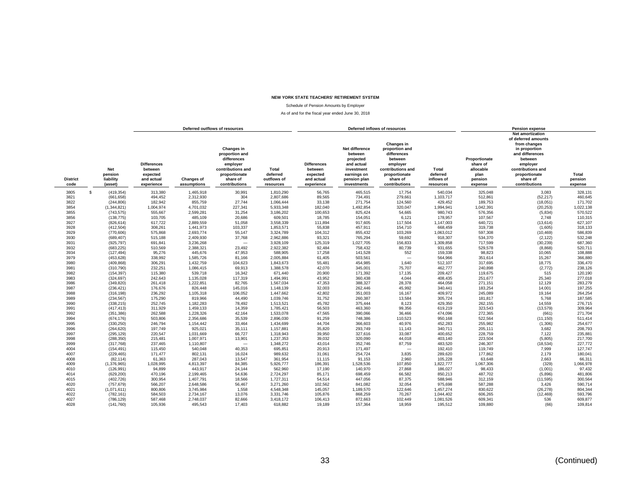#### Schedule of Pension Amounts by Employer

|                         |                |                                        |                                                                       |                                  | Deferred outflows of resources                                                                                             |                                                      |                                                                       |                                                                                                                  | Deferred inflows of resources                                                                                                         |                                              |                                                                      | <b>Pension expense</b>                                                                                                                                                                |                             |
|-------------------------|----------------|----------------------------------------|-----------------------------------------------------------------------|----------------------------------|----------------------------------------------------------------------------------------------------------------------------|------------------------------------------------------|-----------------------------------------------------------------------|------------------------------------------------------------------------------------------------------------------|---------------------------------------------------------------------------------------------------------------------------------------|----------------------------------------------|----------------------------------------------------------------------|---------------------------------------------------------------------------------------------------------------------------------------------------------------------------------------|-----------------------------|
| <b>District</b><br>code |                | Net<br>pension<br>liability<br>(asset) | <b>Differences</b><br>between<br>expected<br>and actual<br>experience | <b>Changes of</b><br>assumptions | Changes in<br>proportion and<br>differences<br>employer<br>contributions and<br>proportionate<br>share of<br>contributions | <b>Total</b><br>deferred<br>outflows of<br>resources | <b>Differences</b><br>between<br>expected<br>and actual<br>experience | Net difference<br>between<br>projected<br>and actual<br>investment<br>earnings on<br>pension plan<br>investments | Changes in<br>proportion and<br>differences<br>between<br>employer<br>contributions and<br>proportionate<br>share of<br>contributions | Total<br>deferred<br>inflows of<br>resources | Proportionate<br>share of<br>allocable<br>plan<br>pension<br>expense | Net amortization<br>of deferred amounts<br>from changes<br>in proportion<br>and differences<br>between<br>employer<br>contributions and<br>proportionate<br>share of<br>contributions | Total<br>pension<br>expense |
| 3805                    | $$\mathbb{S}$$ | (419, 354)                             | 313,380                                                               | 1,465,918                        | 30,991                                                                                                                     | 1,810,290                                            | 56,765                                                                | 465,515                                                                                                          | 17,754                                                                                                                                | 540,034                                      | 325,048                                                              | 3,083                                                                                                                                                                                 | 328,131                     |
| 3821                    |                | (661, 658)                             | 494,452                                                               | 2,312,930                        | 304                                                                                                                        | 2,807,686                                            | 89,565                                                                | 734,491                                                                                                          | 279,661                                                                                                                               | 1,103,717                                    | 512,861                                                              | (52, 217)                                                                                                                                                                             | 460,645                     |
| 3822                    |                | (244, 806)                             | 182,942                                                               | 855,759                          | 27,744                                                                                                                     | 1,066,444                                            | 33,138                                                                | 271,754                                                                                                          | 124,560                                                                                                                               | 429,452                                      | 189,753                                                              | (18,051)                                                                                                                                                                              | 171,702                     |
| 3854                    |                | (1,344,821)                            | 1,004,974                                                             | 4,701,032                        | 227,341                                                                                                                    | 5,933,348                                            | 182,040                                                               | 1,492,854                                                                                                        | 320,047                                                                                                                               | 1,994,941                                    | 1,042,391                                                            | (20, 253)                                                                                                                                                                             | 1,022,138                   |
| 3855                    |                | (743, 575)                             | 555,667                                                               | 2,599,281                        | 31,254                                                                                                                     | 3,186,202                                            | 100,653                                                               | 825,424                                                                                                          | 54,665                                                                                                                                | 980,743                                      | 576,356                                                              | (5, 834)                                                                                                                                                                              | 570,522                     |
| 3856                    |                | (138, 775)                             | 103,705                                                               | 485,109                          | 20,686                                                                                                                     | 609,501                                              | 18,785                                                                | 154,051                                                                                                          | 6,121                                                                                                                                 | 178,957                                      | 107,567                                                              | 2.748                                                                                                                                                                                 | 110,315                     |
| 3927                    |                | (826, 614)                             | 617,722                                                               | 2,889,559                        | 51,058                                                                                                                     | 3,558,339                                            | 111,894                                                               | 917,605                                                                                                          | 117,504                                                                                                                               | 1,147,003                                    | 640,721                                                              | (13, 614)                                                                                                                                                                             | 627,107                     |
| 3928                    |                | (412, 504)                             | 308,261                                                               | 1,441,973                        | 103,337                                                                                                                    | 1,853,571                                            | 55,838                                                                | 457,911                                                                                                          | 154,710                                                                                                                               | 668,459                                      | 319,738                                                              | (1,605)                                                                                                                                                                               | 318,133                     |
| 3929                    |                | (770, 606)                             | 575,868                                                               | 2,693,774                        | 55,147                                                                                                                     | 3,324,789                                            | 104,312                                                               | 855,432                                                                                                          | 103,269                                                                                                                               | 1,063,012                                    | 597,308                                                              | (10, 469)                                                                                                                                                                             | 586,839                     |
| 3930                    |                | (689, 407)                             | 515,188                                                               | 2,409,930                        | 37,768                                                                                                                     | 2,962,886                                            | 93,321                                                                | 765,294                                                                                                          | 59,692                                                                                                                                | 918,307                                      | 534,370                                                              | (2, 122)                                                                                                                                                                              | 532,248                     |
| 3931                    |                | (925, 797)                             | 691,841                                                               | 3,236,268                        |                                                                                                                            | 3,928,109                                            | 125,319                                                               | 1,027,705                                                                                                        | 156,833                                                                                                                               | 1,309,858                                    | 717,599                                                              | (30, 239)                                                                                                                                                                             | 687,360                     |
| 3932                    |                | (683, 225)                             | 510,569                                                               | 2,388,321                        | 23,492                                                                                                                     | 2,922,382                                            | 92,484                                                                | 758,432                                                                                                          | 80,739                                                                                                                                | 931,655                                      | 529,578                                                              | (8,868)                                                                                                                                                                               | 520,711                     |
| 3934                    |                | (127, 494)                             | 95,276                                                                | 445,676                          | 47,953                                                                                                                     | 588,905                                              | 17,258                                                                | 141,528                                                                                                          | 552                                                                                                                                   | 159,338                                      | 98,823                                                               | 10,065                                                                                                                                                                                | 108,888                     |
| 3979                    |                | (453, 628)                             | 338,992                                                               | 1,585,726                        | 81,166                                                                                                                     | 2,005,884                                            | 61,405                                                                | 503,561                                                                                                          | $\overline{\phantom{m}}$                                                                                                              | 564,966                                      | 351,614                                                              | 15,267                                                                                                                                                                                | 366,880                     |
| 3980                    |                | (409, 868)                             | 306,291                                                               | 1,432,759                        | 104,623                                                                                                                    | 1,843,673                                            | 55,481                                                                | 454,985                                                                                                          | 1,640                                                                                                                                 | 512,107                                      | 317,695                                                              | 18,775                                                                                                                                                                                | 336,470                     |
| 3981                    |                | (310, 790)                             | 232,251                                                               | 1,086,415                        | 69,913                                                                                                                     | 1,388,578                                            | 42,070                                                                | 345,001                                                                                                          | 75,707                                                                                                                                | 462,777                                      | 240,898                                                              | (2, 772)                                                                                                                                                                              | 238,126                     |
| 3982                    |                | (154, 397)                             | 115,380                                                               | 539,718                          | 16,342                                                                                                                     | 671,440                                              | 20,900                                                                | 171,392                                                                                                          | 17,135                                                                                                                                | 209,427                                      | 119,675                                                              | 515                                                                                                                                                                                   | 120,190                     |
| 3983                    |                | (324, 697)                             | 242,643                                                               | 1,135,028                        | 117,319                                                                                                                    | 1,494,991                                            | 43,952                                                                | 360,438                                                                                                          | 4,044                                                                                                                                 | 408,435                                      | 251,677                                                              | 25,340                                                                                                                                                                                | 277,018                     |
| 3986                    |                | (349, 820)                             | 261,418                                                               | 1,222,851                        | 82,765                                                                                                                     | 1,567,034                                            | 47,353                                                                | 388,327                                                                                                          | 28,378                                                                                                                                | 464,058                                      | 271,151                                                              | 12,129                                                                                                                                                                                | 283,279                     |
| 3987                    |                | (236, 421)                             | 176,676                                                               | 826,448                          | 145,016                                                                                                                    | 1,148,139                                            | 32,003                                                                | 262,446                                                                                                          | 45,992                                                                                                                                | 340,441                                      | 183,254                                                              | 14,001                                                                                                                                                                                | 197,255                     |
| 3988                    |                | (316, 198)                             | 236,292                                                               | 1,105,318                        | 106,052                                                                                                                    | 1,447,662                                            | 42,802                                                                | 351,003                                                                                                          | 16,167                                                                                                                                | 409,972                                      | 245,089                                                              | 19,164                                                                                                                                                                                | 264,254                     |
| 3989                    |                | (234, 567)                             | 175,290                                                               | 819,966                          | 44,490                                                                                                                     | 1,039,746                                            | 31,752                                                                | 260,387                                                                                                          | 13,584                                                                                                                                | 305,724                                      | 181,817                                                              | 5,768                                                                                                                                                                                 | 187,585                     |
| 3990                    |                | (338, 215)                             | 252,745                                                               | 1,182,283                        | 78,492                                                                                                                     | 1,513,521                                            | 45,782                                                                | 375,444                                                                                                          | 8,123                                                                                                                                 | 429,350                                      | 262,155                                                              | 14,559                                                                                                                                                                                | 276,715                     |
| 3991                    |                | (417, 413)                             | 311,929                                                               | 1,459,133                        | 14,359                                                                                                                     | 1,785,421                                            | 56,503                                                                | 463,360                                                                                                          | 99,356                                                                                                                                | 619,219                                      | 323,543                                                              | (13, 579)                                                                                                                                                                             | 309,964                     |
| 3992                    |                | (351, 386)                             | 262,588                                                               | 1,228,326                        | 42,164                                                                                                                     | 1,533,078                                            | 47,565                                                                | 390,066                                                                                                          | 36,466                                                                                                                                | 474,096                                      | 272,365                                                              | (661)                                                                                                                                                                                 | 271,704                     |
| 3994                    |                | (674, 176)                             | 503,806                                                               | 2,356,686                        | 35,539                                                                                                                     | 2,896,030                                            | 91,259                                                                | 748,386                                                                                                          | 110,523                                                                                                                               | 950,168                                      | 522,564                                                              | (11, 150)                                                                                                                                                                             | 511,414                     |
| 3995                    |                | (330, 250)                             | 246,794                                                               | 1,154,442                        | 33,464                                                                                                                     | 1,434,699                                            | 44,704                                                                | 366,603                                                                                                          | 40,976                                                                                                                                | 452,283                                      | 255,982                                                              | (1, 306)                                                                                                                                                                              | 254,677                     |
| 3996                    |                | (264, 620)                             | 197,749                                                               | 925,021                          | 35,111                                                                                                                     | 1,157,881                                            | 35,820                                                                | 293,749                                                                                                          | 11,143                                                                                                                                | 340,711                                      | 205,111                                                              | 3,682                                                                                                                                                                                 | 208,793                     |
| 3997                    |                | (295, 129)                             | 220,547                                                               | 1,031,669                        | 66,727                                                                                                                     | 1,318,943                                            | 39,950                                                                | 327,616                                                                                                          | 33,087                                                                                                                                | 400,652                                      | 228,759                                                              | 7,122                                                                                                                                                                                 | 235,881                     |
| 3998                    |                | (288, 350)                             | 215,481                                                               | 1,007,971                        | 13,901                                                                                                                     | 1,237,353                                            | 39,032                                                                | 320,090                                                                                                          | 44,018                                                                                                                                | 403,140                                      | 223,504                                                              | (5,805)                                                                                                                                                                               | 217,700                     |
| 3999                    |                | (317,768)                              | 237,465                                                               | 1,110,807                        |                                                                                                                            | 1,348,272                                            | 43,014                                                                | 352,746                                                                                                          | 87,759                                                                                                                                | 483,520                                      | 246,307                                                              | (18, 534)                                                                                                                                                                             | 227,772                     |
| 4004                    |                | (154, 491)                             | 115,450                                                               | 540,048                          | 40,353                                                                                                                     | 695,851                                              | 20,913                                                                | 171.497                                                                                                          | $\overline{\phantom{0}}$                                                                                                              | 192.410                                      | 119,749                                                              | 7,999                                                                                                                                                                                 | 127,747                     |
| 4007                    |                | (229, 465)                             | 171,477                                                               | 802,131                          | 16,024                                                                                                                     | 989,632                                              | 31,061                                                                | 254,724                                                                                                          | 3,835                                                                                                                                 | 289,620                                      | 177,862                                                              | 2,179                                                                                                                                                                                 | 180,041                     |
| 4008                    |                | (82, 114)                              | 61,363                                                                | 287,043                          | 13,547                                                                                                                     | 361,954                                              | 11,115                                                                | 91,153                                                                                                           | 2,960                                                                                                                                 | 105,228                                      | 63,648                                                               | 2,663                                                                                                                                                                                 | 66,311                      |
| 4009                    |                | (1,376,965)                            | 1,028,995                                                             | 4,813,397                        | 84,385                                                                                                                     | 5,926,777                                            | 186,391                                                               | 1,528,536                                                                                                        | 107,850                                                                                                                               | 1,822,777                                    | 1,067,306                                                            | (329)                                                                                                                                                                                 | 1,066,978                   |
| 4010                    |                | (126, 991)                             | 94,899                                                                | 443,917                          | 24,144                                                                                                                     | 562,960                                              | 17,190                                                                | 140,970                                                                                                          | 27,868                                                                                                                                | 186,027                                      | 98,433                                                               | (1,001)                                                                                                                                                                               | 97,432                      |
| 4014                    |                | (629, 200)                             | 470,196                                                               | 2,199,465                        | 54,636                                                                                                                     | 2,724,297                                            | 85,171                                                                | 698,459                                                                                                          | 66,582                                                                                                                                | 850,213                                      | 487,702                                                              | (5,896)                                                                                                                                                                               | 481,806                     |
| 4015                    |                | (402, 726)                             | 300,954                                                               | 1,407,791                        | 18,566                                                                                                                     | 1,727,311                                            | 54,514                                                                | 447,056                                                                                                          | 87,375                                                                                                                                | 588,946                                      | 312,159                                                              | (11, 595)                                                                                                                                                                             | 300,564                     |
| 4020                    |                | (757, 679)                             | 566,207                                                               | 2,648,586                        | 56,467                                                                                                                     | 3,271,260                                            | 102,562                                                               | 841,082                                                                                                          | 32,054                                                                                                                                | 975,698                                      | 587,288                                                              | 3,426                                                                                                                                                                                 | 590,714                     |
| 4021                    |                | (1,071,611)                            | 800,806                                                               | 3,745,984                        | 1,558                                                                                                                      | 4,548,348                                            | 145,057                                                               | 1,189,570                                                                                                        | 122,646                                                                                                                               | 1,457,274                                    | 830,622                                                              | (26, 278)                                                                                                                                                                             | 804,344                     |
| 4022                    |                | (782, 161)                             | 584,503                                                               | 2,734,167                        | 13,076                                                                                                                     | 3,331,746                                            | 105,876                                                               | 868,259                                                                                                          | 70,267                                                                                                                                | 1,044,402                                    | 606,265                                                              | (12, 469)                                                                                                                                                                             | 593,796                     |
| 4027                    |                | (786, 129)                             | 587,468                                                               | 2,748,037                        | 82,666                                                                                                                     | 3,418,172                                            | 106,413                                                               | 872,663                                                                                                          | 102,449                                                                                                                               | 1,081,526                                    | 609,341                                                              | 536                                                                                                                                                                                   | 609,877                     |
| 4028                    |                | (141, 760)                             | 105,936                                                               | 495,543                          | 17,403                                                                                                                     | 618,882                                              | 19,189                                                                | 157,364                                                                                                          | 18,959                                                                                                                                | 195,512                                      | 109,880                                                              | (66)                                                                                                                                                                                  | 109,814                     |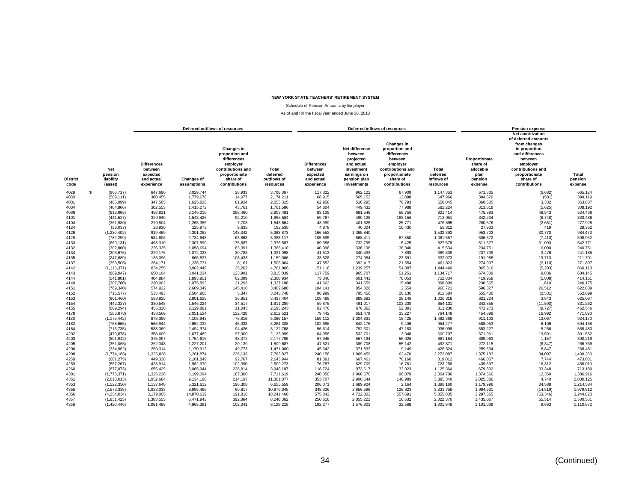#### Schedule of Pension Amounts by Employer

|                         |                                        |                                                                       |                                  | Deferred outflows of resources                                                                                                    |                                               |                                                                       |                                                                                                                  | Deferred inflows of resources                                                                                                                |                                              |                                                                      | <b>Pension expense</b>                                                                                                                                                                |                             |
|-------------------------|----------------------------------------|-----------------------------------------------------------------------|----------------------------------|-----------------------------------------------------------------------------------------------------------------------------------|-----------------------------------------------|-----------------------------------------------------------------------|------------------------------------------------------------------------------------------------------------------|----------------------------------------------------------------------------------------------------------------------------------------------|----------------------------------------------|----------------------------------------------------------------------|---------------------------------------------------------------------------------------------------------------------------------------------------------------------------------------|-----------------------------|
| <b>District</b><br>code | Net<br>pension<br>liability<br>(asset) | <b>Differences</b><br>between<br>expected<br>and actual<br>experience | <b>Changes of</b><br>assumptions | <b>Changes in</b><br>proportion and<br>differences<br>employer<br>contributions and<br>proportionate<br>share of<br>contributions | Total<br>deferred<br>outflows of<br>resources | <b>Differences</b><br>between<br>expected<br>and actual<br>experience | Net difference<br>between<br>projected<br>and actual<br>investment<br>earnings on<br>pension plan<br>investments | <b>Changes</b> in<br>proportion and<br>differences<br>between<br>employer<br>contributions and<br>proportionate<br>share of<br>contributions | Total<br>deferred<br>inflows of<br>resources | Proportionate<br>share of<br>allocable<br>plan<br>pension<br>expense | Net amortization<br>of deferred amounts<br>from changes<br>in proportion<br>and differences<br>between<br>employer<br>contributions and<br>proportionate<br>share of<br>contributions | Total<br>pension<br>expense |
| 4029                    | \$<br>(866, 717)                       | 647,690                                                               | 3,029,744                        | 28,933                                                                                                                            | 3,706,367                                     | 117,322                                                               | 962,122                                                                                                          | 67,909                                                                                                                                       | 1,147,353                                    | 671,805                                                              | (6,682)                                                                                                                                                                               | 665,124                     |
| 4030                    | (509, 111)                             | 380,455                                                               | 1,779,678                        | 14,077                                                                                                                            | 2,174,211                                     | 68,915                                                                | 565,152                                                                                                          | 13,898                                                                                                                                       | 647,966                                      | 394,620                                                              | (501)                                                                                                                                                                                 | 394,119                     |
| 4031                    | (465,099)                              | 347,565                                                               | 1,625,826                        | 81,924                                                                                                                            | 2,055,315                                     | 62,958                                                                | 516,295                                                                                                          | 70,793                                                                                                                                       | 650,045                                      | 360,505                                                              | 3,332                                                                                                                                                                                 | 363,837                     |
| 4034                    | (404, 866)                             | 302,553                                                               | 1,415,272                        | 43,761                                                                                                                            | 1,761,586                                     | 54,804                                                                | 449,432                                                                                                          | 77,988                                                                                                                                       | 582,224                                      | 313,818                                                              | (5,625)                                                                                                                                                                               | 308,192                     |
| 4036                    | (613,965)                              | 458,811                                                               | 2,146,210                        | 298,460                                                                                                                           | 2,903,481                                     | 83,109                                                                | 681,548                                                                                                          | 56,758                                                                                                                                       | 821,414                                      | 475,893                                                              | 48,543                                                                                                                                                                                | 524,436                     |
| 4101                    | (441, 527)                             | 329,949                                                               | 1,543,425                        | 92,210                                                                                                                            | 1,965,584                                     | 59,767                                                                | 490,128                                                                                                          | 163,156                                                                                                                                      | 713,051                                      | 342,234                                                              | (8,748)                                                                                                                                                                               | 333,486                     |
| 4104                    | (361, 980)                             | 270,504                                                               | 1,265,356                        | 7,703                                                                                                                             | 1,543,564                                     | 48,999                                                                | 401,825                                                                                                          | 25,771                                                                                                                                       | 476,595                                      | 280,576                                                              | (2,651)                                                                                                                                                                               | 277,925                     |
| 4124                    | (36,037)                               | 26,930                                                                | 125,973                          | 9,635                                                                                                                             | 162,538                                       | 4,878                                                                 | 40,004                                                                                                           | 10,430                                                                                                                                       | 55,312                                       | 27,933                                                               | 419                                                                                                                                                                                   | 28,352                      |
| 4126                    | (1,230,402)                            | 919.469                                                               | 4,301,062                        | 143,342                                                                                                                           | 5,363,873                                     | 166,552                                                               | 1,365,840                                                                                                        | $\overline{\phantom{0}}$                                                                                                                     | 1,532,392                                    | 953,703                                                              | 30,770                                                                                                                                                                                | 984,473                     |
| 4128                    | (782, 299)                             | 584,606                                                               | 2,734,648                        | 63,863                                                                                                                            | 3,383,117                                     | 105,895                                                               | 868,411                                                                                                          | 87,350                                                                                                                                       | 1,061,657                                    | 606,372                                                              | (7, 410)                                                                                                                                                                              | 598,962                     |
| 4130                    | (660, 131)                             | 493,310                                                               | 2,307,590                        | 175,687                                                                                                                           | 2,976,587                                     | 89,358                                                                | 732,795                                                                                                          | 5,425                                                                                                                                        | 827,578                                      | 511,677                                                              | 31,093                                                                                                                                                                                | 542,771                     |
| 4132                    | (302, 860)                             | 226,325                                                               | 1,058,694                        | 83,391                                                                                                                            | 1,368,410                                     | 40,996                                                                | 336,198                                                                                                          | 38,340                                                                                                                                       | 415,534                                      | 234,751                                                              | 6,000                                                                                                                                                                                 | 240,751                     |
| 4134                    | (306, 676)                             | 229,176                                                               | 1,072,033                        | 30,788                                                                                                                            | 1,331,998                                     | 41,513                                                                | 340,433                                                                                                          | 7,893                                                                                                                                        | 389,839                                      | 237,709                                                              | 3,476                                                                                                                                                                                 | 241,185                     |
| 4135                    | (247, 689)                             | 185,096                                                               | 865,837                          | 108,433                                                                                                                           | 1,159,366                                     | 33,528                                                                | 274,954                                                                                                          | 23,591                                                                                                                                       | 332,073                                      | 191,988                                                              | 19,713                                                                                                                                                                                | 211,701                     |
| 4137                    | (353, 505)                             | 264,171                                                               | 1,235,731                        | 8,161                                                                                                                             | 1,508,064                                     | 47,852                                                                | 392,417                                                                                                          | 21,554                                                                                                                                       | 461,823                                      | 274,007                                                              | (2, 110)                                                                                                                                                                              | 271,897                     |
| 4142                    | (1, 116, 371)                          | 834,255                                                               | 3.902.449                        | 25,202                                                                                                                            | 4,761,906                                     | 151,116                                                               | 1,239,257                                                                                                        | 54,087                                                                                                                                       | 1.444.460                                    | 865,316                                                              | (5,203)                                                                                                                                                                               | 860,113                     |
| 4143                    | (869, 947)                             | 650,104                                                               | 3,041,034                        | 123,901                                                                                                                           | 3,815,039                                     | 117,759                                                               | 965,707                                                                                                          | 51,251                                                                                                                                       | 1,134,717                                    | 674,309                                                              | 9,836                                                                                                                                                                                 | 684,145                     |
| 4144                    | (541, 801)                             | 404,884                                                               | 1,893,951                        | 62,099                                                                                                                            | 2,360,934                                     | 73,340                                                                | 601,441                                                                                                          | 78,053                                                                                                                                       | 752,834                                      | 419,958                                                              | (5,808)                                                                                                                                                                               | 414,151                     |
| 4149                    | (307,780)                              | 230,002                                                               | 1,075,893                        | 21,293                                                                                                                            | 1,327,188                                     | 41,662                                                                | 341,659                                                                                                          | 15,488                                                                                                                                       | 398,809                                      | 238,565                                                              | 1,610                                                                                                                                                                                 | 240,175                     |
| 4151                    | (769, 340)                             | 574,922                                                               | 2,689,349                        | 145,410                                                                                                                           | 3,409,680                                     | 104,141                                                               | 854,026                                                                                                          | 2,554                                                                                                                                        | 960,721                                      | 596,327                                                              | 26,512                                                                                                                                                                                | 622,839                     |
| 4152                    | (716, 577)                             | 535,493                                                               | 2,504,908                        | 5,347                                                                                                                             | 3,045,748                                     | 96,999                                                                | 795,456                                                                                                          | 20,130                                                                                                                                       | 912,584                                      | 555,430                                                              | (2,531)                                                                                                                                                                               | 552,899                     |
| 4153                    | (801, 460)                             | 598,925                                                               | 2,801,628                        | 36,851                                                                                                                            | 3,437,404                                     | 108,489                                                               | 889,682                                                                                                          | 28,148                                                                                                                                       | 1,026,318                                    | 621,224                                                              | 3,843                                                                                                                                                                                 | 625,067                     |
| 4154                    | (442, 327)                             | 330,548                                                               | 1,546,224                        | 34,517                                                                                                                            | 1,911,289                                     | 59,875                                                                | 491,017                                                                                                          | 103,239                                                                                                                                      | 654,131                                      | 342,855                                                              | (11, 593)                                                                                                                                                                             | 331,262                     |
| 4155                    | (609, 294)                             | 455,320                                                               | 2,129,881                        | 11,043                                                                                                                            | 2,596,243                                     | 82,476                                                                | 676,362                                                                                                          | 52,391                                                                                                                                       | 811,230                                      | 472,273                                                              | (9,727)                                                                                                                                                                               | 462,546                     |
| 4178                    | (586, 878)                             | 438,569                                                               | 2,051,524                        | 122,428                                                                                                                           | 2,612,521                                     | 79,442                                                                | 651,479                                                                                                          | 33,227                                                                                                                                       | 764,148                                      | 454,898                                                              | 16,992                                                                                                                                                                                | 471,890                     |
| 4180                    | (1, 175, 442)                          | 878,399                                                               | 4,108,943                        | 78,816                                                                                                                            | 5,066,157                                     | 159,112                                                               | 1,304,831                                                                                                        | 18,425                                                                                                                                       | 1,482,368                                    | 911,103                                                              | 13,067                                                                                                                                                                                | 924,170                     |
| 4183                    | (758, 665)                             | 566,944                                                               | 2,652,032                        | 45,333                                                                                                                            | 3,264,308                                     | 102,696                                                               | 842,176                                                                                                          | 9.406                                                                                                                                        | 954,277                                      | 588,053                                                              | 6,106                                                                                                                                                                                 | 594,158                     |
| 4184                    | (713, 735)                             | 533,369                                                               | 2,494,974                        | 94,426                                                                                                                            | 3,122,768                                     | 96,614                                                                | 792,301                                                                                                          | 47,183                                                                                                                                       | 936,098                                      | 553,227                                                              | 5,256                                                                                                                                                                                 | 558,483                     |
| 4202                    | (479, 878)                             | 358,609                                                               | 1,677,489                        | 97,900                                                                                                                            | 2,133,999                                     | 64,958                                                                | 532,701                                                                                                          | 3,048                                                                                                                                        | 600,707                                      | 371,961                                                              | 19,591                                                                                                                                                                                | 391,552                     |
| 4203                    | (501, 942)                             | 375,097                                                               | 1,754,616                        | 48,072                                                                                                                            | 2,177,785                                     | 67,945                                                                | 557,194                                                                                                          | 56,026                                                                                                                                       | 681,164                                      | 389,063                                                              | 1,157                                                                                                                                                                                 | 390,219                     |
| 4205                    | (351,065)                              | 262,348                                                               | 1,227,201                        | 20,139                                                                                                                            | 1,509,687                                     | 47,521                                                                | 389,708                                                                                                          | 55,142                                                                                                                                       | 492,371                                      | 272,115                                                              | (6, 347)                                                                                                                                                                              | 265,769                     |
| 4206                    | (334, 962)                             | 250,314                                                               | 1,170,912                        | 49,773                                                                                                                            | 1,471,000                                     | 45,342                                                                | 371,833                                                                                                          | 9,149                                                                                                                                        | 426,324                                      | 259,634                                                              | 8,847                                                                                                                                                                                 | 268,481                     |
| 4208                    | (1,774,166)                            | 1,325,820                                                             | 6,201,874                        | 236,133                                                                                                                           | 7,763,827                                     | 240,158                                                               | 1,969,459                                                                                                        | 62,470                                                                                                                                       | 2,272,087                                    | 1,375,183                                                            | 34,097                                                                                                                                                                                | 1,409,280                   |
| 4258                    | (601, 275)                             | 449,328                                                               | 2,101,849                        | 92,767                                                                                                                            | 2,643,944                                     | 81,391                                                                | 667,461                                                                                                          | 70,160                                                                                                                                       | 819,012                                      | 466,057                                                              | 7,744                                                                                                                                                                                 | 473,801                     |
| 4259                    | (567, 267)                             | 423,914                                                               | 1,982,970                        | 102,390                                                                                                                           | 2,509,273                                     | 76,787                                                                | 629,709                                                                                                          | 16,761                                                                                                                                       | 723,258                                      | 439,697                                                              | 16,312                                                                                                                                                                                | 456,010                     |
| 4260                    | (877, 073)                             | 655,429                                                               | 3,065,944                        | 226,814                                                                                                                           | 3,948,187                                     | 118,724                                                               | 973,617                                                                                                          | 33,023                                                                                                                                       | 1,125,364                                    | 679,832                                                              | 33,348                                                                                                                                                                                | 713,180                     |
| 4301                    | (1,773,371)                            | 1,325,226                                                             | 6,199,094                        | 187,300                                                                                                                           | 7,711,619                                     | 240,050                                                               | 1,968,576                                                                                                        | 96,079                                                                                                                                       | 2,304,706                                    | 1,374,566                                                            | 12,350                                                                                                                                                                                | 1,386,916                   |
| 4351                    | (2,613,013)                            | 1,952,684                                                             | 9,134,196                        | 214,197                                                                                                                           | 11,301,077                                    | 353,707                                                               | 2,900,644                                                                                                        | 140,989                                                                                                                                      | 3,395,340                                    | 2,025,386                                                            | 4,740                                                                                                                                                                                 | 2,030,125                   |
| 4353                    | (1,522,350)                            | 1,137,640                                                             | 5,321,612                        | 196,308                                                                                                                           | 6,655,559                                     | 206,071                                                               | 1,689,924                                                                                                        | 2,164                                                                                                                                        | 1,898,160                                    | 1,179,996                                                            | 34,588                                                                                                                                                                                | 1,214,584                   |
| 4355                    | (2,573,335)                            | 1,923,033                                                             | 8,995,496                        | 60,817                                                                                                                            | 10,979,345                                    | 348,336                                                               | 2,856,598                                                                                                        | 126,823                                                                                                                                      | 3,331,758                                    | 1,994,631                                                            | (14, 819)                                                                                                                                                                             | 1,979,812                   |
| 4356                    | (4, 254, 034)                          | 3,179,005                                                             | 14,870,639                       | 191,816                                                                                                                           | 18,241,460                                    | 575,842                                                               | 4,722,302                                                                                                        | 557,691                                                                                                                                      | 5,855,835                                    | 3,297,365                                                            | (53, 346)                                                                                                                                                                             | 3,244,020                   |
| 4357                    | (1,851,425)                            | 1,383,555                                                             | 6,471,943                        | 392,864                                                                                                                           | 8,248,362                                     | 250,616                                                               | 2,055,222                                                                                                        | 16,532                                                                                                                                       | 2,322,370                                    | 1,435,067                                                            | 65,514                                                                                                                                                                                | 1,500,581                   |
| 4358                    | (1,420,446)                            | 1,061,488                                                             | 4,965,391                        | 102.341                                                                                                                           | 6,129,219                                     | 192.277                                                               | 1,576,803                                                                                                        | 32,568                                                                                                                                       | 1,801,648                                    | 1,101,009                                                            | 9.663                                                                                                                                                                                 | 1,110,672                   |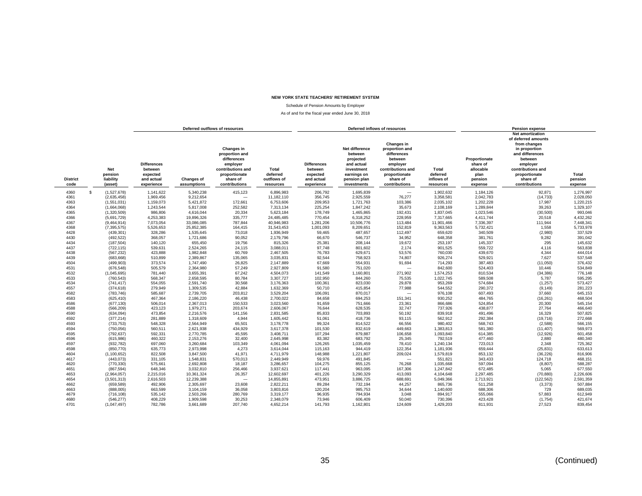#### Schedule of Pension Amounts by Employer

|                         |                |                                               |                                                                       |                                  | Deferred outflows of resources                                                                                                    |                                               |                                                                       |                                                                                                                  | Deferred inflows of resources                                                                                                         |                                              |                                                                      | <b>Pension expense</b>                                                                                                                                                                |                             |
|-------------------------|----------------|-----------------------------------------------|-----------------------------------------------------------------------|----------------------------------|-----------------------------------------------------------------------------------------------------------------------------------|-----------------------------------------------|-----------------------------------------------------------------------|------------------------------------------------------------------------------------------------------------------|---------------------------------------------------------------------------------------------------------------------------------------|----------------------------------------------|----------------------------------------------------------------------|---------------------------------------------------------------------------------------------------------------------------------------------------------------------------------------|-----------------------------|
| <b>District</b><br>code |                | <b>Net</b><br>pension<br>liability<br>(asset) | <b>Differences</b><br>between<br>expected<br>and actual<br>experience | <b>Changes of</b><br>assumptions | <b>Changes in</b><br>proportion and<br>differences<br>employer<br>contributions and<br>proportionate<br>share of<br>contributions | Total<br>deferred<br>outflows of<br>resources | <b>Differences</b><br>between<br>expected<br>and actual<br>experience | Net difference<br>between<br>projected<br>and actual<br>investment<br>earnings on<br>pension plan<br>investments | Changes in<br>proportion and<br>differences<br>between<br>employer<br>contributions and<br>proportionate<br>share of<br>contributions | Total<br>deferred<br>inflows of<br>resources | Proportionate<br>share of<br>allocable<br>plan<br>pension<br>expense | Net amortization<br>of deferred amounts<br>from changes<br>in proportion<br>and differences<br>between<br>employer<br>contributions and<br>proportionate<br>share of<br>contributions | Total<br>pension<br>expense |
| 4360                    | $$\mathbb{S}$$ | (1,527,678)                                   | 1,141,622                                                             | 5,340,238                        | 415,123                                                                                                                           | 6,896,983                                     | 206,792                                                               | 1,695,839                                                                                                        | $\overline{\phantom{0}}$                                                                                                              | 1,902,632                                    | 1,184,126                                                            | 92,871                                                                                                                                                                                | 1,276,997                   |
| 4361                    |                | (2,635,458)                                   | 1,969,456                                                             | 9,212,654                        | $\overline{\phantom{0}}$                                                                                                          | 11,182,110                                    | 356,745                                                               | 2,925,559                                                                                                        | 76,277                                                                                                                                | 3,358,581                                    | 2,042,783                                                            | (14, 733)                                                                                                                                                                             | 2,028,050                   |
| 4363                    |                | (1,551,031)                                   | 1,159,073                                                             | 5,421,872                        | 172,661                                                                                                                           | 6,753,606                                     | 209,953                                                               | 1,721,763                                                                                                        | 103,386                                                                                                                               | 2,035,102                                    | 1,202,228                                                            | 17,987                                                                                                                                                                                | 1,220,215                   |
| 4364                    |                | (1,664,068)                                   | 1,243,544                                                             | 5,817,008                        | 252,582                                                                                                                           | 7,313,134                                     | 225,254                                                               | 1,847,242                                                                                                        | 35,673                                                                                                                                | 2,108,169                                    | 1,289,844                                                            | 39,263                                                                                                                                                                                | 1,329,107                   |
| 4365                    |                | (1,320,509)                                   | 986,806                                                               | 4,616,044                        | 20,334                                                                                                                            | 5,623,184                                     | 178,749                                                               | 1,465,865                                                                                                        | 192,431                                                                                                                               | 1,837,045                                    | 1,023,546                                                            | (30, 500)                                                                                                                                                                             | 993,046                     |
| 4366                    |                | (5,691,729)                                   | 4,253,383                                                             | 19,896,326                       | 335,777                                                                                                                           | 24,485,485                                    | 770,454                                                               | 6,318,252                                                                                                        | 228,959                                                                                                                               | 7,317,665                                    | 4,411,744                                                            | 20,518                                                                                                                                                                                | 4,432,262                   |
| 4367                    |                | (9,464,914)                                   | 7,073,054                                                             | 33,086,085                       | 787,844                                                                                                                           | 40,946,983                                    | 1,281,206                                                             | 10,506,776                                                                                                       | 113,484                                                                                                                               | 11,901,466                                   | 7,336,397                                                            | 111,944                                                                                                                                                                               | 7,448,341                   |
| 4368                    |                | (7, 395, 575)                                 | 5,526,653                                                             | 25,852,385                       | 164,415                                                                                                                           | 31,543,453                                    | 1,001,093                                                             | 8,209,651                                                                                                        | 152,819                                                                                                                               | 9,363,563                                    | 5,732,421                                                            | 1,558                                                                                                                                                                                 | 5,733,978                   |
| 4428                    |                | (439, 301)                                    | 328,286                                                               | 1,535,645                        | 73,018                                                                                                                            | 1,936,949                                     | 59,465                                                                | 487,657                                                                                                          | 112,497                                                                                                                               | 659,620                                      | 340,509                                                              | (2,980)                                                                                                                                                                               | 337,529                     |
| 4430                    |                | (492, 522)                                    | 368,057                                                               | 1,721,686                        | 90,052                                                                                                                            | 2,179,796                                     | 66,670                                                                | 546,737                                                                                                          | 34,952                                                                                                                                | 648,358                                      | 381,761                                                              | 9,282                                                                                                                                                                                 | 391,042                     |
| 4434                    |                | (187, 504)                                    | 140,120                                                               | 655,450                          | 19,756                                                                                                                            | 815,326                                       | 25,381                                                                | 208,144                                                                                                          | 19,672                                                                                                                                | 253,197                                      | 145,337                                                              | 295                                                                                                                                                                                   | 145,632                     |
| 4437                    |                | (722, 115)                                    | 539,631                                                               | 2,524,265                        | 24,115                                                                                                                            | 3,088,011                                     | 97,748                                                                | 801,602                                                                                                          | 2,174                                                                                                                                 | 901,525                                      | 559,722                                                              | 4,116                                                                                                                                                                                 | 563,838                     |
| 4438                    |                | (567, 232)                                    | 423,888                                                               | 1,982,848                        | 60,769                                                                                                                            | 2,467,505                                     | 76,783                                                                | 629,671                                                                                                          | 53,576                                                                                                                                | 760,030                                      | 439,670                                                              | 4,344                                                                                                                                                                                 | 444,014                     |
| 4439                    |                | (683, 668)                                    | 510,899                                                               | 2,389,867                        | 135,065                                                                                                                           | 3,035,831                                     | 92,544                                                                | 758,923                                                                                                          | 74,807                                                                                                                                | 926,274                                      | 529,921                                                              | 7,627                                                                                                                                                                                 | 537,548                     |
| 4504                    |                | (499, 903)                                    | 373,574                                                               | 1,747,490                        | 26,825                                                                                                                            | 2,147,889                                     | 67,669                                                                | 554,931                                                                                                          | 91,694                                                                                                                                | 714,293                                      | 387,483                                                              | (11,050)                                                                                                                                                                              | 376,432                     |
| 4531                    |                | (676.548)                                     | 505,579                                                               | 2,364,980                        | 57,249                                                                                                                            | 2,927,809                                     | 91,580                                                                | 751.020                                                                                                          |                                                                                                                                       | 842,600                                      | 524,403                                                              | 10,446                                                                                                                                                                                | 534,849                     |
| 4532                    |                | (1,045,695)                                   | 781,440                                                               | 3,655,391                        | 67,242                                                                                                                            | 4,504,073                                     | 141,549                                                               | 1,160,801                                                                                                        | 271,902                                                                                                                               | 1,574,253                                    | 810,534                                                              | (34, 386)                                                                                                                                                                             | 776,148                     |
| 4533                    |                | (760, 543)                                    | 568,347                                                               | 2,658,595                        | 80,784                                                                                                                            | 3,307,727                                     | 102,950                                                               | 844,260                                                                                                          | 75,535                                                                                                                                | 1,022,745                                    | 589,508                                                              | 5,787                                                                                                                                                                                 | 595,295                     |
| 4534                    |                | (741, 417)                                    | 554,055                                                               | 2,591,740                        | 30,568                                                                                                                            | 3,176,363                                     | 100,361                                                               | 823,030                                                                                                          | 29,878                                                                                                                                | 953,269                                      | 574,684                                                              | (1, 257)                                                                                                                                                                              | 573,427                     |
| 4557                    |                | (374, 618)                                    | 279,949                                                               | 1,309,535                        | 42,884                                                                                                                            | 1,632,369                                     | 50,710                                                                | 415,854                                                                                                          | 77,988                                                                                                                                | 544,552                                      | 290,372                                                              | (9, 149)                                                                                                                                                                              | 281,223                     |
| 4582                    |                | (783, 746)                                    | 585,687                                                               | 2,739,705                        | 203,812                                                                                                                           | 3,529,204                                     | 106,091                                                               | 870,017                                                                                                          | $\overline{\phantom{0}}$                                                                                                              | 976,108                                      | 607,493                                                              | 37,660                                                                                                                                                                                | 645,153                     |
| 4583                    |                | (625, 410)                                    | 467,364                                                               | 2,186,220                        | 46,438                                                                                                                            | 2,700,022                                     | 84,658                                                                | 694,253                                                                                                          | 151,341                                                                                                                               | 930,252                                      | 484,765                                                              | (16, 261)                                                                                                                                                                             | 468,504                     |
| 4586                    |                | (677, 130)                                    | 506,014                                                               | 2,367,013                        | 150,533                                                                                                                           | 3,023,560                                     | 91,659                                                                | 751,666                                                                                                          | 23,361                                                                                                                                | 866,686                                      | 524,854                                                              | 20,300                                                                                                                                                                                | 545,154                     |
| 4588                    |                | (566, 209)                                    | 423,123                                                               | 1,979,271                        | 203,674                                                                                                                           | 2,606,067                                     | 76,644                                                                | 628,535                                                                                                          | 32,747                                                                                                                                | 737,926                                      | 438,877                                                              | 27,764                                                                                                                                                                                | 466,640                     |
| 4590                    |                | (634, 094)                                    | 473,854                                                               | 2,216,576                        | 141,156                                                                                                                           | 2,831,585                                     | 85,833                                                                | 703,893                                                                                                          | 50,192                                                                                                                                | 839,918                                      | 491,496                                                              | 16,329                                                                                                                                                                                | 507,825                     |
| 4592                    |                | (377, 214)                                    | 281,889                                                               | 1,318,609                        | 4,944                                                                                                                             | 1,605,442                                     | 51,061                                                                | 418,736                                                                                                          | 93,115                                                                                                                                | 562,912                                      | 292,384                                                              | (19, 716)                                                                                                                                                                             | 272,668                     |
| 4593                    |                | (733, 753)                                    | 548,328                                                               | 2,564,949                        | 65,501                                                                                                                            | 3,178,778                                     | 99,324                                                                | 814,522                                                                                                          | 66,556                                                                                                                                | 980,402                                      | 568,743                                                              | (2,588)                                                                                                                                                                               | 566,155                     |
| 4594                    |                | (750, 056)                                    | 560,511                                                               | 2,621,938                        | 434,929                                                                                                                           | 3,617,378                                     | 101,530                                                               | 832,619                                                                                                          | 449,663                                                                                                                               | 1,383,813                                    | 581,380                                                              | (11, 407)                                                                                                                                                                             | 569,973                     |
| 4595                    |                | (792, 637)                                    | 592,331                                                               | 2,770,785                        | 45,595                                                                                                                            | 3,408,711                                     | 107,294                                                               | 879,887                                                                                                          | 106,658                                                                                                                               | 1,093,840                                    | 614,385                                                              | (12, 926)                                                                                                                                                                             | 601,458                     |
| 4596                    |                | (615,986)                                     | 460,322                                                               | 2,153,276                        | 32,400                                                                                                                            | 2,645,998                                     | 83,382                                                                | 683,792                                                                                                          | 25,345                                                                                                                                | 792,519                                      | 477,460                                                              | 2,880                                                                                                                                                                                 | 480,340                     |
| 4597                    |                | (932, 782)                                    | 697,060                                                               | 3,260,684                        | 103,349                                                                                                                           | 4,061,094                                     | 126,265                                                               | 1,035,459                                                                                                        | 78,410                                                                                                                                | 1,240,134                                    | 723,013                                                              | 2,348                                                                                                                                                                                 | 725,362                     |
| 4598                    |                | (850.770)                                     | 635.773                                                               | 2,973,998                        | 4,273                                                                                                                             | 3,614,044                                     | 115.163                                                               | 944.419                                                                                                          | 122,354                                                                                                                               | 1,181,936                                    | 659,444                                                              | (25, 831)                                                                                                                                                                             | 633,613                     |
| 4604                    |                | (1, 100, 652)                                 | 822,508                                                               | 3,847,500                        | 41,971                                                                                                                            | 4,711,979                                     | 148,988                                                               | 1,221,807                                                                                                        | 209,024                                                                                                                               | 1,579,819                                    | 853,132                                                              | (36, 226)                                                                                                                                                                             | 816,906                     |
| 4617                    |                | (443, 073)                                    | 331,105                                                               | 1,548,831                        | 570,013                                                                                                                           | 2,449,949                                     | 59,976                                                                | 491,845                                                                                                          | $\overline{\phantom{m}}$                                                                                                              | 551,821                                      | 343,433                                                              | 124,718                                                                                                                                                                               | 468,151                     |
| 4620                    |                | (770, 330)                                    | 575,661                                                               | 2,692,808                        | 18,187                                                                                                                            | 3,286,657                                     | 104,275                                                               | 855,125                                                                                                          | 76,268                                                                                                                                | 1,035,668                                    | 597,094                                                              | (8, 807)                                                                                                                                                                              | 588,287                     |
| 4651                    |                | (867, 594)                                    | 648,346                                                               | 3,032,810                        | 256,466                                                                                                                           | 3,937,621                                     | 117,441                                                               | 963,095                                                                                                          | 167,306                                                                                                                               | 1,247,842                                    | 672,485                                                              | 5,065                                                                                                                                                                                 | 677,550                     |
| 4653                    |                | (2,964,057)                                   | 2,215,016                                                             | 10,361,324                       | 26,357                                                                                                                            | 12,602,697                                    | 401,226                                                               | 3,290,329                                                                                                        | 413,093                                                                                                                               | 4,104,648                                    | 2,297,485                                                            | (70, 880)                                                                                                                                                                             | 2,226,606                   |
| 4654                    |                | (3,501,313)                                   | 2,616,503                                                             | 12,239,388                       | $\overline{\phantom{0}}$                                                                                                          | 14,855,891                                    | 473,951                                                               | 3,886,725                                                                                                        | 688,691                                                                                                                               | 5,049,366                                    | 2,713,921                                                            | (122, 562)                                                                                                                                                                            | 2,591,359                   |
| 4662                    |                | (659, 589)                                    | 492,906                                                               | 2,305,697                        | 23,608                                                                                                                            | 2,822,211                                     | 89,284                                                                | 732,194                                                                                                          | 44,257                                                                                                                                | 865,736                                      | 511,258                                                              | (3, 373)                                                                                                                                                                              | 507,884                     |
| 4663                    |                | (888,005)                                     | 663,599                                                               | 3,104,159                        | 36,058                                                                                                                            | 3,803,816                                     | 120,204                                                               | 985,753                                                                                                          | 34,644                                                                                                                                | 1,140,600                                    | 688,306                                                              | 729                                                                                                                                                                                   | 689,035                     |
| 4679                    |                | (716, 108)                                    | 535,142                                                               | 2,503,266                        | 280.769                                                                                                                           | 3,319,177                                     | 96,935                                                                | 794,934                                                                                                          | 3,048                                                                                                                                 | 894,917                                      | 555,066                                                              | 57.883                                                                                                                                                                                | 612,949                     |
| 4680                    |                | (546, 277)                                    | 408,229                                                               | 1,909,598                        | 30,253                                                                                                                            | 2,348,079                                     | 73,946                                                                | 606,409                                                                                                          | 50,040                                                                                                                                | 730,396                                      | 423,428                                                              | (1,754)                                                                                                                                                                               | 421,674                     |
| 4701                    |                | (1,047,497)                                   | 782,786                                                               | 3,661,689                        | 207,740                                                                                                                           | 4,652,214                                     | 141,793                                                               | 1,162,801                                                                                                        | 124,609                                                                                                                               | 1,429,203                                    | 811,931                                                              | 27,523                                                                                                                                                                                | 839,454                     |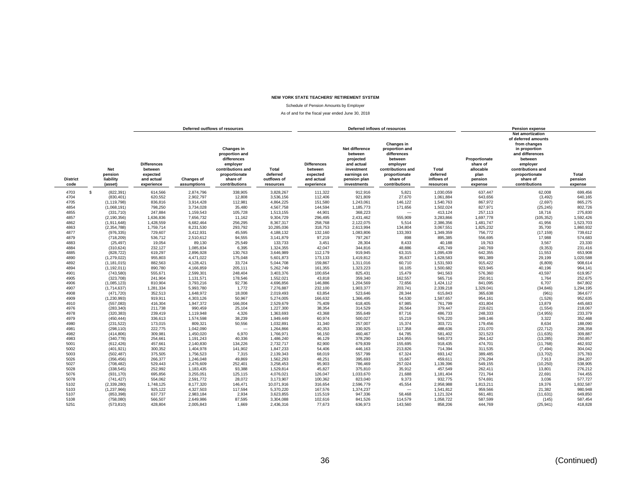#### Schedule of Pension Amounts by Employer

|                         |                                               |                                |                                                                       |                                  | Deferred outflows of resources                                                                                                    |                                                      |                                                                       |                                                                                                                  | Deferred inflows of resources                                                                                                         |                                              |                                                                      | <b>Pension expense</b>                                                                                                                                                                |                             |
|-------------------------|-----------------------------------------------|--------------------------------|-----------------------------------------------------------------------|----------------------------------|-----------------------------------------------------------------------------------------------------------------------------------|------------------------------------------------------|-----------------------------------------------------------------------|------------------------------------------------------------------------------------------------------------------|---------------------------------------------------------------------------------------------------------------------------------------|----------------------------------------------|----------------------------------------------------------------------|---------------------------------------------------------------------------------------------------------------------------------------------------------------------------------------|-----------------------------|
| <b>District</b><br>code | <b>Net</b><br>pension<br>liability<br>(asset) |                                | <b>Differences</b><br>between<br>expected<br>and actual<br>experience | <b>Changes of</b><br>assumptions | <b>Changes in</b><br>proportion and<br>differences<br>employer<br>contributions and<br>proportionate<br>share of<br>contributions | <b>Total</b><br>deferred<br>outflows of<br>resources | <b>Differences</b><br>between<br>expected<br>and actual<br>experience | Net difference<br>between<br>projected<br>and actual<br>investment<br>earnings on<br>pension plan<br>investments | Changes in<br>proportion and<br>differences<br>between<br>employer<br>contributions and<br>proportionate<br>share of<br>contributions | Total<br>deferred<br>inflows of<br>resources | Proportionate<br>share of<br>allocable<br>plan<br>pension<br>expense | Net amortization<br>of deferred amounts<br>from changes<br>in proportion<br>and differences<br>between<br>employer<br>contributions and<br>proportionate<br>share of<br>contributions | Total<br>pension<br>expense |
| 4703                    | $$\mathbb{S}$$                                | (822, 391)                     | 614,566                                                               | 2,874,796                        | 338,905                                                                                                                           | 3,828,267                                            | 111,322                                                               | 912,916                                                                                                          | 5,821                                                                                                                                 | 1,030,059                                    | 637,447                                                              | 62,008                                                                                                                                                                                | 699,456                     |
| 4704                    |                                               | (830, 401)                     | 620,552                                                               | 2,902,797                        | 12,808                                                                                                                            | 3,536,156                                            | 112,406                                                               | 921,809                                                                                                          | 27,670                                                                                                                                | 1,061,884                                    | 643,656                                                              | (3, 492)                                                                                                                                                                              | 640,165                     |
| 4705                    |                                               | (1, 119, 798)                  | 836,816                                                               | 3,914,428                        | 112,981                                                                                                                           | 4,864,225                                            | 151,580                                                               | 1,243,061                                                                                                        | 146,122                                                                                                                               | 1,540,763                                    | 867,972                                                              | (2,697)                                                                                                                                                                               | 865,275                     |
| 4854                    |                                               | (1,068,191)                    | 798,250                                                               | 3,734,028                        | 35,480                                                                                                                            | 4,567,758                                            | 144,594                                                               | 1,185,773                                                                                                        | 171,656                                                                                                                               | 1,502,024                                    | 827,971                                                              | (25, 245)                                                                                                                                                                             | 802,726                     |
| 4855                    |                                               | (331,710)                      | 247,884                                                               | 1,159,543                        | 105,728                                                                                                                           | 1,513,155                                            | 44,901                                                                | 368,223                                                                                                          | $\overline{\phantom{0}}$                                                                                                              | 413,124                                      | 257,113                                                              | 18,716                                                                                                                                                                                | 275,830                     |
| 4857                    |                                               | (2, 190, 356)                  | 1,636,836                                                             | 7,656,732                        | 11,162                                                                                                                            | 9,304,729                                            | 296,495                                                               | 2,431,462                                                                                                        | 555,909                                                                                                                               | 3,283,866                                    | 1,697,778                                                            | (105, 352)                                                                                                                                                                            | 1,592,426                   |
| 4862                    |                                               | (1,911,648)                    | 1,428,559                                                             | 6,682,464                        | 256,295                                                                                                                           | 8,367,317                                            | 258,768                                                               | 2,122,075                                                                                                        | 5,514                                                                                                                                 | 2,386,356                                    | 1,481,747                                                            | 41,956                                                                                                                                                                                | 1,523,703                   |
| 4863                    |                                               | (2,354,788)                    | 1,759,714                                                             | 8,231,530                        | 293,792                                                                                                                           | 10,285,036                                           | 318,753                                                               | 2,613,994                                                                                                        | 134,804                                                                                                                               | 3,067,551                                    | 1,825,232                                                            | 35,700                                                                                                                                                                                | 1,860,932                   |
| 4877                    |                                               | (976, 335)                     | 729,607                                                               | 3,412,931                        | 45,595                                                                                                                            | 4,188,132                                            | 132,160                                                               | 1,083,806                                                                                                        | 133,393                                                                                                                               | 1,349,359                                    | 756,772                                                              | (17, 159)                                                                                                                                                                             | 739,612                     |
| 4879                    |                                               | (718, 209)                     | 536,712                                                               | 2,510,612                        | 94,555                                                                                                                            | 3,141,879                                            | 97,219                                                                | 797,267                                                                                                          | 898                                                                                                                                   | 895,385                                      | 556,695                                                              | 17,988                                                                                                                                                                                | 574,683                     |
| 4883                    |                                               | (25, 497)                      | 19,054                                                                | 89,130                           | 25,549                                                                                                                            | 133,733                                              | 3,451                                                                 | 28,304                                                                                                           | 8,433                                                                                                                                 | 40,188                                       | 19,763                                                               | 3,567                                                                                                                                                                                 | 23,330                      |
| 4884                    |                                               | (310, 624)                     | 232,127                                                               | 1,085,834                        | 6,395                                                                                                                             | 1,324,355                                            | 42,047                                                                | 344,816                                                                                                          | 48,886                                                                                                                                | 435,749                                      | 240,769                                                              | (9, 353)                                                                                                                                                                              | 231,416                     |
| 4885                    |                                               | (828, 722)                     | 619,297                                                               | 2,896,928                        | 130,763                                                                                                                           | 3,646,989                                            | 112,179                                                               | 919,945                                                                                                          | 63,315                                                                                                                                | 1,095,439                                    | 642,355                                                              | 11,553                                                                                                                                                                                | 653,908                     |
| 4890                    |                                               | (1,279,022)                    | 955,803                                                               | 4,471,022                        | 175,048                                                                                                                           | 5,601,873                                            | 173,133                                                               | 1,419,812                                                                                                        | 35,637                                                                                                                                | 1,628,583                                    | 991,389                                                              | 29,199                                                                                                                                                                                | 1,020,588                   |
| 4892                    |                                               |                                | 882,563                                                               | 4,128,421                        | 33,724                                                                                                                            | 5,044,708                                            | 159,867                                                               | 1,311,016                                                                                                        | 60,710                                                                                                                                | 1,531,593                                    | 915,422                                                              | (6,809)                                                                                                                                                                               | 908,614                     |
| 4894                    |                                               | (1, 181, 015)<br>(1, 192, 011) | 890.780                                                               | 4,166,859                        | 205,111                                                                                                                           | 5,262,749                                            | 161,355                                                               | 1,323,223                                                                                                        | 16,105                                                                                                                                | 1,500,682                                    | 923,945                                                              | 40,196                                                                                                                                                                                | 964,141                     |
| 4901                    |                                               | (743, 580)                     | 555,671                                                               | 2,599,301                        | 248,404                                                                                                                           | 3,403,376                                            | 100,654                                                               | 825,431                                                                                                          | 15,479                                                                                                                                | 941,563                                      | 576,360                                                              | 43,597                                                                                                                                                                                | 619,957                     |
|                         |                                               |                                |                                                                       |                                  |                                                                                                                                   | 1,552,021                                            | 43,818                                                                |                                                                                                                  |                                                                                                                                       |                                              | 250,911                                                              |                                                                                                                                                                                       | 252,675                     |
| 4905<br>4906            |                                               | (323, 708)<br>(1,085,123)      | 241,904<br>810,904                                                    | 1,131,571<br>3,793,216           | 178,546<br>92,736                                                                                                                 |                                                      | 146,886                                                               | 359,340<br>1,204,569                                                                                             | 162,557<br>72,656                                                                                                                     | 565,716<br>1,424,112                         |                                                                      | 1,764<br>6,707                                                                                                                                                                        | 847,802                     |
|                         |                                               |                                |                                                                       |                                  |                                                                                                                                   | 4,696,856                                            |                                                                       |                                                                                                                  |                                                                                                                                       |                                              | 841,095                                                              |                                                                                                                                                                                       |                             |
| 4907                    |                                               | (1,714,637)                    | 1,281,334                                                             | 5,993,780                        | 1,772                                                                                                                             | 7,276,887                                            | 232,100                                                               | 1,903,377                                                                                                        | 203,741                                                                                                                               | 2,339,218                                    | 1,329,041                                                            | (34, 846)                                                                                                                                                                             | 1,294,195                   |
| 4908                    |                                               | (471, 720)                     | 352,513                                                               | 1,648,972                        | 18,008                                                                                                                            | 2,019,493                                            | 63,854                                                                | 523,646                                                                                                          | 28,344                                                                                                                                | 615,843                                      | 365,638                                                              | (961)                                                                                                                                                                                 | 364,677                     |
| 4909                    |                                               | (1,230,993)                    | 919,911                                                               | 4,303,126                        | 50,967                                                                                                                            | 5,274,005                                            | 166,632                                                               | 1,366,495                                                                                                        | 54,530                                                                                                                                | 1,587,657                                    | 954,161                                                              | (1,526)                                                                                                                                                                               | 952,635                     |
| 4910                    |                                               | (557,083)                      | 416,304                                                               | 1,947,372                        | 166,004                                                                                                                           | 2,529,679                                            | 75,409                                                                | 618,405                                                                                                          | 67,985                                                                                                                                | 761,799                                      | 431,804                                                              | 13,879                                                                                                                                                                                | 445,683                     |
| 4976                    |                                               | (283, 340)                     | 211,738                                                               | 990,459                          | 25,104                                                                                                                            | 1,227,300                                            | 38,354                                                                | 314,529                                                                                                          | 26,564                                                                                                                                | 379,447                                      | 219,621                                                              | (1, 554)                                                                                                                                                                              | 218,067                     |
| 4978                    |                                               | (320, 383)                     | 239,419                                                               | 1,119,948                        | 4,326                                                                                                                             | 1,363,693                                            | 43,368                                                                | 355,649                                                                                                          | 87,716                                                                                                                                | 486,733                                      | 248,333                                                              | (14, 955)                                                                                                                                                                             | 233,379                     |
| 4979                    |                                               | (450, 444)                     | 336,613                                                               | 1,574,598                        | 38,239                                                                                                                            | 1,949,449                                            | 60,974                                                                | 500,027                                                                                                          | 15,219                                                                                                                                | 576,220                                      | 349,146                                                              | 3,322                                                                                                                                                                                 | 352,468                     |
| 4980                    |                                               | (231, 522)                     | 173,015                                                               | 809,321                          | 50,556                                                                                                                            | 1,032,891                                            | 31,340                                                                | 257,007                                                                                                          | 15,374                                                                                                                                | 303,721                                      | 179,456                                                              | 8,634                                                                                                                                                                                 | 188,090                     |
| 4981                    |                                               | (298, 110)                     | 222,775                                                               | 1,042,090                        |                                                                                                                                   | 1,264,866                                            | 40,353                                                                | 330,925                                                                                                          | 117,358                                                                                                                               | 488,636                                      | 231,070                                                              | (22, 712)                                                                                                                                                                             | 208,358                     |
| 4982                    |                                               | (414, 806)                     | 309,981                                                               | 1,450,020                        | 6,970                                                                                                                             | 1,766,971                                            | 56,150                                                                | 460,467                                                                                                          | 64,785                                                                                                                                | 581,402                                      | 321,523                                                              | (11, 635)                                                                                                                                                                             | 309,887                     |
| 4983                    |                                               | (340, 778)                     | 254,661                                                               | 1,191,243                        | 40,336                                                                                                                            | 1,486,240                                            | 46,129                                                                | 378,290                                                                                                          | 124,955                                                                                                                               | 549,373                                      | 264,142                                                              | (13, 285)                                                                                                                                                                             | 250,857                     |
| 5001                    |                                               | (612, 426)                     | 457,661                                                               | 2,140,830                        | 134,226                                                                                                                           | 2,732,717                                            | 82,900                                                                | 679,839                                                                                                          | 155,695                                                                                                                               | 918,435                                      | 474,701                                                              | (11,768)                                                                                                                                                                              | 462,932                     |
| 5002                    |                                               | (401, 921)                     | 300,352                                                               | 1,404,978                        | 141,902                                                                                                                           | 1,847,233                                            | 54,406                                                                | 446.163                                                                                                          | 213,826                                                                                                                               | 714,394                                      | 311,535                                                              | (7, 494)                                                                                                                                                                              | 304,042                     |
| 5003                    |                                               | (502, 487)                     | 375,505                                                               | 1,756,523                        | 7,315                                                                                                                             | 2,139,343                                            | 68,019                                                                | 557,799                                                                                                          | 67,324                                                                                                                                | 693,142                                      | 389,485                                                              | (13, 702)                                                                                                                                                                             | 375,783                     |
| 5026                    |                                               | (356, 456)                     | 266,377                                                               | 1,246,048                        | 49,869                                                                                                                            | 1,562,293                                            | 48,251                                                                | 395,693                                                                                                          | 15,667                                                                                                                                | 459,611                                      | 276,294                                                              | 7,913                                                                                                                                                                                 | 284,207                     |
| 5027                    |                                               | (708, 482)                     | 529,443                                                               | 2,476,609                        | 252,401                                                                                                                           | 3,258,453                                            | 95,903                                                                | 786,469                                                                                                          | 257,024                                                                                                                               | 1,139,396                                    | 549,155                                                              | (10, 250)                                                                                                                                                                             | 538,905                     |
| 5028                    |                                               | (338, 545)                     | 252,992                                                               | 1,183,435                        | 93,388                                                                                                                            | 1,529,814                                            | 45,827                                                                | 375,810                                                                                                          | 35,912                                                                                                                                | 457,549                                      | 262,411                                                              | 13,801                                                                                                                                                                                | 276,212                     |
| 5076                    |                                               | (931, 170)                     | 695,856                                                               | 3,255,051                        | 125,115                                                                                                                           | 4,076,021                                            | 126,047                                                               | 1,033,670                                                                                                        | 21,688                                                                                                                                | 1,181,404                                    | 721,764                                                              | 22,691                                                                                                                                                                                | 744,455                     |
| 5078                    |                                               | (741, 427)                     | 554,062                                                               | 2,591,772                        | 28,072                                                                                                                            | 3,173,907                                            | 100,362                                                               | 823,040                                                                                                          | 9,373                                                                                                                                 | 932,775                                      | 574,691                                                              | 3,036                                                                                                                                                                                 | 577,727                     |
| 5102                    |                                               | (2, 339, 280)                  | 1,748,125                                                             | 8,177,320                        | 146,471                                                                                                                           | 10,071,916                                           | 316,654                                                               | 2,596,779                                                                                                        | 45,554                                                                                                                                | 2,958,988                                    | 1,813,211                                                            | 19,376                                                                                                                                                                                | 1,832,587                   |
| 5103                    |                                               | (1, 237, 966)                  | 925,122                                                               | 4,327,503                        | 117,594                                                                                                                           | 5,370,220                                            | 167,576                                                               | 1,374,237                                                                                                        | $\overline{\phantom{0}}$                                                                                                              | 1,541,812                                    | 959,566                                                              | 21,382                                                                                                                                                                                | 980,948                     |
| 5107                    |                                               | (853, 398)                     | 637,737                                                               | 2,983,184                        | 2,934                                                                                                                             | 3,623,855                                            | 115,519                                                               | 947,336                                                                                                          | 58,468                                                                                                                                | 1,121,324                                    | 661,481                                                              | (11, 631)                                                                                                                                                                             | 649,850                     |
| 5108                    |                                               | (758,080)                      | 566,507                                                               | 2,649,986                        | 87,595                                                                                                                            | 3,304,088                                            | 102,616                                                               | 841,526                                                                                                          | 114,579                                                                                                                               | 1,058,722                                    | 587,599                                                              | (145)                                                                                                                                                                                 | 587,454                     |
| 5251                    |                                               | (573, 810)                     | 428.804                                                               | 2,005,843                        | 1,669                                                                                                                             | 2,436,316                                            | 77,673                                                                | 636,973                                                                                                          | 143,560                                                                                                                               | 858,206                                      | 444,769                                                              | (25, 941)                                                                                                                                                                             | 418,828                     |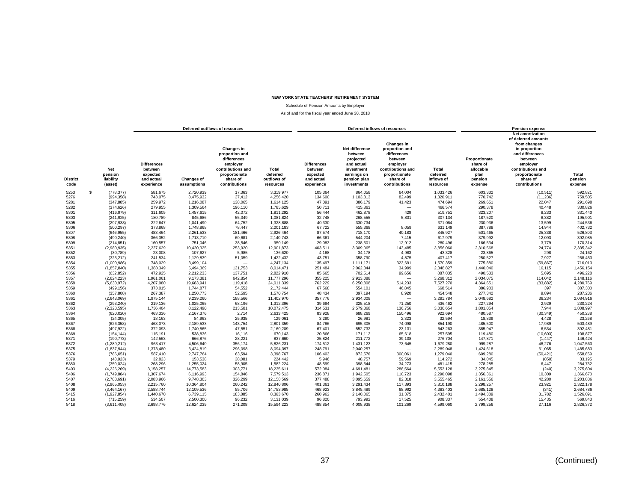#### Schedule of Pension Amounts by Employer

|                         |                                        |                                                                       |                                  | Deferred outflows of resources                                                                                             |                                                      |                                                                       |                                                                                                                  | Deferred inflows of resources                                                                                                                |                                              |                                                                      | <b>Pension expense</b>                                                                                                                                                                |                             |
|-------------------------|----------------------------------------|-----------------------------------------------------------------------|----------------------------------|----------------------------------------------------------------------------------------------------------------------------|------------------------------------------------------|-----------------------------------------------------------------------|------------------------------------------------------------------------------------------------------------------|----------------------------------------------------------------------------------------------------------------------------------------------|----------------------------------------------|----------------------------------------------------------------------|---------------------------------------------------------------------------------------------------------------------------------------------------------------------------------------|-----------------------------|
| <b>District</b><br>code | Net<br>pension<br>liability<br>(asset) | <b>Differences</b><br>between<br>expected<br>and actual<br>experience | <b>Changes of</b><br>assumptions | Changes in<br>proportion and<br>differences<br>employer<br>contributions and<br>proportionate<br>share of<br>contributions | <b>Total</b><br>deferred<br>outflows of<br>resources | <b>Differences</b><br>between<br>expected<br>and actual<br>experience | Net difference<br>between<br>projected<br>and actual<br>investment<br>earnings on<br>pension plan<br>investments | <b>Changes</b> in<br>proportion and<br>differences<br>between<br>employer<br>contributions and<br>proportionate<br>share of<br>contributions | Total<br>deferred<br>inflows of<br>resources | Proportionate<br>share of<br>allocable<br>plan<br>pension<br>expense | Net amortization<br>of deferred amounts<br>from changes<br>in proportion<br>and differences<br>between<br>employer<br>contributions and<br>proportionate<br>share of<br>contributions | Total<br>pension<br>expense |
| 5253                    | \$<br>(778, 377)                       | 581,675                                                               | 2,720,939                        | 17,363                                                                                                                     | 3,319,977                                            | 105,364                                                               | 864,058                                                                                                          | 64,004                                                                                                                                       | 1,033,426                                    | 603,332                                                              | (10, 511)                                                                                                                                                                             | 592,821                     |
| 5276                    | (994, 358)                             | 743,075                                                               | 3,475,932                        | 37,412                                                                                                                     | 4,256,420                                            | 134,600                                                               | 1,103,813                                                                                                        | 82,499                                                                                                                                       | 1,320,911                                    | 770,742                                                              | (11, 236)                                                                                                                                                                             | 759,505                     |
| 5281                    | (347, 885)                             | 259,972                                                               | 1,216,087                        | 138,065                                                                                                                    | 1,614,125                                            | 47,091                                                                | 386.179                                                                                                          | 41,423                                                                                                                                       | 474,694                                      | 269,651                                                              | 22,047                                                                                                                                                                                | 291,698                     |
| 5282                    | (374, 626)                             | 279,955                                                               | 1,309,564                        | 196,110                                                                                                                    | 1,785,629                                            | 50,711                                                                | 415,863                                                                                                          | $\overline{\phantom{0}}$                                                                                                                     | 466,574                                      | 290,378                                                              | 40,448                                                                                                                                                                                | 330,826                     |
| 5301                    | (416, 979)                             | 311,605                                                               | 1,457,615                        | 42,072                                                                                                                     | 1,811,292                                            | 56,444                                                                | 462,878                                                                                                          | 429                                                                                                                                          | 519,751                                      | 323,207                                                              | 8,233                                                                                                                                                                                 | 331,440                     |
| 5303                    | (241, 925)                             | 180,789                                                               | 845,686                          | 55,349                                                                                                                     | 1,081,824                                            | 32,748                                                                | 268,555                                                                                                          | 5,831                                                                                                                                        | 307,134                                      | 187,520                                                              | 8,382                                                                                                                                                                                 | 195,901                     |
| 5305                    | (297, 938)                             | 222,647                                                               | 1,041,490                        | 64,752                                                                                                                     | 1,328,888                                            | 40,330                                                                | 330,734                                                                                                          | $\overline{\phantom{0}}$                                                                                                                     | 371,064                                      | 230,936                                                              | 13,599                                                                                                                                                                                | 244,536                     |
| 5306                    | (500, 297)                             | 373,868                                                               | 1,748,868                        | 78,447                                                                                                                     | 2,201,183                                            | 67,722                                                                | 555,368                                                                                                          | 8,059                                                                                                                                        | 631,149                                      | 387,788                                                              | 14,944                                                                                                                                                                                | 402,732                     |
| 5307                    | (646, 955)                             | 483,464                                                               | 2,261,533                        | 181,466                                                                                                                    | 2,926,464                                            | 87,574                                                                | 718,170                                                                                                          | 40,183                                                                                                                                       | 845,927                                      | 501,465                                                              | 25,338                                                                                                                                                                                | 526,803                     |
| 5308                    | (490, 240)                             | 366,352                                                               | 1,713,710                        | 60,681                                                                                                                     | 2,140,743                                            | 66,361                                                                | 544,204                                                                                                          | 7,415                                                                                                                                        | 617,979                                      | 379,992                                                              | 12,093                                                                                                                                                                                | 392,085                     |
| 5309                    | (214, 851)                             | 160,557                                                               | 751,046                          | 38,546                                                                                                                     | 950,149                                              | 29,083                                                                | 238,501                                                                                                          | 12,912                                                                                                                                       | 280,496                                      | 166,534                                                              | 3,779                                                                                                                                                                                 | 170,314                     |
| 5351                    | (2,980,935)                            | 2,227,629                                                             | 10,420,325                       | 253,920                                                                                                                    | 12,901,873                                           | 403,511                                                               | 3,309,065                                                                                                        | 143,485                                                                                                                                      | 3,856,060                                    | 2,310,568                                                            | 24,774                                                                                                                                                                                | 2,335,342                   |
| 5352                    | (30, 789)                              | 23,008                                                                | 107,627                          | 5,985                                                                                                                      | 136,620                                              | 4,168                                                                 | 34,178                                                                                                           | 4,983                                                                                                                                        | 43,328                                       | 23,865                                                               | 298                                                                                                                                                                                   | 24,162                      |
| 5353                    | (323, 212)                             | 241,534                                                               | 1,129,839                        | 51,059                                                                                                                     | 1,422,432                                            | 43,751                                                                | 358,790                                                                                                          | 4,875                                                                                                                                        | 407,417                                      | 250,527                                                              | 7,927                                                                                                                                                                                 | 258,453                     |
| 5354                    | (1,000,986)                            | 748,029                                                               | 3,499,104                        | $\overline{\phantom{0}}$                                                                                                   | 4,247,134                                            | 135,497                                                               | 1,111,171                                                                                                        | 323,691                                                                                                                                      | 1,570,359                                    | 775,880                                                              | (59, 867)                                                                                                                                                                             | 716,013                     |
| 5355                    | (1, 857, 840)                          | 1,388,349                                                             | 6.494.369                        | 131.753                                                                                                                    | 8,014,471                                            | 251,484                                                               | 2,062,344                                                                                                        | 34,999                                                                                                                                       | 2.348.827                                    | 1,440,040                                                            | 16,115                                                                                                                                                                                | 1,456,154                   |
| 5356                    | (632, 852)                             | 472,925                                                               | 2,212,233                        | 137,751                                                                                                                    | 2,822,910                                            | 85,665                                                                | 702,514                                                                                                          | 99,656                                                                                                                                       | 887,835                                      | 490,533                                                              | 5,695                                                                                                                                                                                 | 496,228                     |
| 5357                    | (2,624,223)                            | 1,961,061                                                             | 9,173,381                        | 642,854                                                                                                                    | 11,777,296                                           | 355,225                                                               | 2,913,088                                                                                                        | $\overline{\phantom{0}}$                                                                                                                     | 3,268,312                                    | 2,034,075                                                            | 114,042                                                                                                                                                                               | 2,148,116                   |
| 5358                    | (5,630,972)                            | 4,207,980                                                             | 19,683,941                       | 119,418                                                                                                                    | 24,011,339                                           | 762,229                                                               | 6,250,808                                                                                                        | 514,233                                                                                                                                      | 7,527,270                                    | 4,364,651                                                            | (83, 882)                                                                                                                                                                             | 4,280,769                   |
| 5359                    | (499, 156)                             | 373,015                                                               | 1,744,877                        | 54,552                                                                                                                     | 2,172,444                                            | 67,568                                                                | 554,101                                                                                                          | 46,845                                                                                                                                       | 668,514                                      | 386,903                                                              | 397                                                                                                                                                                                   | 387,300                     |
| 5360                    | (357, 808)                             | 267,387                                                               | 1,250,773                        | 52,595                                                                                                                     | 1,570,754                                            | 48,434                                                                | 397,194                                                                                                          | 8,920                                                                                                                                        | 454,548                                      | 277,342                                                              | 9,894                                                                                                                                                                                 | 287,236                     |
| 5361                    | (2,643,069)                            | 1,975,144                                                             | 9,239,260                        | 188,566                                                                                                                    | 11,402,970                                           | 357,776                                                               | 2,934,008                                                                                                        | $\overline{\phantom{0}}$                                                                                                                     | 3,291,784                                    | 2,048,682                                                            | 36,234                                                                                                                                                                                | 2,084,916                   |
| 5362                    | (293, 240)                             | 219,136                                                               | 1,025,065                        | 68,196                                                                                                                     | 1,312,396                                            | 39,694                                                                | 325,518                                                                                                          | 71,250                                                                                                                                       | 436,462                                      | 227,294                                                              | 2,929                                                                                                                                                                                 | 230,224                     |
| 5363                    | (2,323,595)                            | 1,736,404                                                             | 8,122,490                        | 213,581                                                                                                                    | 10,072,475                                           | 314,531                                                               | 2,579,368                                                                                                        | 136,756                                                                                                                                      | 3,030,654                                    | 1,801,054                                                            | 7,944                                                                                                                                                                                 | 1,808,997                   |
| 5364                    | (620, 020)                             | 463,336                                                               | 2,167,376                        | 2,714                                                                                                                      | 2,633,425                                            | 83,928                                                                | 688,269                                                                                                          | 150,496                                                                                                                                      | 922,694                                      | 480,587                                                              | (30, 349)                                                                                                                                                                             | 450,238                     |
| 5365                    | (24, 305)                              | 18,163                                                                | 84,963                           | 25,935                                                                                                                     | 129,061                                              | 3,290                                                                 | 26,981                                                                                                           | 2,323                                                                                                                                        | 32,594                                       | 18,839                                                               | 4,428                                                                                                                                                                                 | 23,268                      |
| 5367                    | (626, 358)                             | 468,073                                                               | 2,189,533                        | 143,754                                                                                                                    | 2,801,359                                            | 84,786                                                                | 695,305                                                                                                          | 74,098                                                                                                                                       | 854,190                                      | 485,500                                                              | 17,989                                                                                                                                                                                | 503,489                     |
| 5368                    | (497, 922)                             | 372,093                                                               | 1,740,565                        | 47,551                                                                                                                     | 2,160,209                                            | 67,401                                                                | 552,732                                                                                                          | 23,131                                                                                                                                       | 643,263                                      | 385,947                                                              | 6,534                                                                                                                                                                                 | 392,481                     |
| 5369                    | (154, 144)                             | 115,191                                                               | 538,836                          | 16,116                                                                                                                     | 670,143                                              | 20,866                                                                | 171,112                                                                                                          | 65,618                                                                                                                                       | 257,595                                      | 119,480                                                              | (10, 603)                                                                                                                                                                             | 108,877                     |
| 5371                    | (190, 773)                             | 142,563                                                               | 666,876                          | 28,221                                                                                                                     | 837,660                                              | 25,824                                                                | 211,772                                                                                                          | 39,108                                                                                                                                       | 276,704                                      | 147,871                                                              | (1, 447)                                                                                                                                                                              | 146,424                     |
| 5372                    | (1, 289, 212)                          | 963,417                                                               | 4,506,640                        | 356,174                                                                                                                    | 5,826,231                                            | 174,512                                                               | 1,431,123                                                                                                        | 73,645                                                                                                                                       | 1,679,280                                    | 999,287                                                              | 48,276                                                                                                                                                                                | 1,047,563                   |
| 5375                    | (1,837,944)                            | 1,373,480                                                             | 6,424,819                        | 296,098                                                                                                                    | 8,094,397                                            | 248,791                                                               | 2,040,257                                                                                                        | $\overline{\phantom{0}}$                                                                                                                     | 2,289,048                                    | 1,424,618                                                            | 61,065                                                                                                                                                                                | 1,485,683                   |
| 5376                    | (786, 051)                             | 587,410                                                               | 2,747,764                        | 63,594                                                                                                                     | 3,398,767                                            | 106,403                                                               | 872,576                                                                                                          | 300,061                                                                                                                                      | 1,279,040                                    | 609,280                                                              | (50, 421)                                                                                                                                                                             | 558,859                     |
| 5379                    | (43, 923)                              | 32,823                                                                | 153,538                          | 38,081                                                                                                                     | 224,442                                              | 5,946                                                                 | 48,757                                                                                                           | 59,569                                                                                                                                       | 114,272                                      | 34,045                                                               | (850)                                                                                                                                                                                 | 33,195                      |
| 5380                    | (359, 024)                             | 268,296                                                               | 1,255,024                        | 58,905                                                                                                                     | 1,582,224                                            | 48,599                                                                | 398,544                                                                                                          | 34,273                                                                                                                                       | 481,415                                      | 278,285                                                              | 6,447                                                                                                                                                                                 | 284,732                     |
| 5403                    | (4,226,269)                            | 3,158,257                                                             | 14,773,583                       | 303,771                                                                                                                    | 18,235,611                                           | 572,084                                                               | 4,691,481                                                                                                        | 288,564                                                                                                                                      | 5,552,128                                    | 3,275,845                                                            | (240)                                                                                                                                                                                 | 3,275,604                   |
| 5406                    | (1,749,884)                            | 1,307,674                                                             | 6,116,993                        | 154,846                                                                                                                    | 7,579,513                                            | 236,871                                                               | 1,942,505                                                                                                        | 110,723                                                                                                                                      | 2,290,098                                    | 1,356,361                                                            | 10,309                                                                                                                                                                                | 1,366,670                   |
| 5407                    | (2,788,691)                            | 2,083,966                                                             | 9,748,303                        | 326,299                                                                                                                    | 12,158,569                                           | 377.488                                                               | 3,095,659                                                                                                        | 82,318                                                                                                                                       | 3,555,465                                    | 2,161,556                                                            | 42,280                                                                                                                                                                                | 2,203,836                   |
| 5408                    | (2,965,053)                            | 2,215,760                                                             | 10,364,804                       | 260,242                                                                                                                    | 12,840,806                                           | 401,361                                                               | 3,291,434                                                                                                        | 117,393                                                                                                                                      | 3,810,188                                    | 2,298,257                                                            | 23,921                                                                                                                                                                                | 2,322,178                   |
| 5409                    | (3,464,167)                            | 2,588,744                                                             | 12,109,536                       | 55,706                                                                                                                     | 14,753,985                                           | 468,923                                                               | 3,845,489                                                                                                        | 68,992                                                                                                                                       | 4,383,403                                    | 2,685,128                                                            | (341)                                                                                                                                                                                 | 2,684,786                   |
| 5415                    | (1,927,854)                            | 1,440,670                                                             | 6,739,115                        | 183,885                                                                                                                    | 8,363,670                                            | 260,962                                                               | 2,140,065                                                                                                        | 31,375                                                                                                                                       | 2,432,401                                    | 1,494,309                                                            | 31,782                                                                                                                                                                                | 1,526,091                   |
| 5416                    | (715, 259)                             | 534,507                                                               | 2,500,300                        | 96,232                                                                                                                     | 3,131,039                                            | 96,820                                                                | 793,992                                                                                                          | 17,525                                                                                                                                       | 908,337                                      | 554,408                                                              | 15,435                                                                                                                                                                                | 569,843                     |
| 5418                    | (3,611,408)                            | 2,698,776                                                             | 12,624,239                       | 271,208                                                                                                                    | 15,594,223                                           | 488.854                                                               | 4,008,938                                                                                                        | 101,269                                                                                                                                      | 4.599.060                                    | 2,799,256                                                            | 27.116                                                                                                                                                                                | 2,826,372                   |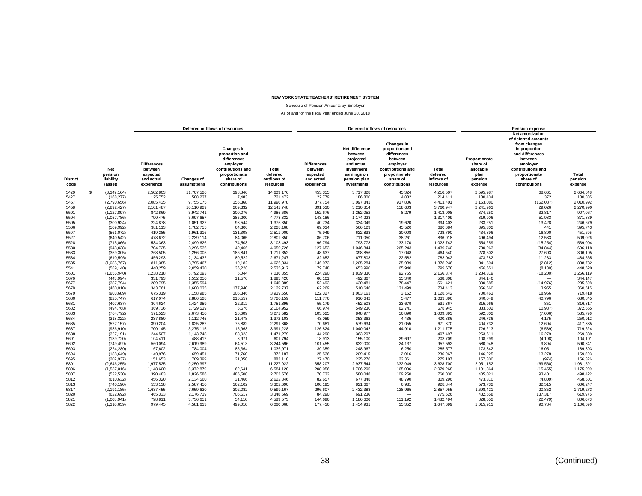#### Schedule of Pension Amounts by Employer

|                         |                                        |                                                                       | Deferred outflows of resources   |                                                                                                                                   |                                               | Deferred inflows of resources                                         |                                                                                                                  |                                                                                                                                              |                                              | <b>Pension expense</b>                                               |                                                                                                                                                                                       |                             |
|-------------------------|----------------------------------------|-----------------------------------------------------------------------|----------------------------------|-----------------------------------------------------------------------------------------------------------------------------------|-----------------------------------------------|-----------------------------------------------------------------------|------------------------------------------------------------------------------------------------------------------|----------------------------------------------------------------------------------------------------------------------------------------------|----------------------------------------------|----------------------------------------------------------------------|---------------------------------------------------------------------------------------------------------------------------------------------------------------------------------------|-----------------------------|
| <b>District</b><br>code | Net<br>pension<br>liability<br>(asset) | <b>Differences</b><br>between<br>expected<br>and actual<br>experience | <b>Changes of</b><br>assumptions | <b>Changes in</b><br>proportion and<br>differences<br>employer<br>contributions and<br>proportionate<br>share of<br>contributions | Total<br>deferred<br>outflows of<br>resources | <b>Differences</b><br>between<br>expected<br>and actual<br>experience | Net difference<br>between<br>projected<br>and actual<br>investment<br>earnings on<br>pension plan<br>investments | <b>Changes</b> in<br>proportion and<br>differences<br>between<br>employer<br>contributions and<br>proportionate<br>share of<br>contributions | Total<br>deferred<br>inflows of<br>resources | Proportionate<br>share of<br>allocable<br>plan<br>pension<br>expense | Net amortization<br>of deferred amounts<br>from changes<br>in proportion<br>and differences<br>between<br>employer<br>contributions and<br>proportionate<br>share of<br>contributions | Total<br>pension<br>expense |
| 5420                    | \$<br>(3,349,164)                      | 2,502,803                                                             | 11,707,526                       | 398,846                                                                                                                           | 14,609,176                                    | 453,355                                                               | 3,717,828                                                                                                        | 45,324                                                                                                                                       | 4,216,507                                    | 2,595,987                                                            | 68,661                                                                                                                                                                                | 2,664,648                   |
| 5427                    | (168, 277)                             | 125,752                                                               | 588,237                          | 7,483                                                                                                                             | 721,472                                       | 22,779                                                                | 186,800                                                                                                          | 4,832                                                                                                                                        | 214,411                                      | 130,434                                                              | 372                                                                                                                                                                                   | 130,805                     |
| 5457                    | (2,790,656)                            | 2,085,435                                                             | 9,755,175                        | 156,368                                                                                                                           | 11,996,978                                    | 377,754                                                               | 3,097,841                                                                                                        | 937,806                                                                                                                                      | 4,413,401                                    | 2,163,080                                                            | (152, 087)                                                                                                                                                                            | 2,010,992                   |
| 5458                    | (2,892,427)                            | 2,161,487                                                             | 10,110,929                       | 269,332                                                                                                                           | 12,541,748                                    | 391,530                                                               | 3,210,814                                                                                                        | 158,603                                                                                                                                      | 3,760,947                                    | 2,241,963                                                            | 29,026                                                                                                                                                                                | 2,270,990                   |
| 5501                    | (1, 127, 897)                          | 842,869                                                               | 3,942,741                        | 200,076                                                                                                                           | 4,985,686                                     | 152,676                                                               | 1,252,052                                                                                                        | 8,279                                                                                                                                        | 1,413,008                                    | 874,250                                                              | 32,817                                                                                                                                                                                | 907,067                     |
| 5504                    | (1,057,786)                            | 790,475                                                               | 3,697,657                        | 285,200                                                                                                                           | 4,773,332                                     | 143,186                                                               | 1,174,223                                                                                                        | $\overline{\phantom{0}}$                                                                                                                     | 1,317,409                                    | 819,906                                                              | 51,983                                                                                                                                                                                | 871,889                     |
| 5505                    | (300, 924)                             | 224,878                                                               | 1,051,927                        | 98,544                                                                                                                            | 1,375,350                                     | 40,734                                                                | 334,049                                                                                                          | 19,620                                                                                                                                       | 394,403                                      | 233,251                                                              | 13,428                                                                                                                                                                                | 246,679                     |
| 5506                    | (509, 992)                             | 381,113                                                               | 1,782,755                        | 64,300                                                                                                                            | 2,228,168                                     | 69,034                                                                | 566,129                                                                                                          | 45,520                                                                                                                                       | 680,684                                      | 395,302                                                              | 441                                                                                                                                                                                   | 395,743                     |
| 5507                    | (561, 072)                             | 419,285                                                               | 1,961,316                        | 131,308                                                                                                                           | 2,511,909                                     | 75,949                                                                | 622,833                                                                                                          | 30,008                                                                                                                                       | 728,790                                      | 434,896                                                              | 16,800                                                                                                                                                                                | 451,695                     |
| 5527                    | (640, 542)                             | 478,672                                                               | 2,239,114                        | 84,065                                                                                                                            | 2,801,850                                     | 86,706                                                                | 711,050                                                                                                          | 38,261                                                                                                                                       | 836,018                                      | 496,494                                                              | 12,533                                                                                                                                                                                | 509,026                     |
| 5528                    | (715,066)                              | 534,363                                                               | 2,499,626                        | 74,503                                                                                                                            | 3,108,493                                     | 96,794                                                                | 793,778                                                                                                          | 133,170                                                                                                                                      | 1,023,742                                    | 554,259                                                              | (15, 254)                                                                                                                                                                             | 539,004                     |
| 5530                    | (943, 038)                             | 704,725                                                               | 3,296,536                        | 49,466                                                                                                                            | 4,050,726                                     | 127,653                                                               | 1,046,844                                                                                                        | 265,243                                                                                                                                      | 1,439,740                                    | 730,963                                                              | (34, 844)                                                                                                                                                                             | 696,118                     |
| 5533                    | (359, 305)                             | 268,505                                                               | 1,256,005                        | 186,841                                                                                                                           | 1,711,352                                     | 48,637                                                                | 398,856                                                                                                          | 17,048                                                                                                                                       | 464,540                                      | 278,502                                                              | 27,603                                                                                                                                                                                | 306,105                     |
| 5534                    | (610, 596)                             | 456,293                                                               | 2,134,432                        | 80,522                                                                                                                            | 2,671,247                                     | 82,652                                                                | 677,808                                                                                                          | 22,582                                                                                                                                       | 783,042                                      | 473,282                                                              | 11,283                                                                                                                                                                                | 484,565                     |
| 5535                    | (1,085,767)                            | 811,385                                                               | 3,795,467                        | 19,182                                                                                                                            | 4,626,034                                     | 146,973                                                               | 1,205,284                                                                                                        | 25,989                                                                                                                                       | 1,378,246                                    | 841,594                                                              | (2,812)                                                                                                                                                                               | 838,782                     |
| 5541                    | (589, 140)                             | 440,259                                                               | 2,059,430                        | 36,228                                                                                                                            | 2,535,917                                     | 79,748                                                                | 653,990                                                                                                          | 65,940                                                                                                                                       | 799,678                                      | 456,651                                                              | (8, 130)                                                                                                                                                                              | 448,520                     |
| 5601                    | (1,656,940)                            | 1,238,218                                                             | 5,792,093                        | 6,044                                                                                                                             | 7,036,355                                     | 224,290                                                               | 1,839,330                                                                                                        | 92,755                                                                                                                                       | 2,156,374                                    | 1,284,319                                                            | (18, 200)                                                                                                                                                                             | 1,266,119                   |
| 5676                    | (443, 994)                             | 331,793                                                               | 1,552,050                        | 11,576                                                                                                                            | 1,895,420                                     | 60,101                                                                | 492,867                                                                                                          | 15,340                                                                                                                                       | 568,308                                      | 344,146                                                              |                                                                                                                                                                                       | 344,147                     |
| 5677                    | (387, 794)                             | 289,795                                                               | 1,355,594                        |                                                                                                                                   | 1,645,389                                     | 52,493                                                                | 430,481                                                                                                          | 78,447                                                                                                                                       | 561,421                                      | 300,585                                                              | (14, 976)                                                                                                                                                                             | 285,608                     |
| 5678                    | (460, 010)                             | 343,761                                                               | 1,608,035                        | 177,940                                                                                                                           | 2,129,737                                     | 62,269                                                                | 510,646                                                                                                          | 131,499                                                                                                                                      | 704,413                                      | 356,560                                                              | 3,955                                                                                                                                                                                 | 360,515                     |
| 5679                    | (903, 689)                             | 675,319                                                               | 3,158,985                        | 105,346                                                                                                                           | 3,939,650                                     | 122,327                                                               | 1,003,163                                                                                                        | 3,152                                                                                                                                        | 1,128,642                                    | 700,463                                                              | 18,956                                                                                                                                                                                | 719,418                     |
| 5680                    | (825, 747)                             | 617,074                                                               | 2,886,528                        | 216,557                                                                                                                           | 3,720,159                                     | 111,776                                                               | 916,642                                                                                                          | 5,477                                                                                                                                        | 1,033,896                                    | 640,049                                                              | 40,796                                                                                                                                                                                | 680,845                     |
| 5681                    | (407, 637)                             | 304,624                                                               | 1,424,959                        | 22,312                                                                                                                            | 1,751,895                                     | 55,179                                                                | 452,508                                                                                                          | 23,679                                                                                                                                       | 531,367                                      | 315,966                                                              | 851                                                                                                                                                                                   | 316,817                     |
| 5682                    | (494, 768)                             | 369,736                                                               | 1,729,539                        | 5,676                                                                                                                             | 2,104,952                                     | 66,974                                                                | 549,230                                                                                                          | 62,741                                                                                                                                       | 678,945                                      | 383,502                                                              | (10, 937)                                                                                                                                                                             | 372,565                     |
| 5683                    | (764, 792)                             | 571,523                                                               | 2,673,450                        | 26,609                                                                                                                            | 3,271,582                                     | 103,525                                                               | 848,977                                                                                                          | 56,890                                                                                                                                       | 1,009,393                                    | 592,802                                                              | (7,006)                                                                                                                                                                               | 585,796                     |
| 5684                    | (318, 322)                             | 237,880                                                               | 1,112,745                        | 21,478                                                                                                                            | 1,372,103                                     | 43,089                                                                | 353,362                                                                                                          | 4,435                                                                                                                                        | 400,886                                      | 246,736                                                              | 4,175                                                                                                                                                                                 | 250,912                     |
| 5685                    | (522, 157)                             | 390,204                                                               | 1,825,282                        | 75,882                                                                                                                            | 2,291,368                                     | 70,681                                                                | 579,634                                                                                                          | 21,055                                                                                                                                       | 671,370                                      | 404,732                                                              | 12,604                                                                                                                                                                                | 417,335                     |
| 5687                    | (936, 910)                             | 700,145                                                               | 3,275,115                        | 15,968                                                                                                                            | 3,991,228                                     | 126,824                                                               | 1,040,042                                                                                                        | 44,910                                                                                                                                       | 1,211,775                                    | 726,213                                                              | (6, 589)                                                                                                                                                                              | 719,624                     |
| 5688                    | (327, 191)                             | 244,507                                                               | 1,143,748                        | 83,023                                                                                                                            | 1,471,279                                     | 44,290                                                                | 363,207                                                                                                          | $\overline{\phantom{0}}$                                                                                                                     | 407,497                                      | 253,611                                                              | 16,279                                                                                                                                                                                | 269,889                     |
| 5691                    | (139, 720)                             | 104,411                                                               | 488,412                          | 8,971                                                                                                                             | 601,794                                       | 18,913                                                                | 155,100                                                                                                          | 29,697                                                                                                                                       | 203,709                                      | 108,299                                                              | (4, 198)                                                                                                                                                                              | 104,101                     |
| 5692                    | (749, 499)                             | 560,094                                                               | 2,619,989                        | 64,513                                                                                                                            | 3,244,596                                     | 101,455                                                               | 832,000                                                                                                          | 24,137                                                                                                                                       | 957,592                                      | 580,948                                                              | 9,894                                                                                                                                                                                 | 590,841                     |
| 5693                    | (224, 280)                             | 167,602                                                               | 784,004                          | 85,364                                                                                                                            | 1,036,971                                     | 30,359                                                                | 248,967                                                                                                          | 6,250                                                                                                                                        | 285,577                                      | 173,842                                                              | 16,051                                                                                                                                                                                | 189,893                     |
| 5694                    | (188, 649)                             | 140,976                                                               | 659,451                          | 71,760                                                                                                                            | 872,187                                       | 25,536                                                                | 209,415                                                                                                          | 2,016                                                                                                                                        | 236,967                                      | 146,225                                                              | 13,278                                                                                                                                                                                | 159,503                     |
| 5695                    | (202, 937)                             | 151,653                                                               | 709,399                          | 21,058                                                                                                                            | 882,110                                       | 27,470                                                                | 225,276                                                                                                          | 22,361                                                                                                                                       | 275,107                                      | 157,300                                                              | (974)                                                                                                                                                                                 | 156,326                     |
| 5801                    | (2,646,255)                            | 1,977,525                                                             | 9,250,397                        | $\overline{\phantom{0}}$                                                                                                          | 11,227,922                                    | 358,207                                                               | 2,937,544                                                                                                        | 332,949                                                                                                                                      | 3,628,700                                    | 2,051,152                                                            | (69, 560)                                                                                                                                                                             | 1,981,591                   |
| 5806                    | (1,537,016)                            | 1,148,600                                                             | 5,372,879                        | 62,641                                                                                                                            | 6,584,120                                     | 208,056                                                               | 1,706,205                                                                                                        | 165,006                                                                                                                                      | 2,079,268                                    | 1,191,364                                                            | (15, 455)                                                                                                                                                                             | 1,175,909                   |
| 5807                    | (522, 530)                             | 390,483                                                               | 1,826,586                        | 485,508                                                                                                                           | 2,702,576                                     | 70,732                                                                | 580,048                                                                                                          | 109,250                                                                                                                                      | 760,030                                      | 405,021                                                              | 93,401                                                                                                                                                                                | 498,422                     |
| 5812                    | (610, 632)                             | 456,320                                                               | 2,134,560                        | 31,466                                                                                                                            | 2,622,346                                     | 82,657                                                                | 677,848                                                                                                          | 48,790                                                                                                                                       | 809,296                                      | 473,310                                                              | (4,809)                                                                                                                                                                               | 468,501                     |
| 5813                    | (740, 190)                             | 553,138                                                               | 2,587,450                        | 162,102                                                                                                                           | 3,302,690                                     | 100,195                                                               | 821,667                                                                                                          | 6,981                                                                                                                                        | 928,844                                      | 573,732                                                              | 32,515                                                                                                                                                                                | 606,247                     |
| 5817                    | (2, 191, 185)                          | 1,637,455                                                             | 7,659,630                        | 302,082                                                                                                                           | 9,599,167                                     | 296,607                                                               | 2,432,383                                                                                                        | 128,965                                                                                                                                      | 2,857,955                                    | 1,698,421                                                            | 20,852                                                                                                                                                                                | 1,719,273                   |
| 5820                    | (622, 692)                             | 465,333                                                               | 2,176,719                        | 706,517                                                                                                                           | 3,348,569                                     | 84,290                                                                | 691,236                                                                                                          | $\overline{\phantom{0}}$                                                                                                                     | 775,526                                      | 482,658                                                              | 137,317                                                                                                                                                                               | 619,975                     |
| 5821                    | (1,068,941)                            | 798,811                                                               | 3,736,651                        | 54,110                                                                                                                            | 4,589,573                                     | 144,696                                                               | 1,186,606                                                                                                        | 151,192                                                                                                                                      | 1,482,494                                    | 828,552                                                              | (22, 479)                                                                                                                                                                             | 806,073                     |
| 5822                    | (1,310,659)                            | 979,445                                                               | 4,581,613                        | 499,010                                                                                                                           | 6,060,068                                     | 177,416                                                               | 1,454,931                                                                                                        | 15,352                                                                                                                                       | 1,647,699                                    | 1,015,911                                                            | 90.784                                                                                                                                                                                | 1,106,696                   |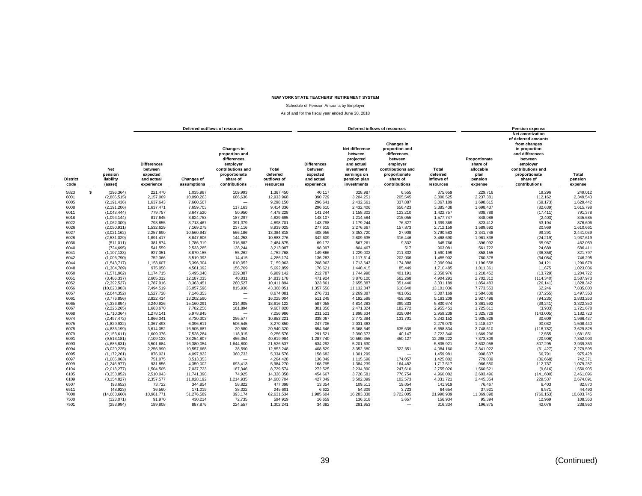#### Schedule of Pension Amounts by Employer

|                         |                                        |                                                                       | Deferred outflows of resources   |                                                                                                                                   |                                               | Deferred inflows of resources                                         |                                                                                                                  |                                                                                                                                              |                                              | <b>Pension expense</b>                                               |                                                                                                                                                                                       |                             |
|-------------------------|----------------------------------------|-----------------------------------------------------------------------|----------------------------------|-----------------------------------------------------------------------------------------------------------------------------------|-----------------------------------------------|-----------------------------------------------------------------------|------------------------------------------------------------------------------------------------------------------|----------------------------------------------------------------------------------------------------------------------------------------------|----------------------------------------------|----------------------------------------------------------------------|---------------------------------------------------------------------------------------------------------------------------------------------------------------------------------------|-----------------------------|
| <b>District</b><br>code | Net<br>pension<br>liability<br>(asset) | <b>Differences</b><br>between<br>expected<br>and actual<br>experience | <b>Changes of</b><br>assumptions | <b>Changes in</b><br>proportion and<br>differences<br>employer<br>contributions and<br>proportionate<br>share of<br>contributions | Total<br>deferred<br>outflows of<br>resources | <b>Differences</b><br>between<br>expected<br>and actual<br>experience | Net difference<br>between<br>projected<br>and actual<br>investment<br>earnings on<br>pension plan<br>investments | <b>Changes</b> in<br>proportion and<br>differences<br>between<br>employer<br>contributions and<br>proportionate<br>share of<br>contributions | Total<br>deferred<br>inflows of<br>resources | Proportionate<br>share of<br>allocable<br>plan<br>pension<br>expense | Net amortization<br>of deferred amounts<br>from changes<br>in proportion<br>and differences<br>between<br>employer<br>contributions and<br>proportionate<br>share of<br>contributions | Total<br>pension<br>expense |
| 5823                    | $\mathbb{S}$<br>(296, 364)             | 221,470                                                               | 1,035,987                        | 109,993                                                                                                                           | 1,367,450                                     | 40,117                                                                | 328,987                                                                                                          | 6,555                                                                                                                                        | 375,659                                      | 229,716                                                              | 19,296                                                                                                                                                                                | 249,012                     |
| 6001                    | (2,886,515)                            | 2,157,069                                                             | 10,090,263                       | 686,636                                                                                                                           | 12,933,968                                    | 390,729                                                               | 3,204,251                                                                                                        | 205,545                                                                                                                                      | 3,800,525                                    | 2,237,381                                                            | 112,162                                                                                                                                                                               | 2,349,543                   |
| 6005                    | (2, 191, 436)                          | 1,637,643                                                             | 7,660,507                        | $\overline{\phantom{0}}$                                                                                                          | 9,298,150                                     | 296,641                                                               | 2,432,661                                                                                                        | 337,887                                                                                                                                      | 3,067,189                                    | 1,698,615                                                            | (69, 173)                                                                                                                                                                             | 1,629,442                   |
| 6008                    | (2, 191, 206)                          | 1,637,471                                                             | 7,659,703                        | 117,163                                                                                                                           | 9,414,336                                     | 296,610                                                               | 2,432,406                                                                                                        | 656,423                                                                                                                                      | 3,385,438                                    | 1,698,437                                                            | (82, 639)                                                                                                                                                                             | 1,615,798                   |
| 6011                    | (1,043,444)                            | 779,757                                                               | 3,647,520                        | 50,950                                                                                                                            | 4,478,228                                     | 141,244                                                               | 1,158,302                                                                                                        | 123,210                                                                                                                                      | 1,422,757                                    | 808,789                                                              | (17, 411)                                                                                                                                                                             | 791,378                     |
| 6018                    | (1,094,144)                            | 817,645                                                               | 3,824,753                        | 187,297                                                                                                                           | 4,829,695                                     | 148,107                                                               | 1,214,584                                                                                                        | 215,055                                                                                                                                      | 1,577,747                                    | 848,088                                                              | (2, 403)                                                                                                                                                                              | 845,685                     |
| 6022                    | (1,062,309)                            | 793,855                                                               | 3,713,467                        | 391,379                                                                                                                           | 4,898,701                                     | 143,798                                                               | 1,179,244                                                                                                        | 76,327                                                                                                                                       | 1,399,369                                    | 823,412                                                              | 53,194                                                                                                                                                                                | 876,606                     |
| 6026                    | (2,050,911)                            | 1,532,629                                                             | 7,169,279                        | 237,116                                                                                                                           | 8,939,025                                     | 277,619                                                               | 2,276,667                                                                                                        | 157,873                                                                                                                                      | 2,712,159                                    | 1,589,692                                                            | 20,969                                                                                                                                                                                | 1,610,661                   |
| 6027                    | (3,021,162)                            | 2,257,690                                                             | 10,560,942                       | 566,186                                                                                                                           | 13,384,818                                    | 408,956                                                               | 3,353,720                                                                                                        | 27,908                                                                                                                                       | 3,790,583                                    | 2,341,748                                                            | 99,291                                                                                                                                                                                | 2,441,039                   |
| 6028                    | (2,531,029)                            | 1,891,417                                                             | 8,847,606                        | 144,253                                                                                                                           | 10,883,276                                    | 342,609                                                               | 2,809,635                                                                                                        | 316,446                                                                                                                                      | 3,468,690                                    | 1,961,838                                                            | (24, 219)                                                                                                                                                                             | 1,937,619                   |
| 6036                    | (511, 011)                             | 381,874                                                               | 1,786,319                        | 316,682                                                                                                                           | 2,484,875                                     | 69,172                                                                | 567,261                                                                                                          | 9,332                                                                                                                                        | 645,766                                      | 396,092                                                              | 65,967                                                                                                                                                                                | 462,059                     |
| 6040                    | (724, 695)                             | 541,559                                                               | 2,533,285                        | 138,244                                                                                                                           | 3,213,087                                     | 98,097                                                                | 804,467                                                                                                          | 517                                                                                                                                          | 903,081                                      | 561,722                                                              | 24,689                                                                                                                                                                                | 586,411                     |
| 6041                    | (1, 107, 133)                          | 827,351                                                               | 3.870.155                        | 55,262                                                                                                                            | 4,752,768                                     | 149,866                                                               | 1,229,002                                                                                                        | 211,332                                                                                                                                      | 1.590.199                                    | 858.155                                                              | (36, 358)                                                                                                                                                                             | 821,797                     |
| 6042                    | (1,006,790)                            | 752,366                                                               | 3,519,393                        | 14,415                                                                                                                            | 4,286,174                                     | 136,283                                                               | 1,117,614                                                                                                        | 202,006                                                                                                                                      | 1,455,902                                    | 780,378                                                              | (34,084)                                                                                                                                                                              | 746,295                     |
| 6044                    | (1,543,717)                            | 1,153,607                                                             | 5,396,304                        | 610,052                                                                                                                           | 7,159,963                                     | 208,963                                                               | 1,713,643                                                                                                        | 174,388                                                                                                                                      | 2,096,994                                    | 1,196,558                                                            | 94,121                                                                                                                                                                                | 1,290,679                   |
| 6048                    | (1, 304, 789)                          | 975,058                                                               | 4,561,092                        | 156,709                                                                                                                           | 5,692,859                                     | 176,621                                                               | 1,448,415                                                                                                        | 85,449                                                                                                                                       | 1,710,485                                    | 1,011,361                                                            | 11,675                                                                                                                                                                                | 1,023,036                   |
| 6050                    | (1,571,962)                            | 1,174,715                                                             | 5,495,040                        | 239,387                                                                                                                           | 6,909,142                                     | 212,787                                                               | 1,744,998                                                                                                        | 401,191                                                                                                                                      | 2,358,976                                    | 1,218,452                                                            | (13, 729)                                                                                                                                                                             | 1,204,722                   |
| 6051                    | (3,486,337)                            | 2,605,312                                                             | 12,187,035                       | 40,831                                                                                                                            | 14,833,178                                    | 471,924                                                               | 3,870,100                                                                                                        | 562,268                                                                                                                                      | 4,904,291                                    | 2,702,312                                                            | (114, 340)                                                                                                                                                                            | 2,587,973                   |
| 6052                    | (2,392,527)                            | 1,787,916                                                             | 8,363,451                        | 260,527                                                                                                                           | 10,411,894                                    | 323,861                                                               | 2,655,887                                                                                                        | 351,440                                                                                                                                      | 3,331,189                                    | 1,854,483                                                            | (26, 141)                                                                                                                                                                             | 1,828,342                   |
| 6056                    | (10,028,903)                           | 7,494,519                                                             | 35,057,596                       | 815,936                                                                                                                           | 43,368,051                                    | 1,357,550                                                             | 11,132,847                                                                                                       | 610,640                                                                                                                                      | 13,101,036                                   | 7,773,553                                                            | 62,246                                                                                                                                                                                | 7,835,800                   |
| 6057                    | (2,044,352)                            | 1,527,728                                                             | 7,146,353                        | $\qquad \qquad -$                                                                                                                 | 8,674,081                                     | 276,731                                                               | 2,269,387                                                                                                        | 461,051                                                                                                                                      | 3,007,169                                    | 1,584,608                                                            | (87, 255)                                                                                                                                                                             | 1,497,353                   |
| 6061                    | (3,776,856)                            | 2,822,414                                                             | 13,202,590                       | $\overline{\phantom{0}}$                                                                                                          | 16,025,004                                    | 511,249                                                               | 4,192,598                                                                                                        | 459,362                                                                                                                                      | 5,163,209                                    | 2,927,498                                                            | (94, 235)                                                                                                                                                                             | 2,833,263                   |
| 6065                    | (4,336,894)                            | 3,240,926                                                             | 15,160,291                       | 214,905                                                                                                                           | 18,616,122                                    | 587,058                                                               | 4,814,283                                                                                                        | 399,333                                                                                                                                      | 5,800,674                                    | 3,361,592                                                            | (39, 241)                                                                                                                                                                             | 3,322,350                   |
| 6067                    | (2,226,265)                            | 1,663,670                                                             | 7,782,256                        | 161,894                                                                                                                           | 9,607,820                                     | 301,356                                                               | 2,471,324                                                                                                        | 182,772                                                                                                                                      | 2,955,451                                    | 1,725,611                                                            | (3,933)                                                                                                                                                                               | 1,721,678                   |
| 6068                    | (1,710,364)                            | 1,278,141                                                             | 5,978,845                        | $\overline{\phantom{0}}$                                                                                                          | 7,256,986                                     | 231,521                                                               | 1,898,634                                                                                                        | 829,084                                                                                                                                      | 2,959,239                                    | 1,325,729                                                            | (143,005)                                                                                                                                                                             | 1,182,723                   |
| 6074                    | (2,497,472)                            | 1,866,341                                                             | 8,730,303                        | 256,577                                                                                                                           | 10,853,221                                    | 338,067                                                               | 2,772,384                                                                                                        | 131,701                                                                                                                                      | 3,242,152                                    | 1,935,828                                                            | 30,609                                                                                                                                                                                | 1,966,437                   |
| 6075                    | (1,829,932)                            | 1,367,493                                                             | 6,396,811                        | 506.545                                                                                                                           | 8,270,850                                     | 247,706                                                               | 2,031,363                                                                                                        | $\overline{\phantom{0}}$                                                                                                                     | 2,279,070                                    | 1,418,407                                                            | 90,032                                                                                                                                                                                | 1,508,440                   |
| 6078                    | (4,836,199)                            | 3,614,052                                                             | 16,905,687                       | 20,580                                                                                                                            | 20,540,320                                    | 654,646                                                               | 5,368,549                                                                                                        | 635,639                                                                                                                                      | 6,658,834                                    | 3,748,610                                                            | (118, 782)                                                                                                                                                                            | 3,629,828                   |
| 6079                    | (2, 153, 611)                          | 1,609,376                                                             | 7,528,284                        | 118,915                                                                                                                           | 9,256,576                                     | 291,521                                                               | 2,390,673                                                                                                        | 40,147                                                                                                                                       | 2,722,340                                    | 1,669,296                                                            | 12,555                                                                                                                                                                                | 1,681,851                   |
| 6091                    | (9,513,181)                            | 7,109,123                                                             | 33,254,807                       | 456,054                                                                                                                           | 40,819,984                                    | 1,287,740                                                             | 10,560,355                                                                                                       | 450,127                                                                                                                                      | 12,298,222                                   | 7,373,809                                                            | (20, 906)                                                                                                                                                                             | 7,352,903                   |
| 6093                    | (4,685,831)                            | 3,501,684                                                             | 16,380,054                       | 1,644,800                                                                                                                         | 21,526,537                                    | 634,292                                                               | 5,201,630                                                                                                        | $\overline{\phantom{0}}$                                                                                                                     | 5,835,921                                    | 3,632,058                                                            | 307,295                                                                                                                                                                               | 3,939,353                   |
| 6094                    | (3,020,225)                            | 2,256,990                                                             | 10.557.668                       | 38,590                                                                                                                            | 12,853,248                                    | 408,829                                                               | 3,352,680                                                                                                        | 322,651                                                                                                                                      | 4,084,160                                    | 2,341,022                                                            | (61, 427)                                                                                                                                                                             | 2,279,595                   |
| 6095                    | (1, 172, 261)                          | 876,021                                                               | 4,097,822                        | 360,732                                                                                                                           | 5,334,576                                     | 158,682                                                               | 1,301,299                                                                                                        |                                                                                                                                              | 1,459,981                                    | 908,637                                                              | 66,791                                                                                                                                                                                | 975,428                     |
| 6097                    | (1,005,063)                            | 751,075                                                               | 3,513,353                        | $\equiv$                                                                                                                          | 4,264,428                                     | 136,049                                                               | 1,115,696                                                                                                        | 174,057                                                                                                                                      | 1,425,802                                    | 779,039                                                              | (36, 668)                                                                                                                                                                             | 742,371                     |
| 6099                    | (1,246,977)                            | 931,856                                                               | 4,359,002                        | 693,413                                                                                                                           | 5,984,270                                     | 168,795                                                               | 1,384,239                                                                                                        | 164,482                                                                                                                                      | 1,717,517                                    | 966,550                                                              | 112,737                                                                                                                                                                               | 1,079,287                   |
| 6104                    | (2,013,277)                            | 1,504,505                                                             | 7,037,723                        | 187,346                                                                                                                           | 8,729,574                                     | 272,525                                                               | 2,234,890                                                                                                        | 247,610                                                                                                                                      | 2,755,026                                    | 1,560,521                                                            | (9,616)                                                                                                                                                                               | 1,550,905                   |
| 6105                    | (3,358,852)                            | 2,510,043                                                             | 11,741,390                       | 74,925                                                                                                                            | 14,326,358                                    | 454,667                                                               | 3,728,581                                                                                                        | 776,754                                                                                                                                      | 4,960,002                                    | 2,603,496                                                            | (141, 600)                                                                                                                                                                            | 2,461,896                   |
| 6109                    | (3, 154, 827)                          | 2,357,577                                                             | 11,028,192                       | 1,214,935                                                                                                                         | 14,600,704                                    | 427,049                                                               | 3,502,099                                                                                                        | 102,573                                                                                                                                      | 4,031,721                                    | 2,445,354                                                            | 229,537                                                                                                                                                                               | 2,674,891                   |
| 6507                    | (98, 652)                              | 73,722                                                                | 344,854                          | 58,822                                                                                                                            | 477,398                                       | 13,354                                                                | 109,511                                                                                                          | 19,054                                                                                                                                       | 141,919                                      | 76,467                                                               | 6,403                                                                                                                                                                                 | 82,870                      |
| 6511                    | (48, 923)                              | 36,560                                                                | 171,019                          | 38,022                                                                                                                            | 245,601                                       | 6,622                                                                 | 54,309                                                                                                           | 3,723                                                                                                                                        | 64,654                                       | 37,921                                                               | 6,571                                                                                                                                                                                 | 44,493                      |
| 7000                    | (14,668,660)                           | 10,961,771                                                            | 51,276,589                       | 393.174                                                                                                                           | 62,631,534                                    | 1,985,604                                                             | 16,283,330                                                                                                       | 3,722,005                                                                                                                                    | 21,990,939                                   | 11,369,898                                                           | (766, 153)                                                                                                                                                                            | 10,603,745                  |
| 7500                    | (123, 071)                             | 91,970                                                                | 430,214                          | 72,735                                                                                                                            | 594,919                                       | 16,659                                                                | 136,618                                                                                                          | 3,657                                                                                                                                        | 156,934                                      | 95,394                                                               | 12,969                                                                                                                                                                                | 108,363                     |
| 7501                    | (253, 994)                             | 189,808                                                               | 887,876                          | 224,557                                                                                                                           | 1,302,241                                     | 34.382                                                                | 281,953                                                                                                          |                                                                                                                                              | 316.334                                      | 196,875                                                              | 42,076                                                                                                                                                                                | 238,950                     |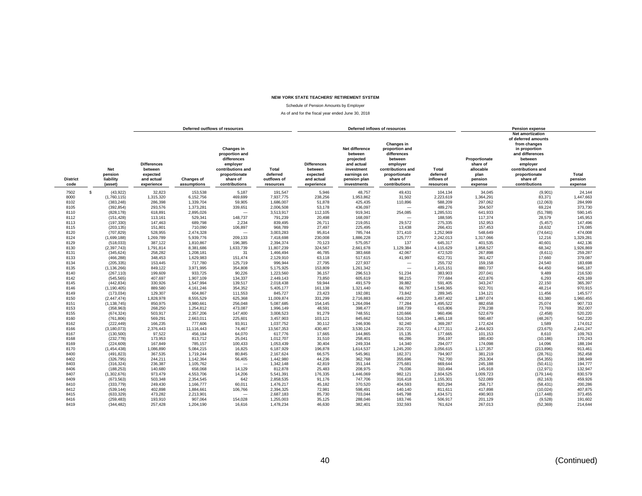#### Schedule of Pension Amounts by Employer

|                         |                                        |                                                                       | Deferred outflows of resources   |                                                                                                                                   |                                               | Deferred inflows of resources                                         |                                                                                                                  |                                                                                                                                              |                                              | <b>Pension expense</b>                                               |                                                                                                                                                                                       |                             |
|-------------------------|----------------------------------------|-----------------------------------------------------------------------|----------------------------------|-----------------------------------------------------------------------------------------------------------------------------------|-----------------------------------------------|-----------------------------------------------------------------------|------------------------------------------------------------------------------------------------------------------|----------------------------------------------------------------------------------------------------------------------------------------------|----------------------------------------------|----------------------------------------------------------------------|---------------------------------------------------------------------------------------------------------------------------------------------------------------------------------------|-----------------------------|
| <b>District</b><br>code | Net<br>pension<br>liability<br>(asset) | <b>Differences</b><br>between<br>expected<br>and actual<br>experience | <b>Changes of</b><br>assumptions | <b>Changes in</b><br>proportion and<br>differences<br>employer<br>contributions and<br>proportionate<br>share of<br>contributions | Total<br>deferred<br>outflows of<br>resources | <b>Differences</b><br>between<br>expected<br>and actual<br>experience | Net difference<br>between<br>projected<br>and actual<br>investment<br>earnings on<br>pension plan<br>investments | <b>Changes</b> in<br>proportion and<br>differences<br>between<br>employer<br>contributions and<br>proportionate<br>share of<br>contributions | Total<br>deferred<br>inflows of<br>resources | Proportionate<br>share of<br>allocable<br>plan<br>pension<br>expense | Net amortization<br>of deferred amounts<br>from changes<br>in proportion<br>and differences<br>between<br>employer<br>contributions and<br>proportionate<br>share of<br>contributions | Total<br>pension<br>expense |
| 7502                    | \$<br>(43, 922)                        | 32,823                                                                | 153,538                          | 5,187                                                                                                                             | 191,547                                       | 5,946                                                                 | 48,757                                                                                                           | 49,431                                                                                                                                       | 104,134                                      | 34,045                                                               | (9,901)                                                                                                                                                                               | 24,144                      |
| 8000                    | (1,760,115)                            | 1,315,320                                                             | 6,152,756                        | 469,699                                                                                                                           | 7,937,775                                     | 238,256                                                               | 1,953,862                                                                                                        | 31,502                                                                                                                                       | 2,223,619                                    | 1,364,291                                                            | 83,371                                                                                                                                                                                | 1,447,663                   |
| 8102                    | (383, 248)                             | 286,398                                                               | 1,339,704                        | 59,905                                                                                                                            | 1,686,007                                     | 51,878                                                                | 425,435                                                                                                          | 110,896                                                                                                                                      | 588,209                                      | 297,062                                                              | (12,063)                                                                                                                                                                              | 284,999                     |
| 8105                    | (392, 854)                             | 293,576                                                               | 1,373,281                        | 339,651                                                                                                                           | 2,006,508                                     | 53,178                                                                | 436,097                                                                                                          |                                                                                                                                              | 489,276                                      | 304,507                                                              | 69,224                                                                                                                                                                                | 373,730                     |
| 8110                    | (828, 178)                             | 618,891                                                               | 2,895,026                        |                                                                                                                                   | 3,513,917                                     | 112,105                                                               | 919,341                                                                                                          | 254,085                                                                                                                                      | 1,285,531                                    | 641,933                                                              | (51, 788)                                                                                                                                                                             | 590,145                     |
| 8112                    | (151, 428)                             | 113,161                                                               | 529,341                          | 148,737                                                                                                                           | 791,239                                       | 20,498                                                                | 168,097                                                                                                          | $\overline{\phantom{0}}$                                                                                                                     | 188,595                                      | 117,374                                                              | 28,579                                                                                                                                                                                | 145,953                     |
| 8113                    | (197, 330)                             | 147,463                                                               | 689,798                          | 2,234                                                                                                                             | 839,495                                       | 26,711                                                                | 219,051                                                                                                          | 29,572                                                                                                                                       | 275,335                                      | 152,953                                                              | (5, 457)                                                                                                                                                                              | 147,496                     |
| 8115                    | (203, 135)                             | 151,801                                                               | 710,090                          | 106,897                                                                                                                           | 968,789                                       | 27,497                                                                | 225,495                                                                                                          | 13,438                                                                                                                                       | 266,431                                      | 157,453                                                              | 18,632                                                                                                                                                                                | 176,085                     |
| 8120                    | (707, 829)                             | 528,955                                                               | 2,474,328                        | $\overline{\phantom{0}}$                                                                                                          | 3,003,283                                     | 95,814                                                                | 785.744                                                                                                          | 371,410                                                                                                                                      | 1,252,969                                    | 548,649                                                              | (74, 641)                                                                                                                                                                             | 474,008                     |
| 8124                    | (1,699,188)                            | 1,269,789                                                             | 5,939,776                        | 209,133                                                                                                                           | 7,418,698                                     | 230,008                                                               | 1,886,228                                                                                                        | 125,777                                                                                                                                      | 2,242,013                                    | 1,317,066                                                            | 12,216                                                                                                                                                                                | 1,329,281                   |
| 8129                    | (518, 033)                             | 387,122                                                               | 1,810,867                        | 196,385                                                                                                                           | 2,394,374                                     | 70,123                                                                | 575,057                                                                                                          | 137                                                                                                                                          | 645,317                                      | 401,535                                                              | 40,601                                                                                                                                                                                | 442,136                     |
| 8130                    | (2, 397, 743)                          | 1,791,814                                                             | 8,381,686                        | 1,633,739                                                                                                                         | 11,807,239                                    | 324,567                                                               | 2,661,678                                                                                                        | 1,129,384                                                                                                                                    | 4,115,629                                    | 1,858,527                                                            | 68,342                                                                                                                                                                                | 1,926,869                   |
| 8131                    | (345, 624)                             | 258,282                                                               | 1,208,181                        | 31                                                                                                                                | 1,466,494                                     | 46,785                                                                | 383,668                                                                                                          | 42,067                                                                                                                                       | 472,520                                      | 267,898                                                              | (8,611)                                                                                                                                                                               | 259,287                     |
| 8133                    | (466, 288)                             | 348,453                                                               | 1,629,983                        | 151,474                                                                                                                           | 2,129,910                                     | 63,118                                                                | 517,615                                                                                                          | 41,997                                                                                                                                       | 622,731                                      | 361,427                                                              | 17,660                                                                                                                                                                                | 379,087                     |
| 8134                    | (205, 335)                             | 153,445                                                               | 717,780                          | 125,719                                                                                                                           | 996,944                                       | 27,795                                                                | 227,937                                                                                                          | $\overline{\phantom{m}}$                                                                                                                     | 255,732                                      | 159,158                                                              | 24,540                                                                                                                                                                                | 183,698                     |
| 8135                    | (1, 136, 266)                          | 849.122                                                               | 3.971.995                        | 354,808                                                                                                                           | 5,175,925                                     | 153,809                                                               | 1,261,342                                                                                                        | $\overline{\phantom{0}}$                                                                                                                     | 1,415,151                                    | 880,737                                                              | 64,450                                                                                                                                                                                | 945,187                     |
| 8140                    | (267, 110)                             | 199,609                                                               | 933,725                          | 90,226                                                                                                                            | 1,223,560                                     | 36,157                                                                | 296,513                                                                                                          | 51,234                                                                                                                                       | 383,903                                      | 207,041                                                              | 9,489                                                                                                                                                                                 | 216,530                     |
| 8142                    | (545, 565)                             | 407,697                                                               | 1,907,109                        | 134,337                                                                                                                           | 2,449,143                                     | 73,850                                                                | 605,619                                                                                                          | 98,215                                                                                                                                       | 777,684                                      | 422,876                                                              | 6,293                                                                                                                                                                                 | 429,169                     |
| 8145                    | (442, 834)                             | 330,926                                                               | 1,547,994                        | 139,517                                                                                                                           | 2,018,438                                     | 59,944                                                                | 491,579                                                                                                          | 39,882                                                                                                                                       | 591,405                                      | 343,247                                                              | 22,150                                                                                                                                                                                | 365,397                     |
| 8146                    | (1, 190, 405)                          | 889,580                                                               | 4,161,246                        | 354,352                                                                                                                           | 5,405,177                                     | 161,138                                                               | 1,321,440                                                                                                        | 66,787                                                                                                                                       | 1,549,365                                    | 922,701                                                              | 48,214                                                                                                                                                                                | 970,915                     |
| 8149                    | (173, 034)                             | 129,307                                                               | 604,867                          | 111,553                                                                                                                           | 845,727                                       | 23,423                                                                | 192,081                                                                                                          | 73,842                                                                                                                                       | 289,345                                      | 134,121                                                              | 11,456                                                                                                                                                                                | 145,577                     |
| 8150                    | (2, 447, 474)                          | 1,828,978                                                             | 8,555,529                        | 625,368                                                                                                                           | 11,009,874                                    | 331,299                                                               | 2,716,883                                                                                                        | 449,220                                                                                                                                      | 3,497,402                                    | 1,897,074                                                            | 63,380                                                                                                                                                                                | 1,960,455                   |
| 8151                    | (1, 138, 745)                          | 850,975                                                               | 3,980,661                        | 256,048                                                                                                                           | 5,087,685                                     | 154,145                                                               | 1,264,094                                                                                                        | 77,284                                                                                                                                       | 1,495,522                                    | 882,658                                                              | 25,074                                                                                                                                                                                | 907,733                     |
| 8153                    | (358, 963)                             | 268,250                                                               | 1,254,812                        | 473,087                                                                                                                           | 1,996,149                                     | 48,591                                                                | 398,477                                                                                                          | 168,739                                                                                                                                      | 615,806                                      | 278,238                                                              | 73,769                                                                                                                                                                                | 352,007                     |
| 8155                    | (674, 324)                             | 503,917                                                               | 2,357,206                        | 147,400                                                                                                                           | 3,008,523                                     | 91,279                                                                | 748,551                                                                                                          | 120,666                                                                                                                                      | 960,496                                      | 522,679                                                              | (2, 458)                                                                                                                                                                              | 520,220                     |
| 8160                    | (761, 806)                             | 569,291                                                               | 2,663,011                        | 225,601                                                                                                                           | 3,457,903                                     | 103,121                                                               | 845,662                                                                                                          | 516,334                                                                                                                                      | 1,465,118                                    | 590,487                                                              | (48, 267)                                                                                                                                                                             | 542,220                     |
| 8162                    | (222, 449)                             | 166,235                                                               | 777,606                          | 93,911                                                                                                                            | 1,037,752                                     | 30,112                                                                | 246,936                                                                                                          | 92,240                                                                                                                                       | 369,287                                      | 172,424                                                              | 1,589                                                                                                                                                                                 | 174,012                     |
| 8166                    | (3, 180, 073)                          | 2,376,443                                                             | 11,116,443                       | 74,467                                                                                                                            | 13,567,353                                    | 430,467                                                               | 3,530,124                                                                                                        | 216,721                                                                                                                                      | 4,177,311                                    | 2,464,923                                                            | (23, 675)                                                                                                                                                                             | 2,441,247                   |
| 8167                    | (130, 500)                             | 97,522                                                                | 456,184                          | 64,070                                                                                                                            | 617,776                                       | 17,665                                                                | 144,865                                                                                                          | 15,135                                                                                                                                       | 177,665                                      | 101,153                                                              | 8,610                                                                                                                                                                                 | 109,763                     |
| 8168                    | (232, 778)                             | 173,953                                                               | 813,712                          | 25,041                                                                                                                            | 1,012,707                                     | 31,510                                                                | 258,401                                                                                                          | 66,286                                                                                                                                       | 356,197                                      | 180,430                                                              | (10, 186)                                                                                                                                                                             | 170,243                     |
| 8169                    | (224, 609)                             | 167,849                                                               | 785,157                          | 100,433                                                                                                                           | 1,053,439                                     | 30,404                                                                | 249,334                                                                                                          | 14,340                                                                                                                                       | 294,077                                      | 174,098                                                              | 14,096                                                                                                                                                                                | 188,194                     |
| 8170                    | (1,454,438)                            | 1,086,890                                                             | 5,084,215                        | 16,825                                                                                                                            | 6,187,929                                     | 196,878                                                               | 1,614,537                                                                                                        | 1,245,200                                                                                                                                    | 3,056,615                                    | 1,127,357                                                            | (213, 896)                                                                                                                                                                            | 913,461                     |
| 8400                    | (491, 823)                             | 367,535                                                               | 1,719,244                        | 80,845                                                                                                                            | 2,167,624                                     | 66,575                                                                | 545,961                                                                                                          | 182,371                                                                                                                                      | 794,907                                      | 381,219                                                              | (28, 761)                                                                                                                                                                             | 352,458                     |
| 8402                    | (326, 795)                             | 244,211                                                               | 1,142,364                        | 56,405                                                                                                                            | 1,442,980                                     | 44,236                                                                | 362,768                                                                                                          | 355,696                                                                                                                                      | 762,700                                      | 253,304                                                              | (54, 355)                                                                                                                                                                             | 198,949                     |
| 8403                    | (316, 324)                             | 236,387                                                               | 1,105,762                        |                                                                                                                                   | 1,342,148                                     | 42,819                                                                | 351,144                                                                                                          | 275,681                                                                                                                                      | 669,644                                      | 245,188                                                              | (50, 411)                                                                                                                                                                             | 194,777                     |
| 8406                    | (188, 253)                             | 140,680                                                               | 658,068                          | 14,129                                                                                                                            | 812,878                                       | 25,483                                                                | 208,975                                                                                                          | 76,036                                                                                                                                       | 310,494                                      | 145,918                                                              | (12, 971)                                                                                                                                                                             | 132,947                     |
| 8407                    | (1,302,676)                            | 973,479                                                               | 4,553,706                        | 14,206                                                                                                                            | 5,541,391                                     | 176,335                                                               | 1,446,069                                                                                                        | 982,121                                                                                                                                      | 2,604,525                                    | 1,009,723                                                            | (179, 144)                                                                                                                                                                            | 830,579                     |
| 8409                    | (673, 563)                             | 503,348                                                               | 2,354,545                        | 642                                                                                                                               | 2,858,535                                     | 91,176                                                                | 747,706                                                                                                          | 316,418                                                                                                                                      | 1,155,301                                    | 522,089                                                              | (62, 163)                                                                                                                                                                             | 459,926                     |
| 8410                    | (333, 779)                             | 249,430                                                               | 1,166,777                        | 60,011                                                                                                                            | 1,476,217                                     | 45,182                                                                | 370,520                                                                                                          | 404,593                                                                                                                                      | 820,294                                      | 258,717                                                              | (58, 431)                                                                                                                                                                             | 200,286                     |
| 8412                    | (539, 144)                             | 402,898                                                               | 1,884,661                        | 106,766                                                                                                                           | 2,394,325                                     | 72,981                                                                | 598,491                                                                                                          | 140,140                                                                                                                                      | 811,611                                      | 417,898                                                              | (10, 024)                                                                                                                                                                             | 407,875                     |
| 8415                    | (633, 329)                             | 473,282                                                               | 2,213,901                        |                                                                                                                                   | 2,687,183                                     | 85,730                                                                | 703,044                                                                                                          | 645,798                                                                                                                                      | 1,434,571                                    | 490,903                                                              | (117, 448)                                                                                                                                                                            | 373,455                     |
| 8416                    | (259, 483)                             | 193,910                                                               | 907,064                          | 154,028                                                                                                                           | 1,255,003                                     | 35,125                                                                | 288,046                                                                                                          | 183,746                                                                                                                                      | 506,917                                      | 201,129                                                              | (9,528)                                                                                                                                                                               | 191,602                     |
| 8419                    | (344, 482)                             | 257,428                                                               | 1,204,190                        | 16.616                                                                                                                            | 1,478,234                                     | 46.630                                                                | 382,401                                                                                                          | 332,593                                                                                                                                      | 761,624                                      | 267,013                                                              | (52, 369)                                                                                                                                                                             | 214,644                     |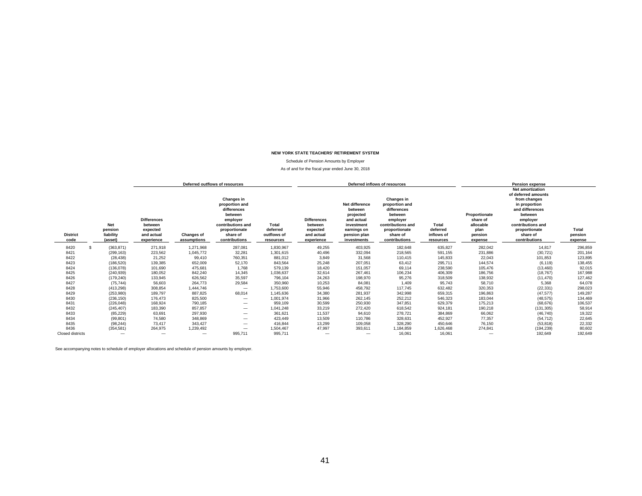Schedule of Pension Amounts by Employer

#### As of and for the fiscal year ended June 30, 2018

| Deferred outflows of resources |  |                                        |                                                                       | Deferred inflows of resources    |                                                                                                                                       |                                               |                                                                       | <b>Pension expense</b>                                                                                           |                                                                                                                                       |                                                     |                                                                      |                                                                                                                                                                                              |                             |
|--------------------------------|--|----------------------------------------|-----------------------------------------------------------------------|----------------------------------|---------------------------------------------------------------------------------------------------------------------------------------|-----------------------------------------------|-----------------------------------------------------------------------|------------------------------------------------------------------------------------------------------------------|---------------------------------------------------------------------------------------------------------------------------------------|-----------------------------------------------------|----------------------------------------------------------------------|----------------------------------------------------------------------------------------------------------------------------------------------------------------------------------------------|-----------------------------|
| <b>District</b><br>code        |  | Net<br>pension<br>liability<br>(asset) | <b>Differences</b><br>between<br>expected<br>and actual<br>experience | <b>Changes of</b><br>assumptions | Changes in<br>proportion and<br>differences<br>between<br>employer<br>contributions and<br>proportionate<br>share of<br>contributions | Total<br>deferred<br>outflows of<br>resources | <b>Differences</b><br>between<br>expected<br>and actual<br>experience | Net difference<br>between<br>projected<br>and actual<br>investment<br>earnings on<br>pension plan<br>investments | Changes in<br>proportion and<br>differences<br>between<br>employer<br>contributions and<br>proportionate<br>share of<br>contributions | <b>Total</b><br>deferred<br>inflows of<br>resources | Proportionate<br>share of<br>allocable<br>plan<br>pension<br>expense | <b>Net amortization</b><br>of deferred amounts<br>from changes<br>in proportion<br>and differences<br>between<br>employer<br>contributions and<br>proportionate<br>share of<br>contributions | Total<br>pension<br>expense |
| 8420<br><b>S</b>               |  | (363, 871)                             | 271,918                                                               | 1,271,968                        | 287,081                                                                                                                               | 1,830,967                                     | 49,255                                                                | 403,925                                                                                                          | 182,648                                                                                                                               | 635,827                                             | 282,042                                                              | 14,817                                                                                                                                                                                       | 296,859                     |
| 8421                           |  | (299, 163)                             | 223,562                                                               | 1,045,772                        | 32,281                                                                                                                                | 1,301,615                                     | 40,496                                                                | 332,094                                                                                                          | 218,565                                                                                                                               | 591,155                                             | 231,886                                                              | (30, 721)                                                                                                                                                                                    | 201,164                     |
| 8422                           |  | (28, 438)                              | 21,252                                                                | 99,410                           | 760,351                                                                                                                               | 881,012                                       | 3,849                                                                 | 31,568                                                                                                           | 110,415                                                                                                                               | 145,833                                             | 22,043                                                               | 101,853                                                                                                                                                                                      | 123,895                     |
| 8423                           |  | (186, 520)                             | 139,385                                                               | 652,009                          | 52,170                                                                                                                                | 843,564                                       | 25,248                                                                | 207,051                                                                                                          | 63,412                                                                                                                                | 295,711                                             | 144,574                                                              | (6, 119)                                                                                                                                                                                     | 138,455                     |
| 8424                           |  | (136,078)                              | 101,690                                                               | 475,681                          | 1,768                                                                                                                                 | 579,139                                       | 18,420                                                                | 151,057                                                                                                          | 69,114                                                                                                                                | 238,590                                             | 105,476                                                              | (13, 460)                                                                                                                                                                                    | 92,015                      |
| 8425                           |  | (240, 939)                             | 180,052                                                               | 842,240                          | 14,345                                                                                                                                | 1,036,637                                     | 32,614                                                                | 267,461                                                                                                          | 106,234                                                                                                                               | 406,309                                             | 186,756                                                              | (18, 767)                                                                                                                                                                                    | 167,988                     |
| 8426                           |  | (179, 240)                             | 133,945                                                               | 626,562                          | 35,597                                                                                                                                | 796,104                                       | 24,263                                                                | 198,970                                                                                                          | 95,276                                                                                                                                | 318,509                                             | 138,932                                                              | (11, 470)                                                                                                                                                                                    | 127,462                     |
| 8427                           |  | (75, 744)                              | 56,603                                                                | 264,773                          | 29,584                                                                                                                                | 350,960                                       | 10,253                                                                | 84,081                                                                                                           | 1,409                                                                                                                                 | 95,743                                              | 58,710                                                               | 5,368                                                                                                                                                                                        | 64,078                      |
| 8428                           |  | (413, 298)                             | 308,854                                                               | 1,444,746                        | $\overline{\phantom{m}}$                                                                                                              | 1,753,600                                     | 55,946                                                                | 458,792                                                                                                          | 117,745                                                                                                                               | 632,482                                             | 320,353                                                              | (22, 331)                                                                                                                                                                                    | 298,023                     |
| 8429                           |  | (253,980)                              | 189,797                                                               | 887,825                          | 68,014                                                                                                                                | 1,145,636                                     | 34,380                                                                | 281,937                                                                                                          | 342,998                                                                                                                               | 659,315                                             | 196,863                                                              | (47, 577)                                                                                                                                                                                    | 149,287                     |
| 8430                           |  | (236, 150)                             | 176,473                                                               | 825,500                          |                                                                                                                                       | 1,001,974                                     | 31,966                                                                | 262,145                                                                                                          | 252,212                                                                                                                               | 546,323                                             | 183,044                                                              | (48, 575)                                                                                                                                                                                    | 134,469                     |
| 8431                           |  | (226, 048)                             | 168,924                                                               | 790,185                          |                                                                                                                                       | 959,109                                       | 30,599                                                                | 250,930                                                                                                          | 347,851                                                                                                                               | 629,379                                             | 175,213                                                              | (68, 676)                                                                                                                                                                                    | 106,537                     |
| 8432                           |  | (245, 407)                             | 183,390                                                               | 857,857                          |                                                                                                                                       | 1,041,248                                     | 33,219                                                                | 272,420                                                                                                          | 618,542                                                                                                                               | 924,181                                             | 190,218                                                              | (131, 305)                                                                                                                                                                                   | 58,914                      |
| 8433                           |  | (85, 229)                              | 63,691                                                                | 297,930                          |                                                                                                                                       | 361,621                                       | 11,537                                                                | 94,610                                                                                                           | 278,721                                                                                                                               | 384,869                                             | 66,062                                                               | (46, 740)                                                                                                                                                                                    | 19,322                      |
| 8434                           |  | (99, 801)                              | 74,580                                                                | 348,869                          |                                                                                                                                       | 423,449                                       | 13,509                                                                | 110,786                                                                                                          | 328,631                                                                                                                               | 452,927                                             | 77,357                                                               | (54, 712)                                                                                                                                                                                    | 22,645                      |
| 8435                           |  | (98, 244)                              | 73,417                                                                | 343,427                          |                                                                                                                                       | 416,844                                       | 13,299                                                                | 109,058                                                                                                          | 328,290                                                                                                                               | 450,646                                             | 76,150                                                               | (53, 818)                                                                                                                                                                                    | 22,332                      |
| 8436                           |  | (354, 581)                             | 264,975                                                               | 1,239,492                        |                                                                                                                                       | 1,504,467                                     | 47,997                                                                | 393,611                                                                                                          | 1,184,859                                                                                                                             | 1,626,468                                           | 274,841                                                              | (194, 239)                                                                                                                                                                                   | 80,602                      |
| <b>Closed districts</b>        |  |                                        |                                                                       |                                  | 995,711                                                                                                                               | 995,711                                       |                                                                       | $\overline{\phantom{0}}$                                                                                         | 16,061                                                                                                                                | 16,061                                              |                                                                      | 192,649                                                                                                                                                                                      | 192,649                     |

See accompanying notes to schedule of employer allocations and schedule of pension amounts by employer.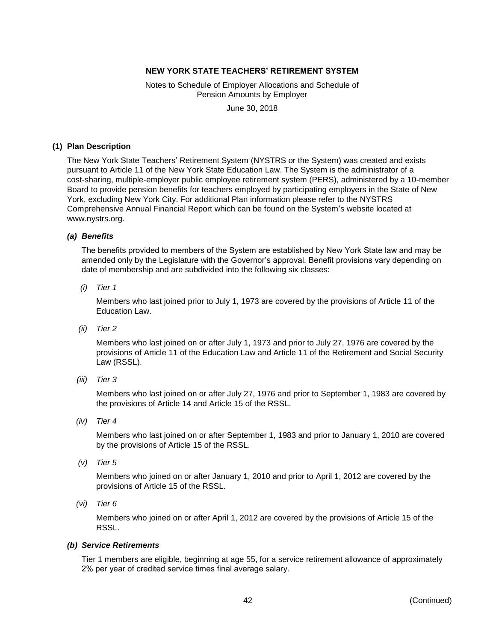Notes to Schedule of Employer Allocations and Schedule of Pension Amounts by Employer

June 30, 2018

### **(1) Plan Description**

The New York State Teachers' Retirement System (NYSTRS or the System) was created and exists pursuant to Article 11 of the New York State Education Law. The System is the administrator of a cost-sharing, multiple-employer public employee retirement system (PERS), administered by a 10-member Board to provide pension benefits for teachers employed by participating employers in the State of New York, excluding New York City. For additional Plan information please refer to the NYSTRS Comprehensive Annual Financial Report which can be found on the System's website located at www.nystrs.org.

### *(a) Benefits*

The benefits provided to members of the System are established by New York State law and may be amended only by the Legislature with the Governor's approval. Benefit provisions vary depending on date of membership and are subdivided into the following six classes:

*(i) Tier 1*

Members who last joined prior to July 1, 1973 are covered by the provisions of Article 11 of the Education Law.

*(ii) Tier 2*

Members who last joined on or after July 1, 1973 and prior to July 27, 1976 are covered by the provisions of Article 11 of the Education Law and Article 11 of the Retirement and Social Security Law (RSSL).

*(iii) Tier 3*

Members who last joined on or after July 27, 1976 and prior to September 1, 1983 are covered by the provisions of Article 14 and Article 15 of the RSSL.

*(iv) Tier 4*

Members who last joined on or after September 1, 1983 and prior to January 1, 2010 are covered by the provisions of Article 15 of the RSSL.

*(v) Tier 5*

Members who joined on or after January 1, 2010 and prior to April 1, 2012 are covered by the provisions of Article 15 of the RSSL.

*(vi) Tier 6*

Members who joined on or after April 1, 2012 are covered by the provisions of Article 15 of the RSSL.

### *(b) Service Retirements*

Tier 1 members are eligible, beginning at age 55, for a service retirement allowance of approximately 2% per year of credited service times final average salary.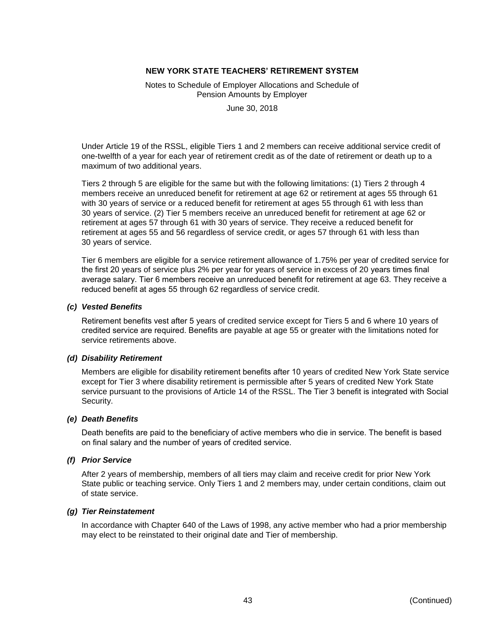Notes to Schedule of Employer Allocations and Schedule of Pension Amounts by Employer

June 30, 2018

Under Article 19 of the RSSL, eligible Tiers 1 and 2 members can receive additional service credit of one-twelfth of a year for each year of retirement credit as of the date of retirement or death up to a maximum of two additional years.

Tiers 2 through 5 are eligible for the same but with the following limitations: (1) Tiers 2 through 4 members receive an unreduced benefit for retirement at age 62 or retirement at ages 55 through 61 with 30 years of service or a reduced benefit for retirement at ages 55 through 61 with less than 30 years of service. (2) Tier 5 members receive an unreduced benefit for retirement at age 62 or retirement at ages 57 through 61 with 30 years of service. They receive a reduced benefit for retirement at ages 55 and 56 regardless of service credit, or ages 57 through 61 with less than 30 years of service.

Tier 6 members are eligible for a service retirement allowance of 1.75% per year of credited service for the first 20 years of service plus 2% per year for years of service in excess of 20 years times final average salary. Tier 6 members receive an unreduced benefit for retirement at age 63. They receive a reduced benefit at ages 55 through 62 regardless of service credit.

### *(c) Vested Benefits*

Retirement benefits vest after 5 years of credited service except for Tiers 5 and 6 where 10 years of credited service are required. Benefits are payable at age 55 or greater with the limitations noted for service retirements above.

### *(d) Disability Retirement*

Members are eligible for disability retirement benefits after 10 years of credited New York State service except for Tier 3 where disability retirement is permissible after 5 years of credited New York State service pursuant to the provisions of Article 14 of the RSSL. The Tier 3 benefit is integrated with Social Security.

### *(e) Death Benefits*

Death benefits are paid to the beneficiary of active members who die in service. The benefit is based on final salary and the number of years of credited service.

### *(f) Prior Service*

After 2 years of membership, members of all tiers may claim and receive credit for prior New York State public or teaching service. Only Tiers 1 and 2 members may, under certain conditions, claim out of state service.

### *(g) Tier Reinstatement*

In accordance with Chapter 640 of the Laws of 1998, any active member who had a prior membership may elect to be reinstated to their original date and Tier of membership.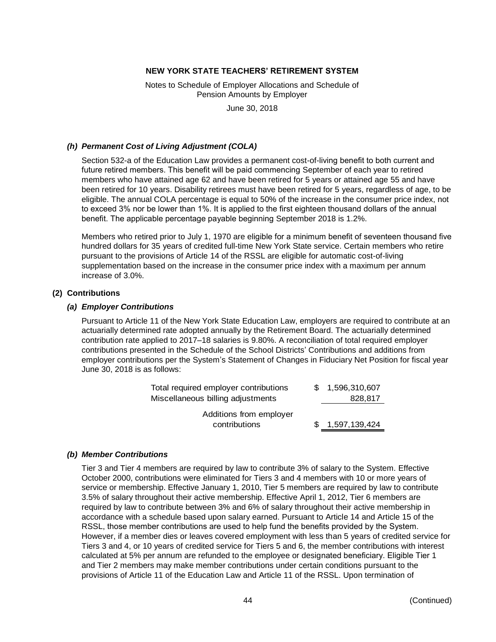Notes to Schedule of Employer Allocations and Schedule of Pension Amounts by Employer

June 30, 2018

### *(h) Permanent Cost of Living Adjustment (COLA)*

Section 532-a of the Education Law provides a permanent cost-of-living benefit to both current and future retired members. This benefit will be paid commencing September of each year to retired members who have attained age 62 and have been retired for 5 years or attained age 55 and have been retired for 10 years. Disability retirees must have been retired for 5 years, regardless of age, to be eligible. The annual COLA percentage is equal to 50% of the increase in the consumer price index, not to exceed 3% nor be lower than 1%. It is applied to the first eighteen thousand dollars of the annual benefit. The applicable percentage payable beginning September 2018 is 1.2%.

Members who retired prior to July 1, 1970 are eligible for a minimum benefit of seventeen thousand five hundred dollars for 35 years of credited full-time New York State service. Certain members who retire pursuant to the provisions of Article 14 of the RSSL are eligible for automatic cost-of-living supplementation based on the increase in the consumer price index with a maximum per annum increase of 3.0%.

### **(2) Contributions**

### *(a) Employer Contributions*

Pursuant to Article 11 of the New York State Education Law, employers are required to contribute at an actuarially determined rate adopted annually by the Retirement Board. The actuarially determined contribution rate applied to 2017–18 salaries is 9.80%. A reconciliation of total required employer contributions presented in the Schedule of the School Districts' Contributions and additions from employer contributions per the System's Statement of Changes in Fiduciary Net Position for fiscal year June 30, 2018 is as follows:

| Total required employer contributions    | \$1,596,310,607 |
|------------------------------------------|-----------------|
| Miscellaneous billing adjustments        | 828,817         |
| Additions from employer<br>contributions | 1,597,139,424   |

### *(b) Member Contributions*

Tier 3 and Tier 4 members are required by law to contribute 3% of salary to the System. Effective October 2000, contributions were eliminated for Tiers 3 and 4 members with 10 or more years of service or membership. Effective January 1, 2010, Tier 5 members are required by law to contribute 3.5% of salary throughout their active membership. Effective April 1, 2012, Tier 6 members are required by law to contribute between 3% and 6% of salary throughout their active membership in accordance with a schedule based upon salary earned. Pursuant to Article 14 and Article 15 of the RSSL, those member contributions are used to help fund the benefits provided by the System. However, if a member dies or leaves covered employment with less than 5 years of credited service for Tiers 3 and 4, or 10 years of credited service for Tiers 5 and 6, the member contributions with interest calculated at 5% per annum are refunded to the employee or designated beneficiary. Eligible Tier 1 and Tier 2 members may make member contributions under certain conditions pursuant to the provisions of Article 11 of the Education Law and Article 11 of the RSSL. Upon termination of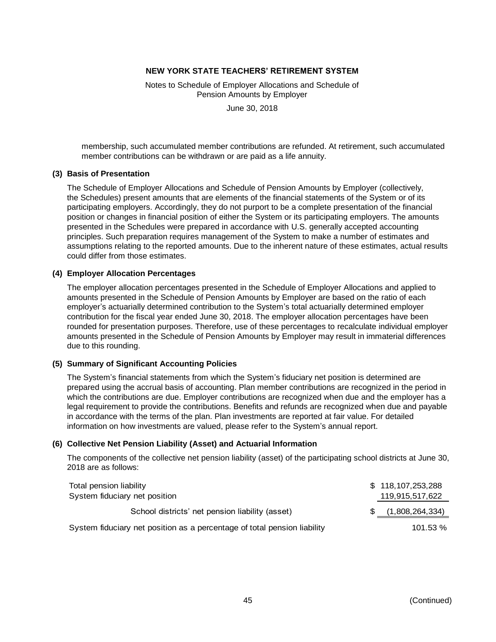Notes to Schedule of Employer Allocations and Schedule of Pension Amounts by Employer

June 30, 2018

membership, such accumulated member contributions are refunded. At retirement, such accumulated member contributions can be withdrawn or are paid as a life annuity.

### **(3) Basis of Presentation**

The Schedule of Employer Allocations and Schedule of Pension Amounts by Employer (collectively, the Schedules) present amounts that are elements of the financial statements of the System or of its participating employers. Accordingly, they do not purport to be a complete presentation of the financial position or changes in financial position of either the System or its participating employers. The amounts presented in the Schedules were prepared in accordance with U.S. generally accepted accounting principles. Such preparation requires management of the System to make a number of estimates and assumptions relating to the reported amounts. Due to the inherent nature of these estimates, actual results could differ from those estimates.

### **(4) Employer Allocation Percentages**

The employer allocation percentages presented in the Schedule of Employer Allocations and applied to amounts presented in the Schedule of Pension Amounts by Employer are based on the ratio of each employer's actuarially determined contribution to the System's total actuarially determined employer contribution for the fiscal year ended June 30, 2018. The employer allocation percentages have been rounded for presentation purposes. Therefore, use of these percentages to recalculate individual employer amounts presented in the Schedule of Pension Amounts by Employer may result in immaterial differences due to this rounding.

### **(5) Summary of Significant Accounting Policies**

The System's financial statements from which the System's fiduciary net position is determined are prepared using the accrual basis of accounting. Plan member contributions are recognized in the period in which the contributions are due. Employer contributions are recognized when due and the employer has a legal requirement to provide the contributions. Benefits and refunds are recognized when due and payable in accordance with the terms of the plan. Plan investments are reported at fair value. For detailed information on how investments are valued, please refer to the System's annual report.

### **(6) Collective Net Pension Liability (Asset) and Actuarial Information**

The components of the collective net pension liability (asset) of the participating school districts at June 30, 2018 are as follows:

| Total pension liability                                                  | \$118,107,253,288 |
|--------------------------------------------------------------------------|-------------------|
| System fiduciary net position                                            | 119,915,517,622   |
| School districts' net pension liability (asset)                          | \$(1,808,264,334) |
| System fiduciary net position as a percentage of total pension liability | 101.53 %          |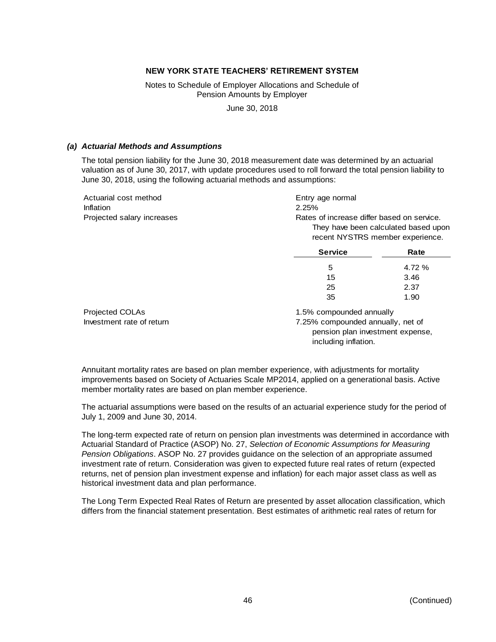Notes to Schedule of Employer Allocations and Schedule of Pension Amounts by Employer

June 30, 2018

### *(a) Actuarial Methods and Assumptions*

The total pension liability for the June 30, 2018 measurement date was determined by an actuarial valuation as of June 30, 2017, with update procedures used to roll forward the total pension liability to June 30, 2018, using the following actuarial methods and assumptions:

Actuarial cost method **Entry age normal** Inflation 2.25%

Projected salary increases and the Rates of increase differ based on service. They have been calculated based upon recent NYSTRS member experience.

|                 | soon, it is not included experience. |        |  |
|-----------------|--------------------------------------|--------|--|
|                 | <b>Service</b>                       | Rate   |  |
|                 | 5                                    | 4.72 % |  |
|                 | 15                                   | 3.46   |  |
|                 | 25                                   | 2.37   |  |
|                 | 35                                   | 1.90   |  |
| Projected COLAs | 1.5% compounded annually             |        |  |

Investment rate of return **Investment rate of return 1.25%** compounded annually, net of pension plan investment expense, including inflation.

Annuitant mortality rates are based on plan member experience, with adjustments for mortality improvements based on Society of Actuaries Scale MP2014, applied on a generational basis. Active member mortality rates are based on plan member experience.

The actuarial assumptions were based on the results of an actuarial experience study for the period of July 1, 2009 and June 30, 2014.

The long-term expected rate of return on pension plan investments was determined in accordance with Actuarial Standard of Practice (ASOP) No. 27, *Selection of Economic Assumptions for Measuring Pension Obligations*. ASOP No. 27 provides guidance on the selection of an appropriate assumed investment rate of return. Consideration was given to expected future real rates of return (expected returns, net of pension plan investment expense and inflation) for each major asset class as well as historical investment data and plan performance.

The Long Term Expected Real Rates of Return are presented by asset allocation classification, which differs from the financial statement presentation. Best estimates of arithmetic real rates of return for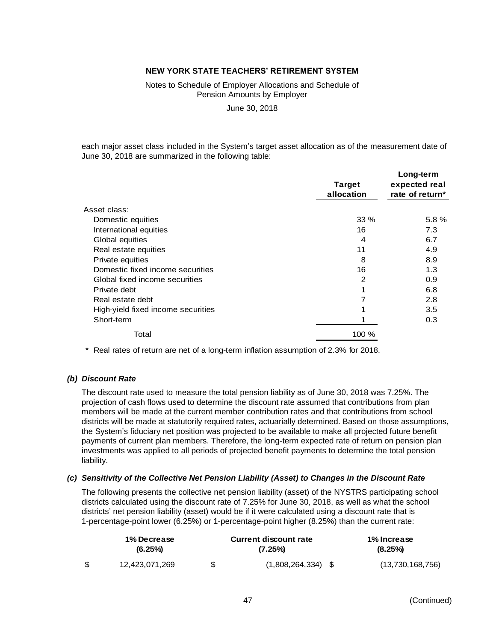Notes to Schedule of Employer Allocations and Schedule of Pension Amounts by Employer

June 30, 2018

each major asset class included in the System's target asset allocation as of the measurement date of June 30, 2018 are summarized in the following table:

|                                    | <b>Target</b><br>allocation | Long-term<br>expected real<br>rate of return* |
|------------------------------------|-----------------------------|-----------------------------------------------|
| Asset class:                       |                             |                                               |
| Domestic equities                  | $33\%$                      | $5.8 \%$                                      |
| International equities             | 16                          | 7.3                                           |
| Global equities                    | 4                           | 6.7                                           |
| Real estate equities               | 11                          | 4.9                                           |
| Private equities                   | 8                           | 8.9                                           |
| Domestic fixed income securities   | 16                          | 1.3                                           |
| Global fixed income securities     | 2                           | 0.9                                           |
| Private debt                       |                             | 6.8                                           |
| Real estate debt                   | 7                           | 2.8                                           |
| High-yield fixed income securities |                             | 3.5                                           |
| Short-term                         |                             | 0.3                                           |
| Total                              | 100 %                       |                                               |

\* Real rates of return are net of a long-term inflation assumption of 2.3% for 2018.

### *(b) Discount Rate*

The discount rate used to measure the total pension liability as of June 30, 2018 was 7.25%. The projection of cash flows used to determine the discount rate assumed that contributions from plan members will be made at the current member contribution rates and that contributions from school districts will be made at statutorily required rates, actuarially determined. Based on those assumptions, the System's fiduciary net position was projected to be available to make all projected future benefit payments of current plan members. Therefore, the long-term expected rate of return on pension plan investments was applied to all periods of projected benefit payments to determine the total pension liability.

### *(c) Sensitivity of the Collective Net Pension Liability (Asset) to Changes in the Discount Rate*

The following presents the collective net pension liability (asset) of the NYSTRS participating school districts calculated using the discount rate of 7.25% for June 30, 2018, as well as what the school districts' net pension liability (asset) would be if it were calculated using a discount rate that is 1-percentage-point lower (6.25%) or 1-percentage-point higher (8.25%) than the current rate:

| 1% Decrease<br>$(6.25\%)$ |  | <b>Current discount rate</b><br>$(7.25\%)$ | 1% Increase<br>(8.25%) |  |
|---------------------------|--|--------------------------------------------|------------------------|--|
| 12.423.071.269            |  | $(1,808,264,334)$ \$                       | (13,730,168,756)       |  |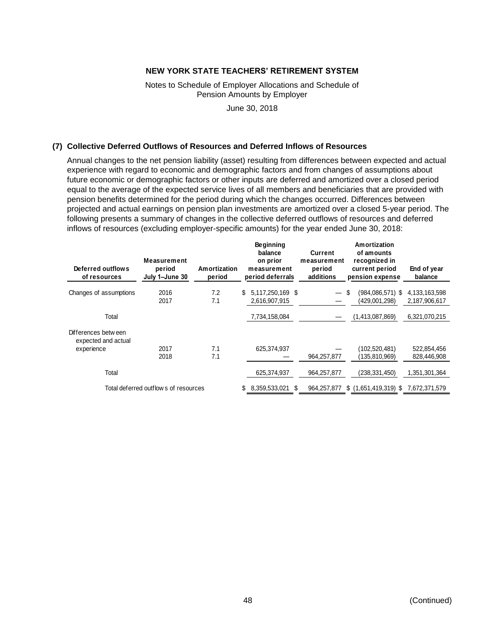Notes to Schedule of Employer Allocations and Schedule of Pension Amounts by Employer

June 30, 2018

### **(7) Collective Deferred Outflows of Resources and Deferred Inflows of Resources**

Annual changes to the net pension liability (asset) resulting from differences between expected and actual experience with regard to economic and demographic factors and from changes of assumptions about future economic or demographic factors or other inputs are deferred and amortized over a closed period equal to the average of the expected service lives of all members and beneficiaries that are provided with pension benefits determined for the period during which the changes occurred. Differences between projected and actual earnings on pension plan investments are amortized over a closed 5-year period. The following presents a summary of changes in the collective deferred outflows of resources and deferred inflows of resources (excluding employer-specific amounts) for the year ended June 30, 2018:

| Deferred outflows<br>of resources                        | <b>Measurement</b><br>period<br>July 1-June 30 | Amortization<br>period | <b>Beginning</b><br>balance<br>on prior<br>measurement<br>period deferrals | <b>Current</b><br>measurement<br>period<br>additions | Amortization<br>of amounts<br>recognized in<br>current period<br>pension expense | End of year<br>balance         |
|----------------------------------------------------------|------------------------------------------------|------------------------|----------------------------------------------------------------------------|------------------------------------------------------|----------------------------------------------------------------------------------|--------------------------------|
| Changes of assumptions                                   | 2016<br>2017                                   | 7.2<br>7.1             | 5,117,250,169 \$<br>\$<br>2,616,907,915                                    |                                                      | \$<br>$(984,086,571)$ \$<br>(429,001,298)                                        | 4,133,163,598<br>2,187,906,617 |
| Total                                                    |                                                |                        | 7,734,158,084                                                              |                                                      | (1,413,087,869)                                                                  | 6,321,070,215                  |
| Differences between<br>expected and actual<br>experience | 2017<br>2018                                   | 7.1<br>7.1             | 625,374,937                                                                | 964,257,877                                          | (102, 520, 481)<br>(135, 810, 969)                                               | 522,854,456<br>828,446,908     |
| Total                                                    |                                                |                        | 625,374,937                                                                | 964,257,877                                          | (238, 331, 450)                                                                  | 1,351,301,364                  |
|                                                          | Total deferred outflows of resources           |                        | 8,359,533,021<br>\$<br>\$                                                  | 964,257,877                                          | $$$ (1,651,419,319) \$ 7,672,371,579                                             |                                |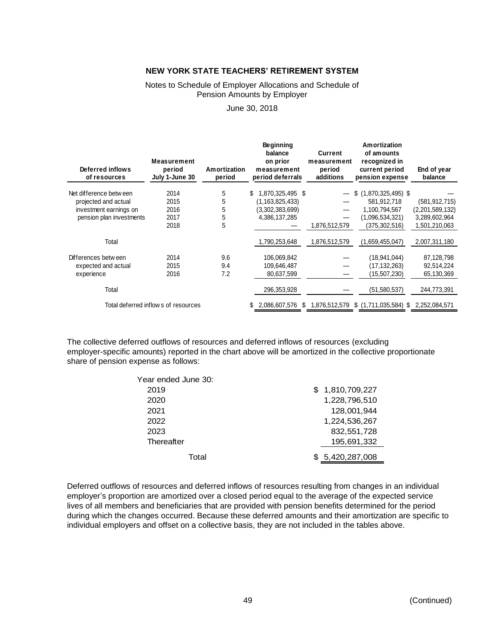### Notes to Schedule of Employer Allocations and Schedule of Pension Amounts by Employer

June 30, 2018

| Deferred inflows<br>of resources | Measurement<br>period<br>July 1-June 30 | Amortization<br>period | Beginning<br>balance<br>on prior<br>measurement<br>period deferrals | <b>Current</b><br>measurement<br>period<br>additions | Amortization<br>of amounts<br>recognized in<br>current period<br>pension expense | End of year<br>balance |
|----------------------------------|-----------------------------------------|------------------------|---------------------------------------------------------------------|------------------------------------------------------|----------------------------------------------------------------------------------|------------------------|
| Net difference between           | 2014                                    | 5                      | 1,870,325,495 \$<br>\$                                              |                                                      | $$$ (1,870,325,495) \$                                                           |                        |
| projected and actual             | 2015                                    | 5                      | (1, 163, 825, 433)                                                  |                                                      | 581,912,718                                                                      | (581, 912, 715)        |
| investment earnings on           | 2016                                    | 5                      | (3,302,383,699)                                                     |                                                      | 1,100,794,567                                                                    | (2,201,589,132)        |
| pension plan investments         | 2017                                    | 5                      | 4,386,137,285                                                       |                                                      | (1,096,534,321)                                                                  | 3,289,602,964          |
|                                  | 2018                                    | 5                      |                                                                     | 1,876,512,579                                        | (375,302,516)                                                                    | 1,501,210,063          |
| Total                            |                                         |                        | 1,790,253,648                                                       | 1,876,512,579                                        | (1,659,455,047)                                                                  | 2,007,311,180          |
| Differences between              | 2014                                    | 9.6                    | 106,069,842                                                         |                                                      | (18,941,044)                                                                     | 87,128,798             |
| expected and actual              | 2015                                    | 9.4                    | 109,646,487                                                         |                                                      | (17, 132, 263)                                                                   | 92,514,224             |
| experience                       | 2016                                    | 7.2                    | 80,637,599                                                          |                                                      | (15,507,230)                                                                     | 65,130,369             |
| Total                            |                                         |                        | 296,353,928                                                         |                                                      | (51,580,537)                                                                     | 244,773,391            |
|                                  | Total deferred inflows of resources     |                        | 2,086,607,576<br>\$.<br>\$                                          |                                                      | 1,876,512,579 \$ (1,711,035,584) \$                                              | 2,252,084,571          |
|                                  |                                         |                        |                                                                     |                                                      |                                                                                  |                        |

The collective deferred outflows of resources and deferred inflows of resources (excluding employer-specific amounts) reported in the chart above will be amortized in the collective proportionate share of pension expense as follows:

| Year ended June 30: |                 |
|---------------------|-----------------|
| 2019                | \$1,810,709,227 |
| 2020                | 1,228,796,510   |
| 2021                | 128,001,944     |
| 2022                | 1,224,536,267   |
| 2023                | 832,551,728     |
| Thereafter          | 195,691,332     |
| Total               | \$5,420,287,008 |

Deferred outflows of resources and deferred inflows of resources resulting from changes in an individual employer's proportion are amortized over a closed period equal to the average of the expected service lives of all members and beneficiaries that are provided with pension benefits determined for the period during which the changes occurred. Because these deferred amounts and their amortization are specific to individual employers and offset on a collective basis, they are not included in the tables above.